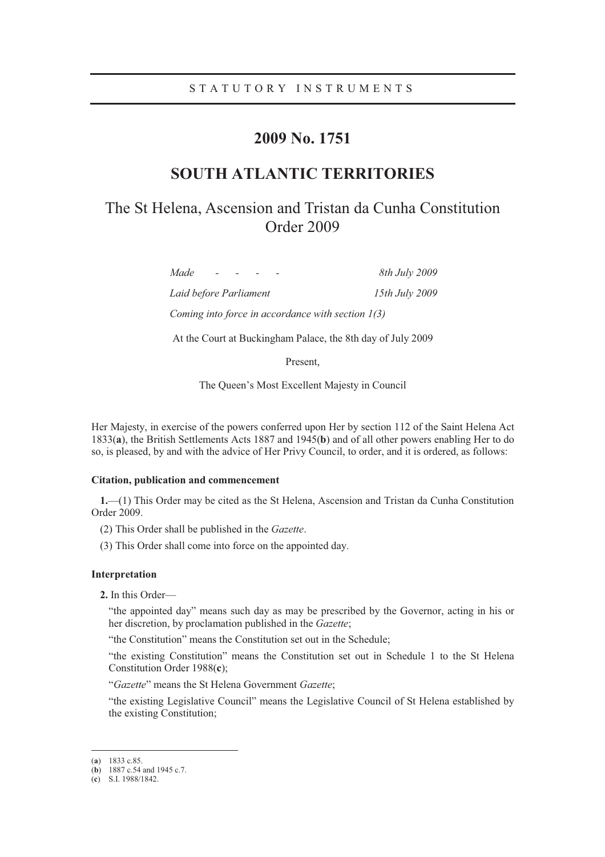# **2009 No. 1751**

# **SOUTH ATLANTIC TERRITORIES**

# The St Helena, Ascension and Tristan da Cunha Constitution Order 2009

*Made - - - - 8th July 2009* 

*Laid before Parliament 15th July 2009* 

*Coming into force in accordance with section 1(3)* 

At the Court at Buckingham Palace, the 8th day of July 2009

Present,

The Queen's Most Excellent Majesty in Council

Her Majesty, in exercise of the powers conferred upon Her by section 112 of the Saint Helena Act 1833(**a**), the British Settlements Acts 1887 and 1945(**b**) and of all other powers enabling Her to do so, is pleased, by and with the advice of Her Privy Council, to order, and it is ordered, as follows:

## **Citation, publication and commencement**

**1.**—(1) This Order may be cited as the St Helena, Ascension and Tristan da Cunha Constitution Order 2009.

(2) This Order shall be published in the *Gazette*.

(3) This Order shall come into force on the appointed day.

## **Interpretation**

**2.** In this Order—

"the appointed day" means such day as may be prescribed by the Governor, acting in his or her discretion, by proclamation published in the *Gazette*;

"the Constitution" means the Constitution set out in the Schedule;

"the existing Constitution" means the Constitution set out in Schedule 1 to the St Helena Constitution Order 1988(**c**);

"*Gazette*" means the St Helena Government *Gazette*;

"the existing Legislative Council" means the Legislative Council of St Helena established by the existing Constitution;

 $\overline{a}$ 

<sup>(</sup>**a**) 1833 c.85.

<sup>(</sup>**b**) 1887 c.54 and 1945 c.7.

<sup>(</sup>**c**) S.I. 1988/1842.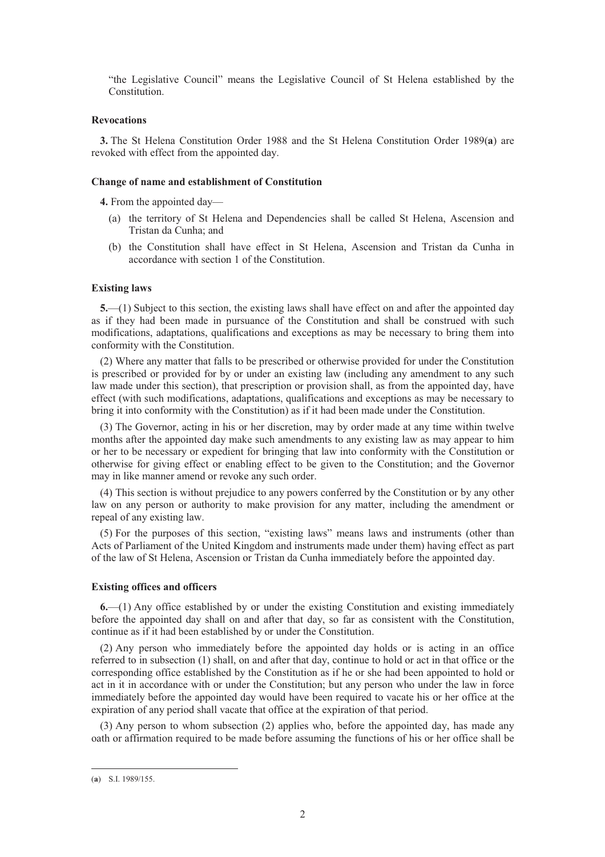"the Legislative Council" means the Legislative Council of St Helena established by the Constitution.

### **Revocations**

**3.** The St Helena Constitution Order 1988 and the St Helena Constitution Order 1989(**a**) are revoked with effect from the appointed day.

### **Change of name and establishment of Constitution**

**4.** From the appointed day—

- (a) the territory of St Helena and Dependencies shall be called St Helena, Ascension and Tristan da Cunha; and
- (b) the Constitution shall have effect in St Helena, Ascension and Tristan da Cunha in accordance with section 1 of the Constitution.

### **Existing laws**

**5.**—(1) Subject to this section, the existing laws shall have effect on and after the appointed day as if they had been made in pursuance of the Constitution and shall be construed with such modifications, adaptations, qualifications and exceptions as may be necessary to bring them into conformity with the Constitution.

(2) Where any matter that falls to be prescribed or otherwise provided for under the Constitution is prescribed or provided for by or under an existing law (including any amendment to any such law made under this section), that prescription or provision shall, as from the appointed day, have effect (with such modifications, adaptations, qualifications and exceptions as may be necessary to bring it into conformity with the Constitution) as if it had been made under the Constitution.

(3) The Governor, acting in his or her discretion, may by order made at any time within twelve months after the appointed day make such amendments to any existing law as may appear to him or her to be necessary or expedient for bringing that law into conformity with the Constitution or otherwise for giving effect or enabling effect to be given to the Constitution; and the Governor may in like manner amend or revoke any such order.

(4) This section is without prejudice to any powers conferred by the Constitution or by any other law on any person or authority to make provision for any matter, including the amendment or repeal of any existing law.

(5) For the purposes of this section, "existing laws" means laws and instruments (other than Acts of Parliament of the United Kingdom and instruments made under them) having effect as part of the law of St Helena, Ascension or Tristan da Cunha immediately before the appointed day.

### **Existing offices and officers**

**6.**—(1) Any office established by or under the existing Constitution and existing immediately before the appointed day shall on and after that day, so far as consistent with the Constitution, continue as if it had been established by or under the Constitution.

(2) Any person who immediately before the appointed day holds or is acting in an office referred to in subsection (1) shall, on and after that day, continue to hold or act in that office or the corresponding office established by the Constitution as if he or she had been appointed to hold or act in it in accordance with or under the Constitution; but any person who under the law in force immediately before the appointed day would have been required to vacate his or her office at the expiration of any period shall vacate that office at the expiration of that period.

(3) Any person to whom subsection (2) applies who, before the appointed day, has made any oath or affirmation required to be made before assuming the functions of his or her office shall be

 $\overline{a}$ 

<sup>(</sup>**a**) S.I. 1989/155.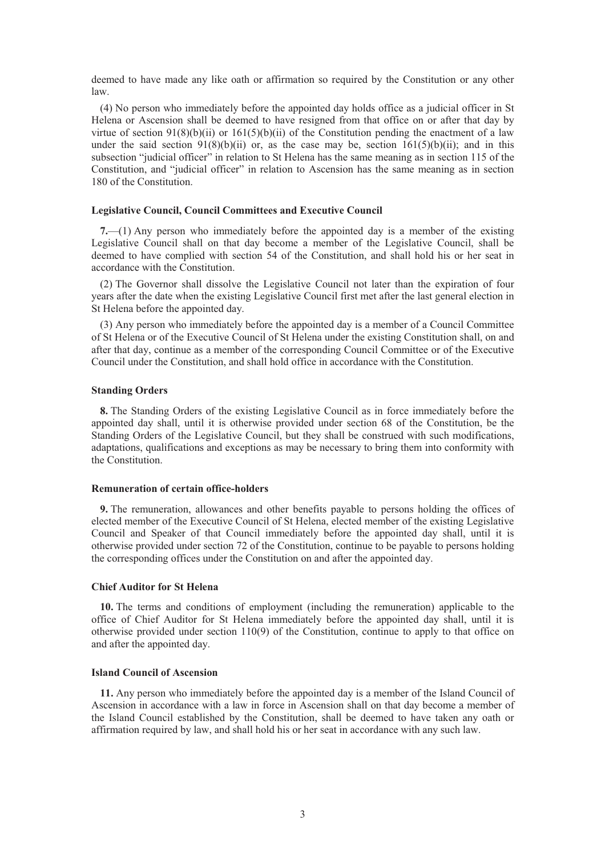deemed to have made any like oath or affirmation so required by the Constitution or any other law.

(4) No person who immediately before the appointed day holds office as a judicial officer in St Helena or Ascension shall be deemed to have resigned from that office on or after that day by virtue of section 91(8)(b)(ii) or 161(5)(b)(ii) of the Constitution pending the enactment of a law under the said section  $91(8)(b)(ii)$  or, as the case may be, section  $161(5)(b)(ii)$ ; and in this subsection "judicial officer" in relation to St Helena has the same meaning as in section 115 of the Constitution, and "judicial officer" in relation to Ascension has the same meaning as in section 180 of the Constitution.

### **Legislative Council, Council Committees and Executive Council**

**7.**—(1) Any person who immediately before the appointed day is a member of the existing Legislative Council shall on that day become a member of the Legislative Council, shall be deemed to have complied with section 54 of the Constitution, and shall hold his or her seat in accordance with the Constitution.

(2) The Governor shall dissolve the Legislative Council not later than the expiration of four years after the date when the existing Legislative Council first met after the last general election in St Helena before the appointed day.

(3) Any person who immediately before the appointed day is a member of a Council Committee of St Helena or of the Executive Council of St Helena under the existing Constitution shall, on and after that day, continue as a member of the corresponding Council Committee or of the Executive Council under the Constitution, and shall hold office in accordance with the Constitution.

### **Standing Orders**

**8.** The Standing Orders of the existing Legislative Council as in force immediately before the appointed day shall, until it is otherwise provided under section 68 of the Constitution, be the Standing Orders of the Legislative Council, but they shall be construed with such modifications, adaptations, qualifications and exceptions as may be necessary to bring them into conformity with the Constitution.

### **Remuneration of certain office-holders**

**9.** The remuneration, allowances and other benefits payable to persons holding the offices of elected member of the Executive Council of St Helena, elected member of the existing Legislative Council and Speaker of that Council immediately before the appointed day shall, until it is otherwise provided under section 72 of the Constitution, continue to be payable to persons holding the corresponding offices under the Constitution on and after the appointed day.

## **Chief Auditor for St Helena**

**10.** The terms and conditions of employment (including the remuneration) applicable to the office of Chief Auditor for St Helena immediately before the appointed day shall, until it is otherwise provided under section 110(9) of the Constitution, continue to apply to that office on and after the appointed day.

### **Island Council of Ascension**

**11.** Any person who immediately before the appointed day is a member of the Island Council of Ascension in accordance with a law in force in Ascension shall on that day become a member of the Island Council established by the Constitution, shall be deemed to have taken any oath or affirmation required by law, and shall hold his or her seat in accordance with any such law.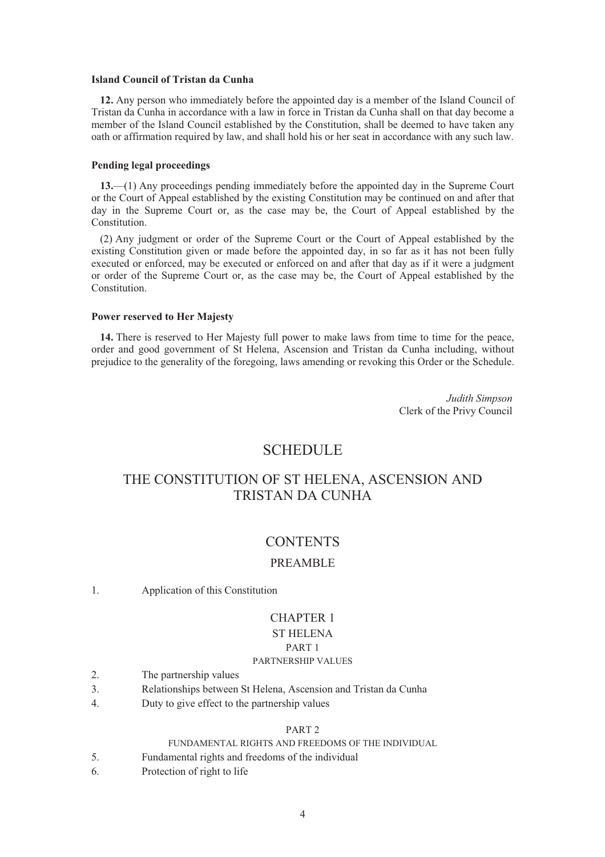### **Island Council of Tristan da Cunha**

**12.** Any person who immediately before the appointed day is a member of the Island Council of Tristan da Cunha in accordance with a law in force in Tristan da Cunha shall on that day become a member of the Island Council established by the Constitution, shall be deemed to have taken any oath or affirmation required by law, and shall hold his or her seat in accordance with any such law.

## **Pending legal proceedings**

**13.**—(1) Any proceedings pending immediately before the appointed day in the Supreme Court or the Court of Appeal established by the existing Constitution may be continued on and after that day in the Supreme Court or, as the case may be, the Court of Appeal established by the Constitution.

(2) Any judgment or order of the Supreme Court or the Court of Appeal established by the existing Constitution given or made before the appointed day, in so far as it has not been fully executed or enforced, may be executed or enforced on and after that day as if it were a judgment or order of the Supreme Court or, as the case may be, the Court of Appeal established by the Constitution.

## **Power reserved to Her Majesty**

**14.** There is reserved to Her Majesty full power to make laws from time to time for the peace, order and good government of St Helena, Ascension and Tristan da Cunha including, without prejudice to the generality of the foregoing, laws amending or revoking this Order or the Schedule.

> *Judith Simpson* Clerk of the Privy Council

# **SCHEDULE**

# THE CONSTITUTION OF ST HELENA, ASCENSION AND TRISTAN DA CUNHA

# **CONTENTS**

## PREAMBLE

1. Application of this Constitution

# CHAPTER 1

### ST HELENA

#### PART 1

## PARTNERSHIP VALUES

- 2. The partnership values
- 3. Relationships between St Helena, Ascension and Tristan da Cunha
- 4. Duty to give effect to the partnership values

### PART 2

## FUNDAMENTAL RIGHTS AND FREEDOMS OF THE INDIVIDUAL

- 5. Fundamental rights and freedoms of the individual
- 6. Protection of right to life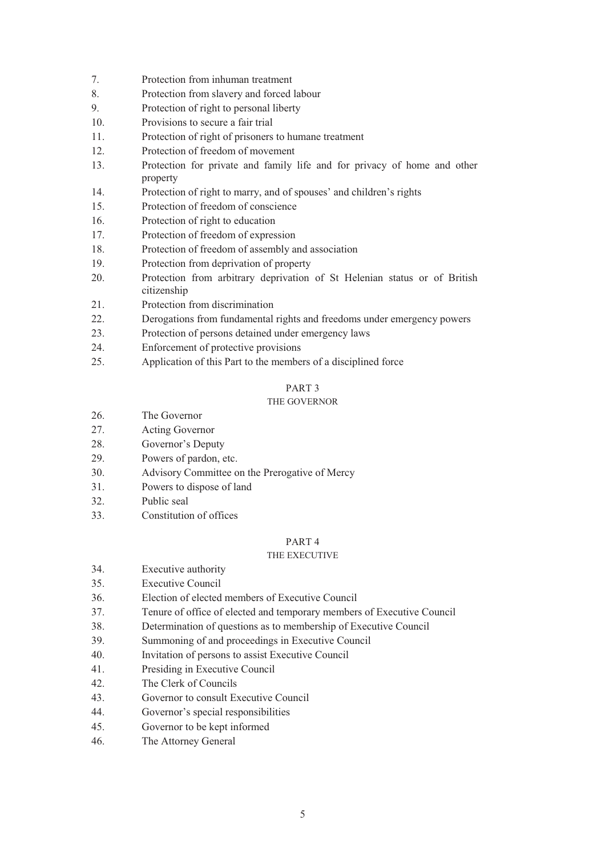- 7. Protection from inhuman treatment
- 8. Protection from slavery and forced labour
- 9. Protection of right to personal liberty
- 10. Provisions to secure a fair trial
- 11. Protection of right of prisoners to humane treatment
- 12. Protection of freedom of movement
- 13. Protection for private and family life and for privacy of home and other property
- 14. Protection of right to marry, and of spouses' and children's rights
- 15. Protection of freedom of conscience
- 16. Protection of right to education
- 17. Protection of freedom of expression
- 18. Protection of freedom of assembly and association
- 19. Protection from deprivation of property
- 20. Protection from arbitrary deprivation of St Helenian status or of British citizenship
- 21. Protection from discrimination
- 22. Derogations from fundamental rights and freedoms under emergency powers
- 23. Protection of persons detained under emergency laws
- 24. Enforcement of protective provisions
- 25. Application of this Part to the members of a disciplined force

# PART 3

## THE GOVERNOR

- 26. The Governor
- 27. Acting Governor
- 28. Governor's Deputy
- 29. Powers of pardon, etc.
- 30. Advisory Committee on the Prerogative of Mercy
- 31. Powers to dispose of land
- 32. Public seal
- 33. Constitution of offices

# PART 4

# THE EXECUTIVE

- 34. Executive authority
- 35. Executive Council
- 36. Election of elected members of Executive Council
- 37. Tenure of office of elected and temporary members of Executive Council
- 38. Determination of questions as to membership of Executive Council
- 39. Summoning of and proceedings in Executive Council
- 40. Invitation of persons to assist Executive Council
- 41. Presiding in Executive Council
- 42. The Clerk of Councils
- 43. Governor to consult Executive Council
- 44. Governor's special responsibilities
- 45. Governor to be kept informed
- 46. The Attorney General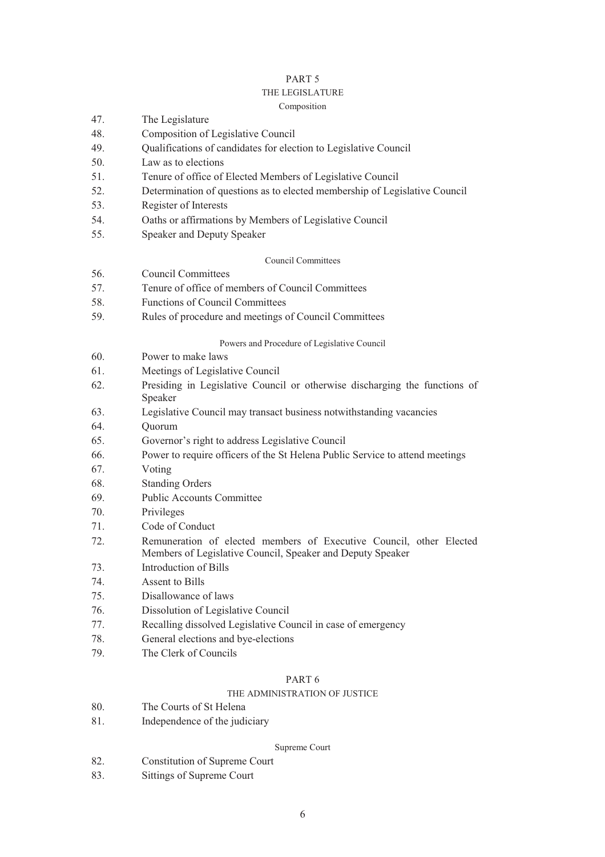# PART 5

# THE LEGISLATURE

# Composition

| 47. | The Legislature                                                                                                                   |
|-----|-----------------------------------------------------------------------------------------------------------------------------------|
| 48. | Composition of Legislative Council                                                                                                |
| 49. | Qualifications of candidates for election to Legislative Council                                                                  |
| 50. | Law as to elections                                                                                                               |
| 51. | Tenure of office of Elected Members of Legislative Council                                                                        |
| 52. | Determination of questions as to elected membership of Legislative Council                                                        |
| 53. | Register of Interests                                                                                                             |
| 54. | Oaths or affirmations by Members of Legislative Council                                                                           |
| 55. | Speaker and Deputy Speaker                                                                                                        |
|     |                                                                                                                                   |
|     | <b>Council Committees</b>                                                                                                         |
| 56. | <b>Council Committees</b>                                                                                                         |
| 57. | Tenure of office of members of Council Committees                                                                                 |
| 58. | <b>Functions of Council Committees</b>                                                                                            |
| 59. | Rules of procedure and meetings of Council Committees                                                                             |
|     |                                                                                                                                   |
|     | Powers and Procedure of Legislative Council                                                                                       |
| 60. | Power to make laws                                                                                                                |
| 61. | Meetings of Legislative Council                                                                                                   |
| 62. | Presiding in Legislative Council or otherwise discharging the functions of<br>Speaker                                             |
| 63. | Legislative Council may transact business notwithstanding vacancies                                                               |
| 64. | Quorum                                                                                                                            |
| 65. | Governor's right to address Legislative Council                                                                                   |
| 66. | Power to require officers of the St Helena Public Service to attend meetings                                                      |
| 67. | Voting                                                                                                                            |
| 68. | <b>Standing Orders</b>                                                                                                            |
| 69. | <b>Public Accounts Committee</b>                                                                                                  |
| 70. | Privileges                                                                                                                        |
| 71. | Code of Conduct                                                                                                                   |
| 72. | Remuneration of elected members of Executive Council, other Elected<br>Members of Legislative Council, Speaker and Deputy Speaker |
| 73. | Introduction of Bills                                                                                                             |
| 74. | Assent to Bills                                                                                                                   |
| 75. | Disallowance of laws                                                                                                              |
| 76. | Dissolution of Legislative Council                                                                                                |
| 77. | Recalling dissolved Legislative Council in case of emergency                                                                      |
| 78. | General elections and bye-elections                                                                                               |
| 79. | The Clerk of Councils                                                                                                             |
|     | PART <sub>6</sub>                                                                                                                 |
|     | THE ADMINISTRATION OF JUSTICE                                                                                                     |
| 80. | The Courts of St Helena                                                                                                           |
| 81. | Independence of the judiciary                                                                                                     |
|     |                                                                                                                                   |

# Supreme Court

- 82. Constitution of Supreme Court
- 83. Sittings of Supreme Court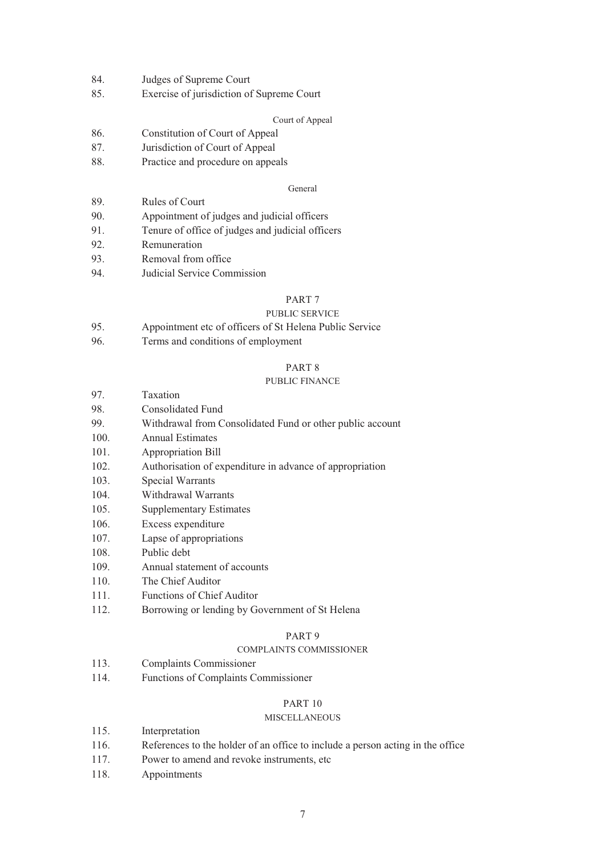- 84. Judges of Supreme Court
- 85. Exercise of jurisdiction of Supreme Court

### Court of Appeal

- 86. Constitution of Court of Appeal
- 87. Jurisdiction of Court of Appeal
- 88. Practice and procedure on appeals

### General

- 89. Rules of Court
- 90. Appointment of judges and judicial officers
- 91. Tenure of office of judges and judicial officers
- 92. Remuneration
- 93. Removal from office
- 94. Judicial Service Commission

## PART 7

## PUBLIC SERVICE

- 95. Appointment etc of officers of St Helena Public Service
- 96. Terms and conditions of employment

### PART 8

### PUBLIC FINANCE

- 97. Taxation
- 98. Consolidated Fund
- 99. Withdrawal from Consolidated Fund or other public account
- 100. Annual Estimates
- 101. Appropriation Bill
- 102. Authorisation of expenditure in advance of appropriation
- 103. Special Warrants
- 104. Withdrawal Warrants
- 105. Supplementary Estimates
- 106. Excess expenditure
- 107. Lapse of appropriations
- 108. Public debt
- 109. Annual statement of accounts
- 110 The Chief Auditor
- 111. Functions of Chief Auditor
- 112. Borrowing or lending by Government of St Helena

## PART 9

### COMPLAINTS COMMISSIONER

- 113. Complaints Commissioner
- 114. Functions of Complaints Commissioner

## PART 10

# **MISCELLANEOUS**

- 115. Interpretation
- 116. References to the holder of an office to include a person acting in the office
- 117. Power to amend and revoke instruments, etc
- 118. Appointments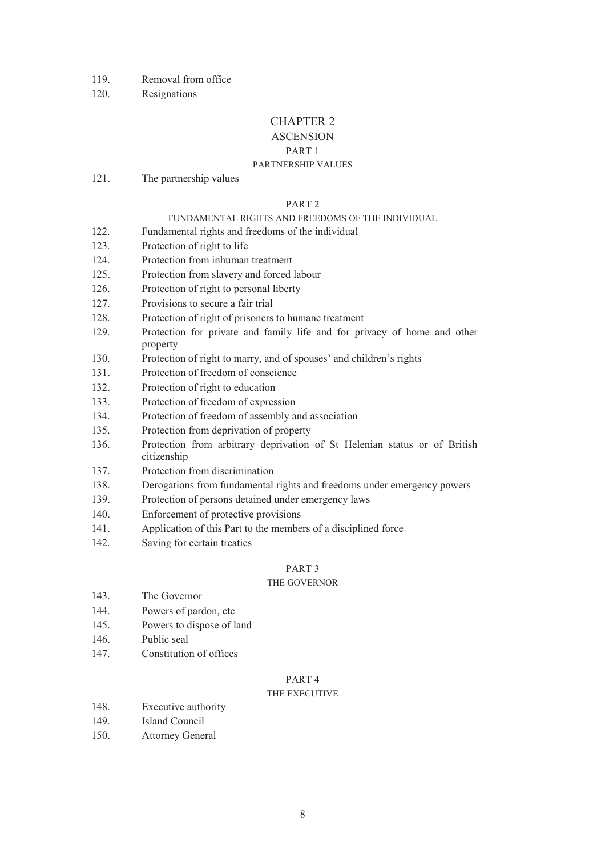119. Removal from office

120. Resignations

# CHAPTER 2

# ASCENSION

# PART 1

# PARTNERSHIP VALUES

# 121. The partnership values

## PART 2

# FUNDAMENTAL RIGHTS AND FREEDOMS OF THE INDIVIDUAL

- 122. Fundamental rights and freedoms of the individual
- 123. Protection of right to life
- 124. Protection from inhuman treatment
- 125. Protection from slavery and forced labour
- 126. Protection of right to personal liberty
- 127. Provisions to secure a fair trial
- 128. Protection of right of prisoners to humane treatment
- 129. Protection for private and family life and for privacy of home and other property
- 130. Protection of right to marry, and of spouses' and children's rights
- 131. Protection of freedom of conscience
- 132. Protection of right to education
- 133. Protection of freedom of expression
- 134. Protection of freedom of assembly and association
- 135. Protection from deprivation of property
- 136. Protection from arbitrary deprivation of St Helenian status or of British citizenship
- 137. Protection from discrimination
- 138. Derogations from fundamental rights and freedoms under emergency powers
- 139. Protection of persons detained under emergency laws
- 140. Enforcement of protective provisions
- 141. Application of this Part to the members of a disciplined force
- 142. Saving for certain treaties

# PART 3

## THE GOVERNOR

- 143. The Governor
- 144. Powers of pardon, etc
- 145. Powers to dispose of land
- 146. Public seal
- 147. Constitution of offices

# PART 4

## THE EXECUTIVE

- 148. Executive authority
- 149. Island Council
- 150. Attorney General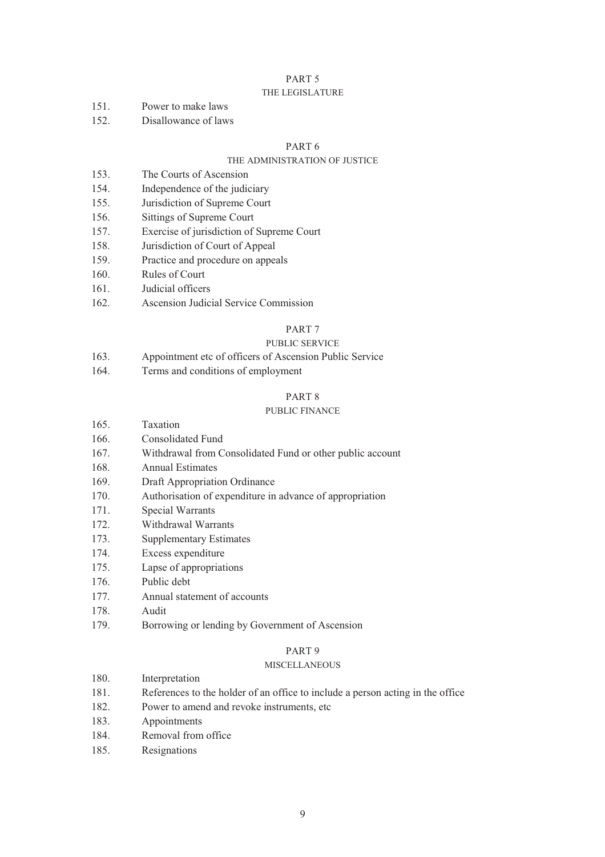# PART 5

## THE LEGISLATURE

- 151. Power to make laws
- 152. Disallowance of laws

# PART 6

# THE ADMINISTRATION OF JUSTICE

- 153. The Courts of Ascension
- 154. Independence of the judiciary
- 155. Jurisdiction of Supreme Court
- 156. Sittings of Supreme Court
- 157. Exercise of jurisdiction of Supreme Court
- 158. Jurisdiction of Court of Appeal
- 159. Practice and procedure on appeals
- 160. Rules of Court
- 161. Judicial officers
- 162. Ascension Judicial Service Commission

# PART 7

## PUBLIC SERVICE

- 163. Appointment etc of officers of Ascension Public Service
- 164. Terms and conditions of employment

# PART 8

## PUBLIC FINANCE

- 165. Taxation
- 166. Consolidated Fund
- 167. Withdrawal from Consolidated Fund or other public account
- 168. Annual Estimates
- 169. Draft Appropriation Ordinance
- 170. Authorisation of expenditure in advance of appropriation
- 171. Special Warrants
- 172. Withdrawal Warrants
- 173. Supplementary Estimates
- 174. Excess expenditure
- 175. Lapse of appropriations
- 176. Public debt
- 177. Annual statement of accounts
- 178. Audit
- 179. Borrowing or lending by Government of Ascension

## PART 9

# **MISCELLANEOUS**

- 180. Interpretation
- 181. References to the holder of an office to include a person acting in the office
- 182. Power to amend and revoke instruments, etc
- 183. Appointments
- 184. Removal from office
- 185. Resignations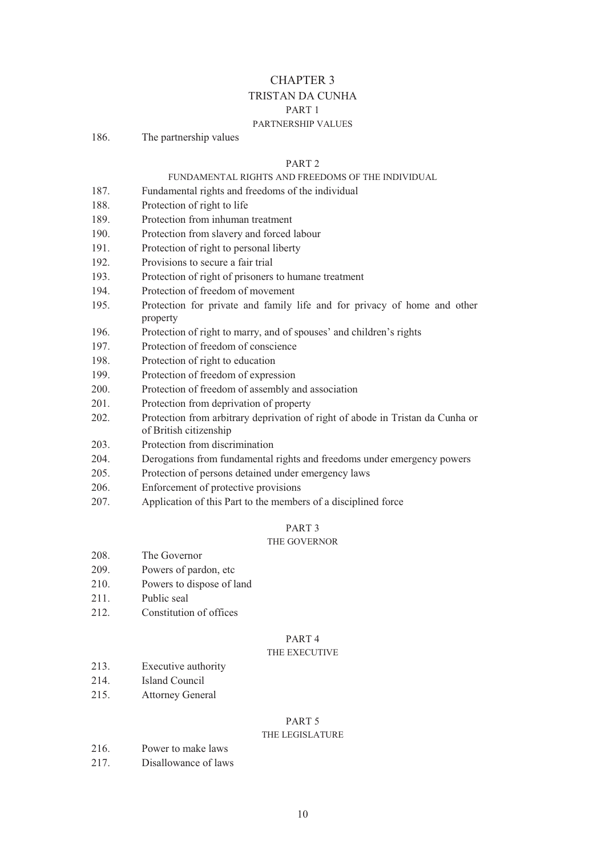# CHAPTER 3 TRISTAN DA CUNHA PART 1 PARTNERSHIP VALUES

### 186. The partnership values

# PART 2

# FUNDAMENTAL RIGHTS AND FREEDOMS OF THE INDIVIDUAL

- 187. Fundamental rights and freedoms of the individual
- 188. Protection of right to life
- 189. Protection from inhuman treatment
- 190. Protection from slavery and forced labour
- 191. Protection of right to personal liberty
- 192. Provisions to secure a fair trial
- 193. Protection of right of prisoners to humane treatment
- 194. Protection of freedom of movement
- 195. Protection for private and family life and for privacy of home and other property
- 196. Protection of right to marry, and of spouses' and children's rights
- 197. Protection of freedom of conscience
- 198. Protection of right to education
- 199. Protection of freedom of expression
- 200. Protection of freedom of assembly and association
- 201. Protection from deprivation of property
- 202. Protection from arbitrary deprivation of right of abode in Tristan da Cunha or of British citizenship
- 203. Protection from discrimination
- 204. Derogations from fundamental rights and freedoms under emergency powers
- 205. Protection of persons detained under emergency laws
- 206. Enforcement of protective provisions
- 207. Application of this Part to the members of a disciplined force

# PART 3

# THE GOVERNOR

- 208. The Governor
- 209. Powers of pardon, etc
- 210. Powers to dispose of land
- 211. Public seal
- 212. Constitution of offices

# PART 4

# THE EXECUTIVE

- 213. Executive authority
- 214. Island Council
- 215. Attorney General

## PART 5

### THE LEGISLATURE

- 216. Power to make laws
- 217. Disallowance of laws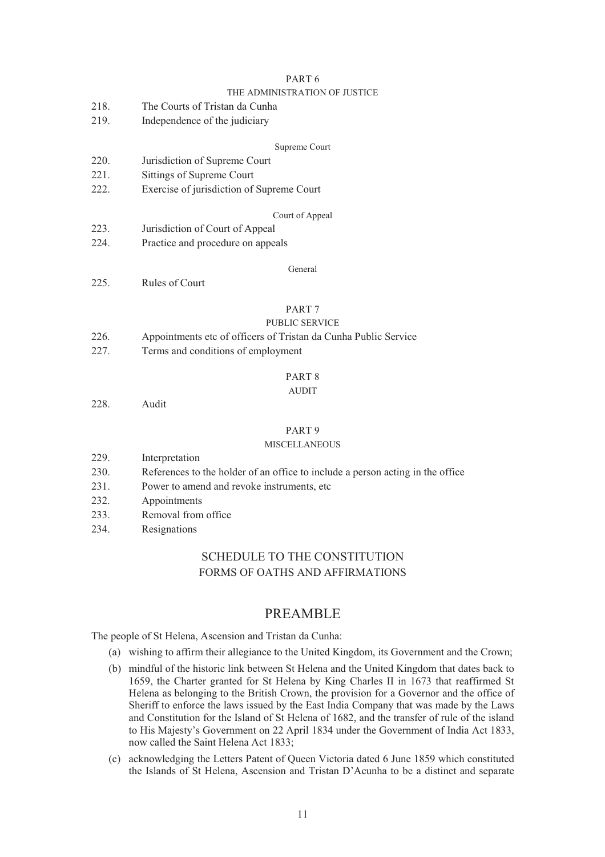## PART 6

## THE ADMINISTRATION OF JUSTICE

- 218. The Courts of Tristan da Cunha
- 219. Independence of the judiciary

### Supreme Court

- 220. Jurisdiction of Supreme Court
- 221. Sittings of Supreme Court
- 222. Exercise of jurisdiction of Supreme Court

### Court of Appeal

- 223. Jurisdiction of Court of Appeal
- 224. Practice and procedure on appeals

### **General**

225. Rules of Court

# PART 7

#### PUBLIC SERVICE

- 226. Appointments etc of officers of Tristan da Cunha Public Service
- 227. Terms and conditions of employment

# PART 8

# AUDIT

228. Audit

# PART 9

# **MISCELLANEOUS**

- 229. Interpretation
- 230. References to the holder of an office to include a person acting in the office
- 231. Power to amend and revoke instruments, etc
- 232. Appointments
- 233. Removal from office
- 234. Resignations

# SCHEDULE TO THE CONSTITUTION FORMS OF OATHS AND AFFIRMATIONS

# PREAMBLE

The people of St Helena, Ascension and Tristan da Cunha:

- (a) wishing to affirm their allegiance to the United Kingdom, its Government and the Crown;
- (b) mindful of the historic link between St Helena and the United Kingdom that dates back to 1659, the Charter granted for St Helena by King Charles II in 1673 that reaffirmed St Helena as belonging to the British Crown, the provision for a Governor and the office of Sheriff to enforce the laws issued by the East India Company that was made by the Laws and Constitution for the Island of St Helena of 1682, and the transfer of rule of the island to His Majesty's Government on 22 April 1834 under the Government of India Act 1833, now called the Saint Helena Act 1833;
- (c) acknowledging the Letters Patent of Queen Victoria dated 6 June 1859 which constituted the Islands of St Helena, Ascension and Tristan D'Acunha to be a distinct and separate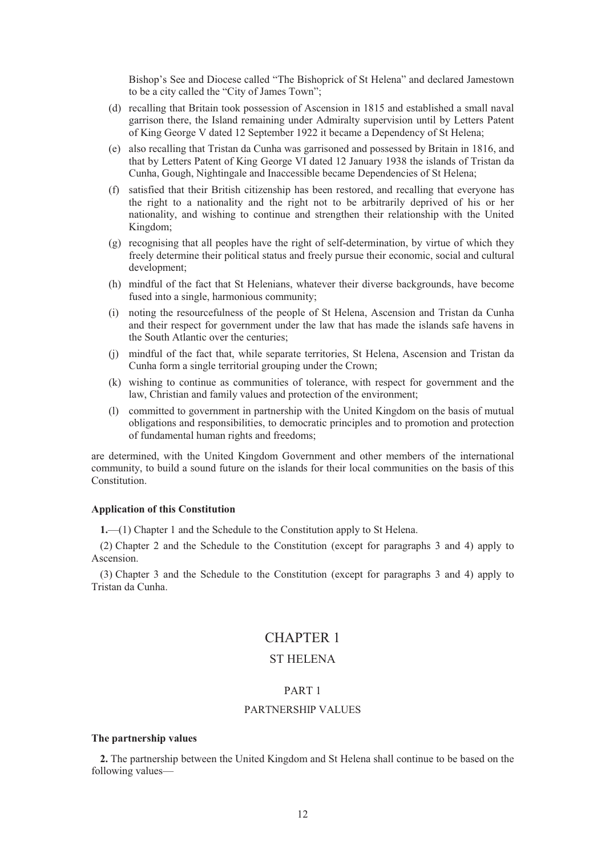Bishop's See and Diocese called "The Bishoprick of St Helena" and declared Jamestown to be a city called the "City of James Town";

- (d) recalling that Britain took possession of Ascension in 1815 and established a small naval garrison there, the Island remaining under Admiralty supervision until by Letters Patent of King George V dated 12 September 1922 it became a Dependency of St Helena;
- (e) also recalling that Tristan da Cunha was garrisoned and possessed by Britain in 1816, and that by Letters Patent of King George VI dated 12 January 1938 the islands of Tristan da Cunha, Gough, Nightingale and Inaccessible became Dependencies of St Helena;
- (f) satisfied that their British citizenship has been restored, and recalling that everyone has the right to a nationality and the right not to be arbitrarily deprived of his or her nationality, and wishing to continue and strengthen their relationship with the United Kingdom;
- (g) recognising that all peoples have the right of self-determination, by virtue of which they freely determine their political status and freely pursue their economic, social and cultural development;
- (h) mindful of the fact that St Helenians, whatever their diverse backgrounds, have become fused into a single, harmonious community;
- (i) noting the resourcefulness of the people of St Helena, Ascension and Tristan da Cunha and their respect for government under the law that has made the islands safe havens in the South Atlantic over the centuries;
- (j) mindful of the fact that, while separate territories, St Helena, Ascension and Tristan da Cunha form a single territorial grouping under the Crown;
- (k) wishing to continue as communities of tolerance, with respect for government and the law, Christian and family values and protection of the environment;
- (l) committed to government in partnership with the United Kingdom on the basis of mutual obligations and responsibilities, to democratic principles and to promotion and protection of fundamental human rights and freedoms;

are determined, with the United Kingdom Government and other members of the international community, to build a sound future on the islands for their local communities on the basis of this Constitution.

## **Application of this Constitution**

**1.**—(1) Chapter 1 and the Schedule to the Constitution apply to St Helena.

(2) Chapter 2 and the Schedule to the Constitution (except for paragraphs 3 and 4) apply to Ascension.

(3) Chapter 3 and the Schedule to the Constitution (except for paragraphs 3 and 4) apply to Tristan da Cunha.

# CHAPTER 1

# ST HELENA

# PART 1

## PARTNERSHIP VALUES

### **The partnership values**

**2.** The partnership between the United Kingdom and St Helena shall continue to be based on the following values—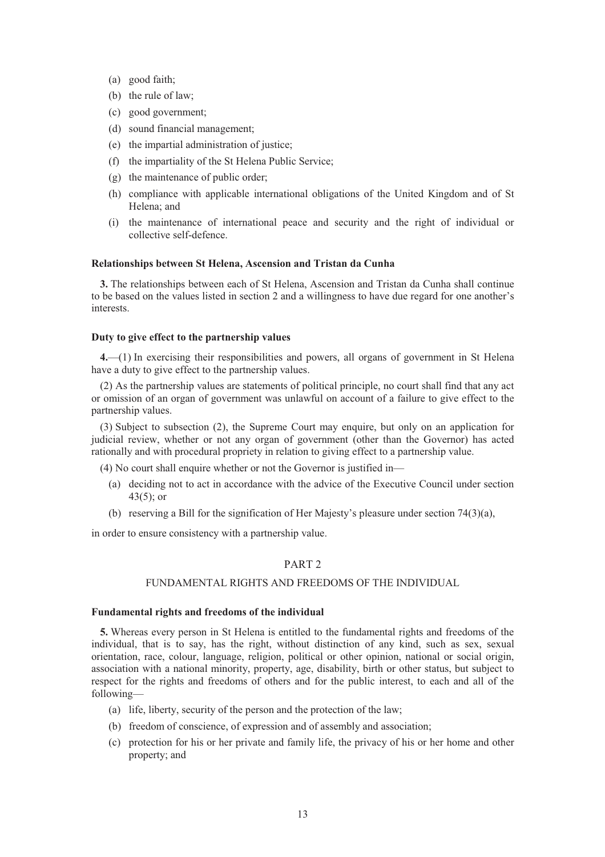- (a) good faith;
- (b) the rule of law;
- (c) good government;
- (d) sound financial management;
- (e) the impartial administration of justice;
- (f) the impartiality of the St Helena Public Service;
- (g) the maintenance of public order;
- (h) compliance with applicable international obligations of the United Kingdom and of St Helena; and
- (i) the maintenance of international peace and security and the right of individual or collective self-defence.

### **Relationships between St Helena, Ascension and Tristan da Cunha**

**3.** The relationships between each of St Helena, Ascension and Tristan da Cunha shall continue to be based on the values listed in section 2 and a willingness to have due regard for one another's interests.

## **Duty to give effect to the partnership values**

**4.**—(1) In exercising their responsibilities and powers, all organs of government in St Helena have a duty to give effect to the partnership values.

(2) As the partnership values are statements of political principle, no court shall find that any act or omission of an organ of government was unlawful on account of a failure to give effect to the partnership values.

(3) Subject to subsection (2), the Supreme Court may enquire, but only on an application for judicial review, whether or not any organ of government (other than the Governor) has acted rationally and with procedural propriety in relation to giving effect to a partnership value.

(4) No court shall enquire whether or not the Governor is justified in—

- (a) deciding not to act in accordance with the advice of the Executive Council under section 43(5); or
- (b) reserving a Bill for the signification of Her Majesty's pleasure under section  $74(3)(a)$ ,

in order to ensure consistency with a partnership value.

# PART 2

### FUNDAMENTAL RIGHTS AND FREEDOMS OF THE INDIVIDUAL

### **Fundamental rights and freedoms of the individual**

**5.** Whereas every person in St Helena is entitled to the fundamental rights and freedoms of the individual, that is to say, has the right, without distinction of any kind, such as sex, sexual orientation, race, colour, language, religion, political or other opinion, national or social origin, association with a national minority, property, age, disability, birth or other status, but subject to respect for the rights and freedoms of others and for the public interest, to each and all of the following—

- (a) life, liberty, security of the person and the protection of the law;
- (b) freedom of conscience, of expression and of assembly and association;
- (c) protection for his or her private and family life, the privacy of his or her home and other property; and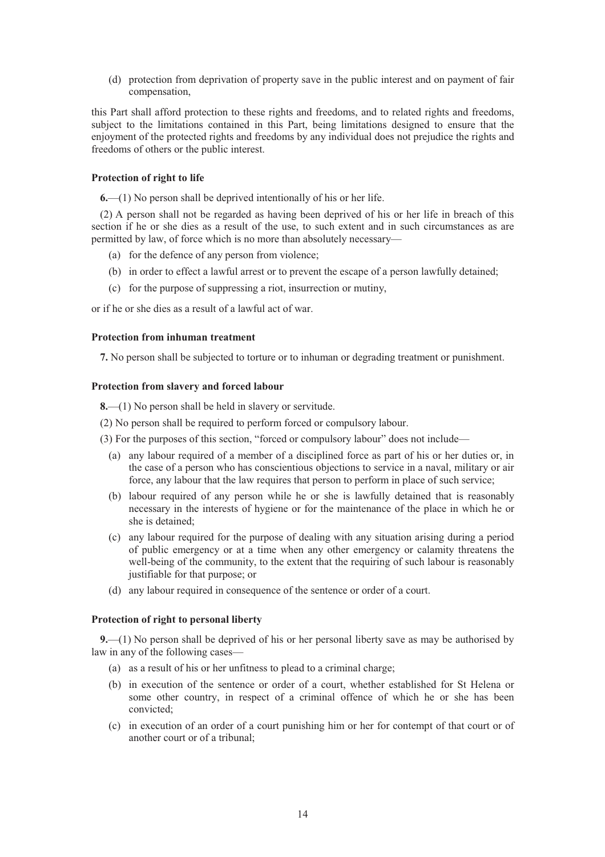(d) protection from deprivation of property save in the public interest and on payment of fair compensation,

this Part shall afford protection to these rights and freedoms, and to related rights and freedoms, subject to the limitations contained in this Part, being limitations designed to ensure that the enjoyment of the protected rights and freedoms by any individual does not prejudice the rights and freedoms of others or the public interest.

## **Protection of right to life**

**6.**—(1) No person shall be deprived intentionally of his or her life.

(2) A person shall not be regarded as having been deprived of his or her life in breach of this section if he or she dies as a result of the use, to such extent and in such circumstances as are permitted by law, of force which is no more than absolutely necessary—

- (a) for the defence of any person from violence;
- (b) in order to effect a lawful arrest or to prevent the escape of a person lawfully detained;
- (c) for the purpose of suppressing a riot, insurrection or mutiny,

or if he or she dies as a result of a lawful act of war.

## **Protection from inhuman treatment**

**7.** No person shall be subjected to torture or to inhuman or degrading treatment or punishment.

### **Protection from slavery and forced labour**

**8.**—(1) No person shall be held in slavery or servitude.

- (2) No person shall be required to perform forced or compulsory labour.
- (3) For the purposes of this section, "forced or compulsory labour" does not include—
	- (a) any labour required of a member of a disciplined force as part of his or her duties or, in the case of a person who has conscientious objections to service in a naval, military or air force, any labour that the law requires that person to perform in place of such service;
	- (b) labour required of any person while he or she is lawfully detained that is reasonably necessary in the interests of hygiene or for the maintenance of the place in which he or she is detained;
	- (c) any labour required for the purpose of dealing with any situation arising during a period of public emergency or at a time when any other emergency or calamity threatens the well-being of the community, to the extent that the requiring of such labour is reasonably justifiable for that purpose; or
	- (d) any labour required in consequence of the sentence or order of a court.

## **Protection of right to personal liberty**

**9.**—(1) No person shall be deprived of his or her personal liberty save as may be authorised by law in any of the following cases—

- (a) as a result of his or her unfitness to plead to a criminal charge;
- (b) in execution of the sentence or order of a court, whether established for St Helena or some other country, in respect of a criminal offence of which he or she has been convicted;
- (c) in execution of an order of a court punishing him or her for contempt of that court or of another court or of a tribunal;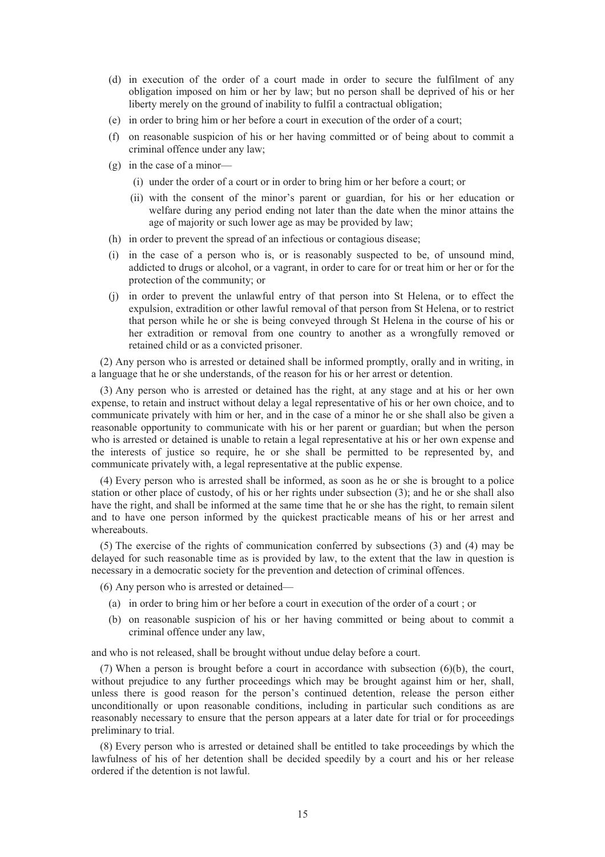- (d) in execution of the order of a court made in order to secure the fulfilment of any obligation imposed on him or her by law; but no person shall be deprived of his or her liberty merely on the ground of inability to fulfil a contractual obligation;
- (e) in order to bring him or her before a court in execution of the order of a court;
- (f) on reasonable suspicion of his or her having committed or of being about to commit a criminal offence under any law;
- (g) in the case of a minor—
	- (i) under the order of a court or in order to bring him or her before a court; or
	- (ii) with the consent of the minor's parent or guardian, for his or her education or welfare during any period ending not later than the date when the minor attains the age of majority or such lower age as may be provided by law;
- (h) in order to prevent the spread of an infectious or contagious disease;
- (i) in the case of a person who is, or is reasonably suspected to be, of unsound mind, addicted to drugs or alcohol, or a vagrant, in order to care for or treat him or her or for the protection of the community; or
- (j) in order to prevent the unlawful entry of that person into St Helena, or to effect the expulsion, extradition or other lawful removal of that person from St Helena, or to restrict that person while he or she is being conveyed through St Helena in the course of his or her extradition or removal from one country to another as a wrongfully removed or retained child or as a convicted prisoner.

(2) Any person who is arrested or detained shall be informed promptly, orally and in writing, in a language that he or she understands, of the reason for his or her arrest or detention.

(3) Any person who is arrested or detained has the right, at any stage and at his or her own expense, to retain and instruct without delay a legal representative of his or her own choice, and to communicate privately with him or her, and in the case of a minor he or she shall also be given a reasonable opportunity to communicate with his or her parent or guardian; but when the person who is arrested or detained is unable to retain a legal representative at his or her own expense and the interests of justice so require, he or she shall be permitted to be represented by, and communicate privately with, a legal representative at the public expense.

(4) Every person who is arrested shall be informed, as soon as he or she is brought to a police station or other place of custody, of his or her rights under subsection (3); and he or she shall also have the right, and shall be informed at the same time that he or she has the right, to remain silent and to have one person informed by the quickest practicable means of his or her arrest and whereabouts.

(5) The exercise of the rights of communication conferred by subsections (3) and (4) may be delayed for such reasonable time as is provided by law, to the extent that the law in question is necessary in a democratic society for the prevention and detection of criminal offences.

(6) Any person who is arrested or detained—

- (a) in order to bring him or her before a court in execution of the order of a court ; or
- (b) on reasonable suspicion of his or her having committed or being about to commit a criminal offence under any law,

and who is not released, shall be brought without undue delay before a court.

(7) When a person is brought before a court in accordance with subsection (6)(b), the court, without prejudice to any further proceedings which may be brought against him or her, shall, unless there is good reason for the person's continued detention, release the person either unconditionally or upon reasonable conditions, including in particular such conditions as are reasonably necessary to ensure that the person appears at a later date for trial or for proceedings preliminary to trial.

(8) Every person who is arrested or detained shall be entitled to take proceedings by which the lawfulness of his of her detention shall be decided speedily by a court and his or her release ordered if the detention is not lawful.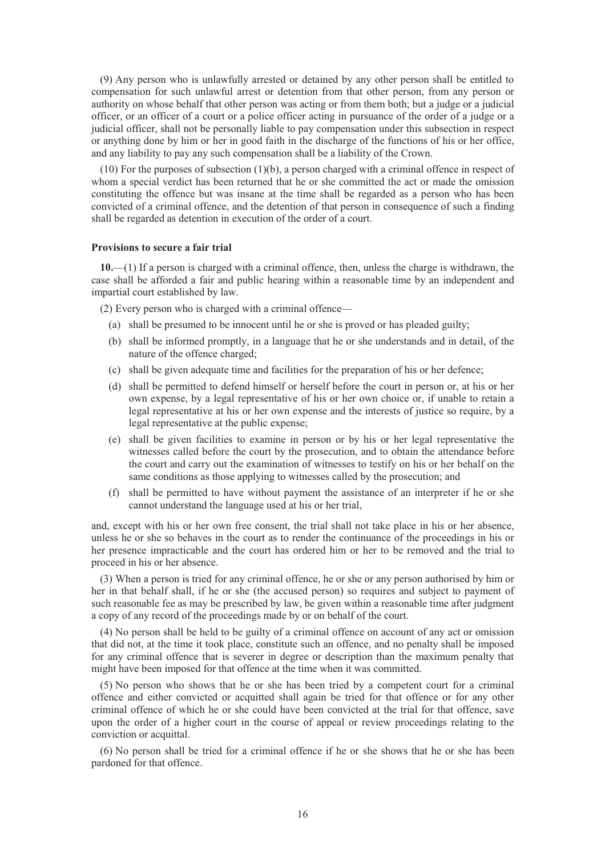(9) Any person who is unlawfully arrested or detained by any other person shall be entitled to compensation for such unlawful arrest or detention from that other person, from any person or authority on whose behalf that other person was acting or from them both; but a judge or a judicial officer, or an officer of a court or a police officer acting in pursuance of the order of a judge or a judicial officer, shall not be personally liable to pay compensation under this subsection in respect or anything done by him or her in good faith in the discharge of the functions of his or her office, and any liability to pay any such compensation shall be a liability of the Crown.

(10) For the purposes of subsection (1)(b), a person charged with a criminal offence in respect of whom a special verdict has been returned that he or she committed the act or made the omission constituting the offence but was insane at the time shall be regarded as a person who has been convicted of a criminal offence, and the detention of that person in consequence of such a finding shall be regarded as detention in execution of the order of a court.

### **Provisions to secure a fair trial**

**10.**—(1) If a person is charged with a criminal offence, then, unless the charge is withdrawn, the case shall be afforded a fair and public hearing within a reasonable time by an independent and impartial court established by law.

(2) Every person who is charged with a criminal offence—

- (a) shall be presumed to be innocent until he or she is proved or has pleaded guilty;
- (b) shall be informed promptly, in a language that he or she understands and in detail, of the nature of the offence charged;
- (c) shall be given adequate time and facilities for the preparation of his or her defence;
- (d) shall be permitted to defend himself or herself before the court in person or, at his or her own expense, by a legal representative of his or her own choice or, if unable to retain a legal representative at his or her own expense and the interests of justice so require, by a legal representative at the public expense;
- (e) shall be given facilities to examine in person or by his or her legal representative the witnesses called before the court by the prosecution, and to obtain the attendance before the court and carry out the examination of witnesses to testify on his or her behalf on the same conditions as those applying to witnesses called by the prosecution; and
- (f) shall be permitted to have without payment the assistance of an interpreter if he or she cannot understand the language used at his or her trial,

and, except with his or her own free consent, the trial shall not take place in his or her absence, unless he or she so behaves in the court as to render the continuance of the proceedings in his or her presence impracticable and the court has ordered him or her to be removed and the trial to proceed in his or her absence.

(3) When a person is tried for any criminal offence, he or she or any person authorised by him or her in that behalf shall, if he or she (the accused person) so requires and subject to payment of such reasonable fee as may be prescribed by law, be given within a reasonable time after judgment a copy of any record of the proceedings made by or on behalf of the court.

(4) No person shall be held to be guilty of a criminal offence on account of any act or omission that did not, at the time it took place, constitute such an offence, and no penalty shall be imposed for any criminal offence that is severer in degree or description than the maximum penalty that might have been imposed for that offence at the time when it was committed.

(5) No person who shows that he or she has been tried by a competent court for a criminal offence and either convicted or acquitted shall again be tried for that offence or for any other criminal offence of which he or she could have been convicted at the trial for that offence, save upon the order of a higher court in the course of appeal or review proceedings relating to the conviction or acquittal.

(6) No person shall be tried for a criminal offence if he or she shows that he or she has been pardoned for that offence.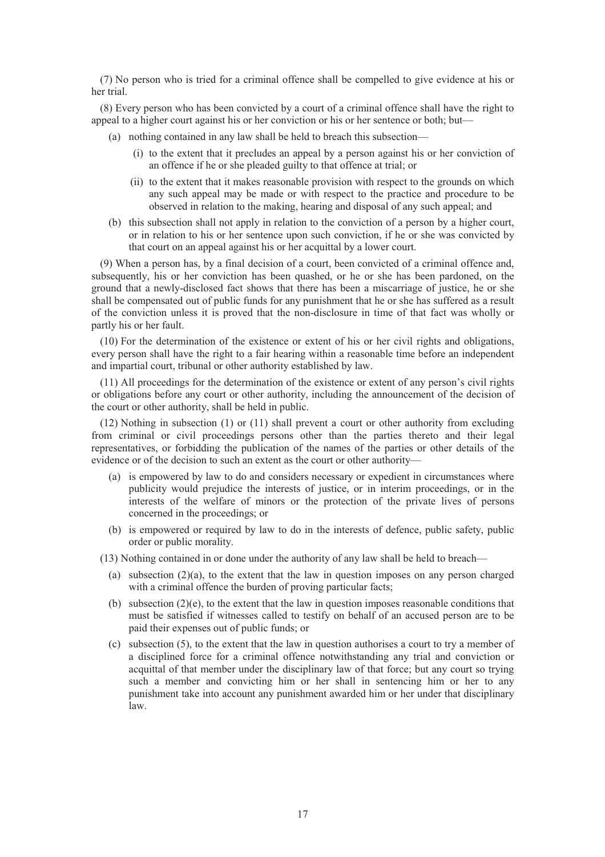(7) No person who is tried for a criminal offence shall be compelled to give evidence at his or her trial.

(8) Every person who has been convicted by a court of a criminal offence shall have the right to appeal to a higher court against his or her conviction or his or her sentence or both; but—

- (a) nothing contained in any law shall be held to breach this subsection—
	- (i) to the extent that it precludes an appeal by a person against his or her conviction of an offence if he or she pleaded guilty to that offence at trial; or
	- (ii) to the extent that it makes reasonable provision with respect to the grounds on which any such appeal may be made or with respect to the practice and procedure to be observed in relation to the making, hearing and disposal of any such appeal; and
- (b) this subsection shall not apply in relation to the conviction of a person by a higher court, or in relation to his or her sentence upon such conviction, if he or she was convicted by that court on an appeal against his or her acquittal by a lower court.

(9) When a person has, by a final decision of a court, been convicted of a criminal offence and, subsequently, his or her conviction has been quashed, or he or she has been pardoned, on the ground that a newly-disclosed fact shows that there has been a miscarriage of justice, he or she shall be compensated out of public funds for any punishment that he or she has suffered as a result of the conviction unless it is proved that the non-disclosure in time of that fact was wholly or partly his or her fault.

(10) For the determination of the existence or extent of his or her civil rights and obligations, every person shall have the right to a fair hearing within a reasonable time before an independent and impartial court, tribunal or other authority established by law.

(11) All proceedings for the determination of the existence or extent of any person's civil rights or obligations before any court or other authority, including the announcement of the decision of the court or other authority, shall be held in public.

(12) Nothing in subsection (1) or (11) shall prevent a court or other authority from excluding from criminal or civil proceedings persons other than the parties thereto and their legal representatives, or forbidding the publication of the names of the parties or other details of the evidence or of the decision to such an extent as the court or other authority—

- (a) is empowered by law to do and considers necessary or expedient in circumstances where publicity would prejudice the interests of justice, or in interim proceedings, or in the interests of the welfare of minors or the protection of the private lives of persons concerned in the proceedings; or
- (b) is empowered or required by law to do in the interests of defence, public safety, public order or public morality.

(13) Nothing contained in or done under the authority of any law shall be held to breach—

- (a) subsection (2)(a), to the extent that the law in question imposes on any person charged with a criminal offence the burden of proving particular facts;
- (b) subsection (2)(e), to the extent that the law in question imposes reasonable conditions that must be satisfied if witnesses called to testify on behalf of an accused person are to be paid their expenses out of public funds; or
- (c) subsection (5), to the extent that the law in question authorises a court to try a member of a disciplined force for a criminal offence notwithstanding any trial and conviction or acquittal of that member under the disciplinary law of that force; but any court so trying such a member and convicting him or her shall in sentencing him or her to any punishment take into account any punishment awarded him or her under that disciplinary law.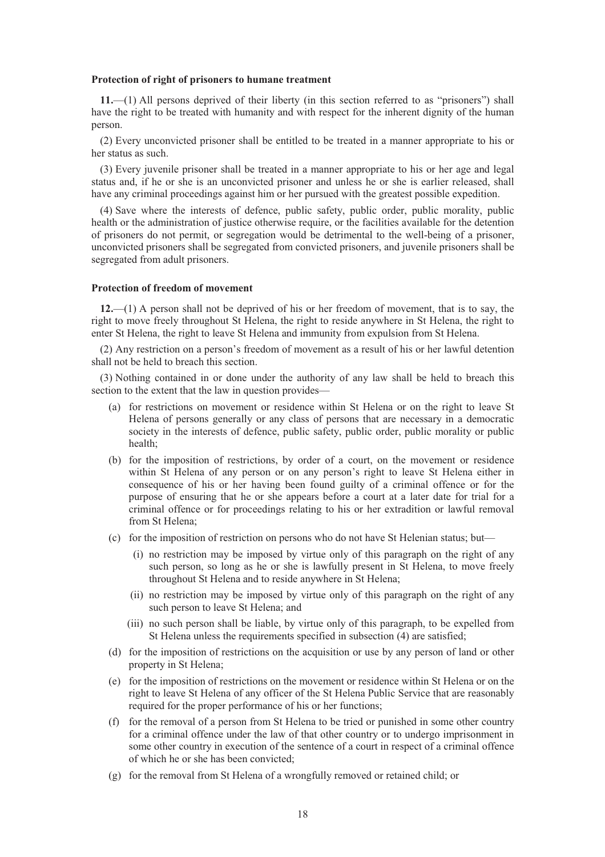#### **Protection of right of prisoners to humane treatment**

**11.**—(1) All persons deprived of their liberty (in this section referred to as "prisoners") shall have the right to be treated with humanity and with respect for the inherent dignity of the human person.

(2) Every unconvicted prisoner shall be entitled to be treated in a manner appropriate to his or her status as such.

(3) Every juvenile prisoner shall be treated in a manner appropriate to his or her age and legal status and, if he or she is an unconvicted prisoner and unless he or she is earlier released, shall have any criminal proceedings against him or her pursued with the greatest possible expedition.

(4) Save where the interests of defence, public safety, public order, public morality, public health or the administration of justice otherwise require, or the facilities available for the detention of prisoners do not permit, or segregation would be detrimental to the well-being of a prisoner, unconvicted prisoners shall be segregated from convicted prisoners, and juvenile prisoners shall be segregated from adult prisoners.

### **Protection of freedom of movement**

**12.**—(1) A person shall not be deprived of his or her freedom of movement, that is to say, the right to move freely throughout St Helena, the right to reside anywhere in St Helena, the right to enter St Helena, the right to leave St Helena and immunity from expulsion from St Helena.

(2) Any restriction on a person's freedom of movement as a result of his or her lawful detention shall not be held to breach this section.

(3) Nothing contained in or done under the authority of any law shall be held to breach this section to the extent that the law in question provides—

- (a) for restrictions on movement or residence within St Helena or on the right to leave St Helena of persons generally or any class of persons that are necessary in a democratic society in the interests of defence, public safety, public order, public morality or public health;
- (b) for the imposition of restrictions, by order of a court, on the movement or residence within St Helena of any person or on any person's right to leave St Helena either in consequence of his or her having been found guilty of a criminal offence or for the purpose of ensuring that he or she appears before a court at a later date for trial for a criminal offence or for proceedings relating to his or her extradition or lawful removal from St Helena;
- (c) for the imposition of restriction on persons who do not have St Helenian status; but—
	- (i) no restriction may be imposed by virtue only of this paragraph on the right of any such person, so long as he or she is lawfully present in St Helena, to move freely throughout St Helena and to reside anywhere in St Helena;
	- (ii) no restriction may be imposed by virtue only of this paragraph on the right of any such person to leave St Helena; and
	- (iii) no such person shall be liable, by virtue only of this paragraph, to be expelled from St Helena unless the requirements specified in subsection (4) are satisfied;
- (d) for the imposition of restrictions on the acquisition or use by any person of land or other property in St Helena;
- (e) for the imposition of restrictions on the movement or residence within St Helena or on the right to leave St Helena of any officer of the St Helena Public Service that are reasonably required for the proper performance of his or her functions;
- (f) for the removal of a person from St Helena to be tried or punished in some other country for a criminal offence under the law of that other country or to undergo imprisonment in some other country in execution of the sentence of a court in respect of a criminal offence of which he or she has been convicted;
- (g) for the removal from St Helena of a wrongfully removed or retained child; or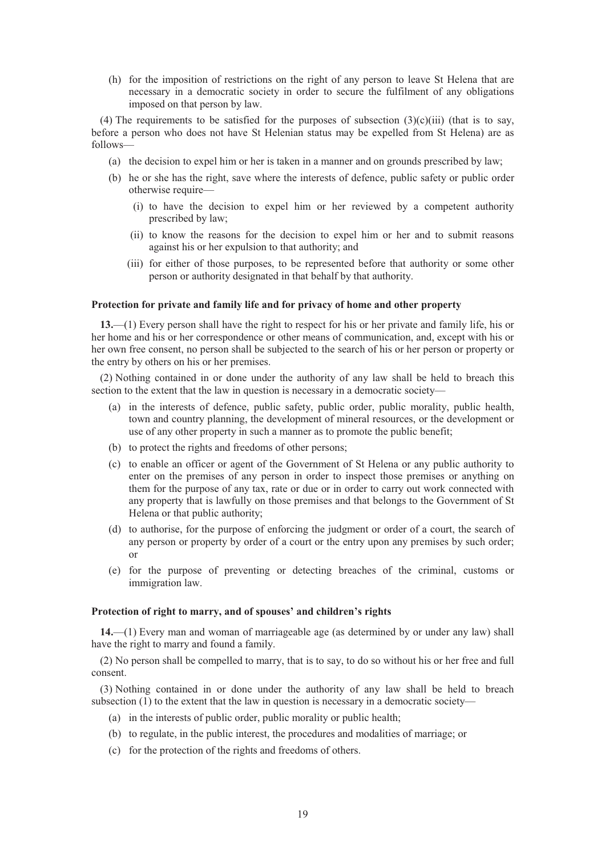(h) for the imposition of restrictions on the right of any person to leave St Helena that are necessary in a democratic society in order to secure the fulfilment of any obligations imposed on that person by law.

(4) The requirements to be satisfied for the purposes of subsection  $(3)(c)(iii)$  (that is to say, before a person who does not have St Helenian status may be expelled from St Helena) are as follows—

- (a) the decision to expel him or her is taken in a manner and on grounds prescribed by law;
- (b) he or she has the right, save where the interests of defence, public safety or public order otherwise require—
	- (i) to have the decision to expel him or her reviewed by a competent authority prescribed by law;
	- (ii) to know the reasons for the decision to expel him or her and to submit reasons against his or her expulsion to that authority; and
	- (iii) for either of those purposes, to be represented before that authority or some other person or authority designated in that behalf by that authority.

### **Protection for private and family life and for privacy of home and other property**

**13.**—(1) Every person shall have the right to respect for his or her private and family life, his or her home and his or her correspondence or other means of communication, and, except with his or her own free consent, no person shall be subjected to the search of his or her person or property or the entry by others on his or her premises.

(2) Nothing contained in or done under the authority of any law shall be held to breach this section to the extent that the law in question is necessary in a democratic society—

- (a) in the interests of defence, public safety, public order, public morality, public health, town and country planning, the development of mineral resources, or the development or use of any other property in such a manner as to promote the public benefit;
- (b) to protect the rights and freedoms of other persons;
- (c) to enable an officer or agent of the Government of St Helena or any public authority to enter on the premises of any person in order to inspect those premises or anything on them for the purpose of any tax, rate or due or in order to carry out work connected with any property that is lawfully on those premises and that belongs to the Government of St Helena or that public authority;
- (d) to authorise, for the purpose of enforcing the judgment or order of a court, the search of any person or property by order of a court or the entry upon any premises by such order; or
- (e) for the purpose of preventing or detecting breaches of the criminal, customs or immigration law.

### **Protection of right to marry, and of spouses' and children's rights**

**14.**—(1) Every man and woman of marriageable age (as determined by or under any law) shall have the right to marry and found a family.

(2) No person shall be compelled to marry, that is to say, to do so without his or her free and full consent.

(3) Nothing contained in or done under the authority of any law shall be held to breach subsection (1) to the extent that the law in question is necessary in a democratic society—

- (a) in the interests of public order, public morality or public health;
- (b) to regulate, in the public interest, the procedures and modalities of marriage; or
- (c) for the protection of the rights and freedoms of others.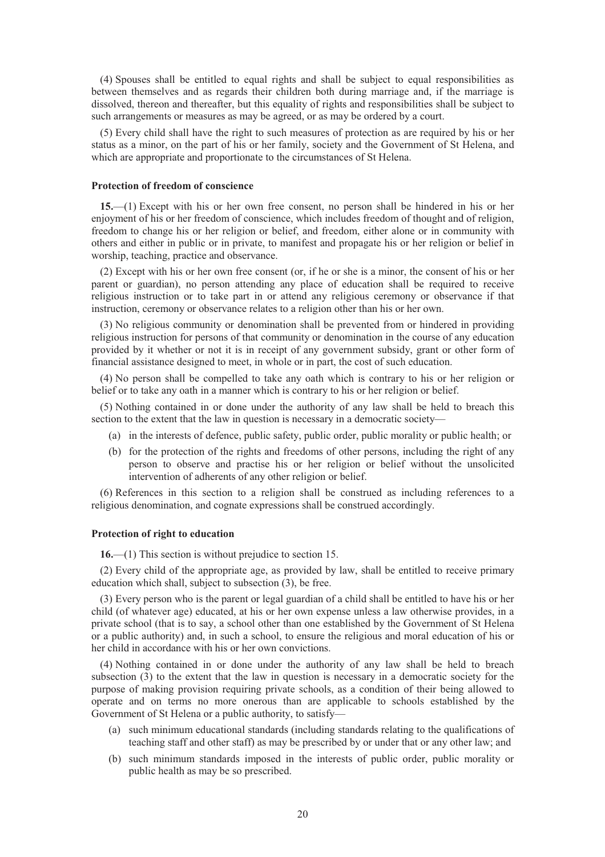(4) Spouses shall be entitled to equal rights and shall be subject to equal responsibilities as between themselves and as regards their children both during marriage and, if the marriage is dissolved, thereon and thereafter, but this equality of rights and responsibilities shall be subject to such arrangements or measures as may be agreed, or as may be ordered by a court.

(5) Every child shall have the right to such measures of protection as are required by his or her status as a minor, on the part of his or her family, society and the Government of St Helena, and which are appropriate and proportionate to the circumstances of St Helena.

### **Protection of freedom of conscience**

**15.**—(1) Except with his or her own free consent, no person shall be hindered in his or her enjoyment of his or her freedom of conscience, which includes freedom of thought and of religion, freedom to change his or her religion or belief, and freedom, either alone or in community with others and either in public or in private, to manifest and propagate his or her religion or belief in worship, teaching, practice and observance.

(2) Except with his or her own free consent (or, if he or she is a minor, the consent of his or her parent or guardian), no person attending any place of education shall be required to receive religious instruction or to take part in or attend any religious ceremony or observance if that instruction, ceremony or observance relates to a religion other than his or her own.

(3) No religious community or denomination shall be prevented from or hindered in providing religious instruction for persons of that community or denomination in the course of any education provided by it whether or not it is in receipt of any government subsidy, grant or other form of financial assistance designed to meet, in whole or in part, the cost of such education.

(4) No person shall be compelled to take any oath which is contrary to his or her religion or belief or to take any oath in a manner which is contrary to his or her religion or belief.

(5) Nothing contained in or done under the authority of any law shall be held to breach this section to the extent that the law in question is necessary in a democratic society—

- (a) in the interests of defence, public safety, public order, public morality or public health; or
- (b) for the protection of the rights and freedoms of other persons, including the right of any person to observe and practise his or her religion or belief without the unsolicited intervention of adherents of any other religion or belief.

(6) References in this section to a religion shall be construed as including references to a religious denomination, and cognate expressions shall be construed accordingly.

#### **Protection of right to education**

**16.**—(1) This section is without prejudice to section 15.

(2) Every child of the appropriate age, as provided by law, shall be entitled to receive primary education which shall, subject to subsection (3), be free.

(3) Every person who is the parent or legal guardian of a child shall be entitled to have his or her child (of whatever age) educated, at his or her own expense unless a law otherwise provides, in a private school (that is to say, a school other than one established by the Government of St Helena or a public authority) and, in such a school, to ensure the religious and moral education of his or her child in accordance with his or her own convictions.

(4) Nothing contained in or done under the authority of any law shall be held to breach subsection (3) to the extent that the law in question is necessary in a democratic society for the purpose of making provision requiring private schools, as a condition of their being allowed to operate and on terms no more onerous than are applicable to schools established by the Government of St Helena or a public authority, to satisfy—

- (a) such minimum educational standards (including standards relating to the qualifications of teaching staff and other staff) as may be prescribed by or under that or any other law; and
- (b) such minimum standards imposed in the interests of public order, public morality or public health as may be so prescribed.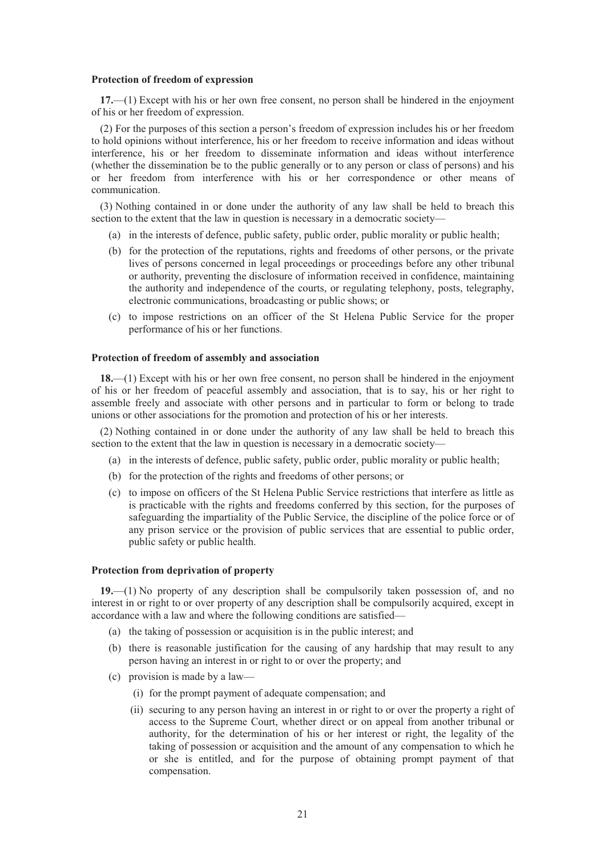### **Protection of freedom of expression**

**17.**—(1) Except with his or her own free consent, no person shall be hindered in the enjoyment of his or her freedom of expression.

(2) For the purposes of this section a person's freedom of expression includes his or her freedom to hold opinions without interference, his or her freedom to receive information and ideas without interference, his or her freedom to disseminate information and ideas without interference (whether the dissemination be to the public generally or to any person or class of persons) and his or her freedom from interference with his or her correspondence or other means of communication.

(3) Nothing contained in or done under the authority of any law shall be held to breach this section to the extent that the law in question is necessary in a democratic society—

- (a) in the interests of defence, public safety, public order, public morality or public health;
- (b) for the protection of the reputations, rights and freedoms of other persons, or the private lives of persons concerned in legal proceedings or proceedings before any other tribunal or authority, preventing the disclosure of information received in confidence, maintaining the authority and independence of the courts, or regulating telephony, posts, telegraphy, electronic communications, broadcasting or public shows; or
- (c) to impose restrictions on an officer of the St Helena Public Service for the proper performance of his or her functions.

### **Protection of freedom of assembly and association**

**18.**—(1) Except with his or her own free consent, no person shall be hindered in the enjoyment of his or her freedom of peaceful assembly and association, that is to say, his or her right to assemble freely and associate with other persons and in particular to form or belong to trade unions or other associations for the promotion and protection of his or her interests.

(2) Nothing contained in or done under the authority of any law shall be held to breach this section to the extent that the law in question is necessary in a democratic society—

- (a) in the interests of defence, public safety, public order, public morality or public health;
- (b) for the protection of the rights and freedoms of other persons; or
- (c) to impose on officers of the St Helena Public Service restrictions that interfere as little as is practicable with the rights and freedoms conferred by this section, for the purposes of safeguarding the impartiality of the Public Service, the discipline of the police force or of any prison service or the provision of public services that are essential to public order, public safety or public health.

### **Protection from deprivation of property**

**19.**—(1) No property of any description shall be compulsorily taken possession of, and no interest in or right to or over property of any description shall be compulsorily acquired, except in accordance with a law and where the following conditions are satisfied—

- (a) the taking of possession or acquisition is in the public interest; and
- (b) there is reasonable justification for the causing of any hardship that may result to any person having an interest in or right to or over the property; and
- (c) provision is made by a law—
	- (i) for the prompt payment of adequate compensation; and
	- (ii) securing to any person having an interest in or right to or over the property a right of access to the Supreme Court, whether direct or on appeal from another tribunal or authority, for the determination of his or her interest or right, the legality of the taking of possession or acquisition and the amount of any compensation to which he or she is entitled, and for the purpose of obtaining prompt payment of that compensation.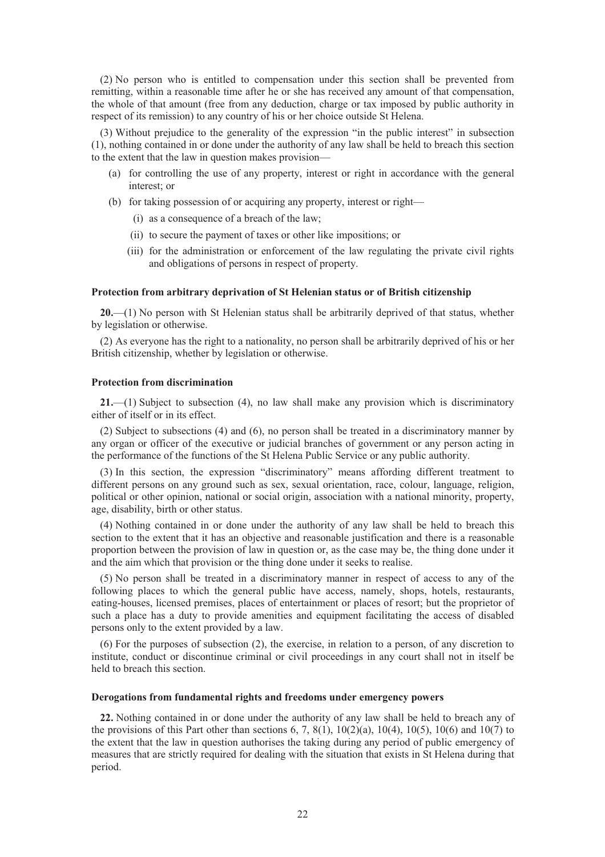(2) No person who is entitled to compensation under this section shall be prevented from remitting, within a reasonable time after he or she has received any amount of that compensation, the whole of that amount (free from any deduction, charge or tax imposed by public authority in respect of its remission) to any country of his or her choice outside St Helena.

(3) Without prejudice to the generality of the expression "in the public interest" in subsection (1), nothing contained in or done under the authority of any law shall be held to breach this section to the extent that the law in question makes provision—

- (a) for controlling the use of any property, interest or right in accordance with the general interest: or
- (b) for taking possession of or acquiring any property, interest or right—
	- (i) as a consequence of a breach of the law;
	- (ii) to secure the payment of taxes or other like impositions; or
	- (iii) for the administration or enforcement of the law regulating the private civil rights and obligations of persons in respect of property.

### **Protection from arbitrary deprivation of St Helenian status or of British citizenship**

**20.**—(1) No person with St Helenian status shall be arbitrarily deprived of that status, whether by legislation or otherwise.

(2) As everyone has the right to a nationality, no person shall be arbitrarily deprived of his or her British citizenship, whether by legislation or otherwise.

### **Protection from discrimination**

**21.**—(1) Subject to subsection (4), no law shall make any provision which is discriminatory either of itself or in its effect.

(2) Subject to subsections (4) and (6), no person shall be treated in a discriminatory manner by any organ or officer of the executive or judicial branches of government or any person acting in the performance of the functions of the St Helena Public Service or any public authority.

(3) In this section, the expression "discriminatory" means affording different treatment to different persons on any ground such as sex, sexual orientation, race, colour, language, religion, political or other opinion, national or social origin, association with a national minority, property, age, disability, birth or other status.

(4) Nothing contained in or done under the authority of any law shall be held to breach this section to the extent that it has an objective and reasonable justification and there is a reasonable proportion between the provision of law in question or, as the case may be, the thing done under it and the aim which that provision or the thing done under it seeks to realise.

(5) No person shall be treated in a discriminatory manner in respect of access to any of the following places to which the general public have access, namely, shops, hotels, restaurants, eating-houses, licensed premises, places of entertainment or places of resort; but the proprietor of such a place has a duty to provide amenities and equipment facilitating the access of disabled persons only to the extent provided by a law.

(6) For the purposes of subsection (2), the exercise, in relation to a person, of any discretion to institute, conduct or discontinue criminal or civil proceedings in any court shall not in itself be held to breach this section.

## **Derogations from fundamental rights and freedoms under emergency powers**

**22.** Nothing contained in or done under the authority of any law shall be held to breach any of the provisions of this Part other than sections 6, 7, 8(1),  $10(2)(a)$ ,  $10(4)$ ,  $10(5)$ ,  $10(6)$  and  $10(7)$  to the extent that the law in question authorises the taking during any period of public emergency of measures that are strictly required for dealing with the situation that exists in St Helena during that period.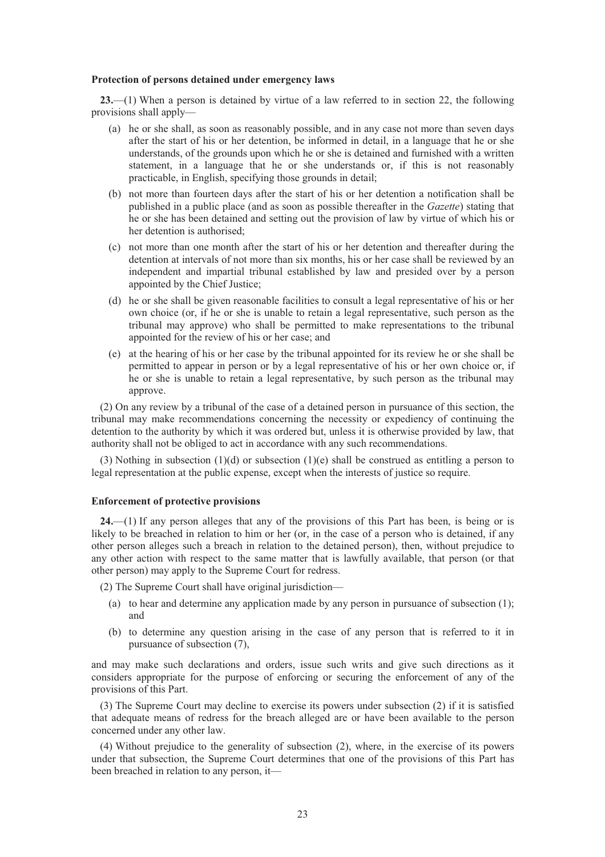#### **Protection of persons detained under emergency laws**

**23.**—(1) When a person is detained by virtue of a law referred to in section 22, the following provisions shall apply—

- (a) he or she shall, as soon as reasonably possible, and in any case not more than seven days after the start of his or her detention, be informed in detail, in a language that he or she understands, of the grounds upon which he or she is detained and furnished with a written statement, in a language that he or she understands or, if this is not reasonably practicable, in English, specifying those grounds in detail;
- (b) not more than fourteen days after the start of his or her detention a notification shall be published in a public place (and as soon as possible thereafter in the *Gazette*) stating that he or she has been detained and setting out the provision of law by virtue of which his or her detention is authorised;
- (c) not more than one month after the start of his or her detention and thereafter during the detention at intervals of not more than six months, his or her case shall be reviewed by an independent and impartial tribunal established by law and presided over by a person appointed by the Chief Justice;
- (d) he or she shall be given reasonable facilities to consult a legal representative of his or her own choice (or, if he or she is unable to retain a legal representative, such person as the tribunal may approve) who shall be permitted to make representations to the tribunal appointed for the review of his or her case; and
- (e) at the hearing of his or her case by the tribunal appointed for its review he or she shall be permitted to appear in person or by a legal representative of his or her own choice or, if he or she is unable to retain a legal representative, by such person as the tribunal may approve.

(2) On any review by a tribunal of the case of a detained person in pursuance of this section, the tribunal may make recommendations concerning the necessity or expediency of continuing the detention to the authority by which it was ordered but, unless it is otherwise provided by law, that authority shall not be obliged to act in accordance with any such recommendations.

(3) Nothing in subsection (1)(d) or subsection (1)(e) shall be construed as entitling a person to legal representation at the public expense, except when the interests of justice so require.

## **Enforcement of protective provisions**

**24.**—(1) If any person alleges that any of the provisions of this Part has been, is being or is likely to be breached in relation to him or her (or, in the case of a person who is detained, if any other person alleges such a breach in relation to the detained person), then, without prejudice to any other action with respect to the same matter that is lawfully available, that person (or that other person) may apply to the Supreme Court for redress.

(2) The Supreme Court shall have original jurisdiction—

- (a) to hear and determine any application made by any person in pursuance of subsection (1); and
- (b) to determine any question arising in the case of any person that is referred to it in pursuance of subsection (7),

and may make such declarations and orders, issue such writs and give such directions as it considers appropriate for the purpose of enforcing or securing the enforcement of any of the provisions of this Part.

(3) The Supreme Court may decline to exercise its powers under subsection (2) if it is satisfied that adequate means of redress for the breach alleged are or have been available to the person concerned under any other law.

(4) Without prejudice to the generality of subsection (2), where, in the exercise of its powers under that subsection, the Supreme Court determines that one of the provisions of this Part has been breached in relation to any person, it—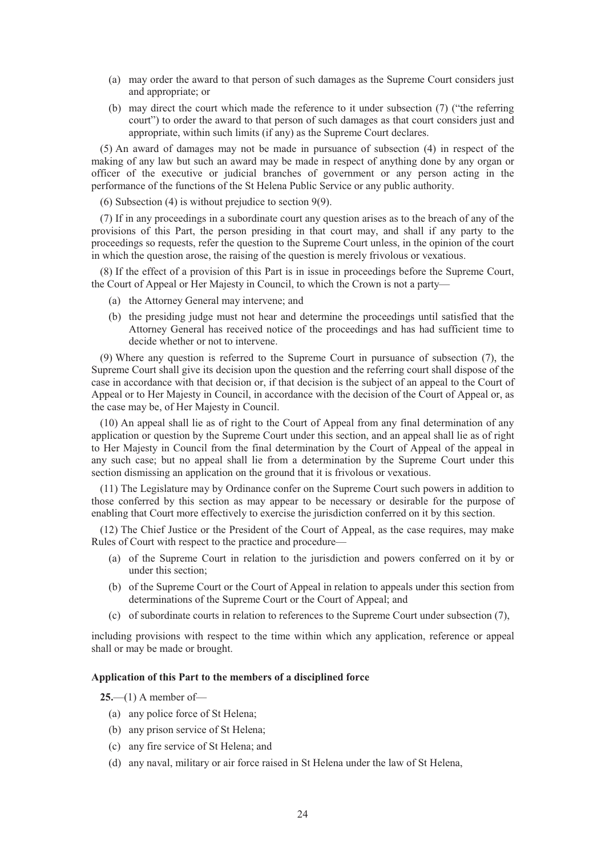- (a) may order the award to that person of such damages as the Supreme Court considers just and appropriate; or
- (b) may direct the court which made the reference to it under subsection (7) ("the referring court") to order the award to that person of such damages as that court considers just and appropriate, within such limits (if any) as the Supreme Court declares.

(5) An award of damages may not be made in pursuance of subsection (4) in respect of the making of any law but such an award may be made in respect of anything done by any organ or officer of the executive or judicial branches of government or any person acting in the performance of the functions of the St Helena Public Service or any public authority.

(6) Subsection (4) is without prejudice to section 9(9).

(7) If in any proceedings in a subordinate court any question arises as to the breach of any of the provisions of this Part, the person presiding in that court may, and shall if any party to the proceedings so requests, refer the question to the Supreme Court unless, in the opinion of the court in which the question arose, the raising of the question is merely frivolous or vexatious.

(8) If the effect of a provision of this Part is in issue in proceedings before the Supreme Court, the Court of Appeal or Her Majesty in Council, to which the Crown is not a party—

- (a) the Attorney General may intervene; and
- (b) the presiding judge must not hear and determine the proceedings until satisfied that the Attorney General has received notice of the proceedings and has had sufficient time to decide whether or not to intervene.

(9) Where any question is referred to the Supreme Court in pursuance of subsection (7), the Supreme Court shall give its decision upon the question and the referring court shall dispose of the case in accordance with that decision or, if that decision is the subject of an appeal to the Court of Appeal or to Her Majesty in Council, in accordance with the decision of the Court of Appeal or, as the case may be, of Her Majesty in Council.

(10) An appeal shall lie as of right to the Court of Appeal from any final determination of any application or question by the Supreme Court under this section, and an appeal shall lie as of right to Her Majesty in Council from the final determination by the Court of Appeal of the appeal in any such case; but no appeal shall lie from a determination by the Supreme Court under this section dismissing an application on the ground that it is frivolous or vexatious.

(11) The Legislature may by Ordinance confer on the Supreme Court such powers in addition to those conferred by this section as may appear to be necessary or desirable for the purpose of enabling that Court more effectively to exercise the jurisdiction conferred on it by this section.

(12) The Chief Justice or the President of the Court of Appeal, as the case requires, may make Rules of Court with respect to the practice and procedure—

- (a) of the Supreme Court in relation to the jurisdiction and powers conferred on it by or under this section;
- (b) of the Supreme Court or the Court of Appeal in relation to appeals under this section from determinations of the Supreme Court or the Court of Appeal; and
- (c) of subordinate courts in relation to references to the Supreme Court under subsection (7),

including provisions with respect to the time within which any application, reference or appeal shall or may be made or brought.

### **Application of this Part to the members of a disciplined force**

**25.**—(1) A member of—

- (a) any police force of St Helena;
- (b) any prison service of St Helena;
- (c) any fire service of St Helena; and
- (d) any naval, military or air force raised in St Helena under the law of St Helena,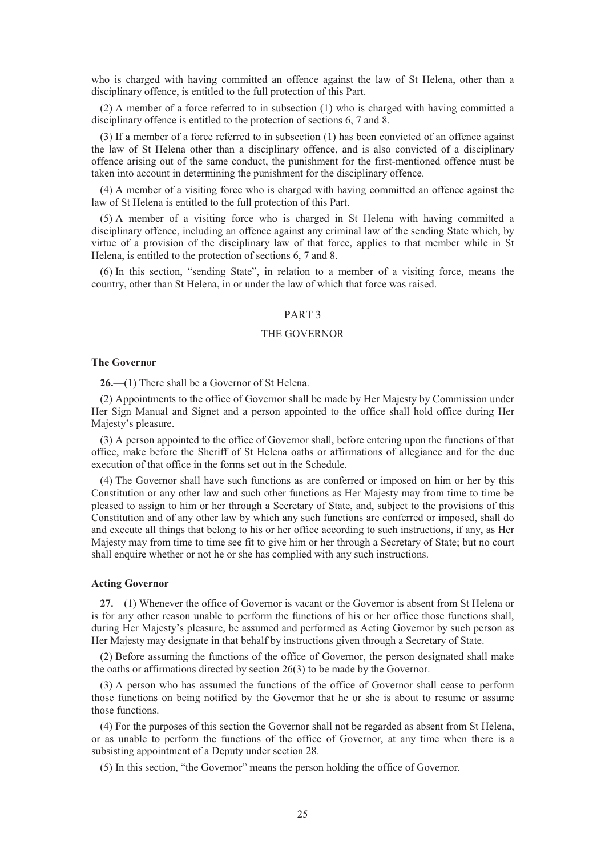who is charged with having committed an offence against the law of St Helena, other than a disciplinary offence, is entitled to the full protection of this Part.

(2) A member of a force referred to in subsection (1) who is charged with having committed a disciplinary offence is entitled to the protection of sections 6, 7 and 8.

(3) If a member of a force referred to in subsection (1) has been convicted of an offence against the law of St Helena other than a disciplinary offence, and is also convicted of a disciplinary offence arising out of the same conduct, the punishment for the first-mentioned offence must be taken into account in determining the punishment for the disciplinary offence.

(4) A member of a visiting force who is charged with having committed an offence against the law of St Helena is entitled to the full protection of this Part.

(5) A member of a visiting force who is charged in St Helena with having committed a disciplinary offence, including an offence against any criminal law of the sending State which, by virtue of a provision of the disciplinary law of that force, applies to that member while in St Helena, is entitled to the protection of sections 6, 7 and 8.

(6) In this section, "sending State", in relation to a member of a visiting force, means the country, other than St Helena, in or under the law of which that force was raised.

### PART 3

## THE GOVERNOR

### **The Governor**

**26.**—(1) There shall be a Governor of St Helena.

(2) Appointments to the office of Governor shall be made by Her Majesty by Commission under Her Sign Manual and Signet and a person appointed to the office shall hold office during Her Majesty's pleasure.

(3) A person appointed to the office of Governor shall, before entering upon the functions of that office, make before the Sheriff of St Helena oaths or affirmations of allegiance and for the due execution of that office in the forms set out in the Schedule.

(4) The Governor shall have such functions as are conferred or imposed on him or her by this Constitution or any other law and such other functions as Her Majesty may from time to time be pleased to assign to him or her through a Secretary of State, and, subject to the provisions of this Constitution and of any other law by which any such functions are conferred or imposed, shall do and execute all things that belong to his or her office according to such instructions, if any, as Her Majesty may from time to time see fit to give him or her through a Secretary of State; but no court shall enquire whether or not he or she has complied with any such instructions.

# **Acting Governor**

**27.**—(1) Whenever the office of Governor is vacant or the Governor is absent from St Helena or is for any other reason unable to perform the functions of his or her office those functions shall, during Her Majesty's pleasure, be assumed and performed as Acting Governor by such person as Her Majesty may designate in that behalf by instructions given through a Secretary of State.

(2) Before assuming the functions of the office of Governor, the person designated shall make the oaths or affirmations directed by section 26(3) to be made by the Governor.

(3) A person who has assumed the functions of the office of Governor shall cease to perform those functions on being notified by the Governor that he or she is about to resume or assume those functions.

(4) For the purposes of this section the Governor shall not be regarded as absent from St Helena, or as unable to perform the functions of the office of Governor, at any time when there is a subsisting appointment of a Deputy under section 28.

(5) In this section, "the Governor" means the person holding the office of Governor.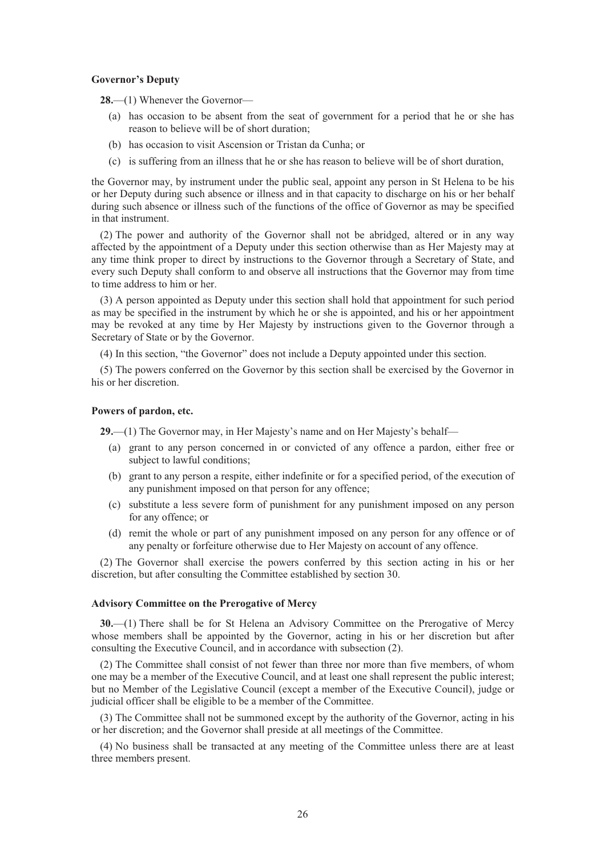### **Governor's Deputy**

**28.**—(1) Whenever the Governor—

- (a) has occasion to be absent from the seat of government for a period that he or she has reason to believe will be of short duration;
- (b) has occasion to visit Ascension or Tristan da Cunha; or
- (c) is suffering from an illness that he or she has reason to believe will be of short duration,

the Governor may, by instrument under the public seal, appoint any person in St Helena to be his or her Deputy during such absence or illness and in that capacity to discharge on his or her behalf during such absence or illness such of the functions of the office of Governor as may be specified in that instrument.

(2) The power and authority of the Governor shall not be abridged, altered or in any way affected by the appointment of a Deputy under this section otherwise than as Her Majesty may at any time think proper to direct by instructions to the Governor through a Secretary of State, and every such Deputy shall conform to and observe all instructions that the Governor may from time to time address to him or her.

(3) A person appointed as Deputy under this section shall hold that appointment for such period as may be specified in the instrument by which he or she is appointed, and his or her appointment may be revoked at any time by Her Majesty by instructions given to the Governor through a Secretary of State or by the Governor.

(4) In this section, "the Governor" does not include a Deputy appointed under this section.

(5) The powers conferred on the Governor by this section shall be exercised by the Governor in his or her discretion.

### **Powers of pardon, etc.**

**29.**—(1) The Governor may, in Her Majesty's name and on Her Majesty's behalf—

- (a) grant to any person concerned in or convicted of any offence a pardon, either free or subject to lawful conditions;
- (b) grant to any person a respite, either indefinite or for a specified period, of the execution of any punishment imposed on that person for any offence;
- (c) substitute a less severe form of punishment for any punishment imposed on any person for any offence; or
- (d) remit the whole or part of any punishment imposed on any person for any offence or of any penalty or forfeiture otherwise due to Her Majesty on account of any offence.

(2) The Governor shall exercise the powers conferred by this section acting in his or her discretion, but after consulting the Committee established by section 30.

## **Advisory Committee on the Prerogative of Mercy**

**30.**—(1) There shall be for St Helena an Advisory Committee on the Prerogative of Mercy whose members shall be appointed by the Governor, acting in his or her discretion but after consulting the Executive Council, and in accordance with subsection (2).

(2) The Committee shall consist of not fewer than three nor more than five members, of whom one may be a member of the Executive Council, and at least one shall represent the public interest; but no Member of the Legislative Council (except a member of the Executive Council), judge or judicial officer shall be eligible to be a member of the Committee.

(3) The Committee shall not be summoned except by the authority of the Governor, acting in his or her discretion; and the Governor shall preside at all meetings of the Committee.

(4) No business shall be transacted at any meeting of the Committee unless there are at least three members present.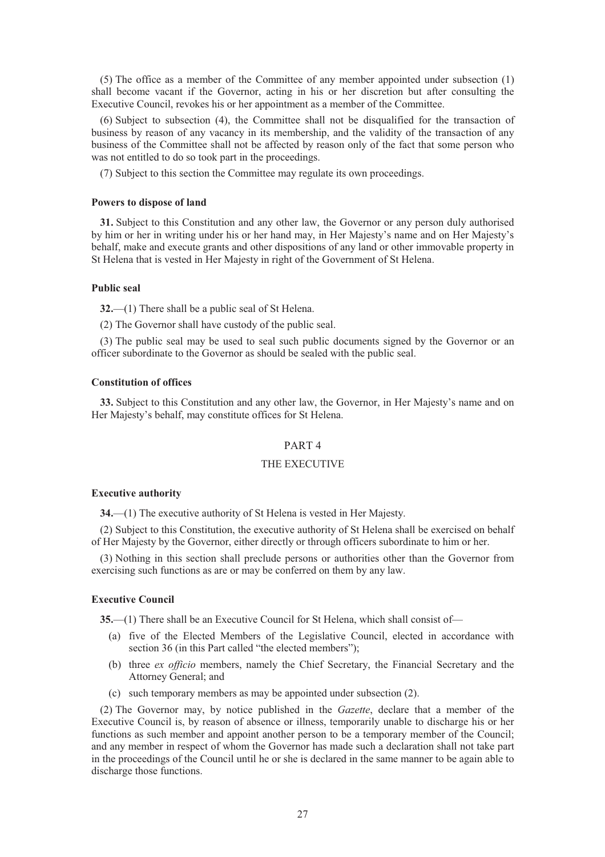(5) The office as a member of the Committee of any member appointed under subsection (1) shall become vacant if the Governor, acting in his or her discretion but after consulting the Executive Council, revokes his or her appointment as a member of the Committee.

(6) Subject to subsection (4), the Committee shall not be disqualified for the transaction of business by reason of any vacancy in its membership, and the validity of the transaction of any business of the Committee shall not be affected by reason only of the fact that some person who was not entitled to do so took part in the proceedings.

(7) Subject to this section the Committee may regulate its own proceedings.

### **Powers to dispose of land**

**31.** Subject to this Constitution and any other law, the Governor or any person duly authorised by him or her in writing under his or her hand may, in Her Majesty's name and on Her Majesty's behalf, make and execute grants and other dispositions of any land or other immovable property in St Helena that is vested in Her Majesty in right of the Government of St Helena.

### **Public seal**

**32.**—(1) There shall be a public seal of St Helena.

(2) The Governor shall have custody of the public seal.

(3) The public seal may be used to seal such public documents signed by the Governor or an officer subordinate to the Governor as should be sealed with the public seal.

### **Constitution of offices**

**33.** Subject to this Constitution and any other law, the Governor, in Her Majesty's name and on Her Majesty's behalf, may constitute offices for St Helena.

## PART 4

## THE EXECUTIVE

### **Executive authority**

**34.**—(1) The executive authority of St Helena is vested in Her Majesty.

(2) Subject to this Constitution, the executive authority of St Helena shall be exercised on behalf of Her Majesty by the Governor, either directly or through officers subordinate to him or her.

(3) Nothing in this section shall preclude persons or authorities other than the Governor from exercising such functions as are or may be conferred on them by any law.

### **Executive Council**

**35.**—(1) There shall be an Executive Council for St Helena, which shall consist of—

- (a) five of the Elected Members of the Legislative Council, elected in accordance with section 36 (in this Part called "the elected members");
- (b) three *ex officio* members, namely the Chief Secretary, the Financial Secretary and the Attorney General; and
- (c) such temporary members as may be appointed under subsection (2).

(2) The Governor may, by notice published in the *Gazette*, declare that a member of the Executive Council is, by reason of absence or illness, temporarily unable to discharge his or her functions as such member and appoint another person to be a temporary member of the Council; and any member in respect of whom the Governor has made such a declaration shall not take part in the proceedings of the Council until he or she is declared in the same manner to be again able to discharge those functions.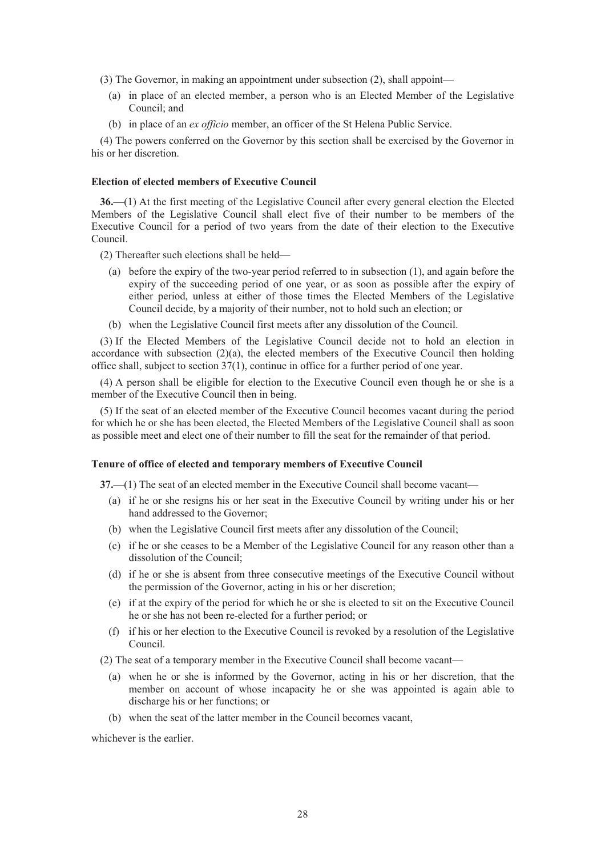(3) The Governor, in making an appointment under subsection (2), shall appoint—

- (a) in place of an elected member, a person who is an Elected Member of the Legislative Council; and
- (b) in place of an *ex officio* member, an officer of the St Helena Public Service.

(4) The powers conferred on the Governor by this section shall be exercised by the Governor in his or her discretion.

### **Election of elected members of Executive Council**

**36.**—(1) At the first meeting of the Legislative Council after every general election the Elected Members of the Legislative Council shall elect five of their number to be members of the Executive Council for a period of two years from the date of their election to the Executive Council.

(2) Thereafter such elections shall be held—

- (a) before the expiry of the two-year period referred to in subsection (1), and again before the expiry of the succeeding period of one year, or as soon as possible after the expiry of either period, unless at either of those times the Elected Members of the Legislative Council decide, by a majority of their number, not to hold such an election; or
- (b) when the Legislative Council first meets after any dissolution of the Council.

(3) If the Elected Members of the Legislative Council decide not to hold an election in accordance with subsection  $(2)(a)$ , the elected members of the Executive Council then holding office shall, subject to section 37(1), continue in office for a further period of one year.

(4) A person shall be eligible for election to the Executive Council even though he or she is a member of the Executive Council then in being.

(5) If the seat of an elected member of the Executive Council becomes vacant during the period for which he or she has been elected, the Elected Members of the Legislative Council shall as soon as possible meet and elect one of their number to fill the seat for the remainder of that period.

### **Tenure of office of elected and temporary members of Executive Council**

**37.**—(1) The seat of an elected member in the Executive Council shall become vacant—

- (a) if he or she resigns his or her seat in the Executive Council by writing under his or her hand addressed to the Governor;
- (b) when the Legislative Council first meets after any dissolution of the Council;
- (c) if he or she ceases to be a Member of the Legislative Council for any reason other than a dissolution of the Council;
- (d) if he or she is absent from three consecutive meetings of the Executive Council without the permission of the Governor, acting in his or her discretion;
- (e) if at the expiry of the period for which he or she is elected to sit on the Executive Council he or she has not been re-elected for a further period; or
- (f) if his or her election to the Executive Council is revoked by a resolution of the Legislative Council.
- (2) The seat of a temporary member in the Executive Council shall become vacant—
	- (a) when he or she is informed by the Governor, acting in his or her discretion, that the member on account of whose incapacity he or she was appointed is again able to discharge his or her functions; or
	- (b) when the seat of the latter member in the Council becomes vacant,

whichever is the earlier.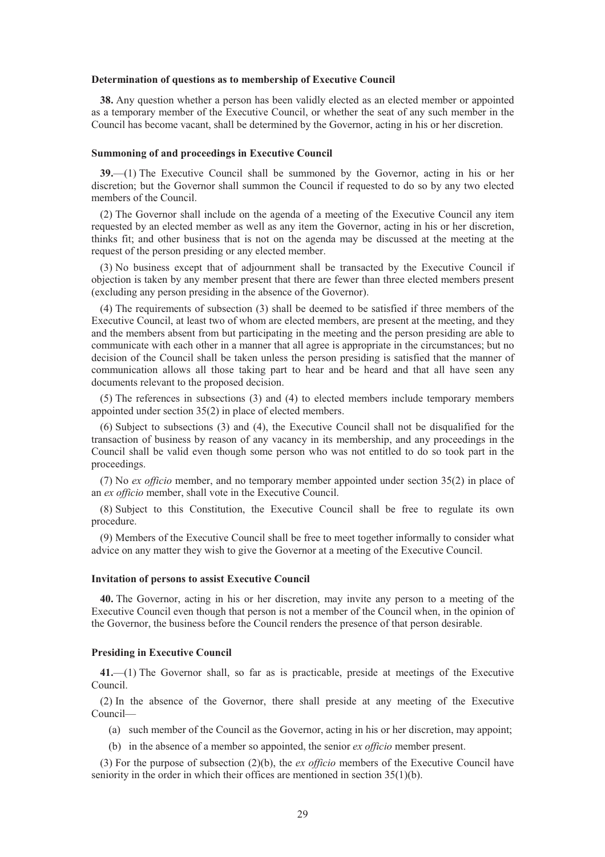#### **Determination of questions as to membership of Executive Council**

**38.** Any question whether a person has been validly elected as an elected member or appointed as a temporary member of the Executive Council, or whether the seat of any such member in the Council has become vacant, shall be determined by the Governor, acting in his or her discretion.

### **Summoning of and proceedings in Executive Council**

**39.**—(1) The Executive Council shall be summoned by the Governor, acting in his or her discretion; but the Governor shall summon the Council if requested to do so by any two elected members of the Council.

(2) The Governor shall include on the agenda of a meeting of the Executive Council any item requested by an elected member as well as any item the Governor, acting in his or her discretion, thinks fit; and other business that is not on the agenda may be discussed at the meeting at the request of the person presiding or any elected member.

(3) No business except that of adjournment shall be transacted by the Executive Council if objection is taken by any member present that there are fewer than three elected members present (excluding any person presiding in the absence of the Governor).

(4) The requirements of subsection (3) shall be deemed to be satisfied if three members of the Executive Council, at least two of whom are elected members, are present at the meeting, and they and the members absent from but participating in the meeting and the person presiding are able to communicate with each other in a manner that all agree is appropriate in the circumstances; but no decision of the Council shall be taken unless the person presiding is satisfied that the manner of communication allows all those taking part to hear and be heard and that all have seen any documents relevant to the proposed decision.

(5) The references in subsections (3) and (4) to elected members include temporary members appointed under section 35(2) in place of elected members.

(6) Subject to subsections (3) and (4), the Executive Council shall not be disqualified for the transaction of business by reason of any vacancy in its membership, and any proceedings in the Council shall be valid even though some person who was not entitled to do so took part in the proceedings.

(7) No *ex officio* member, and no temporary member appointed under section 35(2) in place of an *ex officio* member, shall vote in the Executive Council.

(8) Subject to this Constitution, the Executive Council shall be free to regulate its own procedure.

(9) Members of the Executive Council shall be free to meet together informally to consider what advice on any matter they wish to give the Governor at a meeting of the Executive Council.

#### **Invitation of persons to assist Executive Council**

**40.** The Governor, acting in his or her discretion, may invite any person to a meeting of the Executive Council even though that person is not a member of the Council when, in the opinion of the Governor, the business before the Council renders the presence of that person desirable.

## **Presiding in Executive Council**

**41.**—(1) The Governor shall, so far as is practicable, preside at meetings of the Executive Council.

(2) In the absence of the Governor, there shall preside at any meeting of the Executive Council—

- (a) such member of the Council as the Governor, acting in his or her discretion, may appoint;
- (b) in the absence of a member so appointed, the senior *ex officio* member present.

(3) For the purpose of subsection (2)(b), the *ex officio* members of the Executive Council have seniority in the order in which their offices are mentioned in section 35(1)(b).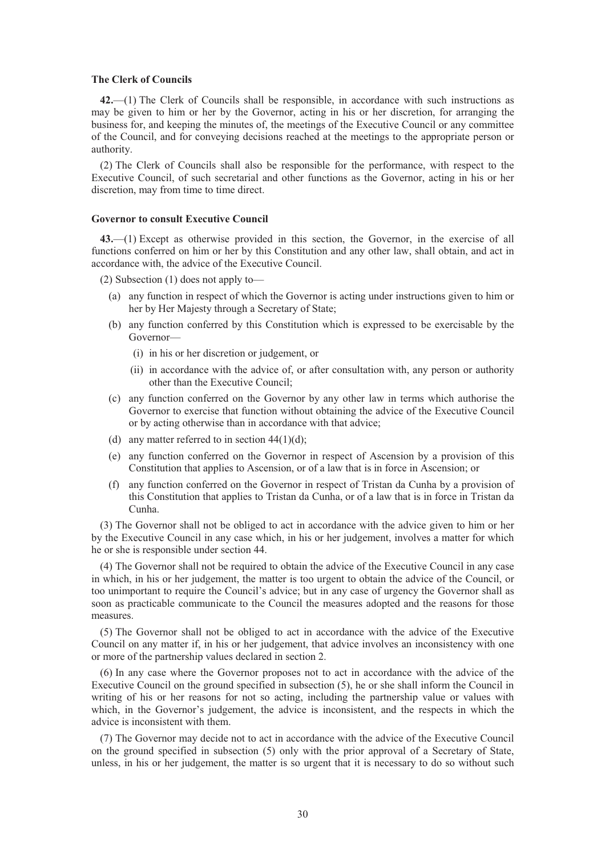### **The Clerk of Councils**

**42.**—(1) The Clerk of Councils shall be responsible, in accordance with such instructions as may be given to him or her by the Governor, acting in his or her discretion, for arranging the business for, and keeping the minutes of, the meetings of the Executive Council or any committee of the Council, and for conveying decisions reached at the meetings to the appropriate person or authority.

(2) The Clerk of Councils shall also be responsible for the performance, with respect to the Executive Council, of such secretarial and other functions as the Governor, acting in his or her discretion, may from time to time direct.

## **Governor to consult Executive Council**

**43.**—(1) Except as otherwise provided in this section, the Governor, in the exercise of all functions conferred on him or her by this Constitution and any other law, shall obtain, and act in accordance with, the advice of the Executive Council.

(2) Subsection (1) does not apply to—

- (a) any function in respect of which the Governor is acting under instructions given to him or her by Her Majesty through a Secretary of State;
- (b) any function conferred by this Constitution which is expressed to be exercisable by the Governor—
	- (i) in his or her discretion or judgement, or
	- (ii) in accordance with the advice of, or after consultation with, any person or authority other than the Executive Council;
- (c) any function conferred on the Governor by any other law in terms which authorise the Governor to exercise that function without obtaining the advice of the Executive Council or by acting otherwise than in accordance with that advice;
- (d) any matter referred to in section  $44(1)(d)$ ;
- (e) any function conferred on the Governor in respect of Ascension by a provision of this Constitution that applies to Ascension, or of a law that is in force in Ascension; or
- (f) any function conferred on the Governor in respect of Tristan da Cunha by a provision of this Constitution that applies to Tristan da Cunha, or of a law that is in force in Tristan da Cunha.

(3) The Governor shall not be obliged to act in accordance with the advice given to him or her by the Executive Council in any case which, in his or her judgement, involves a matter for which he or she is responsible under section 44.

(4) The Governor shall not be required to obtain the advice of the Executive Council in any case in which, in his or her judgement, the matter is too urgent to obtain the advice of the Council, or too unimportant to require the Council's advice; but in any case of urgency the Governor shall as soon as practicable communicate to the Council the measures adopted and the reasons for those measures.

(5) The Governor shall not be obliged to act in accordance with the advice of the Executive Council on any matter if, in his or her judgement, that advice involves an inconsistency with one or more of the partnership values declared in section 2.

(6) In any case where the Governor proposes not to act in accordance with the advice of the Executive Council on the ground specified in subsection (5), he or she shall inform the Council in writing of his or her reasons for not so acting, including the partnership value or values with which, in the Governor's judgement, the advice is inconsistent, and the respects in which the advice is inconsistent with them.

(7) The Governor may decide not to act in accordance with the advice of the Executive Council on the ground specified in subsection (5) only with the prior approval of a Secretary of State, unless, in his or her judgement, the matter is so urgent that it is necessary to do so without such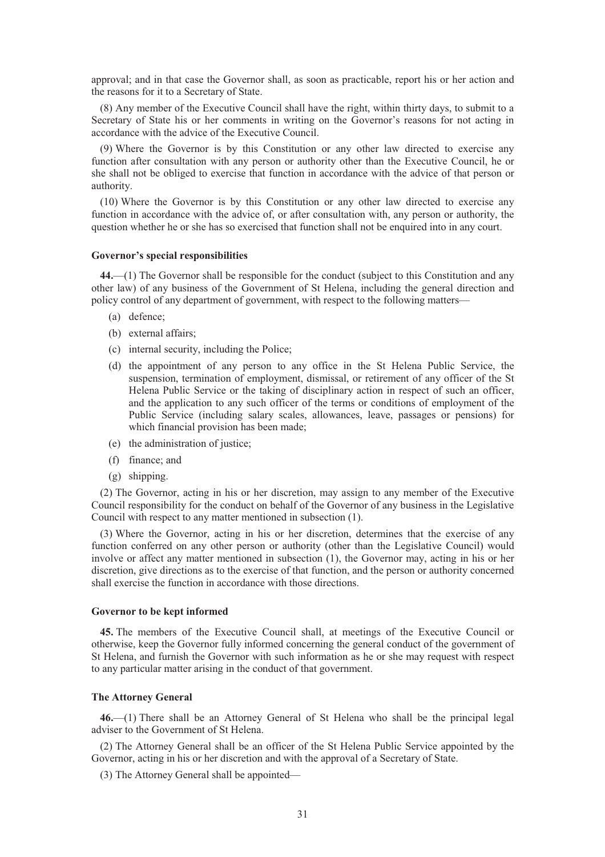approval; and in that case the Governor shall, as soon as practicable, report his or her action and the reasons for it to a Secretary of State.

(8) Any member of the Executive Council shall have the right, within thirty days, to submit to a Secretary of State his or her comments in writing on the Governor's reasons for not acting in accordance with the advice of the Executive Council.

(9) Where the Governor is by this Constitution or any other law directed to exercise any function after consultation with any person or authority other than the Executive Council, he or she shall not be obliged to exercise that function in accordance with the advice of that person or authority.

(10) Where the Governor is by this Constitution or any other law directed to exercise any function in accordance with the advice of, or after consultation with, any person or authority, the question whether he or she has so exercised that function shall not be enquired into in any court.

### **Governor's special responsibilities**

**44.**—(1) The Governor shall be responsible for the conduct (subject to this Constitution and any other law) of any business of the Government of St Helena, including the general direction and policy control of any department of government, with respect to the following matters—

- (a) defence;
- (b) external affairs;
- (c) internal security, including the Police;
- (d) the appointment of any person to any office in the St Helena Public Service, the suspension, termination of employment, dismissal, or retirement of any officer of the St Helena Public Service or the taking of disciplinary action in respect of such an officer, and the application to any such officer of the terms or conditions of employment of the Public Service (including salary scales, allowances, leave, passages or pensions) for which financial provision has been made;
- (e) the administration of justice;
- (f) finance; and
- (g) shipping.

(2) The Governor, acting in his or her discretion, may assign to any member of the Executive Council responsibility for the conduct on behalf of the Governor of any business in the Legislative Council with respect to any matter mentioned in subsection (1).

(3) Where the Governor, acting in his or her discretion, determines that the exercise of any function conferred on any other person or authority (other than the Legislative Council) would involve or affect any matter mentioned in subsection (1), the Governor may, acting in his or her discretion, give directions as to the exercise of that function, and the person or authority concerned shall exercise the function in accordance with those directions.

### **Governor to be kept informed**

**45.** The members of the Executive Council shall, at meetings of the Executive Council or otherwise, keep the Governor fully informed concerning the general conduct of the government of St Helena, and furnish the Governor with such information as he or she may request with respect to any particular matter arising in the conduct of that government.

## **The Attorney General**

**46.**—(1) There shall be an Attorney General of St Helena who shall be the principal legal adviser to the Government of St Helena.

(2) The Attorney General shall be an officer of the St Helena Public Service appointed by the Governor, acting in his or her discretion and with the approval of a Secretary of State.

(3) The Attorney General shall be appointed—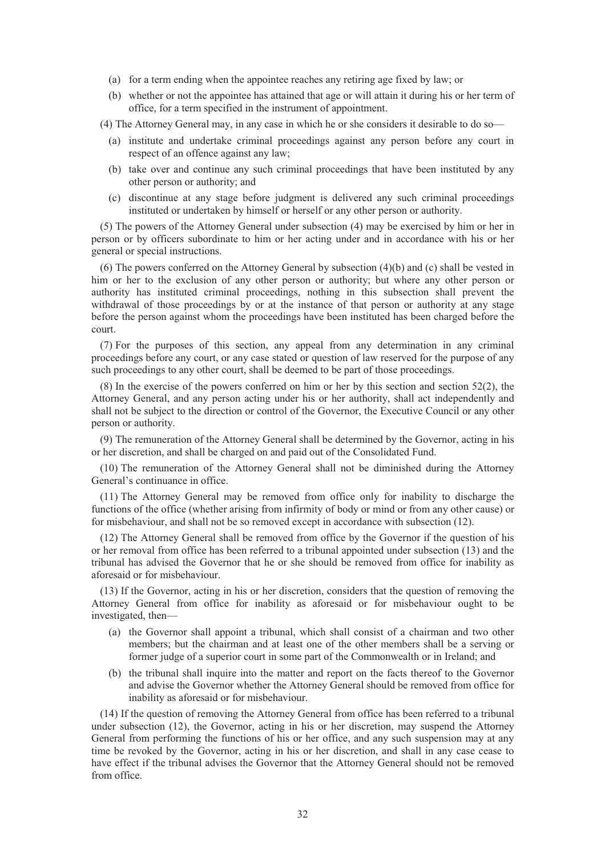- (a) for a term ending when the appointee reaches any retiring age fixed by law; or
- (b) whether or not the appointee has attained that age or will attain it during his or her term of office, for a term specified in the instrument of appointment.

(4) The Attorney General may, in any case in which he or she considers it desirable to do so—

- (a) institute and undertake criminal proceedings against any person before any court in respect of an offence against any law;
- (b) take over and continue any such criminal proceedings that have been instituted by any other person or authority; and
- (c) discontinue at any stage before judgment is delivered any such criminal proceedings instituted or undertaken by himself or herself or any other person or authority.

(5) The powers of the Attorney General under subsection (4) may be exercised by him or her in person or by officers subordinate to him or her acting under and in accordance with his or her general or special instructions.

(6) The powers conferred on the Attorney General by subsection (4)(b) and (c) shall be vested in him or her to the exclusion of any other person or authority; but where any other person or authority has instituted criminal proceedings, nothing in this subsection shall prevent the withdrawal of those proceedings by or at the instance of that person or authority at any stage before the person against whom the proceedings have been instituted has been charged before the court.

(7) For the purposes of this section, any appeal from any determination in any criminal proceedings before any court, or any case stated or question of law reserved for the purpose of any such proceedings to any other court, shall be deemed to be part of those proceedings.

(8) In the exercise of the powers conferred on him or her by this section and section 52(2), the Attorney General, and any person acting under his or her authority, shall act independently and shall not be subject to the direction or control of the Governor, the Executive Council or any other person or authority.

(9) The remuneration of the Attorney General shall be determined by the Governor, acting in his or her discretion, and shall be charged on and paid out of the Consolidated Fund.

(10) The remuneration of the Attorney General shall not be diminished during the Attorney General's continuance in office.

(11) The Attorney General may be removed from office only for inability to discharge the functions of the office (whether arising from infirmity of body or mind or from any other cause) or for misbehaviour, and shall not be so removed except in accordance with subsection (12).

(12) The Attorney General shall be removed from office by the Governor if the question of his or her removal from office has been referred to a tribunal appointed under subsection (13) and the tribunal has advised the Governor that he or she should be removed from office for inability as aforesaid or for misbehaviour.

(13) If the Governor, acting in his or her discretion, considers that the question of removing the Attorney General from office for inability as aforesaid or for misbehaviour ought to be investigated, then—

- (a) the Governor shall appoint a tribunal, which shall consist of a chairman and two other members; but the chairman and at least one of the other members shall be a serving or former judge of a superior court in some part of the Commonwealth or in Ireland; and
- (b) the tribunal shall inquire into the matter and report on the facts thereof to the Governor and advise the Governor whether the Attorney General should be removed from office for inability as aforesaid or for misbehaviour.

(14) If the question of removing the Attorney General from office has been referred to a tribunal under subsection (12), the Governor, acting in his or her discretion, may suspend the Attorney General from performing the functions of his or her office, and any such suspension may at any time be revoked by the Governor, acting in his or her discretion, and shall in any case cease to have effect if the tribunal advises the Governor that the Attorney General should not be removed from office.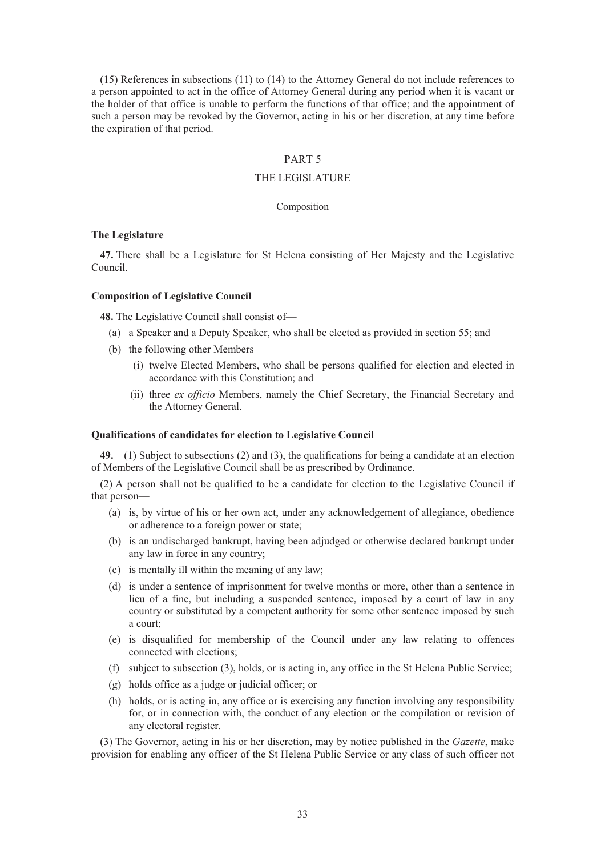(15) References in subsections (11) to (14) to the Attorney General do not include references to a person appointed to act in the office of Attorney General during any period when it is vacant or the holder of that office is unable to perform the functions of that office; and the appointment of such a person may be revoked by the Governor, acting in his or her discretion, at any time before the expiration of that period.

### PART 5

## THE LEGISLATURE

## Composition

## **The Legislature**

**47.** There shall be a Legislature for St Helena consisting of Her Majesty and the Legislative Council.

### **Composition of Legislative Council**

**48.** The Legislative Council shall consist of—

- (a) a Speaker and a Deputy Speaker, who shall be elected as provided in section 55; and
- (b) the following other Members—
	- (i) twelve Elected Members, who shall be persons qualified for election and elected in accordance with this Constitution; and
	- (ii) three *ex officio* Members, namely the Chief Secretary, the Financial Secretary and the Attorney General.

### **Qualifications of candidates for election to Legislative Council**

**49.**—(1) Subject to subsections (2) and (3), the qualifications for being a candidate at an election of Members of the Legislative Council shall be as prescribed by Ordinance.

(2) A person shall not be qualified to be a candidate for election to the Legislative Council if that person—

- (a) is, by virtue of his or her own act, under any acknowledgement of allegiance, obedience or adherence to a foreign power or state;
- (b) is an undischarged bankrupt, having been adjudged or otherwise declared bankrupt under any law in force in any country;
- (c) is mentally ill within the meaning of any law;
- (d) is under a sentence of imprisonment for twelve months or more, other than a sentence in lieu of a fine, but including a suspended sentence, imposed by a court of law in any country or substituted by a competent authority for some other sentence imposed by such a court;
- (e) is disqualified for membership of the Council under any law relating to offences connected with elections;
- (f) subject to subsection (3), holds, or is acting in, any office in the St Helena Public Service;
- (g) holds office as a judge or judicial officer; or
- (h) holds, or is acting in, any office or is exercising any function involving any responsibility for, or in connection with, the conduct of any election or the compilation or revision of any electoral register.

(3) The Governor, acting in his or her discretion, may by notice published in the *Gazette*, make provision for enabling any officer of the St Helena Public Service or any class of such officer not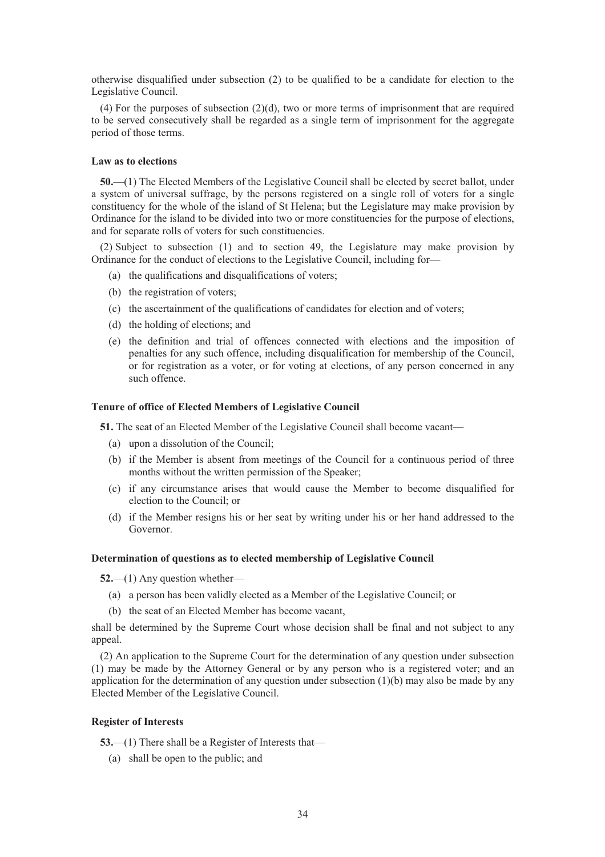otherwise disqualified under subsection (2) to be qualified to be a candidate for election to the Legislative Council.

(4) For the purposes of subsection  $(2)(d)$ , two or more terms of imprisonment that are required to be served consecutively shall be regarded as a single term of imprisonment for the aggregate period of those terms.

## **Law as to elections**

**50.**—(1) The Elected Members of the Legislative Council shall be elected by secret ballot, under a system of universal suffrage, by the persons registered on a single roll of voters for a single constituency for the whole of the island of St Helena; but the Legislature may make provision by Ordinance for the island to be divided into two or more constituencies for the purpose of elections, and for separate rolls of voters for such constituencies.

(2) Subject to subsection (1) and to section 49, the Legislature may make provision by Ordinance for the conduct of elections to the Legislative Council, including for—

- (a) the qualifications and disqualifications of voters;
- (b) the registration of voters;
- (c) the ascertainment of the qualifications of candidates for election and of voters;
- (d) the holding of elections; and
- (e) the definition and trial of offences connected with elections and the imposition of penalties for any such offence, including disqualification for membership of the Council, or for registration as a voter, or for voting at elections, of any person concerned in any such offence.

### **Tenure of office of Elected Members of Legislative Council**

**51.** The seat of an Elected Member of the Legislative Council shall become vacant—

- (a) upon a dissolution of the Council;
- (b) if the Member is absent from meetings of the Council for a continuous period of three months without the written permission of the Speaker;
- (c) if any circumstance arises that would cause the Member to become disqualified for election to the Council; or
- (d) if the Member resigns his or her seat by writing under his or her hand addressed to the Governor.

### **Determination of questions as to elected membership of Legislative Council**

**52.**—(1) Any question whether—

- (a) a person has been validly elected as a Member of the Legislative Council; or
- (b) the seat of an Elected Member has become vacant,

shall be determined by the Supreme Court whose decision shall be final and not subject to any appeal.

(2) An application to the Supreme Court for the determination of any question under subsection (1) may be made by the Attorney General or by any person who is a registered voter; and an application for the determination of any question under subsection  $(1)(b)$  may also be made by any Elected Member of the Legislative Council.

## **Register of Interests**

**53.**—(1) There shall be a Register of Interests that—

(a) shall be open to the public; and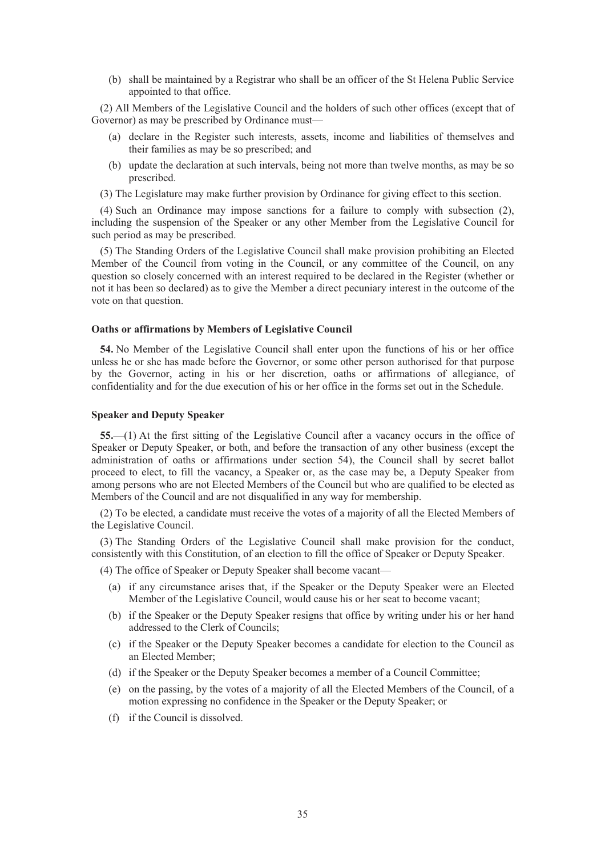(b) shall be maintained by a Registrar who shall be an officer of the St Helena Public Service appointed to that office.

(2) All Members of the Legislative Council and the holders of such other offices (except that of Governor) as may be prescribed by Ordinance must—

- (a) declare in the Register such interests, assets, income and liabilities of themselves and their families as may be so prescribed; and
- (b) update the declaration at such intervals, being not more than twelve months, as may be so prescribed.
- (3) The Legislature may make further provision by Ordinance for giving effect to this section.

(4) Such an Ordinance may impose sanctions for a failure to comply with subsection (2), including the suspension of the Speaker or any other Member from the Legislative Council for such period as may be prescribed.

(5) The Standing Orders of the Legislative Council shall make provision prohibiting an Elected Member of the Council from voting in the Council, or any committee of the Council, on any question so closely concerned with an interest required to be declared in the Register (whether or not it has been so declared) as to give the Member a direct pecuniary interest in the outcome of the vote on that question.

### **Oaths or affirmations by Members of Legislative Council**

**54.** No Member of the Legislative Council shall enter upon the functions of his or her office unless he or she has made before the Governor, or some other person authorised for that purpose by the Governor, acting in his or her discretion, oaths or affirmations of allegiance, of confidentiality and for the due execution of his or her office in the forms set out in the Schedule.

### **Speaker and Deputy Speaker**

**55.**—(1) At the first sitting of the Legislative Council after a vacancy occurs in the office of Speaker or Deputy Speaker, or both, and before the transaction of any other business (except the administration of oaths or affirmations under section 54), the Council shall by secret ballot proceed to elect, to fill the vacancy, a Speaker or, as the case may be, a Deputy Speaker from among persons who are not Elected Members of the Council but who are qualified to be elected as Members of the Council and are not disqualified in any way for membership.

(2) To be elected, a candidate must receive the votes of a majority of all the Elected Members of the Legislative Council.

(3) The Standing Orders of the Legislative Council shall make provision for the conduct, consistently with this Constitution, of an election to fill the office of Speaker or Deputy Speaker.

(4) The office of Speaker or Deputy Speaker shall become vacant—

- (a) if any circumstance arises that, if the Speaker or the Deputy Speaker were an Elected Member of the Legislative Council, would cause his or her seat to become vacant;
- (b) if the Speaker or the Deputy Speaker resigns that office by writing under his or her hand addressed to the Clerk of Councils;
- (c) if the Speaker or the Deputy Speaker becomes a candidate for election to the Council as an Elected Member;
- (d) if the Speaker or the Deputy Speaker becomes a member of a Council Committee;
- (e) on the passing, by the votes of a majority of all the Elected Members of the Council, of a motion expressing no confidence in the Speaker or the Deputy Speaker; or
- (f) if the Council is dissolved.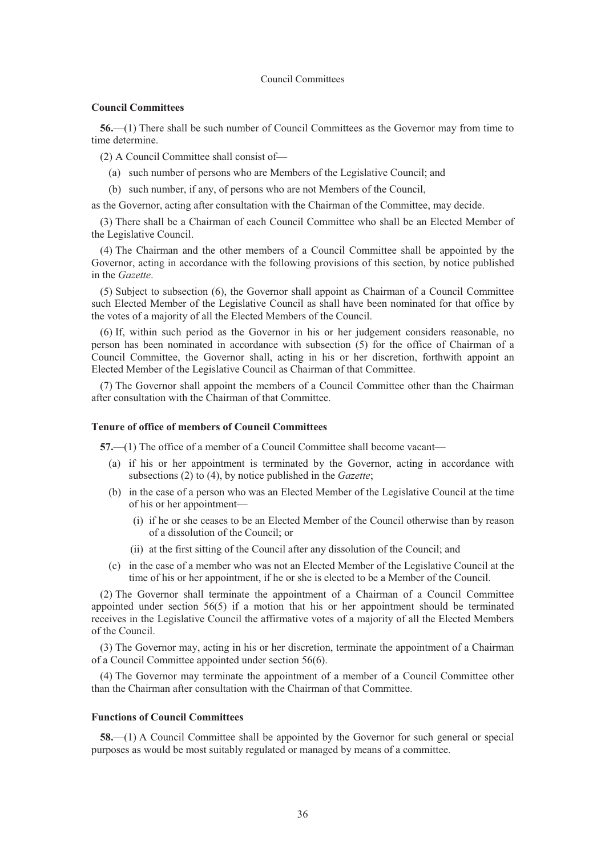### Council Committees

### **Council Committees**

**56.**—(1) There shall be such number of Council Committees as the Governor may from time to time determine.

(2) A Council Committee shall consist of—

- (a) such number of persons who are Members of the Legislative Council; and
- (b) such number, if any, of persons who are not Members of the Council,

as the Governor, acting after consultation with the Chairman of the Committee, may decide.

(3) There shall be a Chairman of each Council Committee who shall be an Elected Member of the Legislative Council.

(4) The Chairman and the other members of a Council Committee shall be appointed by the Governor, acting in accordance with the following provisions of this section, by notice published in the *Gazette*.

(5) Subject to subsection (6), the Governor shall appoint as Chairman of a Council Committee such Elected Member of the Legislative Council as shall have been nominated for that office by the votes of a majority of all the Elected Members of the Council.

(6) If, within such period as the Governor in his or her judgement considers reasonable, no person has been nominated in accordance with subsection (5) for the office of Chairman of a Council Committee, the Governor shall, acting in his or her discretion, forthwith appoint an Elected Member of the Legislative Council as Chairman of that Committee.

(7) The Governor shall appoint the members of a Council Committee other than the Chairman after consultation with the Chairman of that Committee.

## **Tenure of office of members of Council Committees**

**57.**—(1) The office of a member of a Council Committee shall become vacant—

- (a) if his or her appointment is terminated by the Governor, acting in accordance with subsections (2) to (4), by notice published in the *Gazette*;
- (b) in the case of a person who was an Elected Member of the Legislative Council at the time of his or her appointment—
	- (i) if he or she ceases to be an Elected Member of the Council otherwise than by reason of a dissolution of the Council; or
	- (ii) at the first sitting of the Council after any dissolution of the Council; and
- (c) in the case of a member who was not an Elected Member of the Legislative Council at the time of his or her appointment, if he or she is elected to be a Member of the Council.

(2) The Governor shall terminate the appointment of a Chairman of a Council Committee appointed under section 56(5) if a motion that his or her appointment should be terminated receives in the Legislative Council the affirmative votes of a majority of all the Elected Members of the Council.

(3) The Governor may, acting in his or her discretion, terminate the appointment of a Chairman of a Council Committee appointed under section 56(6).

(4) The Governor may terminate the appointment of a member of a Council Committee other than the Chairman after consultation with the Chairman of that Committee.

## **Functions of Council Committees**

**58.**—(1) A Council Committee shall be appointed by the Governor for such general or special purposes as would be most suitably regulated or managed by means of a committee.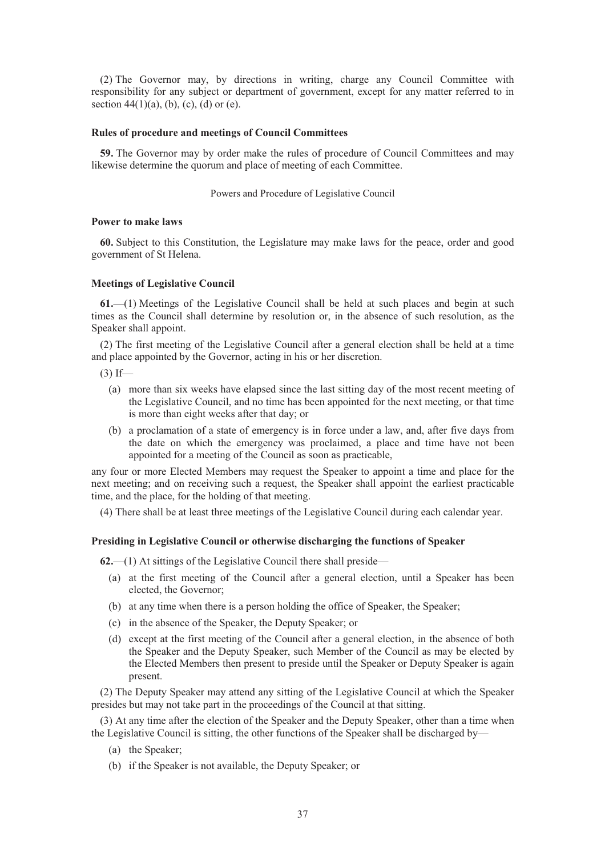(2) The Governor may, by directions in writing, charge any Council Committee with responsibility for any subject or department of government, except for any matter referred to in section 44(1)(a), (b), (c), (d) or (e).

## **Rules of procedure and meetings of Council Committees**

**59.** The Governor may by order make the rules of procedure of Council Committees and may likewise determine the quorum and place of meeting of each Committee.

Powers and Procedure of Legislative Council

#### **Power to make laws**

**60.** Subject to this Constitution, the Legislature may make laws for the peace, order and good government of St Helena.

#### **Meetings of Legislative Council**

**61.**—(1) Meetings of the Legislative Council shall be held at such places and begin at such times as the Council shall determine by resolution or, in the absence of such resolution, as the Speaker shall appoint.

(2) The first meeting of the Legislative Council after a general election shall be held at a time and place appointed by the Governor, acting in his or her discretion.

- $(3)$  If—
	- (a) more than six weeks have elapsed since the last sitting day of the most recent meeting of the Legislative Council, and no time has been appointed for the next meeting, or that time is more than eight weeks after that day; or
	- (b) a proclamation of a state of emergency is in force under a law, and, after five days from the date on which the emergency was proclaimed, a place and time have not been appointed for a meeting of the Council as soon as practicable,

any four or more Elected Members may request the Speaker to appoint a time and place for the next meeting; and on receiving such a request, the Speaker shall appoint the earliest practicable time, and the place, for the holding of that meeting.

(4) There shall be at least three meetings of the Legislative Council during each calendar year.

## **Presiding in Legislative Council or otherwise discharging the functions of Speaker**

**62.**—(1) At sittings of the Legislative Council there shall preside—

- (a) at the first meeting of the Council after a general election, until a Speaker has been elected, the Governor;
- (b) at any time when there is a person holding the office of Speaker, the Speaker;
- (c) in the absence of the Speaker, the Deputy Speaker; or
- (d) except at the first meeting of the Council after a general election, in the absence of both the Speaker and the Deputy Speaker, such Member of the Council as may be elected by the Elected Members then present to preside until the Speaker or Deputy Speaker is again present.

(2) The Deputy Speaker may attend any sitting of the Legislative Council at which the Speaker presides but may not take part in the proceedings of the Council at that sitting.

(3) At any time after the election of the Speaker and the Deputy Speaker, other than a time when the Legislative Council is sitting, the other functions of the Speaker shall be discharged by—

- (a) the Speaker;
- (b) if the Speaker is not available, the Deputy Speaker; or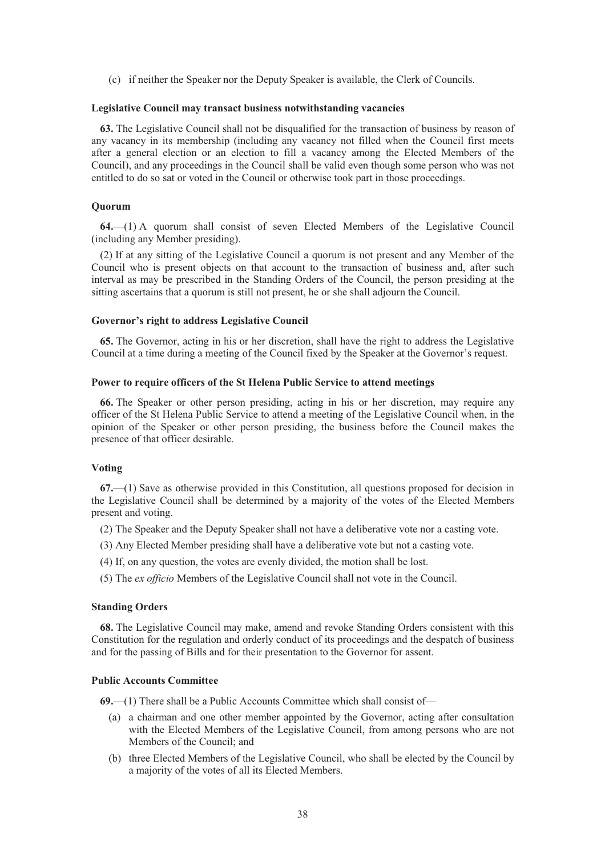(c) if neither the Speaker nor the Deputy Speaker is available, the Clerk of Councils.

#### **Legislative Council may transact business notwithstanding vacancies**

**63.** The Legislative Council shall not be disqualified for the transaction of business by reason of any vacancy in its membership (including any vacancy not filled when the Council first meets after a general election or an election to fill a vacancy among the Elected Members of the Council), and any proceedings in the Council shall be valid even though some person who was not entitled to do so sat or voted in the Council or otherwise took part in those proceedings.

## **Quorum**

**64.**—(1) A quorum shall consist of seven Elected Members of the Legislative Council (including any Member presiding).

(2) If at any sitting of the Legislative Council a quorum is not present and any Member of the Council who is present objects on that account to the transaction of business and, after such interval as may be prescribed in the Standing Orders of the Council, the person presiding at the sitting ascertains that a quorum is still not present, he or she shall adjourn the Council.

#### **Governor's right to address Legislative Council**

**65.** The Governor, acting in his or her discretion, shall have the right to address the Legislative Council at a time during a meeting of the Council fixed by the Speaker at the Governor's request.

# **Power to require officers of the St Helena Public Service to attend meetings**

**66.** The Speaker or other person presiding, acting in his or her discretion, may require any officer of the St Helena Public Service to attend a meeting of the Legislative Council when, in the opinion of the Speaker or other person presiding, the business before the Council makes the presence of that officer desirable.

#### **Voting**

**67.**—(1) Save as otherwise provided in this Constitution, all questions proposed for decision in the Legislative Council shall be determined by a majority of the votes of the Elected Members present and voting.

- (2) The Speaker and the Deputy Speaker shall not have a deliberative vote nor a casting vote.
- (3) Any Elected Member presiding shall have a deliberative vote but not a casting vote.
- (4) If, on any question, the votes are evenly divided, the motion shall be lost.
- (5) The *ex officio* Members of the Legislative Council shall not vote in the Council.

#### **Standing Orders**

**68.** The Legislative Council may make, amend and revoke Standing Orders consistent with this Constitution for the regulation and orderly conduct of its proceedings and the despatch of business and for the passing of Bills and for their presentation to the Governor for assent.

## **Public Accounts Committee**

**69.**—(1) There shall be a Public Accounts Committee which shall consist of—

- (a) a chairman and one other member appointed by the Governor, acting after consultation with the Elected Members of the Legislative Council, from among persons who are not Members of the Council; and
- (b) three Elected Members of the Legislative Council, who shall be elected by the Council by a majority of the votes of all its Elected Members.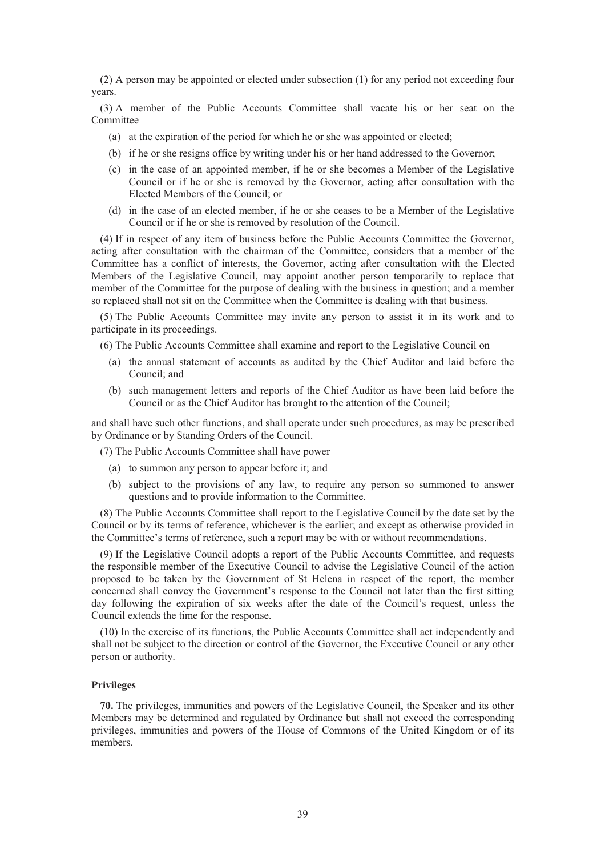(2) A person may be appointed or elected under subsection (1) for any period not exceeding four years.

(3) A member of the Public Accounts Committee shall vacate his or her seat on the Committee—

- (a) at the expiration of the period for which he or she was appointed or elected;
- (b) if he or she resigns office by writing under his or her hand addressed to the Governor;
- (c) in the case of an appointed member, if he or she becomes a Member of the Legislative Council or if he or she is removed by the Governor, acting after consultation with the Elected Members of the Council; or
- (d) in the case of an elected member, if he or she ceases to be a Member of the Legislative Council or if he or she is removed by resolution of the Council.

(4) If in respect of any item of business before the Public Accounts Committee the Governor, acting after consultation with the chairman of the Committee, considers that a member of the Committee has a conflict of interests, the Governor, acting after consultation with the Elected Members of the Legislative Council, may appoint another person temporarily to replace that member of the Committee for the purpose of dealing with the business in question; and a member so replaced shall not sit on the Committee when the Committee is dealing with that business.

(5) The Public Accounts Committee may invite any person to assist it in its work and to participate in its proceedings.

(6) The Public Accounts Committee shall examine and report to the Legislative Council on—

- (a) the annual statement of accounts as audited by the Chief Auditor and laid before the Council; and
- (b) such management letters and reports of the Chief Auditor as have been laid before the Council or as the Chief Auditor has brought to the attention of the Council;

and shall have such other functions, and shall operate under such procedures, as may be prescribed by Ordinance or by Standing Orders of the Council.

(7) The Public Accounts Committee shall have power—

- (a) to summon any person to appear before it; and
- (b) subject to the provisions of any law, to require any person so summoned to answer questions and to provide information to the Committee.

(8) The Public Accounts Committee shall report to the Legislative Council by the date set by the Council or by its terms of reference, whichever is the earlier; and except as otherwise provided in the Committee's terms of reference, such a report may be with or without recommendations.

(9) If the Legislative Council adopts a report of the Public Accounts Committee, and requests the responsible member of the Executive Council to advise the Legislative Council of the action proposed to be taken by the Government of St Helena in respect of the report, the member concerned shall convey the Government's response to the Council not later than the first sitting day following the expiration of six weeks after the date of the Council's request, unless the Council extends the time for the response.

(10) In the exercise of its functions, the Public Accounts Committee shall act independently and shall not be subject to the direction or control of the Governor, the Executive Council or any other person or authority.

## **Privileges**

**70.** The privileges, immunities and powers of the Legislative Council, the Speaker and its other Members may be determined and regulated by Ordinance but shall not exceed the corresponding privileges, immunities and powers of the House of Commons of the United Kingdom or of its members.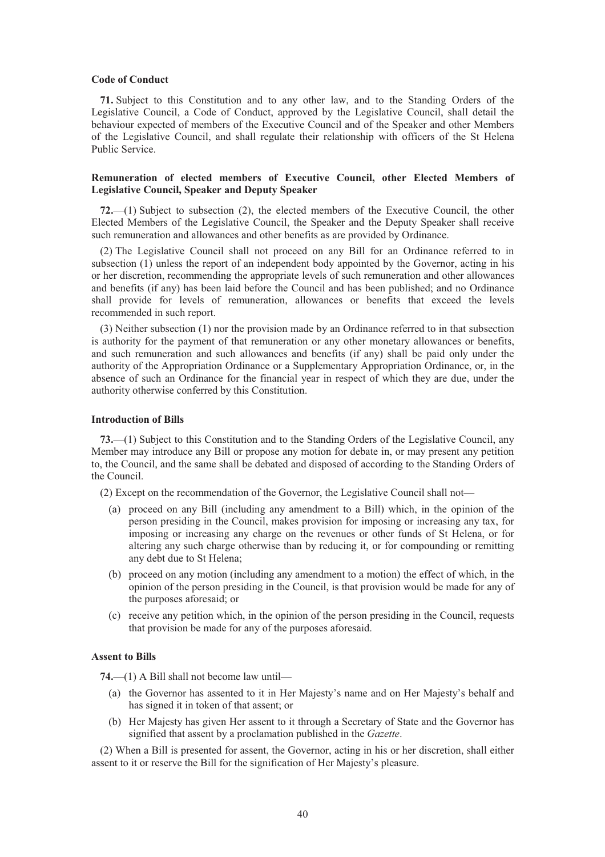#### **Code of Conduct**

**71.** Subject to this Constitution and to any other law, and to the Standing Orders of the Legislative Council, a Code of Conduct, approved by the Legislative Council, shall detail the behaviour expected of members of the Executive Council and of the Speaker and other Members of the Legislative Council, and shall regulate their relationship with officers of the St Helena Public Service.

# **Remuneration of elected members of Executive Council, other Elected Members of Legislative Council, Speaker and Deputy Speaker**

**72.**—(1) Subject to subsection (2), the elected members of the Executive Council, the other Elected Members of the Legislative Council, the Speaker and the Deputy Speaker shall receive such remuneration and allowances and other benefits as are provided by Ordinance.

(2) The Legislative Council shall not proceed on any Bill for an Ordinance referred to in subsection (1) unless the report of an independent body appointed by the Governor, acting in his or her discretion, recommending the appropriate levels of such remuneration and other allowances and benefits (if any) has been laid before the Council and has been published; and no Ordinance shall provide for levels of remuneration, allowances or benefits that exceed the levels recommended in such report.

(3) Neither subsection (1) nor the provision made by an Ordinance referred to in that subsection is authority for the payment of that remuneration or any other monetary allowances or benefits, and such remuneration and such allowances and benefits (if any) shall be paid only under the authority of the Appropriation Ordinance or a Supplementary Appropriation Ordinance, or, in the absence of such an Ordinance for the financial year in respect of which they are due, under the authority otherwise conferred by this Constitution.

#### **Introduction of Bills**

**73.**—(1) Subject to this Constitution and to the Standing Orders of the Legislative Council, any Member may introduce any Bill or propose any motion for debate in, or may present any petition to, the Council, and the same shall be debated and disposed of according to the Standing Orders of the Council.

(2) Except on the recommendation of the Governor, the Legislative Council shall not—

- (a) proceed on any Bill (including any amendment to a Bill) which, in the opinion of the person presiding in the Council, makes provision for imposing or increasing any tax, for imposing or increasing any charge on the revenues or other funds of St Helena, or for altering any such charge otherwise than by reducing it, or for compounding or remitting any debt due to St Helena;
- (b) proceed on any motion (including any amendment to a motion) the effect of which, in the opinion of the person presiding in the Council, is that provision would be made for any of the purposes aforesaid; or
- (c) receive any petition which, in the opinion of the person presiding in the Council, requests that provision be made for any of the purposes aforesaid.

#### **Assent to Bills**

**74.**—(1) A Bill shall not become law until—

- (a) the Governor has assented to it in Her Majesty's name and on Her Majesty's behalf and has signed it in token of that assent; or
- (b) Her Majesty has given Her assent to it through a Secretary of State and the Governor has signified that assent by a proclamation published in the *Gazette*.

(2) When a Bill is presented for assent, the Governor, acting in his or her discretion, shall either assent to it or reserve the Bill for the signification of Her Majesty's pleasure.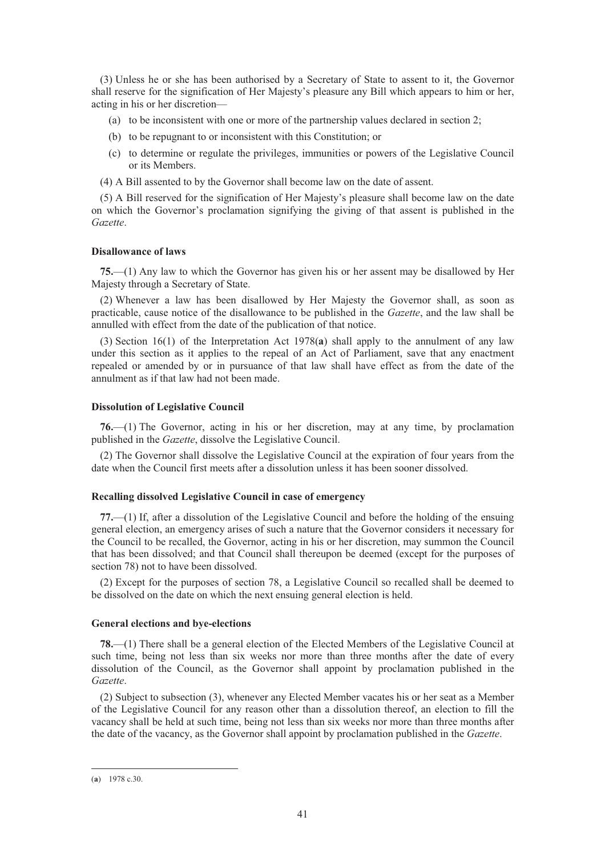(3) Unless he or she has been authorised by a Secretary of State to assent to it, the Governor shall reserve for the signification of Her Majesty's pleasure any Bill which appears to him or her, acting in his or her discretion—

- (a) to be inconsistent with one or more of the partnership values declared in section 2;
- (b) to be repugnant to or inconsistent with this Constitution; or
- (c) to determine or regulate the privileges, immunities or powers of the Legislative Council or its Members.
- (4) A Bill assented to by the Governor shall become law on the date of assent.

(5) A Bill reserved for the signification of Her Majesty's pleasure shall become law on the date on which the Governor's proclamation signifying the giving of that assent is published in the *Gazette*.

#### **Disallowance of laws**

**75.**—(1) Any law to which the Governor has given his or her assent may be disallowed by Her Majesty through a Secretary of State.

(2) Whenever a law has been disallowed by Her Majesty the Governor shall, as soon as practicable, cause notice of the disallowance to be published in the *Gazette*, and the law shall be annulled with effect from the date of the publication of that notice.

(3) Section 16(1) of the Interpretation Act 1978(**a**) shall apply to the annulment of any law under this section as it applies to the repeal of an Act of Parliament, save that any enactment repealed or amended by or in pursuance of that law shall have effect as from the date of the annulment as if that law had not been made.

# **Dissolution of Legislative Council**

**76.**—(1) The Governor, acting in his or her discretion, may at any time, by proclamation published in the *Gazette*, dissolve the Legislative Council.

(2) The Governor shall dissolve the Legislative Council at the expiration of four years from the date when the Council first meets after a dissolution unless it has been sooner dissolved.

## **Recalling dissolved Legislative Council in case of emergency**

**77.**—(1) If, after a dissolution of the Legislative Council and before the holding of the ensuing general election, an emergency arises of such a nature that the Governor considers it necessary for the Council to be recalled, the Governor, acting in his or her discretion, may summon the Council that has been dissolved; and that Council shall thereupon be deemed (except for the purposes of section 78) not to have been dissolved.

(2) Except for the purposes of section 78, a Legislative Council so recalled shall be deemed to be dissolved on the date on which the next ensuing general election is held.

## **General elections and bye-elections**

**78.**—(1) There shall be a general election of the Elected Members of the Legislative Council at such time, being not less than six weeks nor more than three months after the date of every dissolution of the Council, as the Governor shall appoint by proclamation published in the *Gazette*.

(2) Subject to subsection (3), whenever any Elected Member vacates his or her seat as a Member of the Legislative Council for any reason other than a dissolution thereof, an election to fill the vacancy shall be held at such time, being not less than six weeks nor more than three months after the date of the vacancy, as the Governor shall appoint by proclamation published in the *Gazette*.

 $\overline{a}$ 

<sup>(</sup>**a**) 1978 c.30.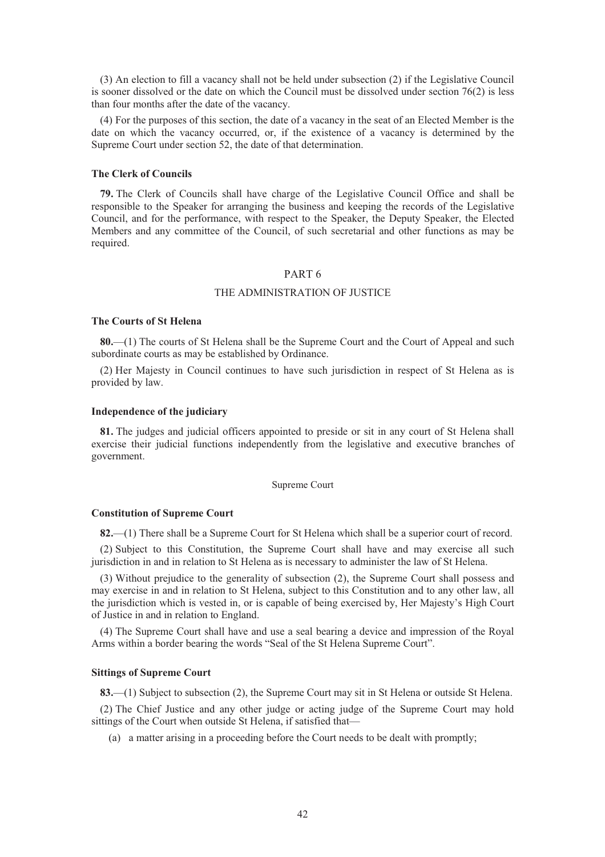(3) An election to fill a vacancy shall not be held under subsection (2) if the Legislative Council is sooner dissolved or the date on which the Council must be dissolved under section 76(2) is less than four months after the date of the vacancy.

(4) For the purposes of this section, the date of a vacancy in the seat of an Elected Member is the date on which the vacancy occurred, or, if the existence of a vacancy is determined by the Supreme Court under section 52, the date of that determination.

# **The Clerk of Councils**

**79.** The Clerk of Councils shall have charge of the Legislative Council Office and shall be responsible to the Speaker for arranging the business and keeping the records of the Legislative Council, and for the performance, with respect to the Speaker, the Deputy Speaker, the Elected Members and any committee of the Council, of such secretarial and other functions as may be required.

## PART 6

## THE ADMINISTRATION OF JUSTICE

#### **The Courts of St Helena**

**80.**—(1) The courts of St Helena shall be the Supreme Court and the Court of Appeal and such subordinate courts as may be established by Ordinance.

(2) Her Majesty in Council continues to have such jurisdiction in respect of St Helena as is provided by law.

#### **Independence of the judiciary**

**81.** The judges and judicial officers appointed to preside or sit in any court of St Helena shall exercise their judicial functions independently from the legislative and executive branches of government.

#### Supreme Court

#### **Constitution of Supreme Court**

**82.**—(1) There shall be a Supreme Court for St Helena which shall be a superior court of record.

(2) Subject to this Constitution, the Supreme Court shall have and may exercise all such jurisdiction in and in relation to St Helena as is necessary to administer the law of St Helena.

(3) Without prejudice to the generality of subsection (2), the Supreme Court shall possess and may exercise in and in relation to St Helena, subject to this Constitution and to any other law, all the jurisdiction which is vested in, or is capable of being exercised by, Her Majesty's High Court of Justice in and in relation to England.

(4) The Supreme Court shall have and use a seal bearing a device and impression of the Royal Arms within a border bearing the words "Seal of the St Helena Supreme Court".

# **Sittings of Supreme Court**

**83.**—(1) Subject to subsection (2), the Supreme Court may sit in St Helena or outside St Helena.

(2) The Chief Justice and any other judge or acting judge of the Supreme Court may hold sittings of the Court when outside St Helena, if satisfied that—

(a) a matter arising in a proceeding before the Court needs to be dealt with promptly;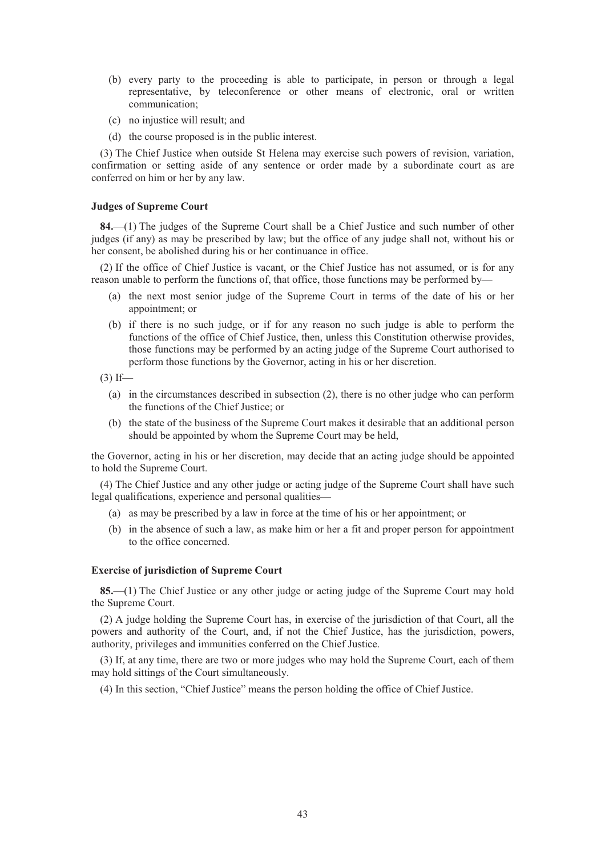- (b) every party to the proceeding is able to participate, in person or through a legal representative, by teleconference or other means of electronic, oral or written communication;
- (c) no injustice will result; and
- (d) the course proposed is in the public interest.

(3) The Chief Justice when outside St Helena may exercise such powers of revision, variation, confirmation or setting aside of any sentence or order made by a subordinate court as are conferred on him or her by any law.

# **Judges of Supreme Court**

**84.**—(1) The judges of the Supreme Court shall be a Chief Justice and such number of other judges (if any) as may be prescribed by law; but the office of any judge shall not, without his or her consent, be abolished during his or her continuance in office.

(2) If the office of Chief Justice is vacant, or the Chief Justice has not assumed, or is for any reason unable to perform the functions of, that office, those functions may be performed by—

- (a) the next most senior judge of the Supreme Court in terms of the date of his or her appointment; or
- (b) if there is no such judge, or if for any reason no such judge is able to perform the functions of the office of Chief Justice, then, unless this Constitution otherwise provides, those functions may be performed by an acting judge of the Supreme Court authorised to perform those functions by the Governor, acting in his or her discretion.
- $(3)$  If—
	- (a) in the circumstances described in subsection (2), there is no other judge who can perform the functions of the Chief Justice; or
	- (b) the state of the business of the Supreme Court makes it desirable that an additional person should be appointed by whom the Supreme Court may be held,

the Governor, acting in his or her discretion, may decide that an acting judge should be appointed to hold the Supreme Court.

(4) The Chief Justice and any other judge or acting judge of the Supreme Court shall have such legal qualifications, experience and personal qualities—

- (a) as may be prescribed by a law in force at the time of his or her appointment; or
- (b) in the absence of such a law, as make him or her a fit and proper person for appointment to the office concerned.

## **Exercise of jurisdiction of Supreme Court**

**85.**—(1) The Chief Justice or any other judge or acting judge of the Supreme Court may hold the Supreme Court.

(2) A judge holding the Supreme Court has, in exercise of the jurisdiction of that Court, all the powers and authority of the Court, and, if not the Chief Justice, has the jurisdiction, powers, authority, privileges and immunities conferred on the Chief Justice.

(3) If, at any time, there are two or more judges who may hold the Supreme Court, each of them may hold sittings of the Court simultaneously.

(4) In this section, "Chief Justice" means the person holding the office of Chief Justice.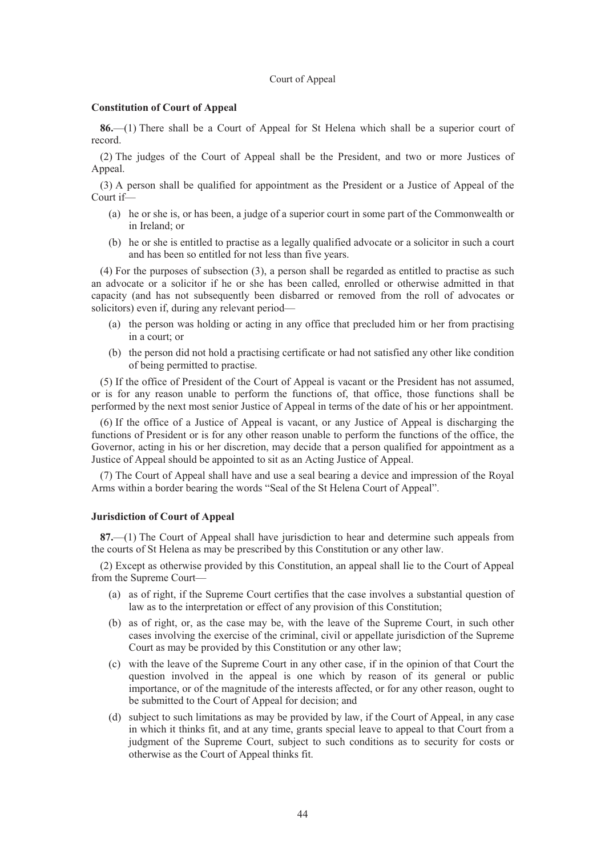#### Court of Appeal

#### **Constitution of Court of Appeal**

**86.**—(1) There shall be a Court of Appeal for St Helena which shall be a superior court of record.

(2) The judges of the Court of Appeal shall be the President, and two or more Justices of Appeal.

(3) A person shall be qualified for appointment as the President or a Justice of Appeal of the Court if—

- (a) he or she is, or has been, a judge of a superior court in some part of the Commonwealth or in Ireland; or
- (b) he or she is entitled to practise as a legally qualified advocate or a solicitor in such a court and has been so entitled for not less than five years.

(4) For the purposes of subsection (3), a person shall be regarded as entitled to practise as such an advocate or a solicitor if he or she has been called, enrolled or otherwise admitted in that capacity (and has not subsequently been disbarred or removed from the roll of advocates or solicitors) even if, during any relevant period—

- (a) the person was holding or acting in any office that precluded him or her from practising in a court; or
- (b) the person did not hold a practising certificate or had not satisfied any other like condition of being permitted to practise.

(5) If the office of President of the Court of Appeal is vacant or the President has not assumed, or is for any reason unable to perform the functions of, that office, those functions shall be performed by the next most senior Justice of Appeal in terms of the date of his or her appointment.

(6) If the office of a Justice of Appeal is vacant, or any Justice of Appeal is discharging the functions of President or is for any other reason unable to perform the functions of the office, the Governor, acting in his or her discretion, may decide that a person qualified for appointment as a Justice of Appeal should be appointed to sit as an Acting Justice of Appeal.

(7) The Court of Appeal shall have and use a seal bearing a device and impression of the Royal Arms within a border bearing the words "Seal of the St Helena Court of Appeal".

## **Jurisdiction of Court of Appeal**

**87.**—(1) The Court of Appeal shall have jurisdiction to hear and determine such appeals from the courts of St Helena as may be prescribed by this Constitution or any other law.

(2) Except as otherwise provided by this Constitution, an appeal shall lie to the Court of Appeal from the Supreme Court—

- (a) as of right, if the Supreme Court certifies that the case involves a substantial question of law as to the interpretation or effect of any provision of this Constitution;
- (b) as of right, or, as the case may be, with the leave of the Supreme Court, in such other cases involving the exercise of the criminal, civil or appellate jurisdiction of the Supreme Court as may be provided by this Constitution or any other law;
- (c) with the leave of the Supreme Court in any other case, if in the opinion of that Court the question involved in the appeal is one which by reason of its general or public importance, or of the magnitude of the interests affected, or for any other reason, ought to be submitted to the Court of Appeal for decision; and
- (d) subject to such limitations as may be provided by law, if the Court of Appeal, in any case in which it thinks fit, and at any time, grants special leave to appeal to that Court from a judgment of the Supreme Court, subject to such conditions as to security for costs or otherwise as the Court of Appeal thinks fit.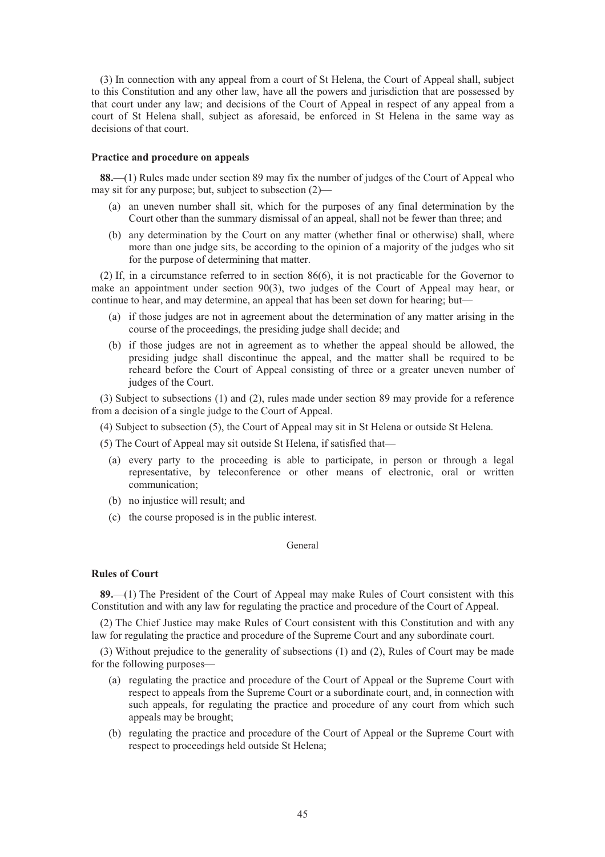(3) In connection with any appeal from a court of St Helena, the Court of Appeal shall, subject to this Constitution and any other law, have all the powers and jurisdiction that are possessed by that court under any law; and decisions of the Court of Appeal in respect of any appeal from a court of St Helena shall, subject as aforesaid, be enforced in St Helena in the same way as decisions of that court.

## **Practice and procedure on appeals**

**88.**—(1) Rules made under section 89 may fix the number of judges of the Court of Appeal who may sit for any purpose; but, subject to subsection (2)—

- (a) an uneven number shall sit, which for the purposes of any final determination by the Court other than the summary dismissal of an appeal, shall not be fewer than three; and
- (b) any determination by the Court on any matter (whether final or otherwise) shall, where more than one judge sits, be according to the opinion of a majority of the judges who sit for the purpose of determining that matter.

(2) If, in a circumstance referred to in section 86(6), it is not practicable for the Governor to make an appointment under section 90(3), two judges of the Court of Appeal may hear, or continue to hear, and may determine, an appeal that has been set down for hearing; but—

- (a) if those judges are not in agreement about the determination of any matter arising in the course of the proceedings, the presiding judge shall decide; and
- (b) if those judges are not in agreement as to whether the appeal should be allowed, the presiding judge shall discontinue the appeal, and the matter shall be required to be reheard before the Court of Appeal consisting of three or a greater uneven number of judges of the Court.

(3) Subject to subsections (1) and (2), rules made under section 89 may provide for a reference from a decision of a single judge to the Court of Appeal.

(4) Subject to subsection (5), the Court of Appeal may sit in St Helena or outside St Helena.

(5) The Court of Appeal may sit outside St Helena, if satisfied that—

- (a) every party to the proceeding is able to participate, in person or through a legal representative, by teleconference or other means of electronic, oral or written communication;
- (b) no injustice will result; and
- (c) the course proposed is in the public interest.

#### General

#### **Rules of Court**

**89.**—(1) The President of the Court of Appeal may make Rules of Court consistent with this Constitution and with any law for regulating the practice and procedure of the Court of Appeal.

(2) The Chief Justice may make Rules of Court consistent with this Constitution and with any law for regulating the practice and procedure of the Supreme Court and any subordinate court.

(3) Without prejudice to the generality of subsections (1) and (2), Rules of Court may be made for the following purposes—

- (a) regulating the practice and procedure of the Court of Appeal or the Supreme Court with respect to appeals from the Supreme Court or a subordinate court, and, in connection with such appeals, for regulating the practice and procedure of any court from which such appeals may be brought;
- (b) regulating the practice and procedure of the Court of Appeal or the Supreme Court with respect to proceedings held outside St Helena;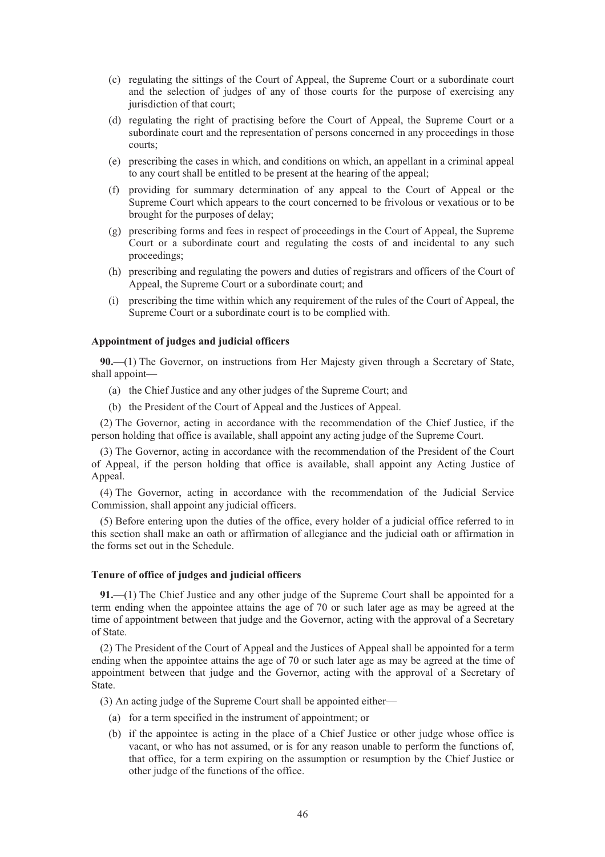- (c) regulating the sittings of the Court of Appeal, the Supreme Court or a subordinate court and the selection of judges of any of those courts for the purpose of exercising any jurisdiction of that court;
- (d) regulating the right of practising before the Court of Appeal, the Supreme Court or a subordinate court and the representation of persons concerned in any proceedings in those courts;
- (e) prescribing the cases in which, and conditions on which, an appellant in a criminal appeal to any court shall be entitled to be present at the hearing of the appeal;
- (f) providing for summary determination of any appeal to the Court of Appeal or the Supreme Court which appears to the court concerned to be frivolous or vexatious or to be brought for the purposes of delay;
- (g) prescribing forms and fees in respect of proceedings in the Court of Appeal, the Supreme Court or a subordinate court and regulating the costs of and incidental to any such proceedings;
- (h) prescribing and regulating the powers and duties of registrars and officers of the Court of Appeal, the Supreme Court or a subordinate court; and
- (i) prescribing the time within which any requirement of the rules of the Court of Appeal, the Supreme Court or a subordinate court is to be complied with.

## **Appointment of judges and judicial officers**

**90.**—(1) The Governor, on instructions from Her Majesty given through a Secretary of State, shall appoint-

- (a) the Chief Justice and any other judges of the Supreme Court; and
- (b) the President of the Court of Appeal and the Justices of Appeal.

(2) The Governor, acting in accordance with the recommendation of the Chief Justice, if the person holding that office is available, shall appoint any acting judge of the Supreme Court.

(3) The Governor, acting in accordance with the recommendation of the President of the Court of Appeal, if the person holding that office is available, shall appoint any Acting Justice of Appeal.

(4) The Governor, acting in accordance with the recommendation of the Judicial Service Commission, shall appoint any judicial officers.

(5) Before entering upon the duties of the office, every holder of a judicial office referred to in this section shall make an oath or affirmation of allegiance and the judicial oath or affirmation in the forms set out in the Schedule.

#### **Tenure of office of judges and judicial officers**

**91.**—(1) The Chief Justice and any other judge of the Supreme Court shall be appointed for a term ending when the appointee attains the age of 70 or such later age as may be agreed at the time of appointment between that judge and the Governor, acting with the approval of a Secretary of State.

(2) The President of the Court of Appeal and the Justices of Appeal shall be appointed for a term ending when the appointee attains the age of 70 or such later age as may be agreed at the time of appointment between that judge and the Governor, acting with the approval of a Secretary of State.

(3) An acting judge of the Supreme Court shall be appointed either—

- (a) for a term specified in the instrument of appointment; or
- (b) if the appointee is acting in the place of a Chief Justice or other judge whose office is vacant, or who has not assumed, or is for any reason unable to perform the functions of, that office, for a term expiring on the assumption or resumption by the Chief Justice or other judge of the functions of the office.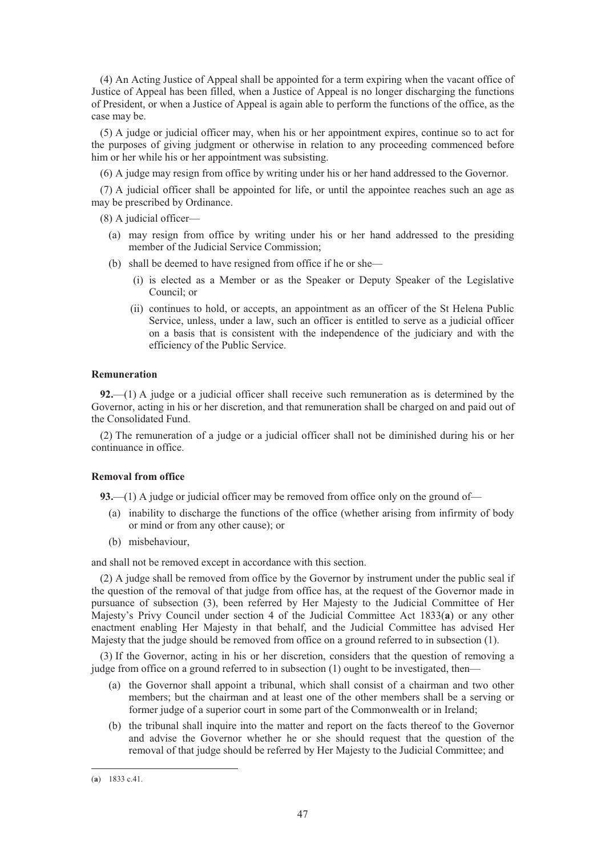(4) An Acting Justice of Appeal shall be appointed for a term expiring when the vacant office of Justice of Appeal has been filled, when a Justice of Appeal is no longer discharging the functions of President, or when a Justice of Appeal is again able to perform the functions of the office, as the case may be.

(5) A judge or judicial officer may, when his or her appointment expires, continue so to act for the purposes of giving judgment or otherwise in relation to any proceeding commenced before him or her while his or her appointment was subsisting.

(6) A judge may resign from office by writing under his or her hand addressed to the Governor.

(7) A judicial officer shall be appointed for life, or until the appointee reaches such an age as may be prescribed by Ordinance.

- (8) A judicial officer—
	- (a) may resign from office by writing under his or her hand addressed to the presiding member of the Judicial Service Commission;
	- (b) shall be deemed to have resigned from office if he or she—
		- (i) is elected as a Member or as the Speaker or Deputy Speaker of the Legislative Council; or
		- (ii) continues to hold, or accepts, an appointment as an officer of the St Helena Public Service, unless, under a law, such an officer is entitled to serve as a judicial officer on a basis that is consistent with the independence of the judiciary and with the efficiency of the Public Service.

## **Remuneration**

**92.**—(1) A judge or a judicial officer shall receive such remuneration as is determined by the Governor, acting in his or her discretion, and that remuneration shall be charged on and paid out of the Consolidated Fund.

(2) The remuneration of a judge or a judicial officer shall not be diminished during his or her continuance in office.

# **Removal from office**

**93.**—(1) A judge or judicial officer may be removed from office only on the ground of—

- (a) inability to discharge the functions of the office (whether arising from infirmity of body or mind or from any other cause); or
- (b) misbehaviour,

and shall not be removed except in accordance with this section.

(2) A judge shall be removed from office by the Governor by instrument under the public seal if the question of the removal of that judge from office has, at the request of the Governor made in pursuance of subsection (3), been referred by Her Majesty to the Judicial Committee of Her Majesty's Privy Council under section 4 of the Judicial Committee Act 1833(**a**) or any other enactment enabling Her Majesty in that behalf, and the Judicial Committee has advised Her Majesty that the judge should be removed from office on a ground referred to in subsection (1).

(3) If the Governor, acting in his or her discretion, considers that the question of removing a judge from office on a ground referred to in subsection (1) ought to be investigated, then—

- (a) the Governor shall appoint a tribunal, which shall consist of a chairman and two other members; but the chairman and at least one of the other members shall be a serving or former judge of a superior court in some part of the Commonwealth or in Ireland;
- (b) the tribunal shall inquire into the matter and report on the facts thereof to the Governor and advise the Governor whether he or she should request that the question of the removal of that judge should be referred by Her Majesty to the Judicial Committee; and

 $\overline{a}$ 

<sup>(</sup>**a**) 1833 c.41.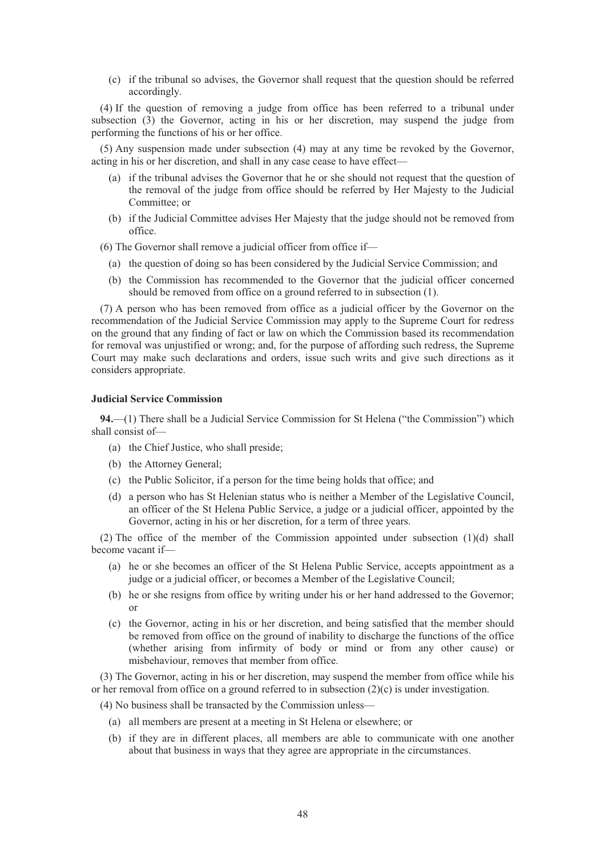(c) if the tribunal so advises, the Governor shall request that the question should be referred accordingly.

(4) If the question of removing a judge from office has been referred to a tribunal under subsection (3) the Governor, acting in his or her discretion, may suspend the judge from performing the functions of his or her office.

(5) Any suspension made under subsection (4) may at any time be revoked by the Governor, acting in his or her discretion, and shall in any case cease to have effect—

- (a) if the tribunal advises the Governor that he or she should not request that the question of the removal of the judge from office should be referred by Her Majesty to the Judicial Committee; or
- (b) if the Judicial Committee advises Her Majesty that the judge should not be removed from office.

(6) The Governor shall remove a judicial officer from office if—

- (a) the question of doing so has been considered by the Judicial Service Commission; and
- (b) the Commission has recommended to the Governor that the judicial officer concerned should be removed from office on a ground referred to in subsection (1).

(7) A person who has been removed from office as a judicial officer by the Governor on the recommendation of the Judicial Service Commission may apply to the Supreme Court for redress on the ground that any finding of fact or law on which the Commission based its recommendation for removal was unjustified or wrong; and, for the purpose of affording such redress, the Supreme Court may make such declarations and orders, issue such writs and give such directions as it considers appropriate.

## **Judicial Service Commission**

**94.**—(1) There shall be a Judicial Service Commission for St Helena ("the Commission") which shall consist of—

- (a) the Chief Justice, who shall preside;
- (b) the Attorney General;
- (c) the Public Solicitor, if a person for the time being holds that office; and
- (d) a person who has St Helenian status who is neither a Member of the Legislative Council, an officer of the St Helena Public Service, a judge or a judicial officer, appointed by the Governor, acting in his or her discretion, for a term of three years.

(2) The office of the member of the Commission appointed under subsection  $(1)(d)$  shall become vacant if—

- (a) he or she becomes an officer of the St Helena Public Service, accepts appointment as a judge or a judicial officer, or becomes a Member of the Legislative Council;
- (b) he or she resigns from office by writing under his or her hand addressed to the Governor; or
- (c) the Governor, acting in his or her discretion, and being satisfied that the member should be removed from office on the ground of inability to discharge the functions of the office (whether arising from infirmity of body or mind or from any other cause) or misbehaviour, removes that member from office.

(3) The Governor, acting in his or her discretion, may suspend the member from office while his or her removal from office on a ground referred to in subsection (2)(c) is under investigation.

- (4) No business shall be transacted by the Commission unless—
	- (a) all members are present at a meeting in St Helena or elsewhere; or
	- (b) if they are in different places, all members are able to communicate with one another about that business in ways that they agree are appropriate in the circumstances.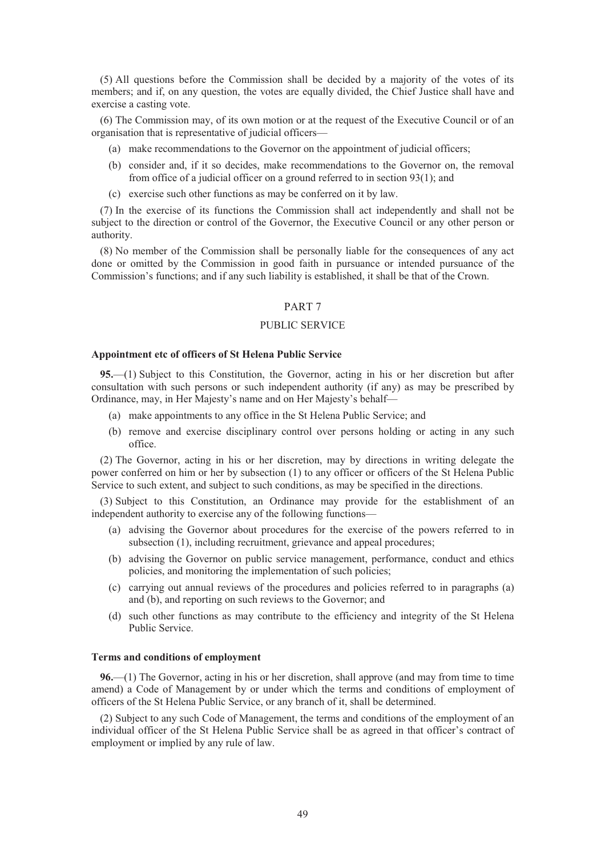(5) All questions before the Commission shall be decided by a majority of the votes of its members; and if, on any question, the votes are equally divided, the Chief Justice shall have and exercise a casting vote.

(6) The Commission may, of its own motion or at the request of the Executive Council or of an organisation that is representative of judicial officers—

- (a) make recommendations to the Governor on the appointment of judicial officers;
- (b) consider and, if it so decides, make recommendations to the Governor on, the removal from office of a judicial officer on a ground referred to in section 93(1); and
- (c) exercise such other functions as may be conferred on it by law.

(7) In the exercise of its functions the Commission shall act independently and shall not be subject to the direction or control of the Governor, the Executive Council or any other person or authority.

(8) No member of the Commission shall be personally liable for the consequences of any act done or omitted by the Commission in good faith in pursuance or intended pursuance of the Commission's functions; and if any such liability is established, it shall be that of the Crown.

# PART 7

# PUBLIC SERVICE

#### **Appointment etc of officers of St Helena Public Service**

**95.**—(1) Subject to this Constitution, the Governor, acting in his or her discretion but after consultation with such persons or such independent authority (if any) as may be prescribed by Ordinance, may, in Her Majesty's name and on Her Majesty's behalf—

- (a) make appointments to any office in the St Helena Public Service; and
- (b) remove and exercise disciplinary control over persons holding or acting in any such office.

(2) The Governor, acting in his or her discretion, may by directions in writing delegate the power conferred on him or her by subsection (1) to any officer or officers of the St Helena Public Service to such extent, and subject to such conditions, as may be specified in the directions.

(3) Subject to this Constitution, an Ordinance may provide for the establishment of an independent authority to exercise any of the following functions—

- (a) advising the Governor about procedures for the exercise of the powers referred to in subsection (1), including recruitment, grievance and appeal procedures;
- (b) advising the Governor on public service management, performance, conduct and ethics policies, and monitoring the implementation of such policies;
- (c) carrying out annual reviews of the procedures and policies referred to in paragraphs (a) and (b), and reporting on such reviews to the Governor; and
- (d) such other functions as may contribute to the efficiency and integrity of the St Helena Public Service.

#### **Terms and conditions of employment**

**96.**—(1) The Governor, acting in his or her discretion, shall approve (and may from time to time amend) a Code of Management by or under which the terms and conditions of employment of officers of the St Helena Public Service, or any branch of it, shall be determined.

(2) Subject to any such Code of Management, the terms and conditions of the employment of an individual officer of the St Helena Public Service shall be as agreed in that officer's contract of employment or implied by any rule of law.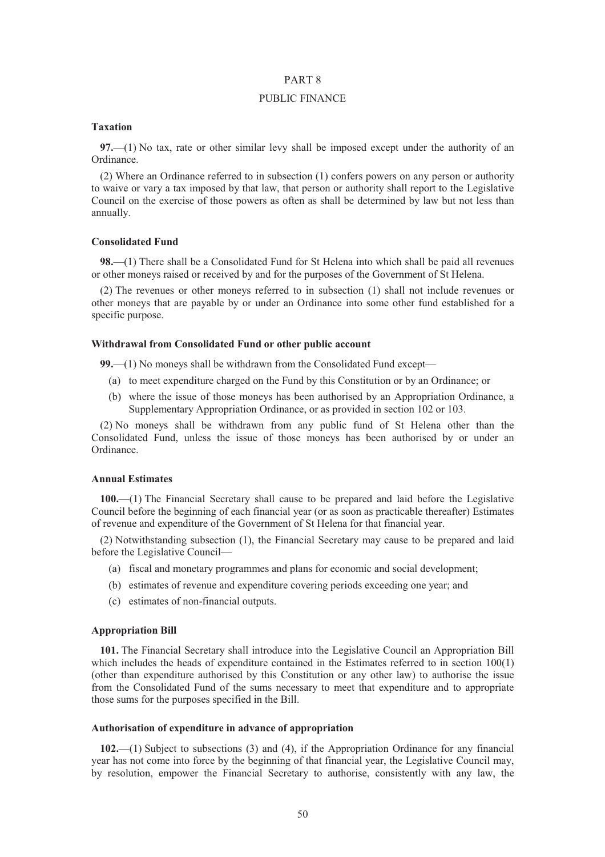# PART 8

# PUBLIC FINANCE

## **Taxation**

**97.**—(1) No tax, rate or other similar levy shall be imposed except under the authority of an Ordinance.

(2) Where an Ordinance referred to in subsection (1) confers powers on any person or authority to waive or vary a tax imposed by that law, that person or authority shall report to the Legislative Council on the exercise of those powers as often as shall be determined by law but not less than annually.

# **Consolidated Fund**

**98.**—(1) There shall be a Consolidated Fund for St Helena into which shall be paid all revenues or other moneys raised or received by and for the purposes of the Government of St Helena.

(2) The revenues or other moneys referred to in subsection (1) shall not include revenues or other moneys that are payable by or under an Ordinance into some other fund established for a specific purpose.

#### **Withdrawal from Consolidated Fund or other public account**

**99.**—(1) No moneys shall be withdrawn from the Consolidated Fund except—

- (a) to meet expenditure charged on the Fund by this Constitution or by an Ordinance; or
- (b) where the issue of those moneys has been authorised by an Appropriation Ordinance, a Supplementary Appropriation Ordinance, or as provided in section 102 or 103.

(2) No moneys shall be withdrawn from any public fund of St Helena other than the Consolidated Fund, unless the issue of those moneys has been authorised by or under an Ordinance.

#### **Annual Estimates**

**100.**—(1) The Financial Secretary shall cause to be prepared and laid before the Legislative Council before the beginning of each financial year (or as soon as practicable thereafter) Estimates of revenue and expenditure of the Government of St Helena for that financial year.

(2) Notwithstanding subsection (1), the Financial Secretary may cause to be prepared and laid before the Legislative Council—

- (a) fiscal and monetary programmes and plans for economic and social development;
- (b) estimates of revenue and expenditure covering periods exceeding one year; and
- (c) estimates of non-financial outputs.

# **Appropriation Bill**

**101.** The Financial Secretary shall introduce into the Legislative Council an Appropriation Bill which includes the heads of expenditure contained in the Estimates referred to in section 100(1) (other than expenditure authorised by this Constitution or any other law) to authorise the issue from the Consolidated Fund of the sums necessary to meet that expenditure and to appropriate those sums for the purposes specified in the Bill.

# **Authorisation of expenditure in advance of appropriation**

**102.**—(1) Subject to subsections (3) and (4), if the Appropriation Ordinance for any financial year has not come into force by the beginning of that financial year, the Legislative Council may, by resolution, empower the Financial Secretary to authorise, consistently with any law, the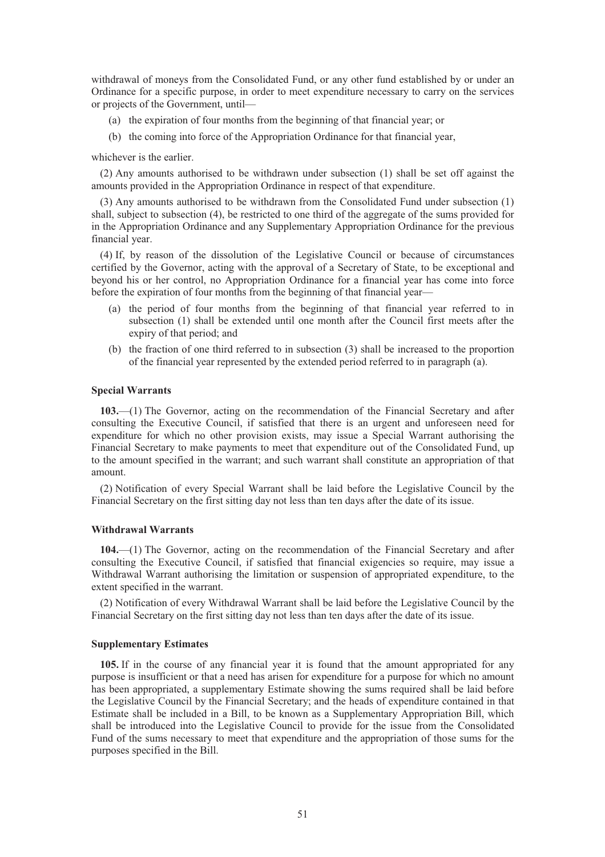withdrawal of moneys from the Consolidated Fund, or any other fund established by or under an Ordinance for a specific purpose, in order to meet expenditure necessary to carry on the services or projects of the Government, until—

- (a) the expiration of four months from the beginning of that financial year; or
- (b) the coming into force of the Appropriation Ordinance for that financial year,

whichever is the earlier.

(2) Any amounts authorised to be withdrawn under subsection (1) shall be set off against the amounts provided in the Appropriation Ordinance in respect of that expenditure.

(3) Any amounts authorised to be withdrawn from the Consolidated Fund under subsection (1) shall, subject to subsection (4), be restricted to one third of the aggregate of the sums provided for in the Appropriation Ordinance and any Supplementary Appropriation Ordinance for the previous financial year.

(4) If, by reason of the dissolution of the Legislative Council or because of circumstances certified by the Governor, acting with the approval of a Secretary of State, to be exceptional and beyond his or her control, no Appropriation Ordinance for a financial year has come into force before the expiration of four months from the beginning of that financial year—

- (a) the period of four months from the beginning of that financial year referred to in subsection (1) shall be extended until one month after the Council first meets after the expiry of that period; and
- (b) the fraction of one third referred to in subsection (3) shall be increased to the proportion of the financial year represented by the extended period referred to in paragraph (a).

#### **Special Warrants**

**103.**—(1) The Governor, acting on the recommendation of the Financial Secretary and after consulting the Executive Council, if satisfied that there is an urgent and unforeseen need for expenditure for which no other provision exists, may issue a Special Warrant authorising the Financial Secretary to make payments to meet that expenditure out of the Consolidated Fund, up to the amount specified in the warrant; and such warrant shall constitute an appropriation of that amount.

(2) Notification of every Special Warrant shall be laid before the Legislative Council by the Financial Secretary on the first sitting day not less than ten days after the date of its issue.

# **Withdrawal Warrants**

**104.**—(1) The Governor, acting on the recommendation of the Financial Secretary and after consulting the Executive Council, if satisfied that financial exigencies so require, may issue a Withdrawal Warrant authorising the limitation or suspension of appropriated expenditure, to the extent specified in the warrant.

(2) Notification of every Withdrawal Warrant shall be laid before the Legislative Council by the Financial Secretary on the first sitting day not less than ten days after the date of its issue.

## **Supplementary Estimates**

**105.** If in the course of any financial year it is found that the amount appropriated for any purpose is insufficient or that a need has arisen for expenditure for a purpose for which no amount has been appropriated, a supplementary Estimate showing the sums required shall be laid before the Legislative Council by the Financial Secretary; and the heads of expenditure contained in that Estimate shall be included in a Bill, to be known as a Supplementary Appropriation Bill, which shall be introduced into the Legislative Council to provide for the issue from the Consolidated Fund of the sums necessary to meet that expenditure and the appropriation of those sums for the purposes specified in the Bill.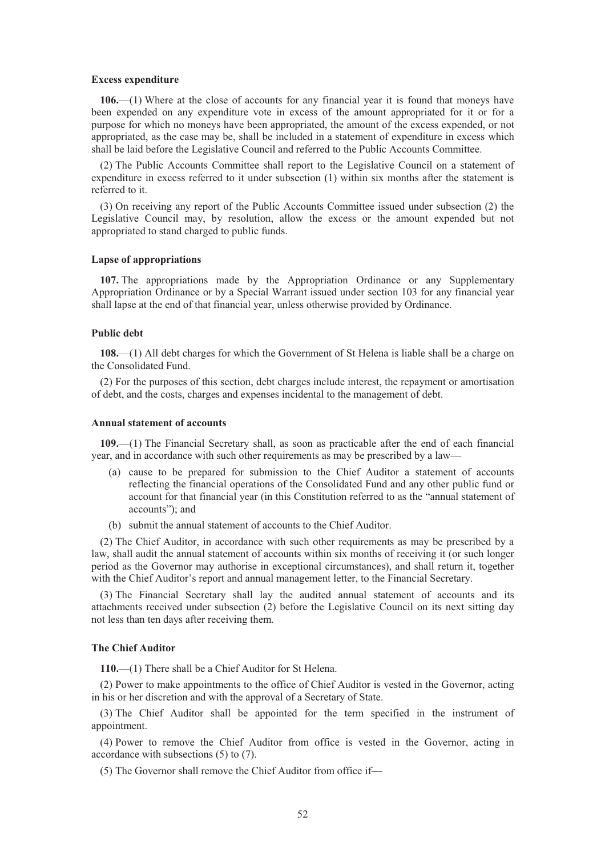#### **Excess expenditure**

**106.**—(1) Where at the close of accounts for any financial year it is found that moneys have been expended on any expenditure vote in excess of the amount appropriated for it or for a purpose for which no moneys have been appropriated, the amount of the excess expended, or not appropriated, as the case may be, shall be included in a statement of expenditure in excess which shall be laid before the Legislative Council and referred to the Public Accounts Committee.

(2) The Public Accounts Committee shall report to the Legislative Council on a statement of expenditure in excess referred to it under subsection (1) within six months after the statement is referred to it.

(3) On receiving any report of the Public Accounts Committee issued under subsection (2) the Legislative Council may, by resolution, allow the excess or the amount expended but not appropriated to stand charged to public funds.

#### **Lapse of appropriations**

**107.** The appropriations made by the Appropriation Ordinance or any Supplementary Appropriation Ordinance or by a Special Warrant issued under section 103 for any financial year shall lapse at the end of that financial year, unless otherwise provided by Ordinance.

# **Public debt**

**108.**—(1) All debt charges for which the Government of St Helena is liable shall be a charge on the Consolidated Fund.

(2) For the purposes of this section, debt charges include interest, the repayment or amortisation of debt, and the costs, charges and expenses incidental to the management of debt.

#### **Annual statement of accounts**

**109.**—(1) The Financial Secretary shall, as soon as practicable after the end of each financial year, and in accordance with such other requirements as may be prescribed by a law—

- (a) cause to be prepared for submission to the Chief Auditor a statement of accounts reflecting the financial operations of the Consolidated Fund and any other public fund or account for that financial year (in this Constitution referred to as the "annual statement of accounts"); and
- (b) submit the annual statement of accounts to the Chief Auditor.

(2) The Chief Auditor, in accordance with such other requirements as may be prescribed by a law, shall audit the annual statement of accounts within six months of receiving it (or such longer period as the Governor may authorise in exceptional circumstances), and shall return it, together with the Chief Auditor's report and annual management letter, to the Financial Secretary.

(3) The Financial Secretary shall lay the audited annual statement of accounts and its attachments received under subsection (2) before the Legislative Council on its next sitting day not less than ten days after receiving them.

#### **The Chief Auditor**

**110.**—(1) There shall be a Chief Auditor for St Helena.

(2) Power to make appointments to the office of Chief Auditor is vested in the Governor, acting in his or her discretion and with the approval of a Secretary of State.

(3) The Chief Auditor shall be appointed for the term specified in the instrument of appointment.

(4) Power to remove the Chief Auditor from office is vested in the Governor, acting in accordance with subsections (5) to (7).

(5) The Governor shall remove the Chief Auditor from office if—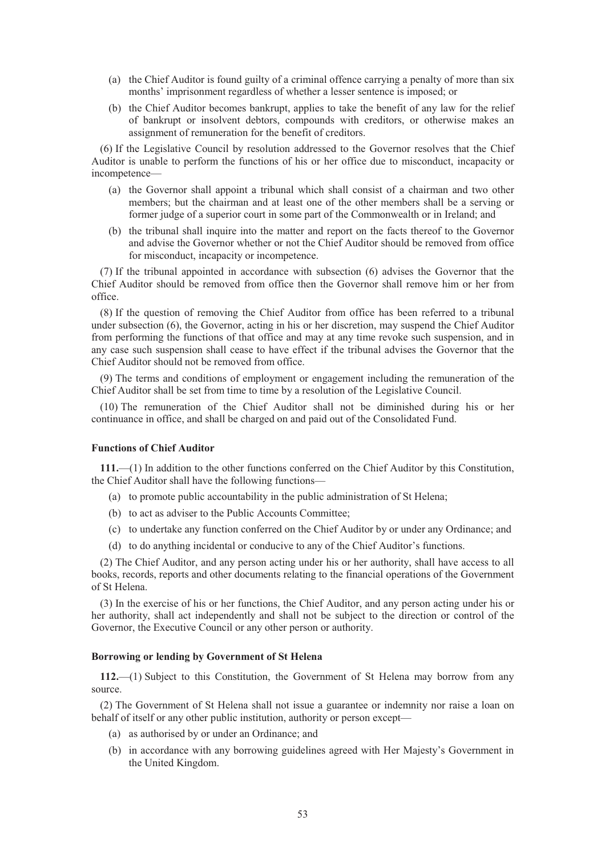- (a) the Chief Auditor is found guilty of a criminal offence carrying a penalty of more than six months' imprisonment regardless of whether a lesser sentence is imposed; or
- (b) the Chief Auditor becomes bankrupt, applies to take the benefit of any law for the relief of bankrupt or insolvent debtors, compounds with creditors, or otherwise makes an assignment of remuneration for the benefit of creditors.

(6) If the Legislative Council by resolution addressed to the Governor resolves that the Chief Auditor is unable to perform the functions of his or her office due to misconduct, incapacity or incompetence—

- (a) the Governor shall appoint a tribunal which shall consist of a chairman and two other members; but the chairman and at least one of the other members shall be a serving or former judge of a superior court in some part of the Commonwealth or in Ireland; and
- (b) the tribunal shall inquire into the matter and report on the facts thereof to the Governor and advise the Governor whether or not the Chief Auditor should be removed from office for misconduct, incapacity or incompetence.

(7) If the tribunal appointed in accordance with subsection (6) advises the Governor that the Chief Auditor should be removed from office then the Governor shall remove him or her from office.

(8) If the question of removing the Chief Auditor from office has been referred to a tribunal under subsection (6), the Governor, acting in his or her discretion, may suspend the Chief Auditor from performing the functions of that office and may at any time revoke such suspension, and in any case such suspension shall cease to have effect if the tribunal advises the Governor that the Chief Auditor should not be removed from office.

(9) The terms and conditions of employment or engagement including the remuneration of the Chief Auditor shall be set from time to time by a resolution of the Legislative Council.

(10) The remuneration of the Chief Auditor shall not be diminished during his or her continuance in office, and shall be charged on and paid out of the Consolidated Fund.

## **Functions of Chief Auditor**

**111.**—(1) In addition to the other functions conferred on the Chief Auditor by this Constitution, the Chief Auditor shall have the following functions—

- (a) to promote public accountability in the public administration of St Helena;
- (b) to act as adviser to the Public Accounts Committee;
- (c) to undertake any function conferred on the Chief Auditor by or under any Ordinance; and
- (d) to do anything incidental or conducive to any of the Chief Auditor's functions.

(2) The Chief Auditor, and any person acting under his or her authority, shall have access to all books, records, reports and other documents relating to the financial operations of the Government of St Helena.

(3) In the exercise of his or her functions, the Chief Auditor, and any person acting under his or her authority, shall act independently and shall not be subject to the direction or control of the Governor, the Executive Council or any other person or authority.

#### **Borrowing or lending by Government of St Helena**

**112.**—(1) Subject to this Constitution, the Government of St Helena may borrow from any source.

(2) The Government of St Helena shall not issue a guarantee or indemnity nor raise a loan on behalf of itself or any other public institution, authority or person except—

- (a) as authorised by or under an Ordinance; and
- (b) in accordance with any borrowing guidelines agreed with Her Majesty's Government in the United Kingdom.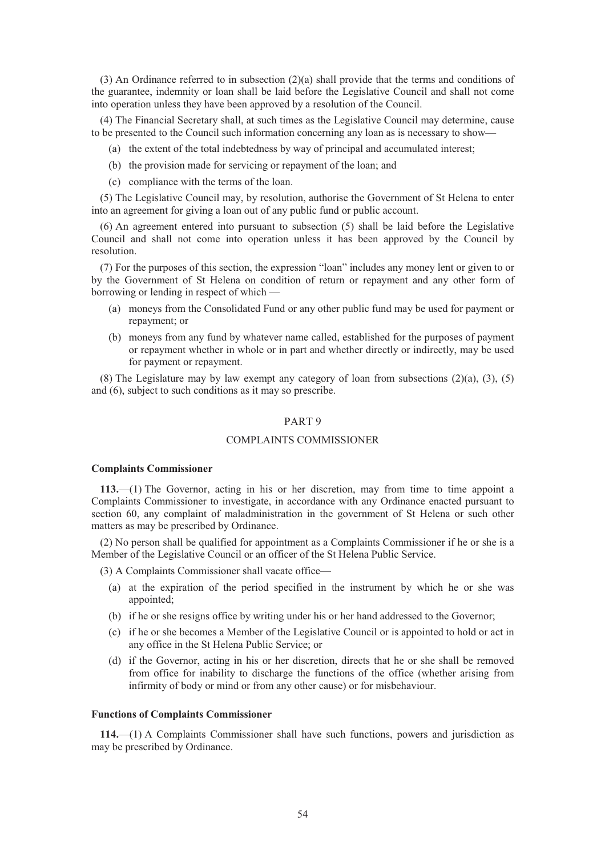(3) An Ordinance referred to in subsection (2)(a) shall provide that the terms and conditions of the guarantee, indemnity or loan shall be laid before the Legislative Council and shall not come into operation unless they have been approved by a resolution of the Council.

(4) The Financial Secretary shall, at such times as the Legislative Council may determine, cause to be presented to the Council such information concerning any loan as is necessary to show—

- (a) the extent of the total indebtedness by way of principal and accumulated interest;
- (b) the provision made for servicing or repayment of the loan; and
- (c) compliance with the terms of the loan.

(5) The Legislative Council may, by resolution, authorise the Government of St Helena to enter into an agreement for giving a loan out of any public fund or public account.

(6) An agreement entered into pursuant to subsection (5) shall be laid before the Legislative Council and shall not come into operation unless it has been approved by the Council by resolution.

(7) For the purposes of this section, the expression "loan" includes any money lent or given to or by the Government of St Helena on condition of return or repayment and any other form of borrowing or lending in respect of which —

- (a) moneys from the Consolidated Fund or any other public fund may be used for payment or repayment; or
- (b) moneys from any fund by whatever name called, established for the purposes of payment or repayment whether in whole or in part and whether directly or indirectly, may be used for payment or repayment.

(8) The Legislature may by law exempt any category of loan from subsections  $(2)(a)$ ,  $(3)$ ,  $(5)$ and (6), subject to such conditions as it may so prescribe.

# PART 9

# COMPLAINTS COMMISSIONER

## **Complaints Commissioner**

**113.**—(1) The Governor, acting in his or her discretion, may from time to time appoint a Complaints Commissioner to investigate, in accordance with any Ordinance enacted pursuant to section 60, any complaint of maladministration in the government of St Helena or such other matters as may be prescribed by Ordinance.

(2) No person shall be qualified for appointment as a Complaints Commissioner if he or she is a Member of the Legislative Council or an officer of the St Helena Public Service.

(3) A Complaints Commissioner shall vacate office—

- (a) at the expiration of the period specified in the instrument by which he or she was appointed;
- (b) if he or she resigns office by writing under his or her hand addressed to the Governor;
- (c) if he or she becomes a Member of the Legislative Council or is appointed to hold or act in any office in the St Helena Public Service; or
- (d) if the Governor, acting in his or her discretion, directs that he or she shall be removed from office for inability to discharge the functions of the office (whether arising from infirmity of body or mind or from any other cause) or for misbehaviour.

## **Functions of Complaints Commissioner**

**114.**—(1) A Complaints Commissioner shall have such functions, powers and jurisdiction as may be prescribed by Ordinance.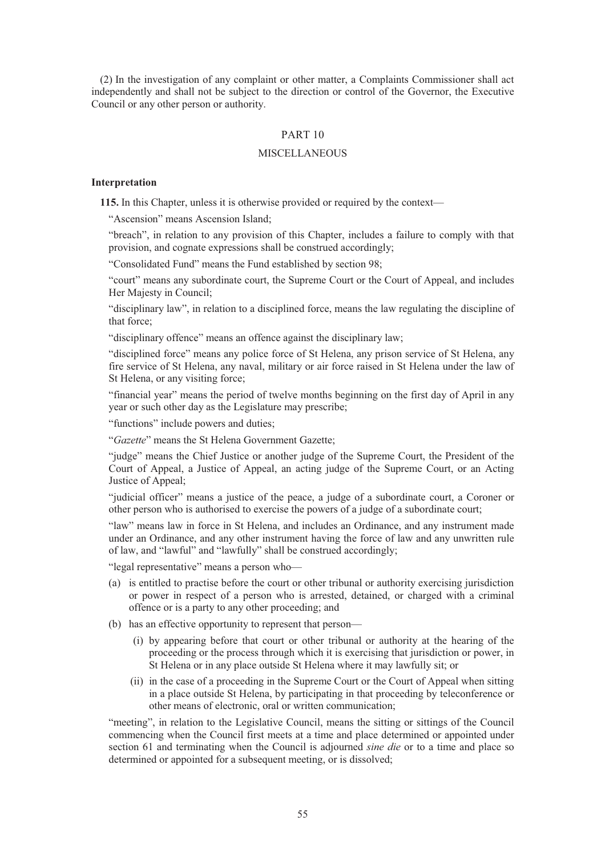(2) In the investigation of any complaint or other matter, a Complaints Commissioner shall act independently and shall not be subject to the direction or control of the Governor, the Executive Council or any other person or authority.

## PART 10

# **MISCELLANEOUS**

# **Interpretation**

**115.** In this Chapter, unless it is otherwise provided or required by the context—

"Ascension" means Ascension Island;

"breach", in relation to any provision of this Chapter, includes a failure to comply with that provision, and cognate expressions shall be construed accordingly;

"Consolidated Fund" means the Fund established by section 98;

"court" means any subordinate court, the Supreme Court or the Court of Appeal, and includes Her Majesty in Council;

"disciplinary law", in relation to a disciplined force, means the law regulating the discipline of that force;

"disciplinary offence" means an offence against the disciplinary law;

"disciplined force" means any police force of St Helena, any prison service of St Helena, any fire service of St Helena, any naval, military or air force raised in St Helena under the law of St Helena, or any visiting force;

"financial year" means the period of twelve months beginning on the first day of April in any year or such other day as the Legislature may prescribe;

"functions" include powers and duties;

"*Gazette*" means the St Helena Government Gazette;

"judge" means the Chief Justice or another judge of the Supreme Court, the President of the Court of Appeal, a Justice of Appeal, an acting judge of the Supreme Court, or an Acting Justice of Appeal;

"judicial officer" means a justice of the peace, a judge of a subordinate court, a Coroner or other person who is authorised to exercise the powers of a judge of a subordinate court;

"law" means law in force in St Helena, and includes an Ordinance, and any instrument made under an Ordinance, and any other instrument having the force of law and any unwritten rule of law, and "lawful" and "lawfully" shall be construed accordingly;

"legal representative" means a person who—

- (a) is entitled to practise before the court or other tribunal or authority exercising jurisdiction or power in respect of a person who is arrested, detained, or charged with a criminal offence or is a party to any other proceeding; and
- (b) has an effective opportunity to represent that person—
	- (i) by appearing before that court or other tribunal or authority at the hearing of the proceeding or the process through which it is exercising that jurisdiction or power, in St Helena or in any place outside St Helena where it may lawfully sit; or
	- (ii) in the case of a proceeding in the Supreme Court or the Court of Appeal when sitting in a place outside St Helena, by participating in that proceeding by teleconference or other means of electronic, oral or written communication;

"meeting", in relation to the Legislative Council, means the sitting or sittings of the Council commencing when the Council first meets at a time and place determined or appointed under section 61 and terminating when the Council is adjourned *sine die* or to a time and place so determined or appointed for a subsequent meeting, or is dissolved;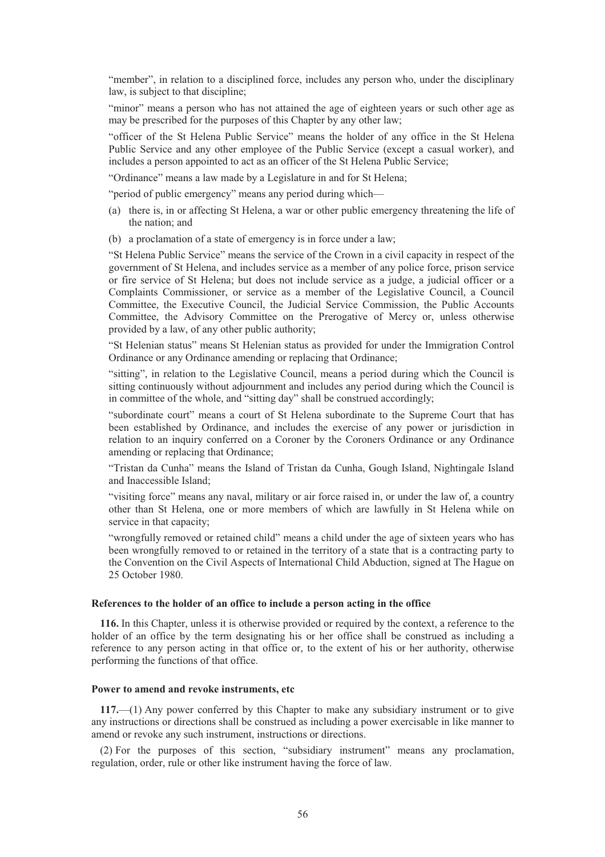"member", in relation to a disciplined force, includes any person who, under the disciplinary law, is subject to that discipline;

"minor" means a person who has not attained the age of eighteen years or such other age as may be prescribed for the purposes of this Chapter by any other law;

"officer of the St Helena Public Service" means the holder of any office in the St Helena Public Service and any other employee of the Public Service (except a casual worker), and includes a person appointed to act as an officer of the St Helena Public Service;

"Ordinance" means a law made by a Legislature in and for St Helena;

"period of public emergency" means any period during which—

- (a) there is, in or affecting St Helena, a war or other public emergency threatening the life of the nation; and
- (b) a proclamation of a state of emergency is in force under a law;

"St Helena Public Service" means the service of the Crown in a civil capacity in respect of the government of St Helena, and includes service as a member of any police force, prison service or fire service of St Helena; but does not include service as a judge, a judicial officer or a Complaints Commissioner, or service as a member of the Legislative Council, a Council Committee, the Executive Council, the Judicial Service Commission, the Public Accounts Committee, the Advisory Committee on the Prerogative of Mercy or, unless otherwise provided by a law, of any other public authority;

"St Helenian status" means St Helenian status as provided for under the Immigration Control Ordinance or any Ordinance amending or replacing that Ordinance;

"sitting", in relation to the Legislative Council, means a period during which the Council is sitting continuously without adjournment and includes any period during which the Council is in committee of the whole, and "sitting day" shall be construed accordingly;

"subordinate court" means a court of St Helena subordinate to the Supreme Court that has been established by Ordinance, and includes the exercise of any power or jurisdiction in relation to an inquiry conferred on a Coroner by the Coroners Ordinance or any Ordinance amending or replacing that Ordinance;

"Tristan da Cunha" means the Island of Tristan da Cunha, Gough Island, Nightingale Island and Inaccessible Island;

"visiting force" means any naval, military or air force raised in, or under the law of, a country other than St Helena, one or more members of which are lawfully in St Helena while on service in that capacity;

"wrongfully removed or retained child" means a child under the age of sixteen years who has been wrongfully removed to or retained in the territory of a state that is a contracting party to the Convention on the Civil Aspects of International Child Abduction, signed at The Hague on 25 October 1980.

## **References to the holder of an office to include a person acting in the office**

**116.** In this Chapter, unless it is otherwise provided or required by the context, a reference to the holder of an office by the term designating his or her office shall be construed as including a reference to any person acting in that office or, to the extent of his or her authority, otherwise performing the functions of that office.

## **Power to amend and revoke instruments, etc**

**117.**—(1) Any power conferred by this Chapter to make any subsidiary instrument or to give any instructions or directions shall be construed as including a power exercisable in like manner to amend or revoke any such instrument, instructions or directions.

(2) For the purposes of this section, "subsidiary instrument" means any proclamation, regulation, order, rule or other like instrument having the force of law.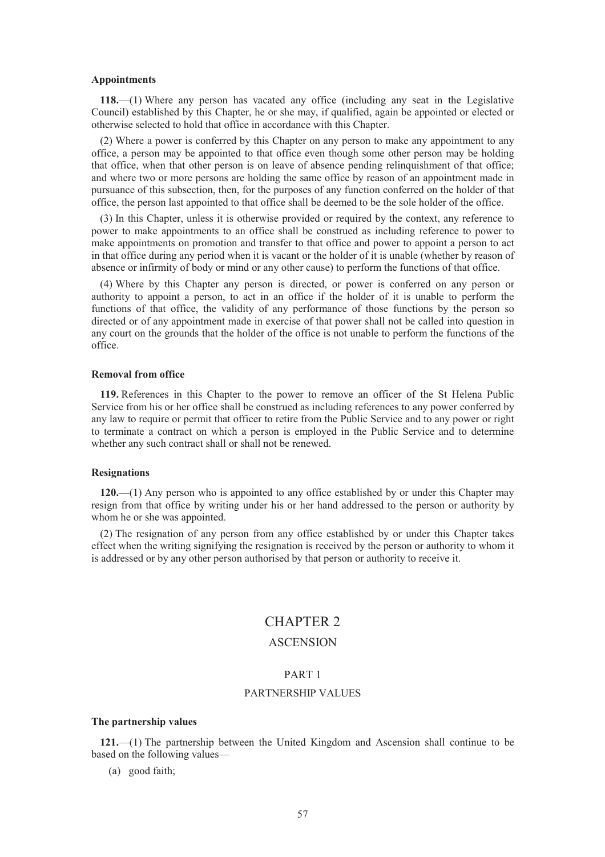#### **Appointments**

**118.**—(1) Where any person has vacated any office (including any seat in the Legislative Council) established by this Chapter, he or she may, if qualified, again be appointed or elected or otherwise selected to hold that office in accordance with this Chapter.

(2) Where a power is conferred by this Chapter on any person to make any appointment to any office, a person may be appointed to that office even though some other person may be holding that office, when that other person is on leave of absence pending relinquishment of that office; and where two or more persons are holding the same office by reason of an appointment made in pursuance of this subsection, then, for the purposes of any function conferred on the holder of that office, the person last appointed to that office shall be deemed to be the sole holder of the office.

(3) In this Chapter, unless it is otherwise provided or required by the context, any reference to power to make appointments to an office shall be construed as including reference to power to make appointments on promotion and transfer to that office and power to appoint a person to act in that office during any period when it is vacant or the holder of it is unable (whether by reason of absence or infirmity of body or mind or any other cause) to perform the functions of that office.

(4) Where by this Chapter any person is directed, or power is conferred on any person or authority to appoint a person, to act in an office if the holder of it is unable to perform the functions of that office, the validity of any performance of those functions by the person so directed or of any appointment made in exercise of that power shall not be called into question in any court on the grounds that the holder of the office is not unable to perform the functions of the office.

## **Removal from office**

**119.** References in this Chapter to the power to remove an officer of the St Helena Public Service from his or her office shall be construed as including references to any power conferred by any law to require or permit that officer to retire from the Public Service and to any power or right to terminate a contract on which a person is employed in the Public Service and to determine whether any such contract shall or shall not be renewed.

# **Resignations**

**120.**—(1) Any person who is appointed to any office established by or under this Chapter may resign from that office by writing under his or her hand addressed to the person or authority by whom he or she was appointed.

(2) The resignation of any person from any office established by or under this Chapter takes effect when the writing signifying the resignation is received by the person or authority to whom it is addressed or by any other person authorised by that person or authority to receive it.

# CHAPTER 2

# **ASCENSION**

# PART 1

## PARTNERSHIP VALUES

#### **The partnership values**

**121.**—(1) The partnership between the United Kingdom and Ascension shall continue to be based on the following values—

(a) good faith;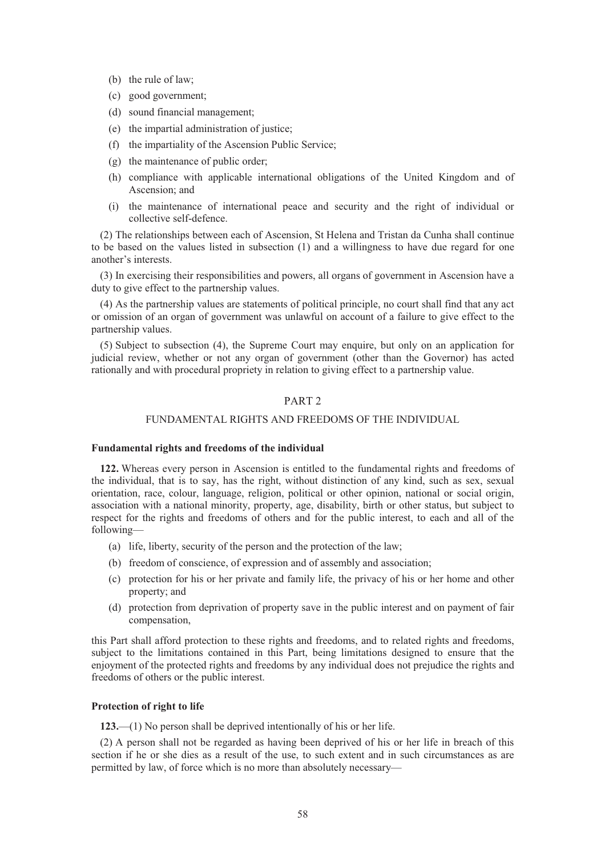- (b) the rule of law;
- (c) good government;
- (d) sound financial management;
- (e) the impartial administration of justice;
- (f) the impartiality of the Ascension Public Service;
- (g) the maintenance of public order;
- (h) compliance with applicable international obligations of the United Kingdom and of Ascension; and
- (i) the maintenance of international peace and security and the right of individual or collective self-defence.

(2) The relationships between each of Ascension, St Helena and Tristan da Cunha shall continue to be based on the values listed in subsection (1) and a willingness to have due regard for one another's interests.

(3) In exercising their responsibilities and powers, all organs of government in Ascension have a duty to give effect to the partnership values.

(4) As the partnership values are statements of political principle, no court shall find that any act or omission of an organ of government was unlawful on account of a failure to give effect to the partnership values.

(5) Subject to subsection (4), the Supreme Court may enquire, but only on an application for judicial review, whether or not any organ of government (other than the Governor) has acted rationally and with procedural propriety in relation to giving effect to a partnership value.

# PART 2

# FUNDAMENTAL RIGHTS AND FREEDOMS OF THE INDIVIDUAL

#### **Fundamental rights and freedoms of the individual**

**122.** Whereas every person in Ascension is entitled to the fundamental rights and freedoms of the individual, that is to say, has the right, without distinction of any kind, such as sex, sexual orientation, race, colour, language, religion, political or other opinion, national or social origin, association with a national minority, property, age, disability, birth or other status, but subject to respect for the rights and freedoms of others and for the public interest, to each and all of the following—

- (a) life, liberty, security of the person and the protection of the law;
- (b) freedom of conscience, of expression and of assembly and association;
- (c) protection for his or her private and family life, the privacy of his or her home and other property; and
- (d) protection from deprivation of property save in the public interest and on payment of fair compensation,

this Part shall afford protection to these rights and freedoms, and to related rights and freedoms, subject to the limitations contained in this Part, being limitations designed to ensure that the enjoyment of the protected rights and freedoms by any individual does not prejudice the rights and freedoms of others or the public interest.

# **Protection of right to life**

**123.**—(1) No person shall be deprived intentionally of his or her life.

(2) A person shall not be regarded as having been deprived of his or her life in breach of this section if he or she dies as a result of the use, to such extent and in such circumstances as are permitted by law, of force which is no more than absolutely necessary—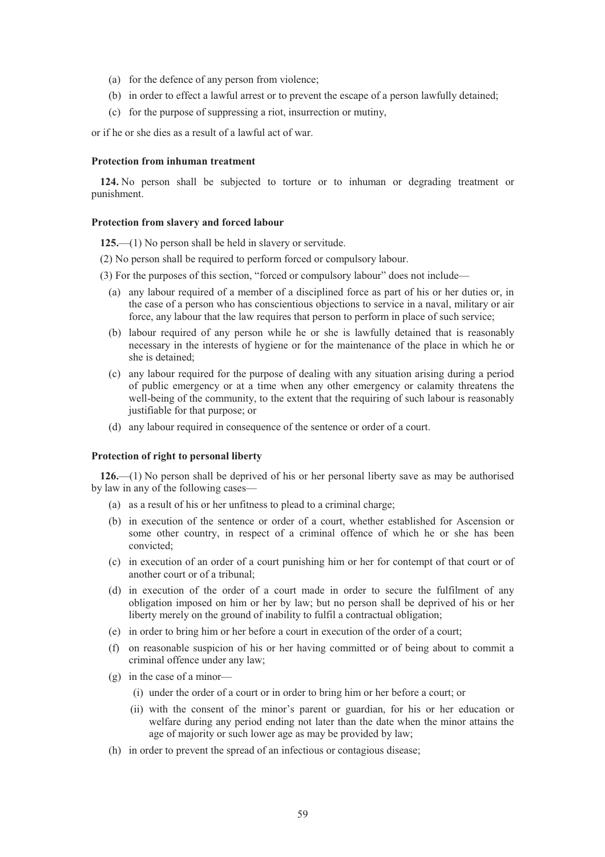- (a) for the defence of any person from violence;
- (b) in order to effect a lawful arrest or to prevent the escape of a person lawfully detained;
- (c) for the purpose of suppressing a riot, insurrection or mutiny,

or if he or she dies as a result of a lawful act of war.

# **Protection from inhuman treatment**

**124.** No person shall be subjected to torture or to inhuman or degrading treatment or punishment.

#### **Protection from slavery and forced labour**

**125.**—(1) No person shall be held in slavery or servitude.

- (2) No person shall be required to perform forced or compulsory labour.
- (3) For the purposes of this section, "forced or compulsory labour" does not include—
	- (a) any labour required of a member of a disciplined force as part of his or her duties or, in the case of a person who has conscientious objections to service in a naval, military or air force, any labour that the law requires that person to perform in place of such service;
	- (b) labour required of any person while he or she is lawfully detained that is reasonably necessary in the interests of hygiene or for the maintenance of the place in which he or she is detained;
	- (c) any labour required for the purpose of dealing with any situation arising during a period of public emergency or at a time when any other emergency or calamity threatens the well-being of the community, to the extent that the requiring of such labour is reasonably justifiable for that purpose; or
	- (d) any labour required in consequence of the sentence or order of a court.

#### **Protection of right to personal liberty**

**126.**—(1) No person shall be deprived of his or her personal liberty save as may be authorised by law in any of the following cases—

- (a) as a result of his or her unfitness to plead to a criminal charge;
- (b) in execution of the sentence or order of a court, whether established for Ascension or some other country, in respect of a criminal offence of which he or she has been convicted;
- (c) in execution of an order of a court punishing him or her for contempt of that court or of another court or of a tribunal;
- (d) in execution of the order of a court made in order to secure the fulfilment of any obligation imposed on him or her by law; but no person shall be deprived of his or her liberty merely on the ground of inability to fulfil a contractual obligation;
- (e) in order to bring him or her before a court in execution of the order of a court;
- (f) on reasonable suspicion of his or her having committed or of being about to commit a criminal offence under any law;
- (g) in the case of a minor—
	- (i) under the order of a court or in order to bring him or her before a court; or
	- (ii) with the consent of the minor's parent or guardian, for his or her education or welfare during any period ending not later than the date when the minor attains the age of majority or such lower age as may be provided by law;
- (h) in order to prevent the spread of an infectious or contagious disease;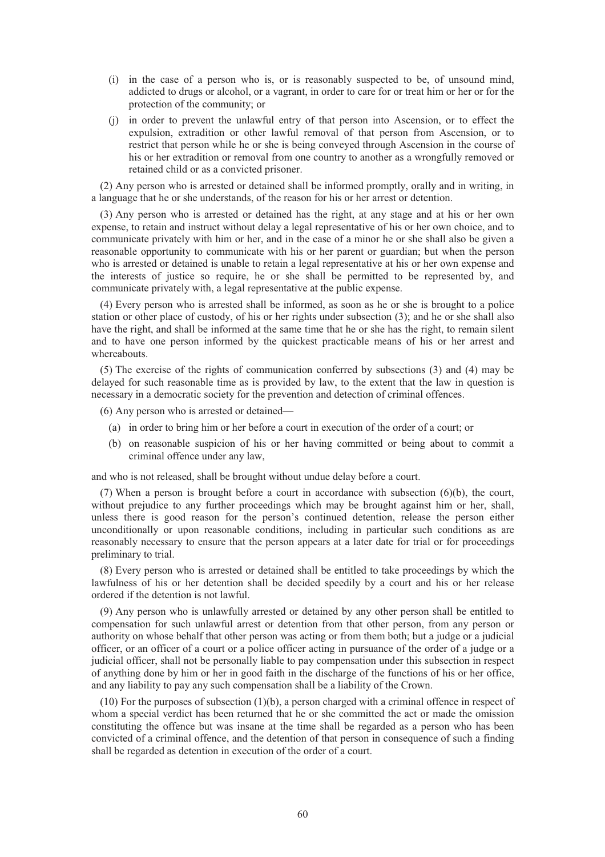- (i) in the case of a person who is, or is reasonably suspected to be, of unsound mind, addicted to drugs or alcohol, or a vagrant, in order to care for or treat him or her or for the protection of the community; or
- (j) in order to prevent the unlawful entry of that person into Ascension, or to effect the expulsion, extradition or other lawful removal of that person from Ascension, or to restrict that person while he or she is being conveyed through Ascension in the course of his or her extradition or removal from one country to another as a wrongfully removed or retained child or as a convicted prisoner.

(2) Any person who is arrested or detained shall be informed promptly, orally and in writing, in a language that he or she understands, of the reason for his or her arrest or detention.

(3) Any person who is arrested or detained has the right, at any stage and at his or her own expense, to retain and instruct without delay a legal representative of his or her own choice, and to communicate privately with him or her, and in the case of a minor he or she shall also be given a reasonable opportunity to communicate with his or her parent or guardian; but when the person who is arrested or detained is unable to retain a legal representative at his or her own expense and the interests of justice so require, he or she shall be permitted to be represented by, and communicate privately with, a legal representative at the public expense.

(4) Every person who is arrested shall be informed, as soon as he or she is brought to a police station or other place of custody, of his or her rights under subsection (3); and he or she shall also have the right, and shall be informed at the same time that he or she has the right, to remain silent and to have one person informed by the quickest practicable means of his or her arrest and whereabouts.

(5) The exercise of the rights of communication conferred by subsections (3) and (4) may be delayed for such reasonable time as is provided by law, to the extent that the law in question is necessary in a democratic society for the prevention and detection of criminal offences.

(6) Any person who is arrested or detained—

- (a) in order to bring him or her before a court in execution of the order of a court; or
- (b) on reasonable suspicion of his or her having committed or being about to commit a criminal offence under any law,

and who is not released, shall be brought without undue delay before a court.

(7) When a person is brought before a court in accordance with subsection (6)(b), the court, without prejudice to any further proceedings which may be brought against him or her, shall, unless there is good reason for the person's continued detention, release the person either unconditionally or upon reasonable conditions, including in particular such conditions as are reasonably necessary to ensure that the person appears at a later date for trial or for proceedings preliminary to trial.

(8) Every person who is arrested or detained shall be entitled to take proceedings by which the lawfulness of his or her detention shall be decided speedily by a court and his or her release ordered if the detention is not lawful.

(9) Any person who is unlawfully arrested or detained by any other person shall be entitled to compensation for such unlawful arrest or detention from that other person, from any person or authority on whose behalf that other person was acting or from them both; but a judge or a judicial officer, or an officer of a court or a police officer acting in pursuance of the order of a judge or a judicial officer, shall not be personally liable to pay compensation under this subsection in respect of anything done by him or her in good faith in the discharge of the functions of his or her office, and any liability to pay any such compensation shall be a liability of the Crown.

(10) For the purposes of subsection (1)(b), a person charged with a criminal offence in respect of whom a special verdict has been returned that he or she committed the act or made the omission constituting the offence but was insane at the time shall be regarded as a person who has been convicted of a criminal offence, and the detention of that person in consequence of such a finding shall be regarded as detention in execution of the order of a court.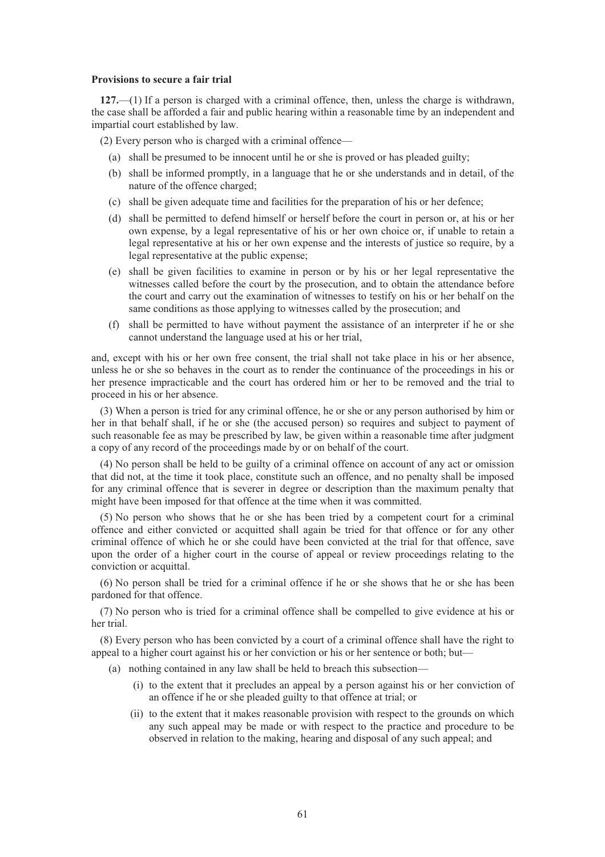#### **Provisions to secure a fair trial**

**127.**—(1) If a person is charged with a criminal offence, then, unless the charge is withdrawn, the case shall be afforded a fair and public hearing within a reasonable time by an independent and impartial court established by law.

(2) Every person who is charged with a criminal offence—

- (a) shall be presumed to be innocent until he or she is proved or has pleaded guilty;
- (b) shall be informed promptly, in a language that he or she understands and in detail, of the nature of the offence charged;
- (c) shall be given adequate time and facilities for the preparation of his or her defence;
- (d) shall be permitted to defend himself or herself before the court in person or, at his or her own expense, by a legal representative of his or her own choice or, if unable to retain a legal representative at his or her own expense and the interests of justice so require, by a legal representative at the public expense;
- (e) shall be given facilities to examine in person or by his or her legal representative the witnesses called before the court by the prosecution, and to obtain the attendance before the court and carry out the examination of witnesses to testify on his or her behalf on the same conditions as those applying to witnesses called by the prosecution; and
- (f) shall be permitted to have without payment the assistance of an interpreter if he or she cannot understand the language used at his or her trial,

and, except with his or her own free consent, the trial shall not take place in his or her absence, unless he or she so behaves in the court as to render the continuance of the proceedings in his or her presence impracticable and the court has ordered him or her to be removed and the trial to proceed in his or her absence.

(3) When a person is tried for any criminal offence, he or she or any person authorised by him or her in that behalf shall, if he or she (the accused person) so requires and subject to payment of such reasonable fee as may be prescribed by law, be given within a reasonable time after judgment a copy of any record of the proceedings made by or on behalf of the court.

(4) No person shall be held to be guilty of a criminal offence on account of any act or omission that did not, at the time it took place, constitute such an offence, and no penalty shall be imposed for any criminal offence that is severer in degree or description than the maximum penalty that might have been imposed for that offence at the time when it was committed.

(5) No person who shows that he or she has been tried by a competent court for a criminal offence and either convicted or acquitted shall again be tried for that offence or for any other criminal offence of which he or she could have been convicted at the trial for that offence, save upon the order of a higher court in the course of appeal or review proceedings relating to the conviction or acquittal.

(6) No person shall be tried for a criminal offence if he or she shows that he or she has been pardoned for that offence.

(7) No person who is tried for a criminal offence shall be compelled to give evidence at his or her trial.

(8) Every person who has been convicted by a court of a criminal offence shall have the right to appeal to a higher court against his or her conviction or his or her sentence or both; but—

- (a) nothing contained in any law shall be held to breach this subsection—
	- (i) to the extent that it precludes an appeal by a person against his or her conviction of an offence if he or she pleaded guilty to that offence at trial; or
	- (ii) to the extent that it makes reasonable provision with respect to the grounds on which any such appeal may be made or with respect to the practice and procedure to be observed in relation to the making, hearing and disposal of any such appeal; and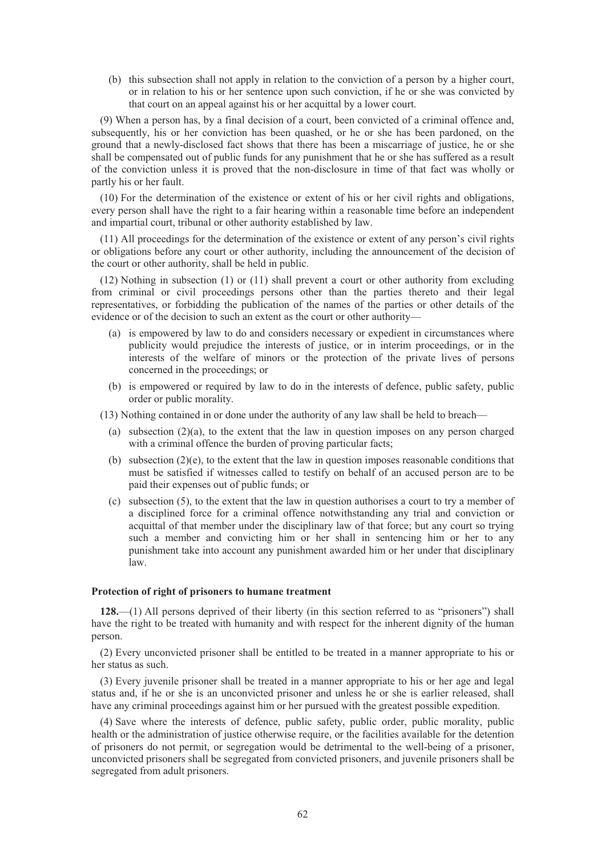(b) this subsection shall not apply in relation to the conviction of a person by a higher court, or in relation to his or her sentence upon such conviction, if he or she was convicted by that court on an appeal against his or her acquittal by a lower court.

(9) When a person has, by a final decision of a court, been convicted of a criminal offence and, subsequently, his or her conviction has been quashed, or he or she has been pardoned, on the ground that a newly-disclosed fact shows that there has been a miscarriage of justice, he or she shall be compensated out of public funds for any punishment that he or she has suffered as a result of the conviction unless it is proved that the non-disclosure in time of that fact was wholly or partly his or her fault.

(10) For the determination of the existence or extent of his or her civil rights and obligations, every person shall have the right to a fair hearing within a reasonable time before an independent and impartial court, tribunal or other authority established by law.

(11) All proceedings for the determination of the existence or extent of any person's civil rights or obligations before any court or other authority, including the announcement of the decision of the court or other authority, shall be held in public.

(12) Nothing in subsection (1) or (11) shall prevent a court or other authority from excluding from criminal or civil proceedings persons other than the parties thereto and their legal representatives, or forbidding the publication of the names of the parties or other details of the evidence or of the decision to such an extent as the court or other authority—

- (a) is empowered by law to do and considers necessary or expedient in circumstances where publicity would prejudice the interests of justice, or in interim proceedings, or in the interests of the welfare of minors or the protection of the private lives of persons concerned in the proceedings; or
- (b) is empowered or required by law to do in the interests of defence, public safety, public order or public morality.

(13) Nothing contained in or done under the authority of any law shall be held to breach—

- (a) subsection (2)(a), to the extent that the law in question imposes on any person charged with a criminal offence the burden of proving particular facts;
- (b) subsection  $(2)(e)$ , to the extent that the law in question imposes reasonable conditions that must be satisfied if witnesses called to testify on behalf of an accused person are to be paid their expenses out of public funds; or
- (c) subsection (5), to the extent that the law in question authorises a court to try a member of a disciplined force for a criminal offence notwithstanding any trial and conviction or acquittal of that member under the disciplinary law of that force; but any court so trying such a member and convicting him or her shall in sentencing him or her to any punishment take into account any punishment awarded him or her under that disciplinary law.

#### **Protection of right of prisoners to humane treatment**

**128.**—(1) All persons deprived of their liberty (in this section referred to as "prisoners") shall have the right to be treated with humanity and with respect for the inherent dignity of the human person.

(2) Every unconvicted prisoner shall be entitled to be treated in a manner appropriate to his or her status as such.

(3) Every juvenile prisoner shall be treated in a manner appropriate to his or her age and legal status and, if he or she is an unconvicted prisoner and unless he or she is earlier released, shall have any criminal proceedings against him or her pursued with the greatest possible expedition.

(4) Save where the interests of defence, public safety, public order, public morality, public health or the administration of justice otherwise require, or the facilities available for the detention of prisoners do not permit, or segregation would be detrimental to the well-being of a prisoner, unconvicted prisoners shall be segregated from convicted prisoners, and juvenile prisoners shall be segregated from adult prisoners.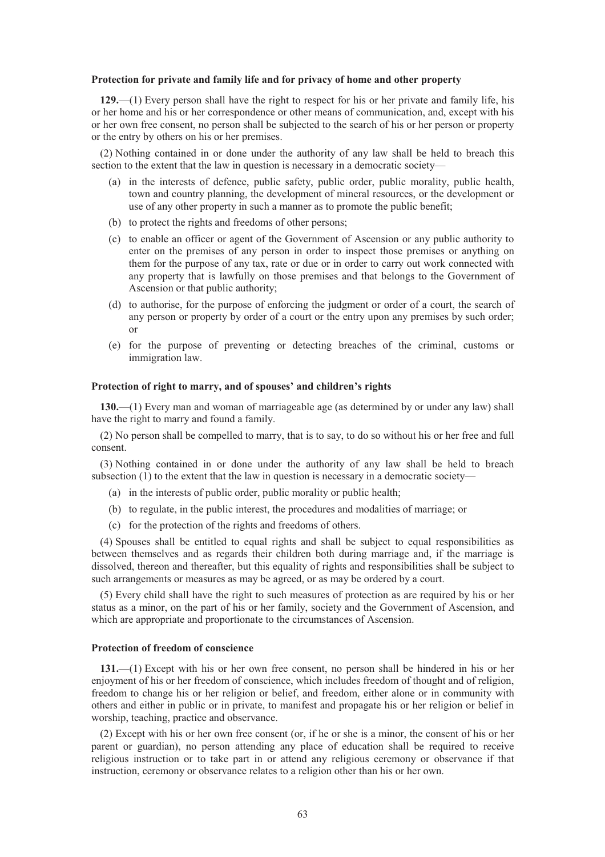#### **Protection for private and family life and for privacy of home and other property**

**129.**—(1) Every person shall have the right to respect for his or her private and family life, his or her home and his or her correspondence or other means of communication, and, except with his or her own free consent, no person shall be subjected to the search of his or her person or property or the entry by others on his or her premises.

(2) Nothing contained in or done under the authority of any law shall be held to breach this section to the extent that the law in question is necessary in a democratic society—

- (a) in the interests of defence, public safety, public order, public morality, public health, town and country planning, the development of mineral resources, or the development or use of any other property in such a manner as to promote the public benefit;
- (b) to protect the rights and freedoms of other persons;
- (c) to enable an officer or agent of the Government of Ascension or any public authority to enter on the premises of any person in order to inspect those premises or anything on them for the purpose of any tax, rate or due or in order to carry out work connected with any property that is lawfully on those premises and that belongs to the Government of Ascension or that public authority;
- (d) to authorise, for the purpose of enforcing the judgment or order of a court, the search of any person or property by order of a court or the entry upon any premises by such order; or
- (e) for the purpose of preventing or detecting breaches of the criminal, customs or immigration law.

# **Protection of right to marry, and of spouses' and children's rights**

**130.**—(1) Every man and woman of marriageable age (as determined by or under any law) shall have the right to marry and found a family.

(2) No person shall be compelled to marry, that is to say, to do so without his or her free and full consent.

(3) Nothing contained in or done under the authority of any law shall be held to breach subsection (1) to the extent that the law in question is necessary in a democratic society—

- (a) in the interests of public order, public morality or public health;
- (b) to regulate, in the public interest, the procedures and modalities of marriage; or
- (c) for the protection of the rights and freedoms of others.

(4) Spouses shall be entitled to equal rights and shall be subject to equal responsibilities as between themselves and as regards their children both during marriage and, if the marriage is dissolved, thereon and thereafter, but this equality of rights and responsibilities shall be subject to such arrangements or measures as may be agreed, or as may be ordered by a court.

(5) Every child shall have the right to such measures of protection as are required by his or her status as a minor, on the part of his or her family, society and the Government of Ascension, and which are appropriate and proportionate to the circumstances of Ascension.

#### **Protection of freedom of conscience**

**131.**—(1) Except with his or her own free consent, no person shall be hindered in his or her enjoyment of his or her freedom of conscience, which includes freedom of thought and of religion, freedom to change his or her religion or belief, and freedom, either alone or in community with others and either in public or in private, to manifest and propagate his or her religion or belief in worship, teaching, practice and observance.

(2) Except with his or her own free consent (or, if he or she is a minor, the consent of his or her parent or guardian), no person attending any place of education shall be required to receive religious instruction or to take part in or attend any religious ceremony or observance if that instruction, ceremony or observance relates to a religion other than his or her own.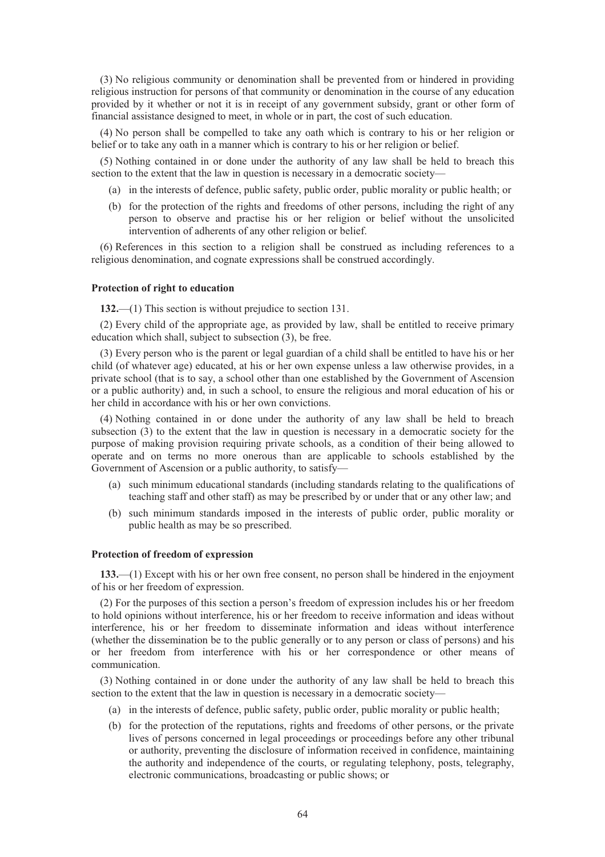(3) No religious community or denomination shall be prevented from or hindered in providing religious instruction for persons of that community or denomination in the course of any education provided by it whether or not it is in receipt of any government subsidy, grant or other form of financial assistance designed to meet, in whole or in part, the cost of such education.

(4) No person shall be compelled to take any oath which is contrary to his or her religion or belief or to take any oath in a manner which is contrary to his or her religion or belief.

(5) Nothing contained in or done under the authority of any law shall be held to breach this section to the extent that the law in question is necessary in a democratic society—

- (a) in the interests of defence, public safety, public order, public morality or public health; or
- (b) for the protection of the rights and freedoms of other persons, including the right of any person to observe and practise his or her religion or belief without the unsolicited intervention of adherents of any other religion or belief.

(6) References in this section to a religion shall be construed as including references to a religious denomination, and cognate expressions shall be construed accordingly.

#### **Protection of right to education**

**132.**—(1) This section is without prejudice to section 131.

(2) Every child of the appropriate age, as provided by law, shall be entitled to receive primary education which shall, subject to subsection (3), be free.

(3) Every person who is the parent or legal guardian of a child shall be entitled to have his or her child (of whatever age) educated, at his or her own expense unless a law otherwise provides, in a private school (that is to say, a school other than one established by the Government of Ascension or a public authority) and, in such a school, to ensure the religious and moral education of his or her child in accordance with his or her own convictions.

(4) Nothing contained in or done under the authority of any law shall be held to breach subsection (3) to the extent that the law in question is necessary in a democratic society for the purpose of making provision requiring private schools, as a condition of their being allowed to operate and on terms no more onerous than are applicable to schools established by the Government of Ascension or a public authority, to satisfy—

- (a) such minimum educational standards (including standards relating to the qualifications of teaching staff and other staff) as may be prescribed by or under that or any other law; and
- (b) such minimum standards imposed in the interests of public order, public morality or public health as may be so prescribed.

## **Protection of freedom of expression**

**133.**—(1) Except with his or her own free consent, no person shall be hindered in the enjoyment of his or her freedom of expression.

(2) For the purposes of this section a person's freedom of expression includes his or her freedom to hold opinions without interference, his or her freedom to receive information and ideas without interference, his or her freedom to disseminate information and ideas without interference (whether the dissemination be to the public generally or to any person or class of persons) and his or her freedom from interference with his or her correspondence or other means of communication.

(3) Nothing contained in or done under the authority of any law shall be held to breach this section to the extent that the law in question is necessary in a democratic society—

- (a) in the interests of defence, public safety, public order, public morality or public health;
- (b) for the protection of the reputations, rights and freedoms of other persons, or the private lives of persons concerned in legal proceedings or proceedings before any other tribunal or authority, preventing the disclosure of information received in confidence, maintaining the authority and independence of the courts, or regulating telephony, posts, telegraphy, electronic communications, broadcasting or public shows; or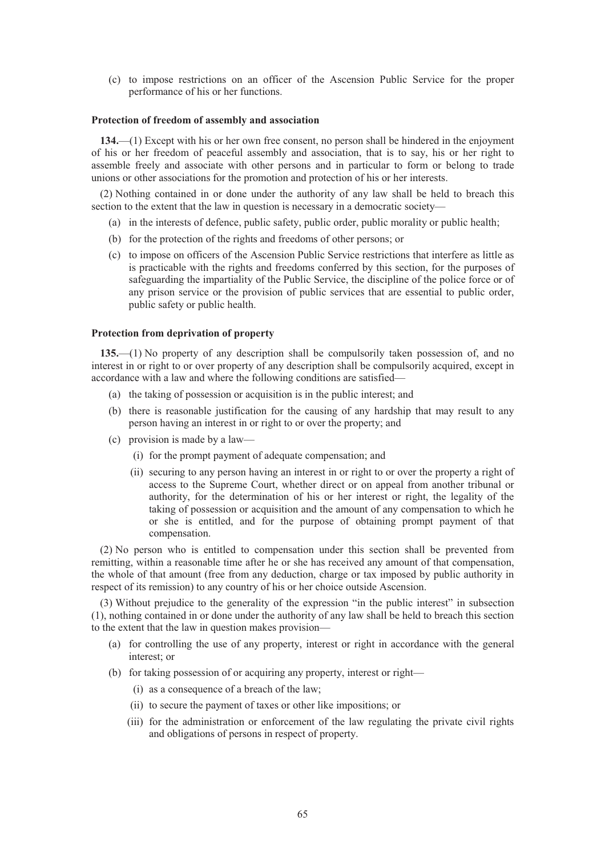(c) to impose restrictions on an officer of the Ascension Public Service for the proper performance of his or her functions.

#### **Protection of freedom of assembly and association**

**134.**—(1) Except with his or her own free consent, no person shall be hindered in the enjoyment of his or her freedom of peaceful assembly and association, that is to say, his or her right to assemble freely and associate with other persons and in particular to form or belong to trade unions or other associations for the promotion and protection of his or her interests.

(2) Nothing contained in or done under the authority of any law shall be held to breach this section to the extent that the law in question is necessary in a democratic society—

- (a) in the interests of defence, public safety, public order, public morality or public health;
- (b) for the protection of the rights and freedoms of other persons; or
- (c) to impose on officers of the Ascension Public Service restrictions that interfere as little as is practicable with the rights and freedoms conferred by this section, for the purposes of safeguarding the impartiality of the Public Service, the discipline of the police force or of any prison service or the provision of public services that are essential to public order, public safety or public health.

#### **Protection from deprivation of property**

**135.**—(1) No property of any description shall be compulsorily taken possession of, and no interest in or right to or over property of any description shall be compulsorily acquired, except in accordance with a law and where the following conditions are satisfied—

- (a) the taking of possession or acquisition is in the public interest; and
- (b) there is reasonable justification for the causing of any hardship that may result to any person having an interest in or right to or over the property; and
- (c) provision is made by a law—
	- (i) for the prompt payment of adequate compensation; and
	- (ii) securing to any person having an interest in or right to or over the property a right of access to the Supreme Court, whether direct or on appeal from another tribunal or authority, for the determination of his or her interest or right, the legality of the taking of possession or acquisition and the amount of any compensation to which he or she is entitled, and for the purpose of obtaining prompt payment of that compensation.

(2) No person who is entitled to compensation under this section shall be prevented from remitting, within a reasonable time after he or she has received any amount of that compensation, the whole of that amount (free from any deduction, charge or tax imposed by public authority in respect of its remission) to any country of his or her choice outside Ascension.

(3) Without prejudice to the generality of the expression "in the public interest" in subsection (1), nothing contained in or done under the authority of any law shall be held to breach this section to the extent that the law in question makes provision—

- (a) for controlling the use of any property, interest or right in accordance with the general interest; or
- (b) for taking possession of or acquiring any property, interest or right—
	- (i) as a consequence of a breach of the law;
	- (ii) to secure the payment of taxes or other like impositions; or
	- (iii) for the administration or enforcement of the law regulating the private civil rights and obligations of persons in respect of property.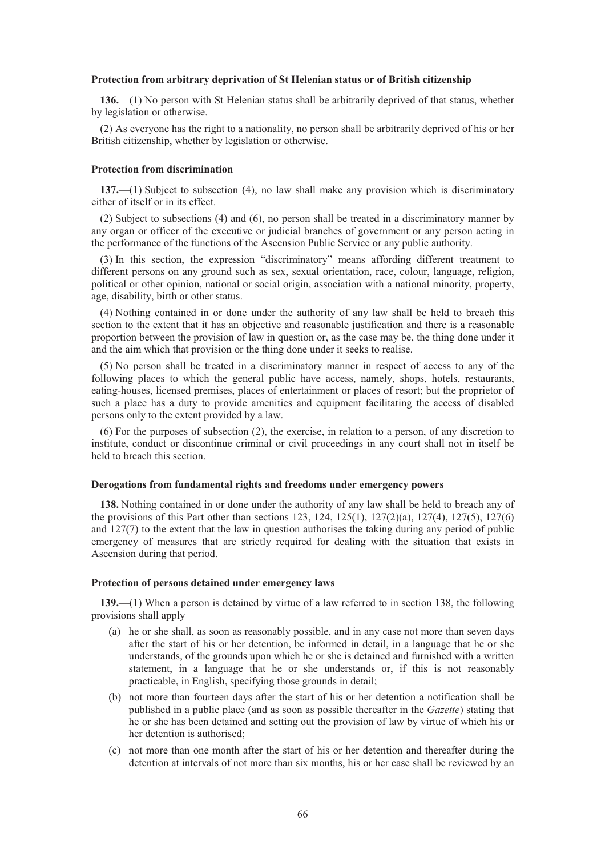#### **Protection from arbitrary deprivation of St Helenian status or of British citizenship**

**136.**—(1) No person with St Helenian status shall be arbitrarily deprived of that status, whether by legislation or otherwise.

(2) As everyone has the right to a nationality, no person shall be arbitrarily deprived of his or her British citizenship, whether by legislation or otherwise.

#### **Protection from discrimination**

**137.**—(1) Subject to subsection (4), no law shall make any provision which is discriminatory either of itself or in its effect.

(2) Subject to subsections (4) and (6), no person shall be treated in a discriminatory manner by any organ or officer of the executive or judicial branches of government or any person acting in the performance of the functions of the Ascension Public Service or any public authority.

(3) In this section, the expression "discriminatory" means affording different treatment to different persons on any ground such as sex, sexual orientation, race, colour, language, religion, political or other opinion, national or social origin, association with a national minority, property, age, disability, birth or other status.

(4) Nothing contained in or done under the authority of any law shall be held to breach this section to the extent that it has an objective and reasonable justification and there is a reasonable proportion between the provision of law in question or, as the case may be, the thing done under it and the aim which that provision or the thing done under it seeks to realise.

(5) No person shall be treated in a discriminatory manner in respect of access to any of the following places to which the general public have access, namely, shops, hotels, restaurants, eating-houses, licensed premises, places of entertainment or places of resort; but the proprietor of such a place has a duty to provide amenities and equipment facilitating the access of disabled persons only to the extent provided by a law.

(6) For the purposes of subsection (2), the exercise, in relation to a person, of any discretion to institute, conduct or discontinue criminal or civil proceedings in any court shall not in itself be held to breach this section.

### **Derogations from fundamental rights and freedoms under emergency powers**

**138.** Nothing contained in or done under the authority of any law shall be held to breach any of the provisions of this Part other than sections 123, 124, 125(1), 127(2)(a), 127(4), 127(5), 127(6) and 127(7) to the extent that the law in question authorises the taking during any period of public emergency of measures that are strictly required for dealing with the situation that exists in Ascension during that period.

#### **Protection of persons detained under emergency laws**

**139.**—(1) When a person is detained by virtue of a law referred to in section 138, the following provisions shall apply—

- (a) he or she shall, as soon as reasonably possible, and in any case not more than seven days after the start of his or her detention, be informed in detail, in a language that he or she understands, of the grounds upon which he or she is detained and furnished with a written statement, in a language that he or she understands or, if this is not reasonably practicable, in English, specifying those grounds in detail;
- (b) not more than fourteen days after the start of his or her detention a notification shall be published in a public place (and as soon as possible thereafter in the *Gazette*) stating that he or she has been detained and setting out the provision of law by virtue of which his or her detention is authorised;
- (c) not more than one month after the start of his or her detention and thereafter during the detention at intervals of not more than six months, his or her case shall be reviewed by an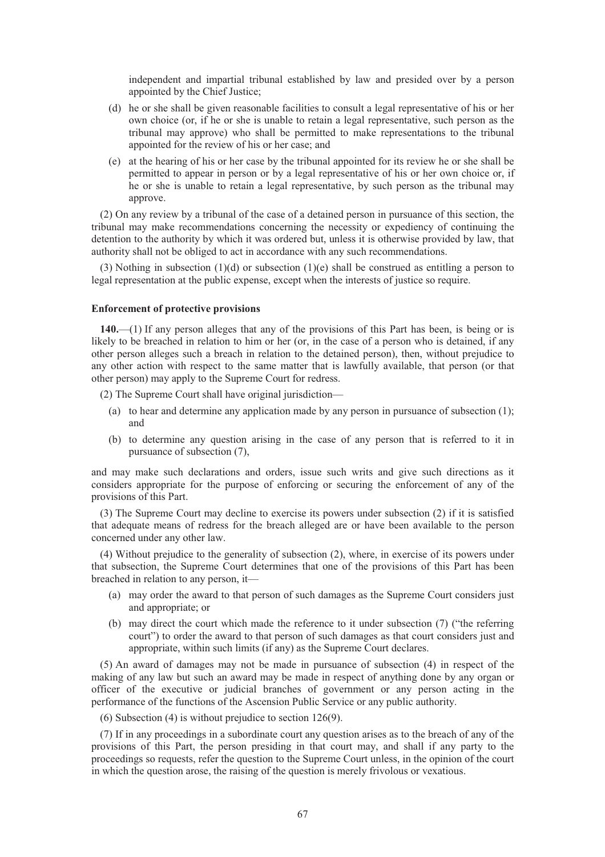independent and impartial tribunal established by law and presided over by a person appointed by the Chief Justice;

- (d) he or she shall be given reasonable facilities to consult a legal representative of his or her own choice (or, if he or she is unable to retain a legal representative, such person as the tribunal may approve) who shall be permitted to make representations to the tribunal appointed for the review of his or her case; and
- (e) at the hearing of his or her case by the tribunal appointed for its review he or she shall be permitted to appear in person or by a legal representative of his or her own choice or, if he or she is unable to retain a legal representative, by such person as the tribunal may approve.

(2) On any review by a tribunal of the case of a detained person in pursuance of this section, the tribunal may make recommendations concerning the necessity or expediency of continuing the detention to the authority by which it was ordered but, unless it is otherwise provided by law, that authority shall not be obliged to act in accordance with any such recommendations.

(3) Nothing in subsection (1)(d) or subsection (1)(e) shall be construed as entitling a person to legal representation at the public expense, except when the interests of justice so require.

## **Enforcement of protective provisions**

**140.**—(1) If any person alleges that any of the provisions of this Part has been, is being or is likely to be breached in relation to him or her (or, in the case of a person who is detained, if any other person alleges such a breach in relation to the detained person), then, without prejudice to any other action with respect to the same matter that is lawfully available, that person (or that other person) may apply to the Supreme Court for redress.

(2) The Supreme Court shall have original jurisdiction—

- (a) to hear and determine any application made by any person in pursuance of subsection (1); and
- (b) to determine any question arising in the case of any person that is referred to it in pursuance of subsection (7),

and may make such declarations and orders, issue such writs and give such directions as it considers appropriate for the purpose of enforcing or securing the enforcement of any of the provisions of this Part.

(3) The Supreme Court may decline to exercise its powers under subsection (2) if it is satisfied that adequate means of redress for the breach alleged are or have been available to the person concerned under any other law.

(4) Without prejudice to the generality of subsection (2), where, in exercise of its powers under that subsection, the Supreme Court determines that one of the provisions of this Part has been breached in relation to any person, it—

- (a) may order the award to that person of such damages as the Supreme Court considers just and appropriate; or
- (b) may direct the court which made the reference to it under subsection (7) ("the referring court") to order the award to that person of such damages as that court considers just and appropriate, within such limits (if any) as the Supreme Court declares.

(5) An award of damages may not be made in pursuance of subsection (4) in respect of the making of any law but such an award may be made in respect of anything done by any organ or officer of the executive or judicial branches of government or any person acting in the performance of the functions of the Ascension Public Service or any public authority.

(6) Subsection (4) is without prejudice to section 126(9).

(7) If in any proceedings in a subordinate court any question arises as to the breach of any of the provisions of this Part, the person presiding in that court may, and shall if any party to the proceedings so requests, refer the question to the Supreme Court unless, in the opinion of the court in which the question arose, the raising of the question is merely frivolous or vexatious.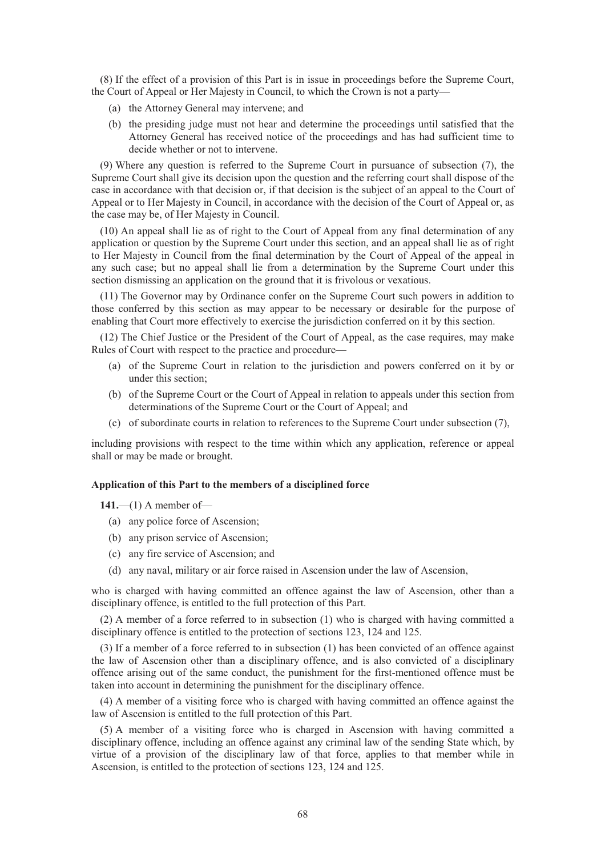(8) If the effect of a provision of this Part is in issue in proceedings before the Supreme Court, the Court of Appeal or Her Majesty in Council, to which the Crown is not a party—

- (a) the Attorney General may intervene; and
- (b) the presiding judge must not hear and determine the proceedings until satisfied that the Attorney General has received notice of the proceedings and has had sufficient time to decide whether or not to intervene.

(9) Where any question is referred to the Supreme Court in pursuance of subsection (7), the Supreme Court shall give its decision upon the question and the referring court shall dispose of the case in accordance with that decision or, if that decision is the subject of an appeal to the Court of Appeal or to Her Majesty in Council, in accordance with the decision of the Court of Appeal or, as the case may be, of Her Majesty in Council.

(10) An appeal shall lie as of right to the Court of Appeal from any final determination of any application or question by the Supreme Court under this section, and an appeal shall lie as of right to Her Majesty in Council from the final determination by the Court of Appeal of the appeal in any such case; but no appeal shall lie from a determination by the Supreme Court under this section dismissing an application on the ground that it is frivolous or vexatious.

(11) The Governor may by Ordinance confer on the Supreme Court such powers in addition to those conferred by this section as may appear to be necessary or desirable for the purpose of enabling that Court more effectively to exercise the jurisdiction conferred on it by this section.

(12) The Chief Justice or the President of the Court of Appeal, as the case requires, may make Rules of Court with respect to the practice and procedure—

- (a) of the Supreme Court in relation to the jurisdiction and powers conferred on it by or under this section;
- (b) of the Supreme Court or the Court of Appeal in relation to appeals under this section from determinations of the Supreme Court or the Court of Appeal; and
- (c) of subordinate courts in relation to references to the Supreme Court under subsection (7),

including provisions with respect to the time within which any application, reference or appeal shall or may be made or brought.

### **Application of this Part to the members of a disciplined force**

**141.**—(1) A member of—

- (a) any police force of Ascension;
- (b) any prison service of Ascension;
- (c) any fire service of Ascension; and
- (d) any naval, military or air force raised in Ascension under the law of Ascension,

who is charged with having committed an offence against the law of Ascension, other than a disciplinary offence, is entitled to the full protection of this Part.

(2) A member of a force referred to in subsection (1) who is charged with having committed a disciplinary offence is entitled to the protection of sections 123, 124 and 125.

(3) If a member of a force referred to in subsection (1) has been convicted of an offence against the law of Ascension other than a disciplinary offence, and is also convicted of a disciplinary offence arising out of the same conduct, the punishment for the first-mentioned offence must be taken into account in determining the punishment for the disciplinary offence.

(4) A member of a visiting force who is charged with having committed an offence against the law of Ascension is entitled to the full protection of this Part.

(5) A member of a visiting force who is charged in Ascension with having committed a disciplinary offence, including an offence against any criminal law of the sending State which, by virtue of a provision of the disciplinary law of that force, applies to that member while in Ascension, is entitled to the protection of sections 123, 124 and 125.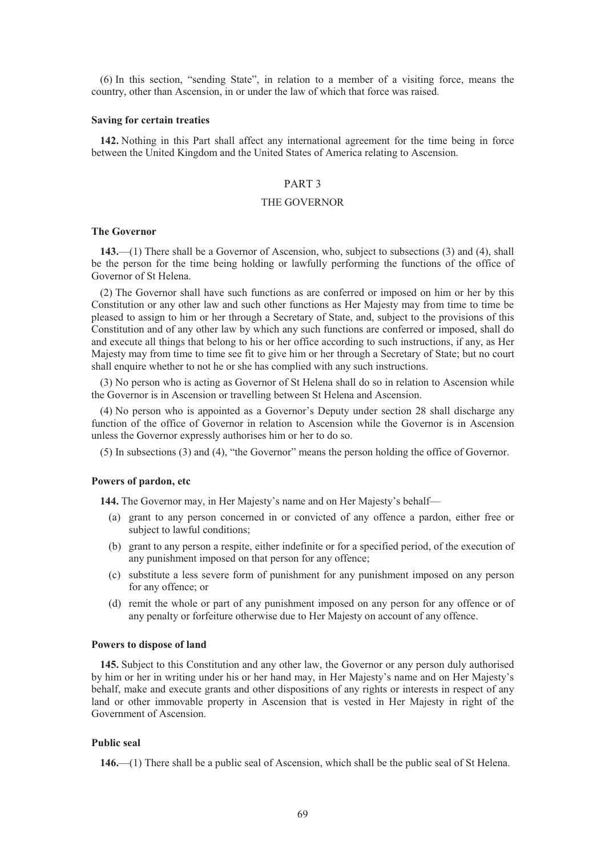(6) In this section, "sending State", in relation to a member of a visiting force, means the country, other than Ascension, in or under the law of which that force was raised.

#### **Saving for certain treaties**

**142.** Nothing in this Part shall affect any international agreement for the time being in force between the United Kingdom and the United States of America relating to Ascension.

# PART 3

# THE GOVERNOR

#### **The Governor**

**143.**—(1) There shall be a Governor of Ascension, who, subject to subsections (3) and (4), shall be the person for the time being holding or lawfully performing the functions of the office of Governor of St Helena.

(2) The Governor shall have such functions as are conferred or imposed on him or her by this Constitution or any other law and such other functions as Her Majesty may from time to time be pleased to assign to him or her through a Secretary of State, and, subject to the provisions of this Constitution and of any other law by which any such functions are conferred or imposed, shall do and execute all things that belong to his or her office according to such instructions, if any, as Her Majesty may from time to time see fit to give him or her through a Secretary of State; but no court shall enquire whether to not he or she has complied with any such instructions.

(3) No person who is acting as Governor of St Helena shall do so in relation to Ascension while the Governor is in Ascension or travelling between St Helena and Ascension.

(4) No person who is appointed as a Governor's Deputy under section 28 shall discharge any function of the office of Governor in relation to Ascension while the Governor is in Ascension unless the Governor expressly authorises him or her to do so.

(5) In subsections (3) and (4), "the Governor" means the person holding the office of Governor.

## **Powers of pardon, etc**

**144.** The Governor may, in Her Majesty's name and on Her Majesty's behalf—

- (a) grant to any person concerned in or convicted of any offence a pardon, either free or subject to lawful conditions;
- (b) grant to any person a respite, either indefinite or for a specified period, of the execution of any punishment imposed on that person for any offence;
- (c) substitute a less severe form of punishment for any punishment imposed on any person for any offence; or
- (d) remit the whole or part of any punishment imposed on any person for any offence or of any penalty or forfeiture otherwise due to Her Majesty on account of any offence.

#### **Powers to dispose of land**

**145.** Subject to this Constitution and any other law, the Governor or any person duly authorised by him or her in writing under his or her hand may, in Her Majesty's name and on Her Majesty's behalf, make and execute grants and other dispositions of any rights or interests in respect of any land or other immovable property in Ascension that is vested in Her Majesty in right of the Government of Ascension.

## **Public seal**

**146.**—(1) There shall be a public seal of Ascension, which shall be the public seal of St Helena.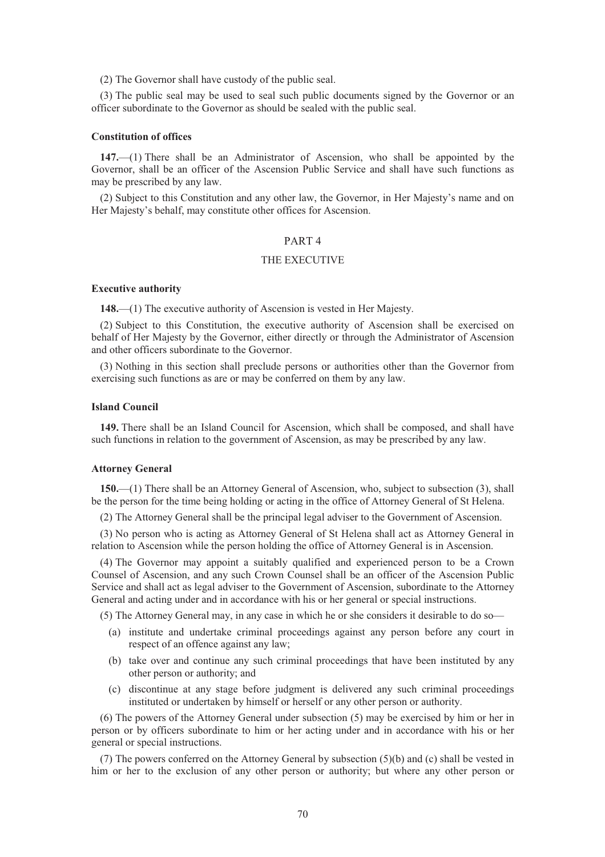(2) The Governor shall have custody of the public seal.

(3) The public seal may be used to seal such public documents signed by the Governor or an officer subordinate to the Governor as should be sealed with the public seal.

#### **Constitution of offices**

**147.**—(1) There shall be an Administrator of Ascension, who shall be appointed by the Governor, shall be an officer of the Ascension Public Service and shall have such functions as may be prescribed by any law.

(2) Subject to this Constitution and any other law, the Governor, in Her Majesty's name and on Her Majesty's behalf, may constitute other offices for Ascension.

# PART 4

## THE EXECUTIVE

## **Executive authority**

**148.**—(1) The executive authority of Ascension is vested in Her Majesty.

(2) Subject to this Constitution, the executive authority of Ascension shall be exercised on behalf of Her Majesty by the Governor, either directly or through the Administrator of Ascension and other officers subordinate to the Governor.

(3) Nothing in this section shall preclude persons or authorities other than the Governor from exercising such functions as are or may be conferred on them by any law.

## **Island Council**

**149.** There shall be an Island Council for Ascension, which shall be composed, and shall have such functions in relation to the government of Ascension, as may be prescribed by any law.

# **Attorney General**

**150.**—(1) There shall be an Attorney General of Ascension, who, subject to subsection (3), shall be the person for the time being holding or acting in the office of Attorney General of St Helena.

(2) The Attorney General shall be the principal legal adviser to the Government of Ascension.

(3) No person who is acting as Attorney General of St Helena shall act as Attorney General in relation to Ascension while the person holding the office of Attorney General is in Ascension.

(4) The Governor may appoint a suitably qualified and experienced person to be a Crown Counsel of Ascension, and any such Crown Counsel shall be an officer of the Ascension Public Service and shall act as legal adviser to the Government of Ascension, subordinate to the Attorney General and acting under and in accordance with his or her general or special instructions.

(5) The Attorney General may, in any case in which he or she considers it desirable to do so—

- (a) institute and undertake criminal proceedings against any person before any court in respect of an offence against any law;
- (b) take over and continue any such criminal proceedings that have been instituted by any other person or authority; and
- (c) discontinue at any stage before judgment is delivered any such criminal proceedings instituted or undertaken by himself or herself or any other person or authority.

(6) The powers of the Attorney General under subsection (5) may be exercised by him or her in person or by officers subordinate to him or her acting under and in accordance with his or her general or special instructions.

(7) The powers conferred on the Attorney General by subsection (5)(b) and (c) shall be vested in him or her to the exclusion of any other person or authority; but where any other person or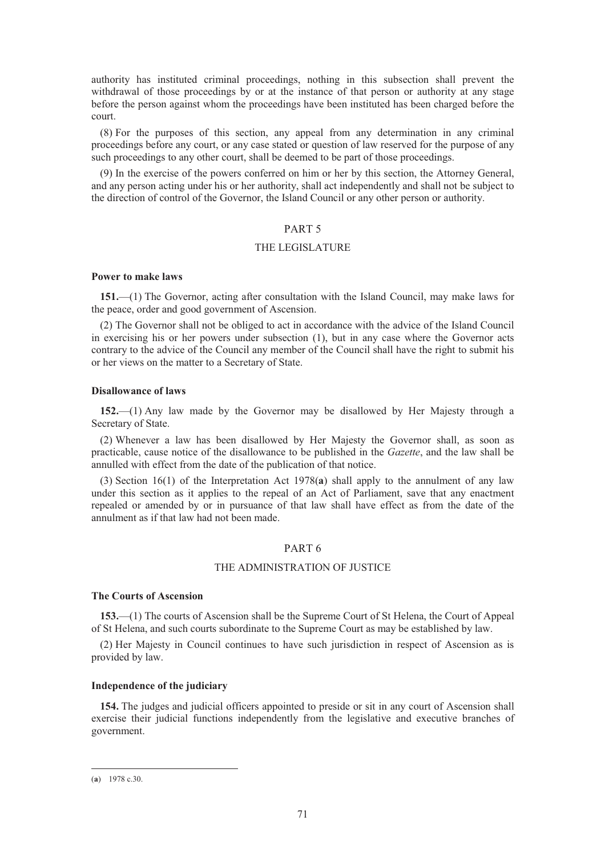authority has instituted criminal proceedings, nothing in this subsection shall prevent the withdrawal of those proceedings by or at the instance of that person or authority at any stage before the person against whom the proceedings have been instituted has been charged before the court.

(8) For the purposes of this section, any appeal from any determination in any criminal proceedings before any court, or any case stated or question of law reserved for the purpose of any such proceedings to any other court, shall be deemed to be part of those proceedings.

(9) In the exercise of the powers conferred on him or her by this section, the Attorney General, and any person acting under his or her authority, shall act independently and shall not be subject to the direction of control of the Governor, the Island Council or any other person or authority.

# PART 5

# THE LEGISLATURE

#### **Power to make laws**

**151.**—(1) The Governor, acting after consultation with the Island Council, may make laws for the peace, order and good government of Ascension.

(2) The Governor shall not be obliged to act in accordance with the advice of the Island Council in exercising his or her powers under subsection (1), but in any case where the Governor acts contrary to the advice of the Council any member of the Council shall have the right to submit his or her views on the matter to a Secretary of State.

#### **Disallowance of laws**

**152.**—(1) Any law made by the Governor may be disallowed by Her Majesty through a Secretary of State.

(2) Whenever a law has been disallowed by Her Majesty the Governor shall, as soon as practicable, cause notice of the disallowance to be published in the *Gazette*, and the law shall be annulled with effect from the date of the publication of that notice.

(3) Section 16(1) of the Interpretation Act 1978(**a**) shall apply to the annulment of any law under this section as it applies to the repeal of an Act of Parliament, save that any enactment repealed or amended by or in pursuance of that law shall have effect as from the date of the annulment as if that law had not been made.

# PART 6

# THE ADMINISTRATION OF JUSTICE

#### **The Courts of Ascension**

**153.**—(1) The courts of Ascension shall be the Supreme Court of St Helena, the Court of Appeal of St Helena, and such courts subordinate to the Supreme Court as may be established by law.

(2) Her Majesty in Council continues to have such jurisdiction in respect of Ascension as is provided by law.

## **Independence of the judiciary**

**154.** The judges and judicial officers appointed to preside or sit in any court of Ascension shall exercise their judicial functions independently from the legislative and executive branches of government.

 $\overline{a}$ 

<sup>(</sup>**a**) 1978 c.30.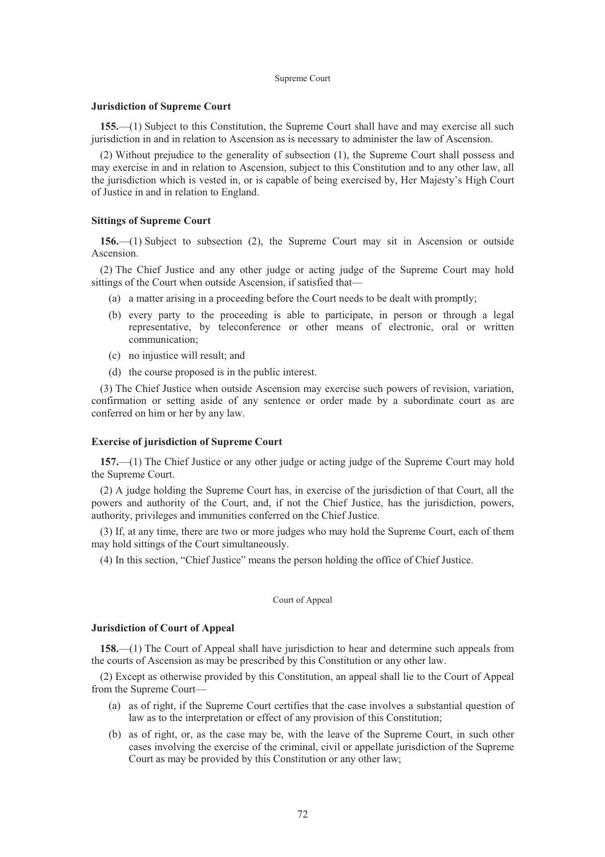#### Supreme Court

#### **Jurisdiction of Supreme Court**

**155.**—(1) Subject to this Constitution, the Supreme Court shall have and may exercise all such jurisdiction in and in relation to Ascension as is necessary to administer the law of Ascension.

(2) Without prejudice to the generality of subsection (1), the Supreme Court shall possess and may exercise in and in relation to Ascension, subject to this Constitution and to any other law, all the jurisdiction which is vested in, or is capable of being exercised by, Her Majesty's High Court of Justice in and in relation to England.

#### **Sittings of Supreme Court**

**156.**—(1) Subject to subsection (2), the Supreme Court may sit in Ascension or outside Ascension.

(2) The Chief Justice and any other judge or acting judge of the Supreme Court may hold sittings of the Court when outside Ascension, if satisfied that—

- (a) a matter arising in a proceeding before the Court needs to be dealt with promptly;
- (b) every party to the proceeding is able to participate, in person or through a legal representative, by teleconference or other means of electronic, oral or written communication;
- (c) no injustice will result; and
- (d) the course proposed is in the public interest.

(3) The Chief Justice when outside Ascension may exercise such powers of revision, variation, confirmation or setting aside of any sentence or order made by a subordinate court as are conferred on him or her by any law.

## **Exercise of jurisdiction of Supreme Court**

**157.**—(1) The Chief Justice or any other judge or acting judge of the Supreme Court may hold the Supreme Court.

(2) A judge holding the Supreme Court has, in exercise of the jurisdiction of that Court, all the powers and authority of the Court, and, if not the Chief Justice, has the jurisdiction, powers, authority, privileges and immunities conferred on the Chief Justice.

(3) If, at any time, there are two or more judges who may hold the Supreme Court, each of them may hold sittings of the Court simultaneously.

(4) In this section, "Chief Justice" means the person holding the office of Chief Justice.

#### Court of Appeal

#### **Jurisdiction of Court of Appeal**

**158.**—(1) The Court of Appeal shall have jurisdiction to hear and determine such appeals from the courts of Ascension as may be prescribed by this Constitution or any other law.

(2) Except as otherwise provided by this Constitution, an appeal shall lie to the Court of Appeal from the Supreme Court—

- (a) as of right, if the Supreme Court certifies that the case involves a substantial question of law as to the interpretation or effect of any provision of this Constitution;
- (b) as of right, or, as the case may be, with the leave of the Supreme Court, in such other cases involving the exercise of the criminal, civil or appellate jurisdiction of the Supreme Court as may be provided by this Constitution or any other law;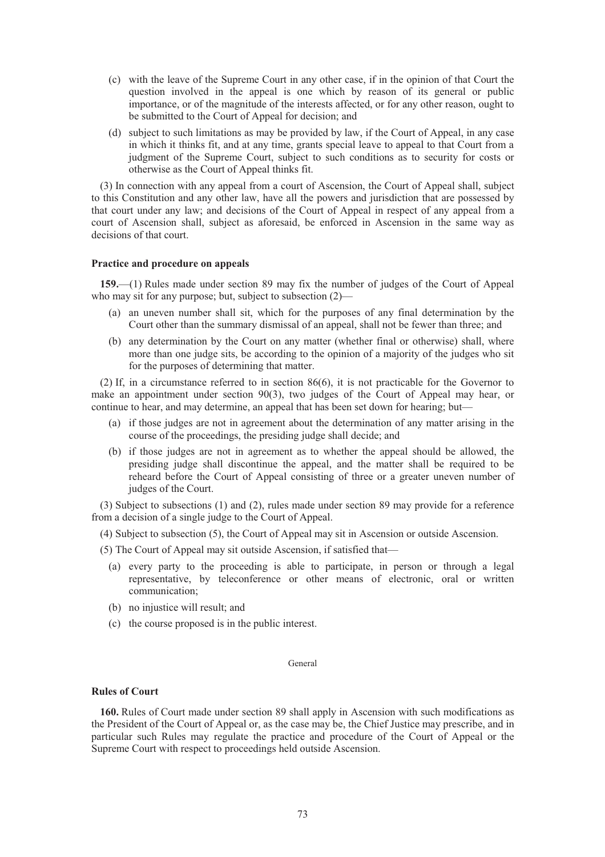- (c) with the leave of the Supreme Court in any other case, if in the opinion of that Court the question involved in the appeal is one which by reason of its general or public importance, or of the magnitude of the interests affected, or for any other reason, ought to be submitted to the Court of Appeal for decision; and
- (d) subject to such limitations as may be provided by law, if the Court of Appeal, in any case in which it thinks fit, and at any time, grants special leave to appeal to that Court from a judgment of the Supreme Court, subject to such conditions as to security for costs or otherwise as the Court of Appeal thinks fit.

(3) In connection with any appeal from a court of Ascension, the Court of Appeal shall, subject to this Constitution and any other law, have all the powers and jurisdiction that are possessed by that court under any law; and decisions of the Court of Appeal in respect of any appeal from a court of Ascension shall, subject as aforesaid, be enforced in Ascension in the same way as decisions of that court.

## **Practice and procedure on appeals**

**159.**—(1) Rules made under section 89 may fix the number of judges of the Court of Appeal who may sit for any purpose; but, subject to subsection  $(2)$ —

- (a) an uneven number shall sit, which for the purposes of any final determination by the Court other than the summary dismissal of an appeal, shall not be fewer than three; and
- (b) any determination by the Court on any matter (whether final or otherwise) shall, where more than one judge sits, be according to the opinion of a majority of the judges who sit for the purposes of determining that matter.

(2) If, in a circumstance referred to in section 86(6), it is not practicable for the Governor to make an appointment under section 90(3), two judges of the Court of Appeal may hear, or continue to hear, and may determine, an appeal that has been set down for hearing; but—

- (a) if those judges are not in agreement about the determination of any matter arising in the course of the proceedings, the presiding judge shall decide; and
- (b) if those judges are not in agreement as to whether the appeal should be allowed, the presiding judge shall discontinue the appeal, and the matter shall be required to be reheard before the Court of Appeal consisting of three or a greater uneven number of judges of the Court.

(3) Subject to subsections (1) and (2), rules made under section 89 may provide for a reference from a decision of a single judge to the Court of Appeal.

- (4) Subject to subsection (5), the Court of Appeal may sit in Ascension or outside Ascension.
- (5) The Court of Appeal may sit outside Ascension, if satisfied that—
	- (a) every party to the proceeding is able to participate, in person or through a legal representative, by teleconference or other means of electronic, oral or written communication;
	- (b) no injustice will result; and
	- (c) the course proposed is in the public interest.

## General

## **Rules of Court**

**160.** Rules of Court made under section 89 shall apply in Ascension with such modifications as the President of the Court of Appeal or, as the case may be, the Chief Justice may prescribe, and in particular such Rules may regulate the practice and procedure of the Court of Appeal or the Supreme Court with respect to proceedings held outside Ascension.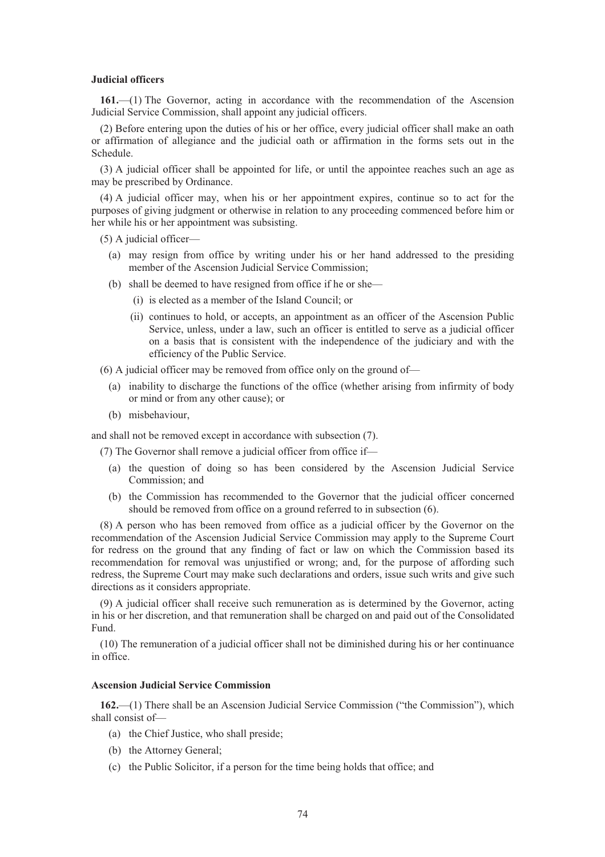#### **Judicial officers**

**161.**—(1) The Governor, acting in accordance with the recommendation of the Ascension Judicial Service Commission, shall appoint any judicial officers.

(2) Before entering upon the duties of his or her office, every judicial officer shall make an oath or affirmation of allegiance and the judicial oath or affirmation in the forms sets out in the Schedule.

(3) A judicial officer shall be appointed for life, or until the appointee reaches such an age as may be prescribed by Ordinance.

(4) A judicial officer may, when his or her appointment expires, continue so to act for the purposes of giving judgment or otherwise in relation to any proceeding commenced before him or her while his or her appointment was subsisting.

(5) A judicial officer—

- (a) may resign from office by writing under his or her hand addressed to the presiding member of the Ascension Judicial Service Commission;
- (b) shall be deemed to have resigned from office if he or she—
	- (i) is elected as a member of the Island Council; or
	- (ii) continues to hold, or accepts, an appointment as an officer of the Ascension Public Service, unless, under a law, such an officer is entitled to serve as a judicial officer on a basis that is consistent with the independence of the judiciary and with the efficiency of the Public Service.
- (6) A judicial officer may be removed from office only on the ground of—
	- (a) inability to discharge the functions of the office (whether arising from infirmity of body or mind or from any other cause); or
	- (b) misbehaviour,

and shall not be removed except in accordance with subsection (7).

(7) The Governor shall remove a judicial officer from office if—

- (a) the question of doing so has been considered by the Ascension Judicial Service Commission; and
- (b) the Commission has recommended to the Governor that the judicial officer concerned should be removed from office on a ground referred to in subsection (6).

(8) A person who has been removed from office as a judicial officer by the Governor on the recommendation of the Ascension Judicial Service Commission may apply to the Supreme Court for redress on the ground that any finding of fact or law on which the Commission based its recommendation for removal was unjustified or wrong; and, for the purpose of affording such redress, the Supreme Court may make such declarations and orders, issue such writs and give such directions as it considers appropriate.

(9) A judicial officer shall receive such remuneration as is determined by the Governor, acting in his or her discretion, and that remuneration shall be charged on and paid out of the Consolidated Fund.

(10) The remuneration of a judicial officer shall not be diminished during his or her continuance in office.

## **Ascension Judicial Service Commission**

**162.**—(1) There shall be an Ascension Judicial Service Commission ("the Commission"), which shall consist of—

- (a) the Chief Justice, who shall preside;
- (b) the Attorney General;
- (c) the Public Solicitor, if a person for the time being holds that office; and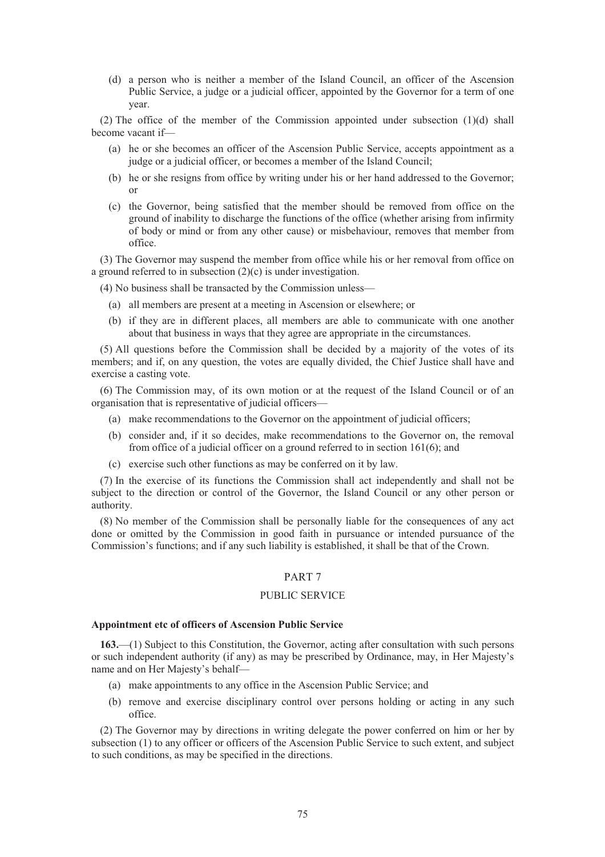(d) a person who is neither a member of the Island Council, an officer of the Ascension Public Service, a judge or a judicial officer, appointed by the Governor for a term of one year.

(2) The office of the member of the Commission appointed under subsection (1)(d) shall become vacant if—

- (a) he or she becomes an officer of the Ascension Public Service, accepts appointment as a judge or a judicial officer, or becomes a member of the Island Council;
- (b) he or she resigns from office by writing under his or her hand addressed to the Governor; or
- (c) the Governor, being satisfied that the member should be removed from office on the ground of inability to discharge the functions of the office (whether arising from infirmity of body or mind or from any other cause) or misbehaviour, removes that member from office.

(3) The Governor may suspend the member from office while his or her removal from office on a ground referred to in subsection (2)(c) is under investigation.

(4) No business shall be transacted by the Commission unless—

- (a) all members are present at a meeting in Ascension or elsewhere; or
- (b) if they are in different places, all members are able to communicate with one another about that business in ways that they agree are appropriate in the circumstances.

(5) All questions before the Commission shall be decided by a majority of the votes of its members; and if, on any question, the votes are equally divided, the Chief Justice shall have and exercise a casting vote.

(6) The Commission may, of its own motion or at the request of the Island Council or of an organisation that is representative of judicial officers—

- (a) make recommendations to the Governor on the appointment of judicial officers;
- (b) consider and, if it so decides, make recommendations to the Governor on, the removal from office of a judicial officer on a ground referred to in section 161(6); and
- (c) exercise such other functions as may be conferred on it by law.

(7) In the exercise of its functions the Commission shall act independently and shall not be subject to the direction or control of the Governor, the Island Council or any other person or authority.

(8) No member of the Commission shall be personally liable for the consequences of any act done or omitted by the Commission in good faith in pursuance or intended pursuance of the Commission's functions; and if any such liability is established, it shall be that of the Crown.

## PART 7

# PUBLIC SERVICE

#### **Appointment etc of officers of Ascension Public Service**

**163.**—(1) Subject to this Constitution, the Governor, acting after consultation with such persons or such independent authority (if any) as may be prescribed by Ordinance, may, in Her Majesty's name and on Her Majesty's behalf—

- (a) make appointments to any office in the Ascension Public Service; and
- (b) remove and exercise disciplinary control over persons holding or acting in any such office.

(2) The Governor may by directions in writing delegate the power conferred on him or her by subsection (1) to any officer or officers of the Ascension Public Service to such extent, and subject to such conditions, as may be specified in the directions.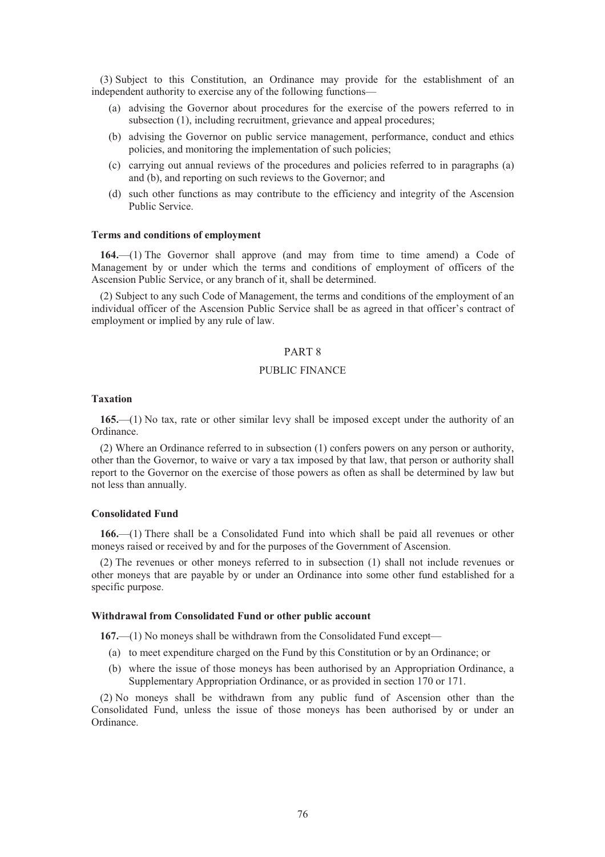(3) Subject to this Constitution, an Ordinance may provide for the establishment of an independent authority to exercise any of the following functions—

- (a) advising the Governor about procedures for the exercise of the powers referred to in subsection (1), including recruitment, grievance and appeal procedures;
- (b) advising the Governor on public service management, performance, conduct and ethics policies, and monitoring the implementation of such policies;
- (c) carrying out annual reviews of the procedures and policies referred to in paragraphs (a) and (b), and reporting on such reviews to the Governor; and
- (d) such other functions as may contribute to the efficiency and integrity of the Ascension Public Service.

#### **Terms and conditions of employment**

**164.**—(1) The Governor shall approve (and may from time to time amend) a Code of Management by or under which the terms and conditions of employment of officers of the Ascension Public Service, or any branch of it, shall be determined.

(2) Subject to any such Code of Management, the terms and conditions of the employment of an individual officer of the Ascension Public Service shall be as agreed in that officer's contract of employment or implied by any rule of law.

# PART 8

# PUBLIC FINANCE

## **Taxation**

**165.**—(1) No tax, rate or other similar levy shall be imposed except under the authority of an Ordinance.

(2) Where an Ordinance referred to in subsection (1) confers powers on any person or authority, other than the Governor, to waive or vary a tax imposed by that law, that person or authority shall report to the Governor on the exercise of those powers as often as shall be determined by law but not less than annually.

#### **Consolidated Fund**

**166.**—(1) There shall be a Consolidated Fund into which shall be paid all revenues or other moneys raised or received by and for the purposes of the Government of Ascension.

(2) The revenues or other moneys referred to in subsection (1) shall not include revenues or other moneys that are payable by or under an Ordinance into some other fund established for a specific purpose.

#### **Withdrawal from Consolidated Fund or other public account**

**167.**—(1) No moneys shall be withdrawn from the Consolidated Fund except—

- (a) to meet expenditure charged on the Fund by this Constitution or by an Ordinance; or
- (b) where the issue of those moneys has been authorised by an Appropriation Ordinance, a Supplementary Appropriation Ordinance, or as provided in section 170 or 171.

(2) No moneys shall be withdrawn from any public fund of Ascension other than the Consolidated Fund, unless the issue of those moneys has been authorised by or under an Ordinance.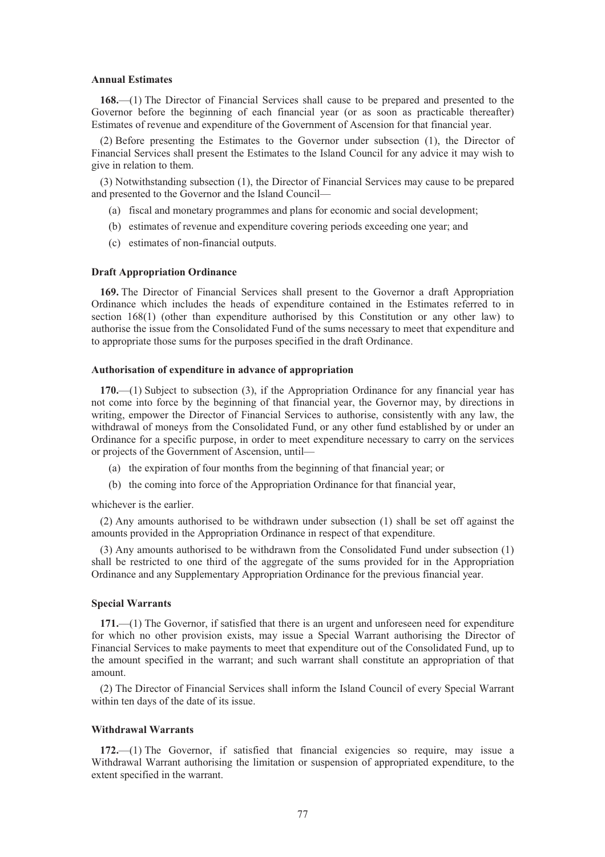#### **Annual Estimates**

**168.**—(1) The Director of Financial Services shall cause to be prepared and presented to the Governor before the beginning of each financial year (or as soon as practicable thereafter) Estimates of revenue and expenditure of the Government of Ascension for that financial year.

(2) Before presenting the Estimates to the Governor under subsection (1), the Director of Financial Services shall present the Estimates to the Island Council for any advice it may wish to give in relation to them.

(3) Notwithstanding subsection (1), the Director of Financial Services may cause to be prepared and presented to the Governor and the Island Council—

- (a) fiscal and monetary programmes and plans for economic and social development;
- (b) estimates of revenue and expenditure covering periods exceeding one year; and
- (c) estimates of non-financial outputs.

## **Draft Appropriation Ordinance**

**169.** The Director of Financial Services shall present to the Governor a draft Appropriation Ordinance which includes the heads of expenditure contained in the Estimates referred to in section 168(1) (other than expenditure authorised by this Constitution or any other law) to authorise the issue from the Consolidated Fund of the sums necessary to meet that expenditure and to appropriate those sums for the purposes specified in the draft Ordinance.

#### **Authorisation of expenditure in advance of appropriation**

**170.**—(1) Subject to subsection (3), if the Appropriation Ordinance for any financial year has not come into force by the beginning of that financial year, the Governor may, by directions in writing, empower the Director of Financial Services to authorise, consistently with any law, the withdrawal of moneys from the Consolidated Fund, or any other fund established by or under an Ordinance for a specific purpose, in order to meet expenditure necessary to carry on the services or projects of the Government of Ascension, until—

- (a) the expiration of four months from the beginning of that financial year; or
- (b) the coming into force of the Appropriation Ordinance for that financial year,

whichever is the earlier.

(2) Any amounts authorised to be withdrawn under subsection (1) shall be set off against the amounts provided in the Appropriation Ordinance in respect of that expenditure.

(3) Any amounts authorised to be withdrawn from the Consolidated Fund under subsection (1) shall be restricted to one third of the aggregate of the sums provided for in the Appropriation Ordinance and any Supplementary Appropriation Ordinance for the previous financial year.

# **Special Warrants**

**171.**—(1) The Governor, if satisfied that there is an urgent and unforeseen need for expenditure for which no other provision exists, may issue a Special Warrant authorising the Director of Financial Services to make payments to meet that expenditure out of the Consolidated Fund, up to the amount specified in the warrant; and such warrant shall constitute an appropriation of that amount.

(2) The Director of Financial Services shall inform the Island Council of every Special Warrant within ten days of the date of its issue.

# **Withdrawal Warrants**

**172.**—(1) The Governor, if satisfied that financial exigencies so require, may issue a Withdrawal Warrant authorising the limitation or suspension of appropriated expenditure, to the extent specified in the warrant.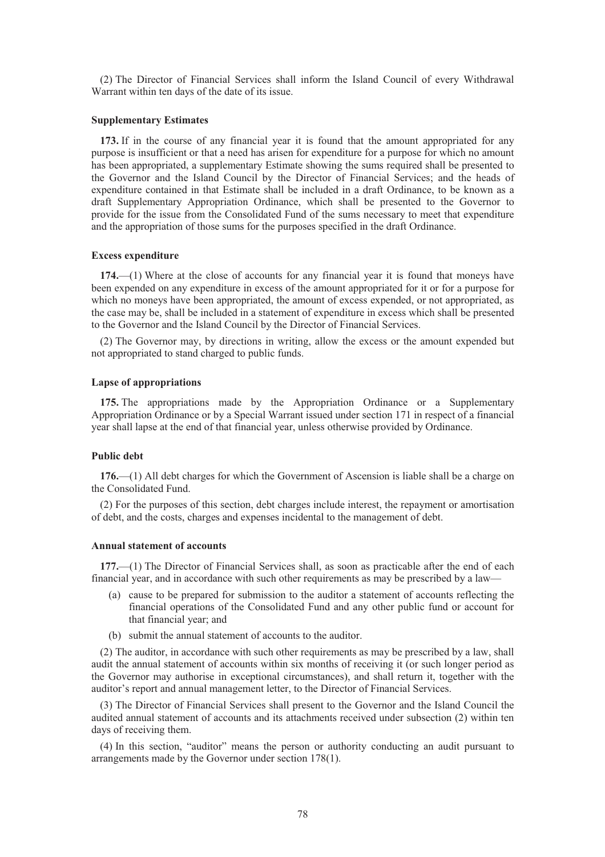(2) The Director of Financial Services shall inform the Island Council of every Withdrawal Warrant within ten days of the date of its issue.

#### **Supplementary Estimates**

**173.** If in the course of any financial year it is found that the amount appropriated for any purpose is insufficient or that a need has arisen for expenditure for a purpose for which no amount has been appropriated, a supplementary Estimate showing the sums required shall be presented to the Governor and the Island Council by the Director of Financial Services; and the heads of expenditure contained in that Estimate shall be included in a draft Ordinance, to be known as a draft Supplementary Appropriation Ordinance, which shall be presented to the Governor to provide for the issue from the Consolidated Fund of the sums necessary to meet that expenditure and the appropriation of those sums for the purposes specified in the draft Ordinance.

#### **Excess expenditure**

**174.**—(1) Where at the close of accounts for any financial year it is found that moneys have been expended on any expenditure in excess of the amount appropriated for it or for a purpose for which no moneys have been appropriated, the amount of excess expended, or not appropriated, as the case may be, shall be included in a statement of expenditure in excess which shall be presented to the Governor and the Island Council by the Director of Financial Services.

(2) The Governor may, by directions in writing, allow the excess or the amount expended but not appropriated to stand charged to public funds.

## **Lapse of appropriations**

**175.** The appropriations made by the Appropriation Ordinance or a Supplementary Appropriation Ordinance or by a Special Warrant issued under section 171 in respect of a financial year shall lapse at the end of that financial year, unless otherwise provided by Ordinance.

#### **Public debt**

**176.**—(1) All debt charges for which the Government of Ascension is liable shall be a charge on the Consolidated Fund.

(2) For the purposes of this section, debt charges include interest, the repayment or amortisation of debt, and the costs, charges and expenses incidental to the management of debt.

### **Annual statement of accounts**

**177.**—(1) The Director of Financial Services shall, as soon as practicable after the end of each financial year, and in accordance with such other requirements as may be prescribed by a law—

- (a) cause to be prepared for submission to the auditor a statement of accounts reflecting the financial operations of the Consolidated Fund and any other public fund or account for that financial year; and
- (b) submit the annual statement of accounts to the auditor.

(2) The auditor, in accordance with such other requirements as may be prescribed by a law, shall audit the annual statement of accounts within six months of receiving it (or such longer period as the Governor may authorise in exceptional circumstances), and shall return it, together with the auditor's report and annual management letter, to the Director of Financial Services.

(3) The Director of Financial Services shall present to the Governor and the Island Council the audited annual statement of accounts and its attachments received under subsection (2) within ten days of receiving them.

(4) In this section, "auditor" means the person or authority conducting an audit pursuant to arrangements made by the Governor under section 178(1).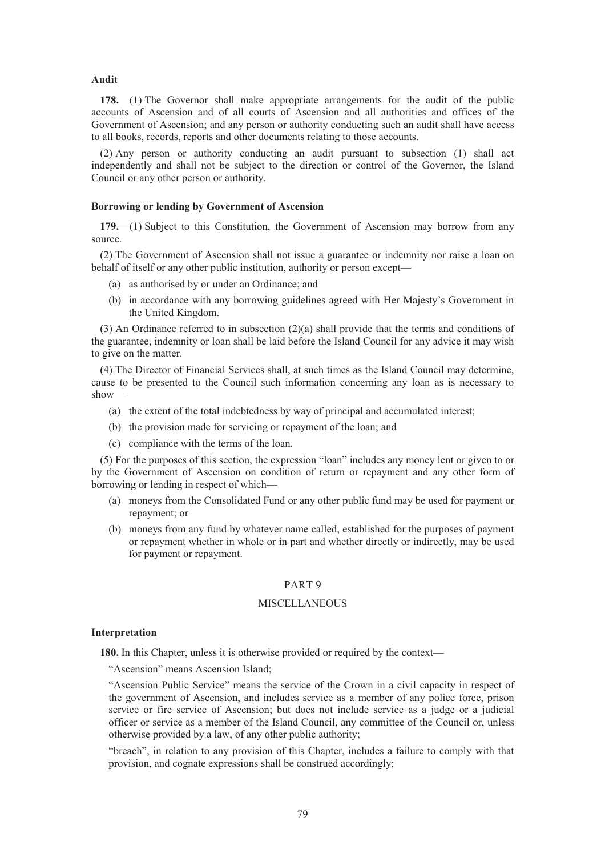#### **Audit**

**178.**—(1) The Governor shall make appropriate arrangements for the audit of the public accounts of Ascension and of all courts of Ascension and all authorities and offices of the Government of Ascension; and any person or authority conducting such an audit shall have access to all books, records, reports and other documents relating to those accounts.

(2) Any person or authority conducting an audit pursuant to subsection (1) shall act independently and shall not be subject to the direction or control of the Governor, the Island Council or any other person or authority.

# **Borrowing or lending by Government of Ascension**

**179.**—(1) Subject to this Constitution, the Government of Ascension may borrow from any source.

(2) The Government of Ascension shall not issue a guarantee or indemnity nor raise a loan on behalf of itself or any other public institution, authority or person except—

- (a) as authorised by or under an Ordinance; and
- (b) in accordance with any borrowing guidelines agreed with Her Majesty's Government in the United Kingdom.

(3) An Ordinance referred to in subsection (2)(a) shall provide that the terms and conditions of the guarantee, indemnity or loan shall be laid before the Island Council for any advice it may wish to give on the matter.

(4) The Director of Financial Services shall, at such times as the Island Council may determine, cause to be presented to the Council such information concerning any loan as is necessary to show—

- (a) the extent of the total indebtedness by way of principal and accumulated interest;
- (b) the provision made for servicing or repayment of the loan; and
- (c) compliance with the terms of the loan.

(5) For the purposes of this section, the expression "loan" includes any money lent or given to or by the Government of Ascension on condition of return or repayment and any other form of borrowing or lending in respect of which—

- (a) moneys from the Consolidated Fund or any other public fund may be used for payment or repayment; or
- (b) moneys from any fund by whatever name called, established for the purposes of payment or repayment whether in whole or in part and whether directly or indirectly, may be used for payment or repayment.

## PART 9

# **MISCELLANEOUS**

# **Interpretation**

**180.** In this Chapter, unless it is otherwise provided or required by the context—

"Ascension" means Ascension Island;

"Ascension Public Service" means the service of the Crown in a civil capacity in respect of the government of Ascension, and includes service as a member of any police force, prison service or fire service of Ascension; but does not include service as a judge or a judicial officer or service as a member of the Island Council, any committee of the Council or, unless otherwise provided by a law, of any other public authority;

"breach", in relation to any provision of this Chapter, includes a failure to comply with that provision, and cognate expressions shall be construed accordingly;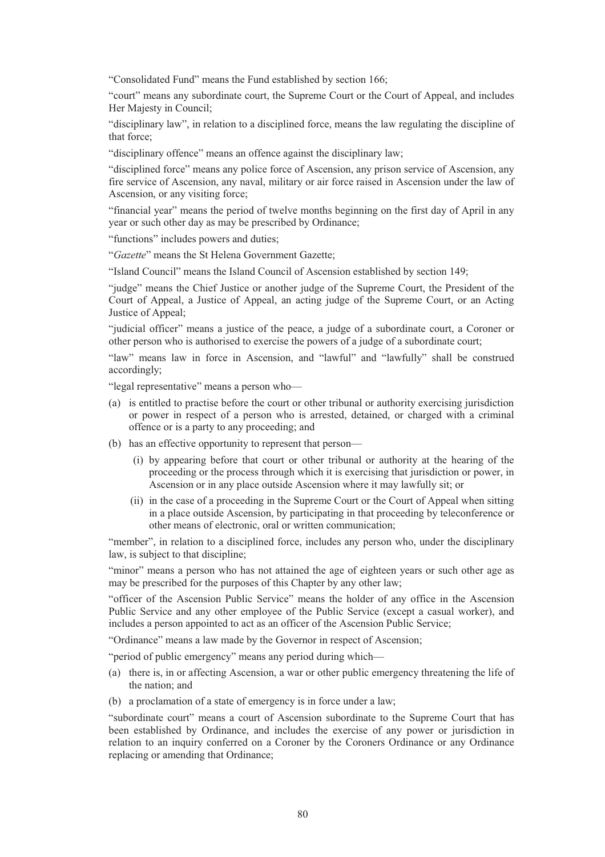"Consolidated Fund" means the Fund established by section 166;

"court" means any subordinate court, the Supreme Court or the Court of Appeal, and includes Her Majesty in Council;

"disciplinary law", in relation to a disciplined force, means the law regulating the discipline of that force;

"disciplinary offence" means an offence against the disciplinary law;

"disciplined force" means any police force of Ascension, any prison service of Ascension, any fire service of Ascension, any naval, military or air force raised in Ascension under the law of Ascension, or any visiting force;

"financial year" means the period of twelve months beginning on the first day of April in any year or such other day as may be prescribed by Ordinance;

"functions" includes powers and duties;

"*Gazette*" means the St Helena Government Gazette;

"Island Council" means the Island Council of Ascension established by section 149;

"judge" means the Chief Justice or another judge of the Supreme Court, the President of the Court of Appeal, a Justice of Appeal, an acting judge of the Supreme Court, or an Acting Justice of Appeal;

"judicial officer" means a justice of the peace, a judge of a subordinate court, a Coroner or other person who is authorised to exercise the powers of a judge of a subordinate court;

"law" means law in force in Ascension, and "lawful" and "lawfully" shall be construed accordingly;

"legal representative" means a person who—

- (a) is entitled to practise before the court or other tribunal or authority exercising jurisdiction or power in respect of a person who is arrested, detained, or charged with a criminal offence or is a party to any proceeding; and
- (b) has an effective opportunity to represent that person—
	- (i) by appearing before that court or other tribunal or authority at the hearing of the proceeding or the process through which it is exercising that jurisdiction or power, in Ascension or in any place outside Ascension where it may lawfully sit; or
	- (ii) in the case of a proceeding in the Supreme Court or the Court of Appeal when sitting in a place outside Ascension, by participating in that proceeding by teleconference or other means of electronic, oral or written communication;

"member", in relation to a disciplined force, includes any person who, under the disciplinary law, is subject to that discipline;

"minor" means a person who has not attained the age of eighteen years or such other age as may be prescribed for the purposes of this Chapter by any other law;

"officer of the Ascension Public Service" means the holder of any office in the Ascension Public Service and any other employee of the Public Service (except a casual worker), and includes a person appointed to act as an officer of the Ascension Public Service;

"Ordinance" means a law made by the Governor in respect of Ascension;

"period of public emergency" means any period during which—

- (a) there is, in or affecting Ascension, a war or other public emergency threatening the life of the nation; and
- (b) a proclamation of a state of emergency is in force under a law;

"subordinate court" means a court of Ascension subordinate to the Supreme Court that has been established by Ordinance, and includes the exercise of any power or jurisdiction in relation to an inquiry conferred on a Coroner by the Coroners Ordinance or any Ordinance replacing or amending that Ordinance;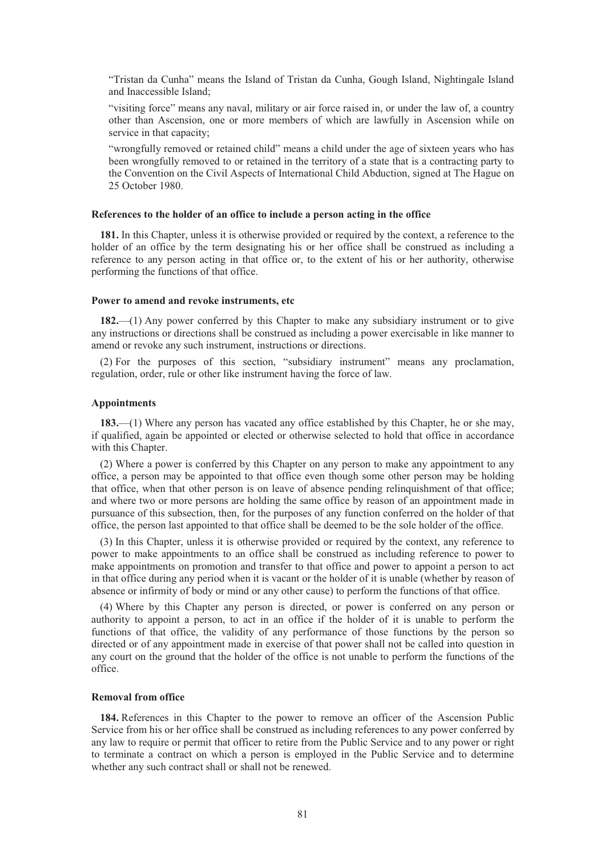"Tristan da Cunha" means the Island of Tristan da Cunha, Gough Island, Nightingale Island and Inaccessible Island;

"visiting force" means any naval, military or air force raised in, or under the law of, a country other than Ascension, one or more members of which are lawfully in Ascension while on service in that capacity;

"wrongfully removed or retained child" means a child under the age of sixteen years who has been wrongfully removed to or retained in the territory of a state that is a contracting party to the Convention on the Civil Aspects of International Child Abduction, signed at The Hague on 25 October 1980.

#### **References to the holder of an office to include a person acting in the office**

**181.** In this Chapter, unless it is otherwise provided or required by the context, a reference to the holder of an office by the term designating his or her office shall be construed as including a reference to any person acting in that office or, to the extent of his or her authority, otherwise performing the functions of that office.

#### **Power to amend and revoke instruments, etc**

**182.**—(1) Any power conferred by this Chapter to make any subsidiary instrument or to give any instructions or directions shall be construed as including a power exercisable in like manner to amend or revoke any such instrument, instructions or directions.

(2) For the purposes of this section, "subsidiary instrument" means any proclamation, regulation, order, rule or other like instrument having the force of law.

#### **Appointments**

**183.**—(1) Where any person has vacated any office established by this Chapter, he or she may, if qualified, again be appointed or elected or otherwise selected to hold that office in accordance with this Chapter.

(2) Where a power is conferred by this Chapter on any person to make any appointment to any office, a person may be appointed to that office even though some other person may be holding that office, when that other person is on leave of absence pending relinquishment of that office; and where two or more persons are holding the same office by reason of an appointment made in pursuance of this subsection, then, for the purposes of any function conferred on the holder of that office, the person last appointed to that office shall be deemed to be the sole holder of the office.

(3) In this Chapter, unless it is otherwise provided or required by the context, any reference to power to make appointments to an office shall be construed as including reference to power to make appointments on promotion and transfer to that office and power to appoint a person to act in that office during any period when it is vacant or the holder of it is unable (whether by reason of absence or infirmity of body or mind or any other cause) to perform the functions of that office.

(4) Where by this Chapter any person is directed, or power is conferred on any person or authority to appoint a person, to act in an office if the holder of it is unable to perform the functions of that office, the validity of any performance of those functions by the person so directed or of any appointment made in exercise of that power shall not be called into question in any court on the ground that the holder of the office is not unable to perform the functions of the office.

## **Removal from office**

**184.** References in this Chapter to the power to remove an officer of the Ascension Public Service from his or her office shall be construed as including references to any power conferred by any law to require or permit that officer to retire from the Public Service and to any power or right to terminate a contract on which a person is employed in the Public Service and to determine whether any such contract shall or shall not be renewed.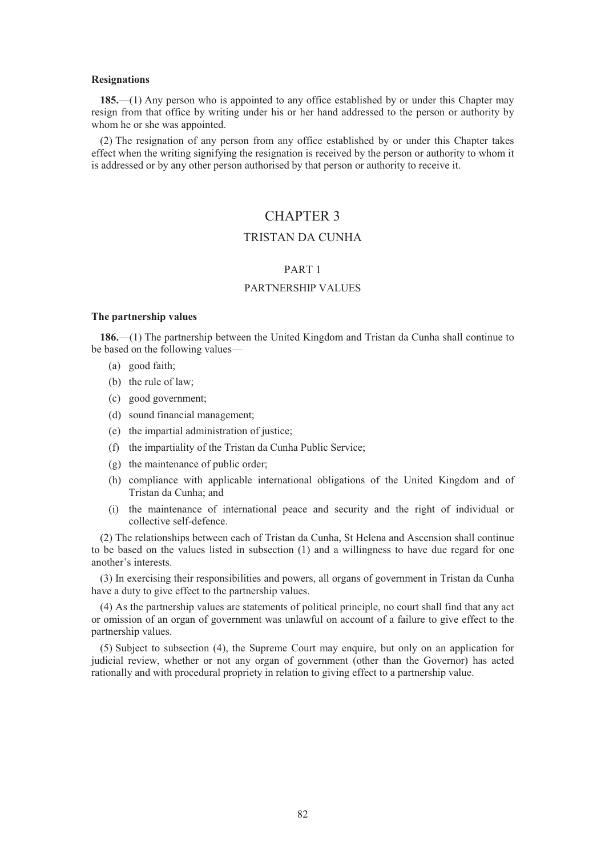## **Resignations**

**185.**—(1) Any person who is appointed to any office established by or under this Chapter may resign from that office by writing under his or her hand addressed to the person or authority by whom he or she was appointed.

(2) The resignation of any person from any office established by or under this Chapter takes effect when the writing signifying the resignation is received by the person or authority to whom it is addressed or by any other person authorised by that person or authority to receive it.

# CHAPTER 3

# TRISTAN DA CUNHA

# PART 1

# PARTNERSHIP VALUES

## **The partnership values**

**186.**—(1) The partnership between the United Kingdom and Tristan da Cunha shall continue to be based on the following values—

- (a) good faith;
- (b) the rule of law;
- (c) good government;
- (d) sound financial management;
- (e) the impartial administration of justice;
- (f) the impartiality of the Tristan da Cunha Public Service;
- (g) the maintenance of public order;
- (h) compliance with applicable international obligations of the United Kingdom and of Tristan da Cunha; and
- (i) the maintenance of international peace and security and the right of individual or collective self-defence.

(2) The relationships between each of Tristan da Cunha, St Helena and Ascension shall continue to be based on the values listed in subsection (1) and a willingness to have due regard for one another's interests.

(3) In exercising their responsibilities and powers, all organs of government in Tristan da Cunha have a duty to give effect to the partnership values.

(4) As the partnership values are statements of political principle, no court shall find that any act or omission of an organ of government was unlawful on account of a failure to give effect to the partnership values.

(5) Subject to subsection (4), the Supreme Court may enquire, but only on an application for judicial review, whether or not any organ of government (other than the Governor) has acted rationally and with procedural propriety in relation to giving effect to a partnership value.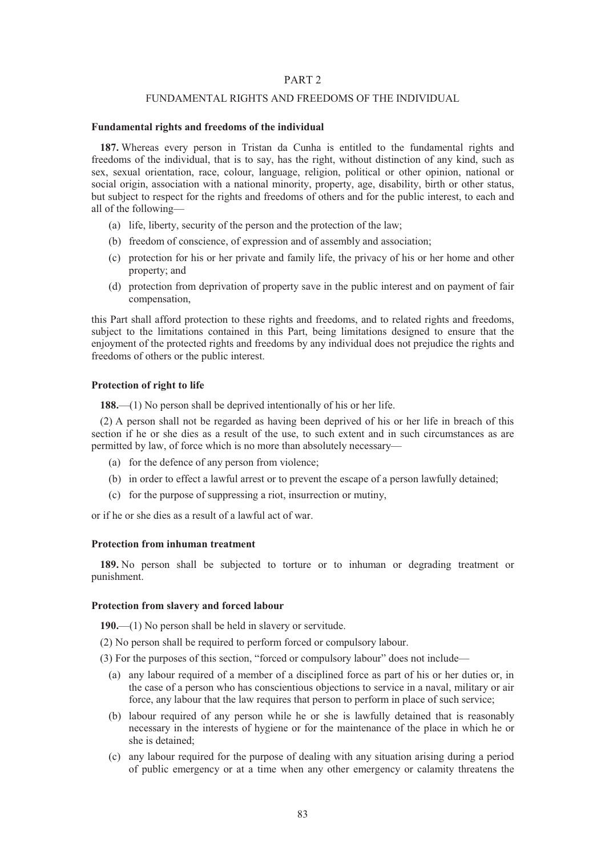# PART 2

# FUNDAMENTAL RIGHTS AND FREEDOMS OF THE INDIVIDUAL

## **Fundamental rights and freedoms of the individual**

**187.** Whereas every person in Tristan da Cunha is entitled to the fundamental rights and freedoms of the individual, that is to say, has the right, without distinction of any kind, such as sex, sexual orientation, race, colour, language, religion, political or other opinion, national or social origin, association with a national minority, property, age, disability, birth or other status, but subject to respect for the rights and freedoms of others and for the public interest, to each and all of the following—

- (a) life, liberty, security of the person and the protection of the law;
- (b) freedom of conscience, of expression and of assembly and association;
- (c) protection for his or her private and family life, the privacy of his or her home and other property; and
- (d) protection from deprivation of property save in the public interest and on payment of fair compensation,

this Part shall afford protection to these rights and freedoms, and to related rights and freedoms, subject to the limitations contained in this Part, being limitations designed to ensure that the enjoyment of the protected rights and freedoms by any individual does not prejudice the rights and freedoms of others or the public interest.

#### **Protection of right to life**

**188.**—(1) No person shall be deprived intentionally of his or her life.

(2) A person shall not be regarded as having been deprived of his or her life in breach of this section if he or she dies as a result of the use, to such extent and in such circumstances as are permitted by law, of force which is no more than absolutely necessary—

- (a) for the defence of any person from violence;
- (b) in order to effect a lawful arrest or to prevent the escape of a person lawfully detained;
- (c) for the purpose of suppressing a riot, insurrection or mutiny,

or if he or she dies as a result of a lawful act of war.

# **Protection from inhuman treatment**

**189.** No person shall be subjected to torture or to inhuman or degrading treatment or punishment.

## **Protection from slavery and forced labour**

**190.**—(1) No person shall be held in slavery or servitude.

(2) No person shall be required to perform forced or compulsory labour.

(3) For the purposes of this section, "forced or compulsory labour" does not include—

- (a) any labour required of a member of a disciplined force as part of his or her duties or, in the case of a person who has conscientious objections to service in a naval, military or air force, any labour that the law requires that person to perform in place of such service;
- (b) labour required of any person while he or she is lawfully detained that is reasonably necessary in the interests of hygiene or for the maintenance of the place in which he or she is detained;
- (c) any labour required for the purpose of dealing with any situation arising during a period of public emergency or at a time when any other emergency or calamity threatens the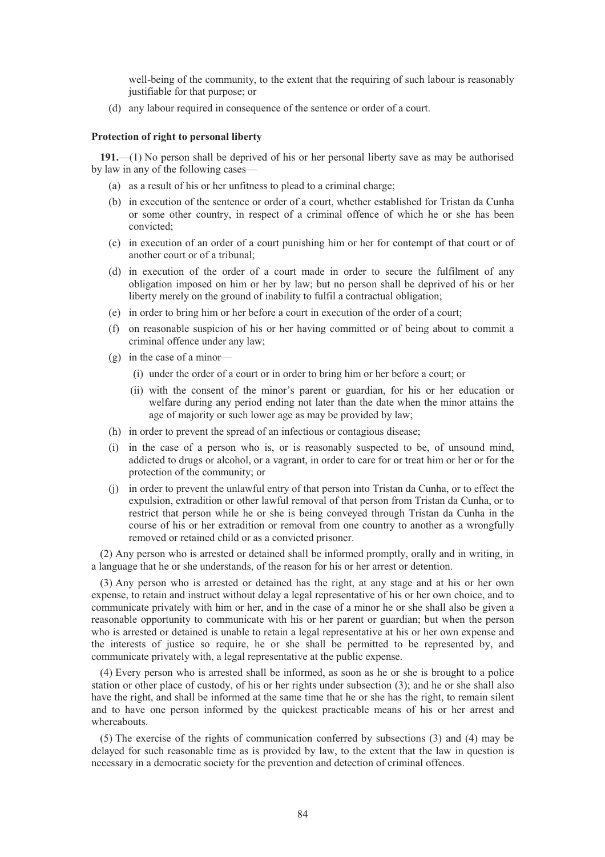well-being of the community, to the extent that the requiring of such labour is reasonably justifiable for that purpose; or

(d) any labour required in consequence of the sentence or order of a court.

#### **Protection of right to personal liberty**

**191.**—(1) No person shall be deprived of his or her personal liberty save as may be authorised by law in any of the following cases—

- (a) as a result of his or her unfitness to plead to a criminal charge;
- (b) in execution of the sentence or order of a court, whether established for Tristan da Cunha or some other country, in respect of a criminal offence of which he or she has been convicted;
- (c) in execution of an order of a court punishing him or her for contempt of that court or of another court or of a tribunal;
- (d) in execution of the order of a court made in order to secure the fulfilment of any obligation imposed on him or her by law; but no person shall be deprived of his or her liberty merely on the ground of inability to fulfil a contractual obligation;
- (e) in order to bring him or her before a court in execution of the order of a court;
- (f) on reasonable suspicion of his or her having committed or of being about to commit a criminal offence under any law;
- (g) in the case of a minor—
	- (i) under the order of a court or in order to bring him or her before a court; or
	- (ii) with the consent of the minor's parent or guardian, for his or her education or welfare during any period ending not later than the date when the minor attains the age of majority or such lower age as may be provided by law;
- (h) in order to prevent the spread of an infectious or contagious disease;
- (i) in the case of a person who is, or is reasonably suspected to be, of unsound mind, addicted to drugs or alcohol, or a vagrant, in order to care for or treat him or her or for the protection of the community; or
- (j) in order to prevent the unlawful entry of that person into Tristan da Cunha, or to effect the expulsion, extradition or other lawful removal of that person from Tristan da Cunha, or to restrict that person while he or she is being conveyed through Tristan da Cunha in the course of his or her extradition or removal from one country to another as a wrongfully removed or retained child or as a convicted prisoner.

(2) Any person who is arrested or detained shall be informed promptly, orally and in writing, in a language that he or she understands, of the reason for his or her arrest or detention.

(3) Any person who is arrested or detained has the right, at any stage and at his or her own expense, to retain and instruct without delay a legal representative of his or her own choice, and to communicate privately with him or her, and in the case of a minor he or she shall also be given a reasonable opportunity to communicate with his or her parent or guardian; but when the person who is arrested or detained is unable to retain a legal representative at his or her own expense and the interests of justice so require, he or she shall be permitted to be represented by, and communicate privately with, a legal representative at the public expense.

(4) Every person who is arrested shall be informed, as soon as he or she is brought to a police station or other place of custody, of his or her rights under subsection (3); and he or she shall also have the right, and shall be informed at the same time that he or she has the right, to remain silent and to have one person informed by the quickest practicable means of his or her arrest and whereabouts.

(5) The exercise of the rights of communication conferred by subsections (3) and (4) may be delayed for such reasonable time as is provided by law, to the extent that the law in question is necessary in a democratic society for the prevention and detection of criminal offences.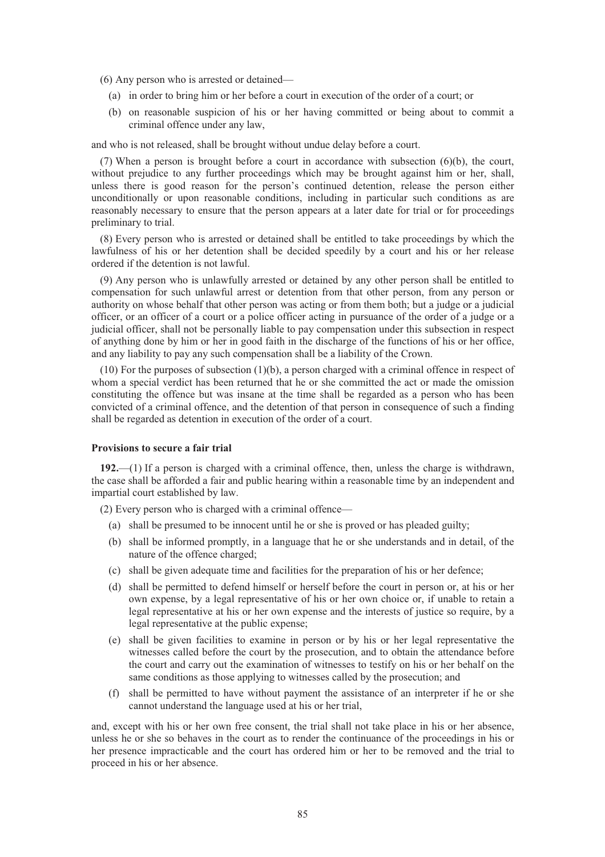(6) Any person who is arrested or detained—

- (a) in order to bring him or her before a court in execution of the order of a court; or
- (b) on reasonable suspicion of his or her having committed or being about to commit a criminal offence under any law,

and who is not released, shall be brought without undue delay before a court.

(7) When a person is brought before a court in accordance with subsection (6)(b), the court, without prejudice to any further proceedings which may be brought against him or her, shall, unless there is good reason for the person's continued detention, release the person either unconditionally or upon reasonable conditions, including in particular such conditions as are reasonably necessary to ensure that the person appears at a later date for trial or for proceedings preliminary to trial.

(8) Every person who is arrested or detained shall be entitled to take proceedings by which the lawfulness of his or her detention shall be decided speedily by a court and his or her release ordered if the detention is not lawful.

(9) Any person who is unlawfully arrested or detained by any other person shall be entitled to compensation for such unlawful arrest or detention from that other person, from any person or authority on whose behalf that other person was acting or from them both; but a judge or a judicial officer, or an officer of a court or a police officer acting in pursuance of the order of a judge or a judicial officer, shall not be personally liable to pay compensation under this subsection in respect of anything done by him or her in good faith in the discharge of the functions of his or her office, and any liability to pay any such compensation shall be a liability of the Crown.

(10) For the purposes of subsection (1)(b), a person charged with a criminal offence in respect of whom a special verdict has been returned that he or she committed the act or made the omission constituting the offence but was insane at the time shall be regarded as a person who has been convicted of a criminal offence, and the detention of that person in consequence of such a finding shall be regarded as detention in execution of the order of a court.

#### **Provisions to secure a fair trial**

**192.**—(1) If a person is charged with a criminal offence, then, unless the charge is withdrawn, the case shall be afforded a fair and public hearing within a reasonable time by an independent and impartial court established by law.

(2) Every person who is charged with a criminal offence—

- (a) shall be presumed to be innocent until he or she is proved or has pleaded guilty;
- (b) shall be informed promptly, in a language that he or she understands and in detail, of the nature of the offence charged;
- (c) shall be given adequate time and facilities for the preparation of his or her defence;
- (d) shall be permitted to defend himself or herself before the court in person or, at his or her own expense, by a legal representative of his or her own choice or, if unable to retain a legal representative at his or her own expense and the interests of justice so require, by a legal representative at the public expense;
- (e) shall be given facilities to examine in person or by his or her legal representative the witnesses called before the court by the prosecution, and to obtain the attendance before the court and carry out the examination of witnesses to testify on his or her behalf on the same conditions as those applying to witnesses called by the prosecution; and
- (f) shall be permitted to have without payment the assistance of an interpreter if he or she cannot understand the language used at his or her trial,

and, except with his or her own free consent, the trial shall not take place in his or her absence, unless he or she so behaves in the court as to render the continuance of the proceedings in his or her presence impracticable and the court has ordered him or her to be removed and the trial to proceed in his or her absence.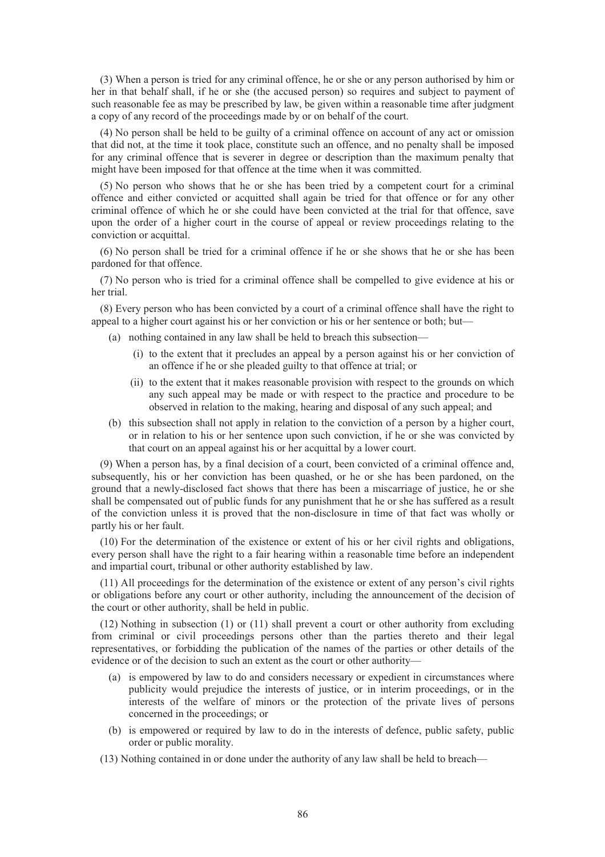(3) When a person is tried for any criminal offence, he or she or any person authorised by him or her in that behalf shall, if he or she (the accused person) so requires and subject to payment of such reasonable fee as may be prescribed by law, be given within a reasonable time after judgment a copy of any record of the proceedings made by or on behalf of the court.

(4) No person shall be held to be guilty of a criminal offence on account of any act or omission that did not, at the time it took place, constitute such an offence, and no penalty shall be imposed for any criminal offence that is severer in degree or description than the maximum penalty that might have been imposed for that offence at the time when it was committed.

(5) No person who shows that he or she has been tried by a competent court for a criminal offence and either convicted or acquitted shall again be tried for that offence or for any other criminal offence of which he or she could have been convicted at the trial for that offence, save upon the order of a higher court in the course of appeal or review proceedings relating to the conviction or acquittal.

(6) No person shall be tried for a criminal offence if he or she shows that he or she has been pardoned for that offence.

(7) No person who is tried for a criminal offence shall be compelled to give evidence at his or her trial.

(8) Every person who has been convicted by a court of a criminal offence shall have the right to appeal to a higher court against his or her conviction or his or her sentence or both; but—

- (a) nothing contained in any law shall be held to breach this subsection—
	- (i) to the extent that it precludes an appeal by a person against his or her conviction of an offence if he or she pleaded guilty to that offence at trial; or
	- (ii) to the extent that it makes reasonable provision with respect to the grounds on which any such appeal may be made or with respect to the practice and procedure to be observed in relation to the making, hearing and disposal of any such appeal; and
- (b) this subsection shall not apply in relation to the conviction of a person by a higher court, or in relation to his or her sentence upon such conviction, if he or she was convicted by that court on an appeal against his or her acquittal by a lower court.

(9) When a person has, by a final decision of a court, been convicted of a criminal offence and, subsequently, his or her conviction has been quashed, or he or she has been pardoned, on the ground that a newly-disclosed fact shows that there has been a miscarriage of justice, he or she shall be compensated out of public funds for any punishment that he or she has suffered as a result of the conviction unless it is proved that the non-disclosure in time of that fact was wholly or partly his or her fault.

(10) For the determination of the existence or extent of his or her civil rights and obligations, every person shall have the right to a fair hearing within a reasonable time before an independent and impartial court, tribunal or other authority established by law.

(11) All proceedings for the determination of the existence or extent of any person's civil rights or obligations before any court or other authority, including the announcement of the decision of the court or other authority, shall be held in public.

(12) Nothing in subsection (1) or (11) shall prevent a court or other authority from excluding from criminal or civil proceedings persons other than the parties thereto and their legal representatives, or forbidding the publication of the names of the parties or other details of the evidence or of the decision to such an extent as the court or other authority—

- (a) is empowered by law to do and considers necessary or expedient in circumstances where publicity would prejudice the interests of justice, or in interim proceedings, or in the interests of the welfare of minors or the protection of the private lives of persons concerned in the proceedings; or
- (b) is empowered or required by law to do in the interests of defence, public safety, public order or public morality.
- (13) Nothing contained in or done under the authority of any law shall be held to breach—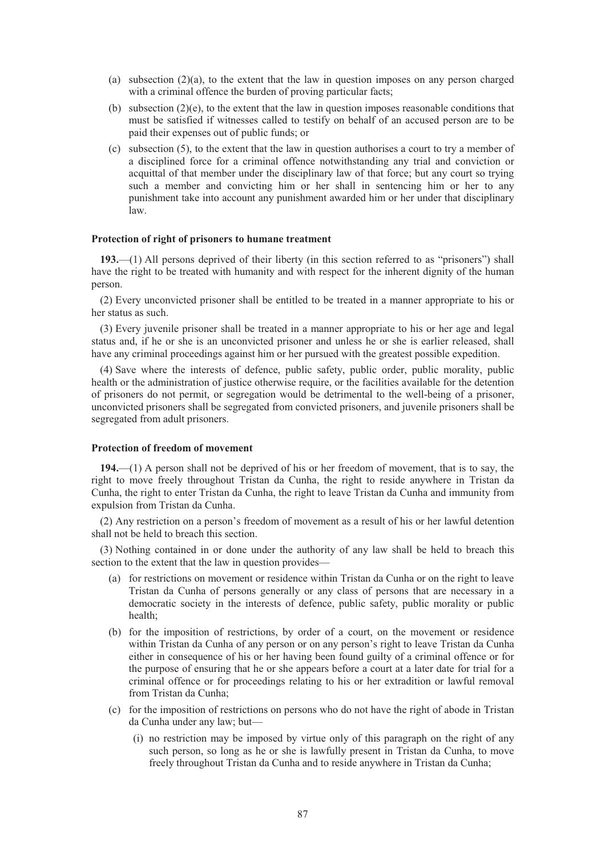- (a) subsection  $(2)(a)$ , to the extent that the law in question imposes on any person charged with a criminal offence the burden of proving particular facts;
- (b) subsection  $(2)(e)$ , to the extent that the law in question imposes reasonable conditions that must be satisfied if witnesses called to testify on behalf of an accused person are to be paid their expenses out of public funds; or
- (c) subsection (5), to the extent that the law in question authorises a court to try a member of a disciplined force for a criminal offence notwithstanding any trial and conviction or acquittal of that member under the disciplinary law of that force; but any court so trying such a member and convicting him or her shall in sentencing him or her to any punishment take into account any punishment awarded him or her under that disciplinary law.

## **Protection of right of prisoners to humane treatment**

**193.**—(1) All persons deprived of their liberty (in this section referred to as "prisoners") shall have the right to be treated with humanity and with respect for the inherent dignity of the human person.

(2) Every unconvicted prisoner shall be entitled to be treated in a manner appropriate to his or her status as such.

(3) Every juvenile prisoner shall be treated in a manner appropriate to his or her age and legal status and, if he or she is an unconvicted prisoner and unless he or she is earlier released, shall have any criminal proceedings against him or her pursued with the greatest possible expedition.

(4) Save where the interests of defence, public safety, public order, public morality, public health or the administration of justice otherwise require, or the facilities available for the detention of prisoners do not permit, or segregation would be detrimental to the well-being of a prisoner, unconvicted prisoners shall be segregated from convicted prisoners, and juvenile prisoners shall be segregated from adult prisoners.

# **Protection of freedom of movement**

**194.**—(1) A person shall not be deprived of his or her freedom of movement, that is to say, the right to move freely throughout Tristan da Cunha, the right to reside anywhere in Tristan da Cunha, the right to enter Tristan da Cunha, the right to leave Tristan da Cunha and immunity from expulsion from Tristan da Cunha.

(2) Any restriction on a person's freedom of movement as a result of his or her lawful detention shall not be held to breach this section.

(3) Nothing contained in or done under the authority of any law shall be held to breach this section to the extent that the law in question provides—

- (a) for restrictions on movement or residence within Tristan da Cunha or on the right to leave Tristan da Cunha of persons generally or any class of persons that are necessary in a democratic society in the interests of defence, public safety, public morality or public health;
- (b) for the imposition of restrictions, by order of a court, on the movement or residence within Tristan da Cunha of any person or on any person's right to leave Tristan da Cunha either in consequence of his or her having been found guilty of a criminal offence or for the purpose of ensuring that he or she appears before a court at a later date for trial for a criminal offence or for proceedings relating to his or her extradition or lawful removal from Tristan da Cunha;
- (c) for the imposition of restrictions on persons who do not have the right of abode in Tristan da Cunha under any law; but—
	- (i) no restriction may be imposed by virtue only of this paragraph on the right of any such person, so long as he or she is lawfully present in Tristan da Cunha, to move freely throughout Tristan da Cunha and to reside anywhere in Tristan da Cunha;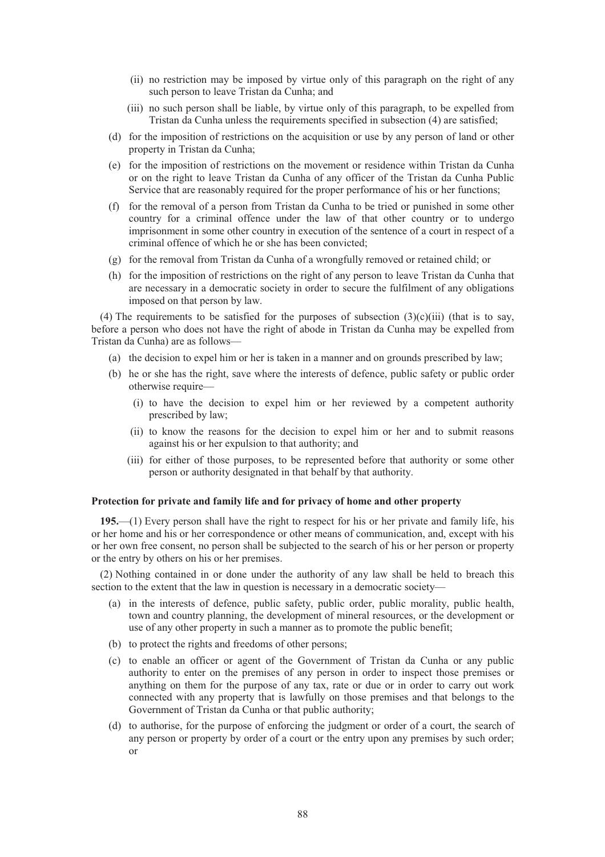- (ii) no restriction may be imposed by virtue only of this paragraph on the right of any such person to leave Tristan da Cunha; and
- (iii) no such person shall be liable, by virtue only of this paragraph, to be expelled from Tristan da Cunha unless the requirements specified in subsection (4) are satisfied;
- (d) for the imposition of restrictions on the acquisition or use by any person of land or other property in Tristan da Cunha;
- (e) for the imposition of restrictions on the movement or residence within Tristan da Cunha or on the right to leave Tristan da Cunha of any officer of the Tristan da Cunha Public Service that are reasonably required for the proper performance of his or her functions;
- (f) for the removal of a person from Tristan da Cunha to be tried or punished in some other country for a criminal offence under the law of that other country or to undergo imprisonment in some other country in execution of the sentence of a court in respect of a criminal offence of which he or she has been convicted;
- (g) for the removal from Tristan da Cunha of a wrongfully removed or retained child; or
- (h) for the imposition of restrictions on the right of any person to leave Tristan da Cunha that are necessary in a democratic society in order to secure the fulfilment of any obligations imposed on that person by law.

(4) The requirements to be satisfied for the purposes of subsection  $(3)(c)(iii)$  (that is to say, before a person who does not have the right of abode in Tristan da Cunha may be expelled from Tristan da Cunha) are as follows—

- (a) the decision to expel him or her is taken in a manner and on grounds prescribed by law;
- (b) he or she has the right, save where the interests of defence, public safety or public order otherwise require—
	- (i) to have the decision to expel him or her reviewed by a competent authority prescribed by law;
	- (ii) to know the reasons for the decision to expel him or her and to submit reasons against his or her expulsion to that authority; and
	- (iii) for either of those purposes, to be represented before that authority or some other person or authority designated in that behalf by that authority.

#### **Protection for private and family life and for privacy of home and other property**

**195.**—(1) Every person shall have the right to respect for his or her private and family life, his or her home and his or her correspondence or other means of communication, and, except with his or her own free consent, no person shall be subjected to the search of his or her person or property or the entry by others on his or her premises.

(2) Nothing contained in or done under the authority of any law shall be held to breach this section to the extent that the law in question is necessary in a democratic society—

- (a) in the interests of defence, public safety, public order, public morality, public health, town and country planning, the development of mineral resources, or the development or use of any other property in such a manner as to promote the public benefit;
- (b) to protect the rights and freedoms of other persons;
- (c) to enable an officer or agent of the Government of Tristan da Cunha or any public authority to enter on the premises of any person in order to inspect those premises or anything on them for the purpose of any tax, rate or due or in order to carry out work connected with any property that is lawfully on those premises and that belongs to the Government of Tristan da Cunha or that public authority;
- (d) to authorise, for the purpose of enforcing the judgment or order of a court, the search of any person or property by order of a court or the entry upon any premises by such order; or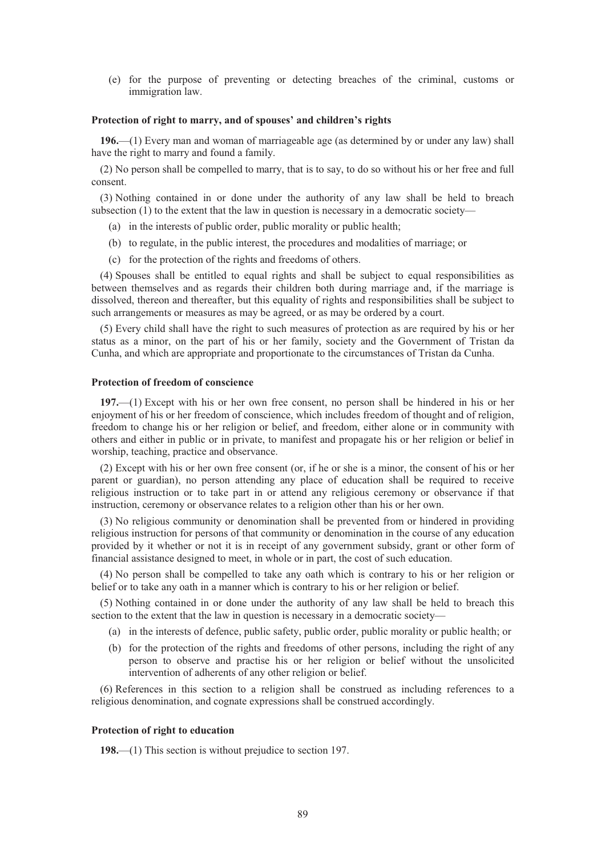(e) for the purpose of preventing or detecting breaches of the criminal, customs or immigration law.

#### **Protection of right to marry, and of spouses' and children's rights**

**196.**—(1) Every man and woman of marriageable age (as determined by or under any law) shall have the right to marry and found a family.

(2) No person shall be compelled to marry, that is to say, to do so without his or her free and full consent.

(3) Nothing contained in or done under the authority of any law shall be held to breach subsection (1) to the extent that the law in question is necessary in a democratic society—

- (a) in the interests of public order, public morality or public health;
- (b) to regulate, in the public interest, the procedures and modalities of marriage; or
- (c) for the protection of the rights and freedoms of others.

(4) Spouses shall be entitled to equal rights and shall be subject to equal responsibilities as between themselves and as regards their children both during marriage and, if the marriage is dissolved, thereon and thereafter, but this equality of rights and responsibilities shall be subject to such arrangements or measures as may be agreed, or as may be ordered by a court.

(5) Every child shall have the right to such measures of protection as are required by his or her status as a minor, on the part of his or her family, society and the Government of Tristan da Cunha, and which are appropriate and proportionate to the circumstances of Tristan da Cunha.

#### **Protection of freedom of conscience**

**197.**—(1) Except with his or her own free consent, no person shall be hindered in his or her enjoyment of his or her freedom of conscience, which includes freedom of thought and of religion, freedom to change his or her religion or belief, and freedom, either alone or in community with others and either in public or in private, to manifest and propagate his or her religion or belief in worship, teaching, practice and observance.

(2) Except with his or her own free consent (or, if he or she is a minor, the consent of his or her parent or guardian), no person attending any place of education shall be required to receive religious instruction or to take part in or attend any religious ceremony or observance if that instruction, ceremony or observance relates to a religion other than his or her own.

(3) No religious community or denomination shall be prevented from or hindered in providing religious instruction for persons of that community or denomination in the course of any education provided by it whether or not it is in receipt of any government subsidy, grant or other form of financial assistance designed to meet, in whole or in part, the cost of such education.

(4) No person shall be compelled to take any oath which is contrary to his or her religion or belief or to take any oath in a manner which is contrary to his or her religion or belief.

(5) Nothing contained in or done under the authority of any law shall be held to breach this section to the extent that the law in question is necessary in a democratic society—

- (a) in the interests of defence, public safety, public order, public morality or public health; or
- (b) for the protection of the rights and freedoms of other persons, including the right of any person to observe and practise his or her religion or belief without the unsolicited intervention of adherents of any other religion or belief.

(6) References in this section to a religion shall be construed as including references to a religious denomination, and cognate expressions shall be construed accordingly.

#### **Protection of right to education**

**198.**—(1) This section is without prejudice to section 197.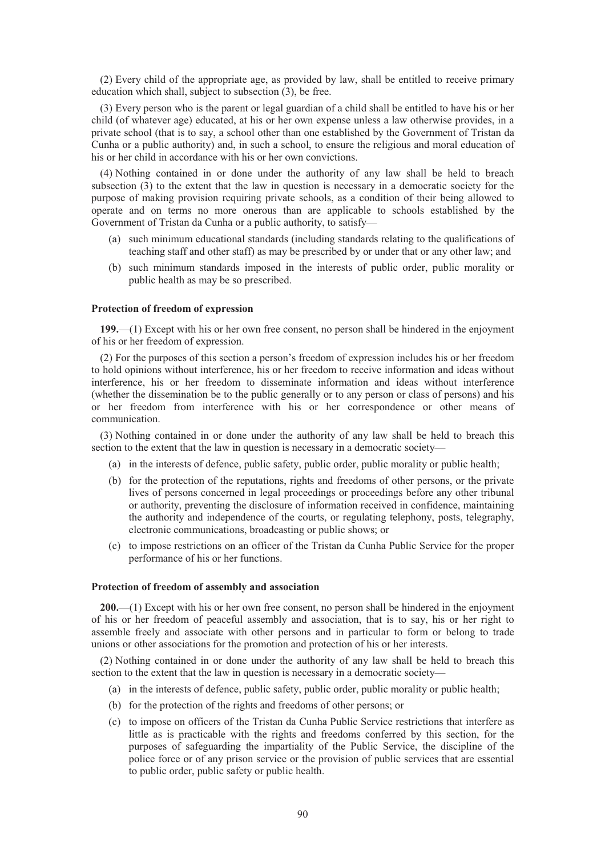(2) Every child of the appropriate age, as provided by law, shall be entitled to receive primary education which shall, subject to subsection (3), be free.

(3) Every person who is the parent or legal guardian of a child shall be entitled to have his or her child (of whatever age) educated, at his or her own expense unless a law otherwise provides, in a private school (that is to say, a school other than one established by the Government of Tristan da Cunha or a public authority) and, in such a school, to ensure the religious and moral education of his or her child in accordance with his or her own convictions.

(4) Nothing contained in or done under the authority of any law shall be held to breach subsection (3) to the extent that the law in question is necessary in a democratic society for the purpose of making provision requiring private schools, as a condition of their being allowed to operate and on terms no more onerous than are applicable to schools established by the Government of Tristan da Cunha or a public authority, to satisfy—

- (a) such minimum educational standards (including standards relating to the qualifications of teaching staff and other staff) as may be prescribed by or under that or any other law; and
- (b) such minimum standards imposed in the interests of public order, public morality or public health as may be so prescribed.

#### **Protection of freedom of expression**

**199.**—(1) Except with his or her own free consent, no person shall be hindered in the enjoyment of his or her freedom of expression.

(2) For the purposes of this section a person's freedom of expression includes his or her freedom to hold opinions without interference, his or her freedom to receive information and ideas without interference, his or her freedom to disseminate information and ideas without interference (whether the dissemination be to the public generally or to any person or class of persons) and his or her freedom from interference with his or her correspondence or other means of communication.

(3) Nothing contained in or done under the authority of any law shall be held to breach this section to the extent that the law in question is necessary in a democratic society—

- (a) in the interests of defence, public safety, public order, public morality or public health;
- (b) for the protection of the reputations, rights and freedoms of other persons, or the private lives of persons concerned in legal proceedings or proceedings before any other tribunal or authority, preventing the disclosure of information received in confidence, maintaining the authority and independence of the courts, or regulating telephony, posts, telegraphy, electronic communications, broadcasting or public shows; or
- (c) to impose restrictions on an officer of the Tristan da Cunha Public Service for the proper performance of his or her functions.

#### **Protection of freedom of assembly and association**

**200.**—(1) Except with his or her own free consent, no person shall be hindered in the enjoyment of his or her freedom of peaceful assembly and association, that is to say, his or her right to assemble freely and associate with other persons and in particular to form or belong to trade unions or other associations for the promotion and protection of his or her interests.

(2) Nothing contained in or done under the authority of any law shall be held to breach this section to the extent that the law in question is necessary in a democratic society—

- (a) in the interests of defence, public safety, public order, public morality or public health;
- (b) for the protection of the rights and freedoms of other persons; or
- (c) to impose on officers of the Tristan da Cunha Public Service restrictions that interfere as little as is practicable with the rights and freedoms conferred by this section, for the purposes of safeguarding the impartiality of the Public Service, the discipline of the police force or of any prison service or the provision of public services that are essential to public order, public safety or public health.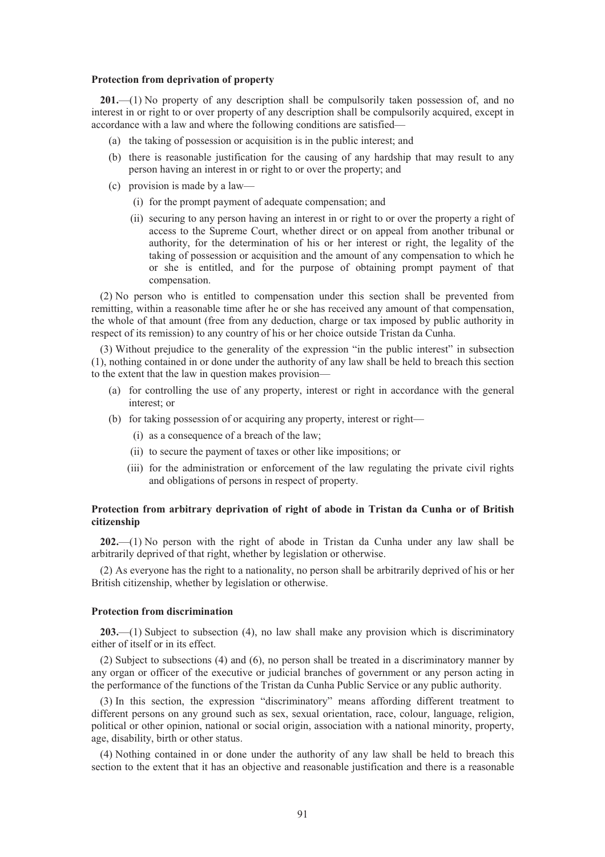#### **Protection from deprivation of property**

**201.**—(1) No property of any description shall be compulsorily taken possession of, and no interest in or right to or over property of any description shall be compulsorily acquired, except in accordance with a law and where the following conditions are satisfied—

- (a) the taking of possession or acquisition is in the public interest; and
- (b) there is reasonable justification for the causing of any hardship that may result to any person having an interest in or right to or over the property; and
- (c) provision is made by a law—
	- (i) for the prompt payment of adequate compensation; and
	- (ii) securing to any person having an interest in or right to or over the property a right of access to the Supreme Court, whether direct or on appeal from another tribunal or authority, for the determination of his or her interest or right, the legality of the taking of possession or acquisition and the amount of any compensation to which he or she is entitled, and for the purpose of obtaining prompt payment of that compensation.

(2) No person who is entitled to compensation under this section shall be prevented from remitting, within a reasonable time after he or she has received any amount of that compensation, the whole of that amount (free from any deduction, charge or tax imposed by public authority in respect of its remission) to any country of his or her choice outside Tristan da Cunha.

(3) Without prejudice to the generality of the expression "in the public interest" in subsection (1), nothing contained in or done under the authority of any law shall be held to breach this section to the extent that the law in question makes provision—

- (a) for controlling the use of any property, interest or right in accordance with the general interest; or
- (b) for taking possession of or acquiring any property, interest or right—
	- (i) as a consequence of a breach of the law;
	- (ii) to secure the payment of taxes or other like impositions; or
	- (iii) for the administration or enforcement of the law regulating the private civil rights and obligations of persons in respect of property.

# **Protection from arbitrary deprivation of right of abode in Tristan da Cunha or of British citizenship**

**202.**—(1) No person with the right of abode in Tristan da Cunha under any law shall be arbitrarily deprived of that right, whether by legislation or otherwise.

(2) As everyone has the right to a nationality, no person shall be arbitrarily deprived of his or her British citizenship, whether by legislation or otherwise.

#### **Protection from discrimination**

**203.**—(1) Subject to subsection (4), no law shall make any provision which is discriminatory either of itself or in its effect.

(2) Subject to subsections (4) and (6), no person shall be treated in a discriminatory manner by any organ or officer of the executive or judicial branches of government or any person acting in the performance of the functions of the Tristan da Cunha Public Service or any public authority.

(3) In this section, the expression "discriminatory" means affording different treatment to different persons on any ground such as sex, sexual orientation, race, colour, language, religion, political or other opinion, national or social origin, association with a national minority, property, age, disability, birth or other status.

(4) Nothing contained in or done under the authority of any law shall be held to breach this section to the extent that it has an objective and reasonable justification and there is a reasonable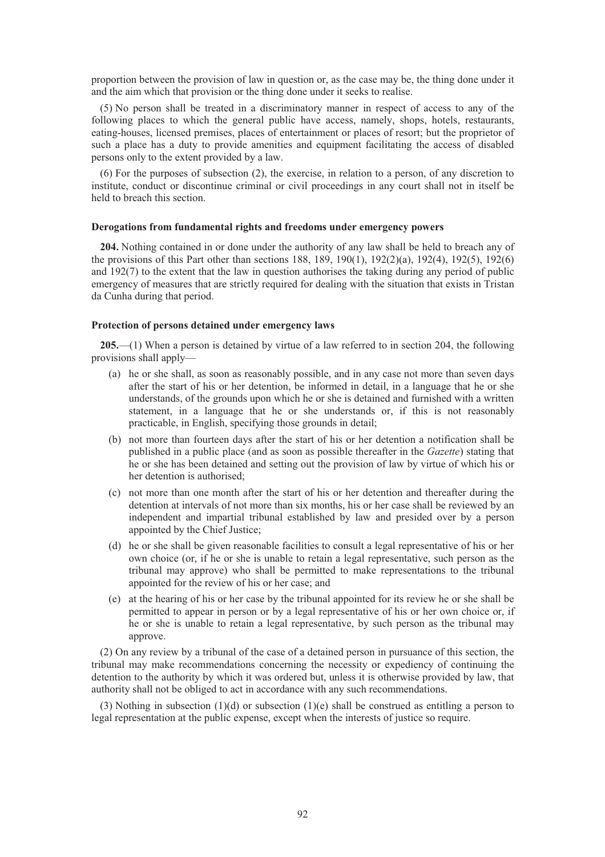proportion between the provision of law in question or, as the case may be, the thing done under it and the aim which that provision or the thing done under it seeks to realise.

(5) No person shall be treated in a discriminatory manner in respect of access to any of the following places to which the general public have access, namely, shops, hotels, restaurants, eating-houses, licensed premises, places of entertainment or places of resort; but the proprietor of such a place has a duty to provide amenities and equipment facilitating the access of disabled persons only to the extent provided by a law.

(6) For the purposes of subsection (2), the exercise, in relation to a person, of any discretion to institute, conduct or discontinue criminal or civil proceedings in any court shall not in itself be held to breach this section.

## **Derogations from fundamental rights and freedoms under emergency powers**

**204.** Nothing contained in or done under the authority of any law shall be held to breach any of the provisions of this Part other than sections 188, 189, 190(1), 192(2)(a), 192(4), 192(5), 192(6) and 192(7) to the extent that the law in question authorises the taking during any period of public emergency of measures that are strictly required for dealing with the situation that exists in Tristan da Cunha during that period.

#### **Protection of persons detained under emergency laws**

**205.**—(1) When a person is detained by virtue of a law referred to in section 204, the following provisions shall apply—

- (a) he or she shall, as soon as reasonably possible, and in any case not more than seven days after the start of his or her detention, be informed in detail, in a language that he or she understands, of the grounds upon which he or she is detained and furnished with a written statement, in a language that he or she understands or, if this is not reasonably practicable, in English, specifying those grounds in detail;
- (b) not more than fourteen days after the start of his or her detention a notification shall be published in a public place (and as soon as possible thereafter in the *Gazette*) stating that he or she has been detained and setting out the provision of law by virtue of which his or her detention is authorised;
- (c) not more than one month after the start of his or her detention and thereafter during the detention at intervals of not more than six months, his or her case shall be reviewed by an independent and impartial tribunal established by law and presided over by a person appointed by the Chief Justice;
- (d) he or she shall be given reasonable facilities to consult a legal representative of his or her own choice (or, if he or she is unable to retain a legal representative, such person as the tribunal may approve) who shall be permitted to make representations to the tribunal appointed for the review of his or her case; and
- (e) at the hearing of his or her case by the tribunal appointed for its review he or she shall be permitted to appear in person or by a legal representative of his or her own choice or, if he or she is unable to retain a legal representative, by such person as the tribunal may approve.

(2) On any review by a tribunal of the case of a detained person in pursuance of this section, the tribunal may make recommendations concerning the necessity or expediency of continuing the detention to the authority by which it was ordered but, unless it is otherwise provided by law, that authority shall not be obliged to act in accordance with any such recommendations.

(3) Nothing in subsection (1)(d) or subsection (1)(e) shall be construed as entitling a person to legal representation at the public expense, except when the interests of justice so require.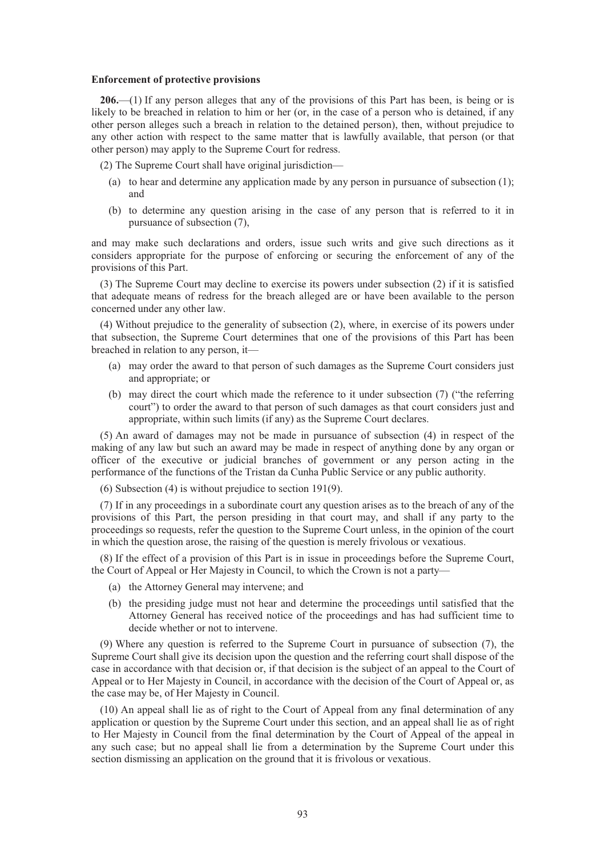#### **Enforcement of protective provisions**

**206.**—(1) If any person alleges that any of the provisions of this Part has been, is being or is likely to be breached in relation to him or her (or, in the case of a person who is detained, if any other person alleges such a breach in relation to the detained person), then, without prejudice to any other action with respect to the same matter that is lawfully available, that person (or that other person) may apply to the Supreme Court for redress.

(2) The Supreme Court shall have original jurisdiction—

- (a) to hear and determine any application made by any person in pursuance of subsection (1); and
- (b) to determine any question arising in the case of any person that is referred to it in pursuance of subsection (7),

and may make such declarations and orders, issue such writs and give such directions as it considers appropriate for the purpose of enforcing or securing the enforcement of any of the provisions of this Part.

(3) The Supreme Court may decline to exercise its powers under subsection (2) if it is satisfied that adequate means of redress for the breach alleged are or have been available to the person concerned under any other law.

(4) Without prejudice to the generality of subsection (2), where, in exercise of its powers under that subsection, the Supreme Court determines that one of the provisions of this Part has been breached in relation to any person, it—

- (a) may order the award to that person of such damages as the Supreme Court considers just and appropriate; or
- (b) may direct the court which made the reference to it under subsection (7) ("the referring court") to order the award to that person of such damages as that court considers just and appropriate, within such limits (if any) as the Supreme Court declares.

(5) An award of damages may not be made in pursuance of subsection (4) in respect of the making of any law but such an award may be made in respect of anything done by any organ or officer of the executive or judicial branches of government or any person acting in the performance of the functions of the Tristan da Cunha Public Service or any public authority.

(6) Subsection (4) is without prejudice to section 191(9).

(7) If in any proceedings in a subordinate court any question arises as to the breach of any of the provisions of this Part, the person presiding in that court may, and shall if any party to the proceedings so requests, refer the question to the Supreme Court unless, in the opinion of the court in which the question arose, the raising of the question is merely frivolous or vexatious.

(8) If the effect of a provision of this Part is in issue in proceedings before the Supreme Court, the Court of Appeal or Her Majesty in Council, to which the Crown is not a party—

- (a) the Attorney General may intervene; and
- (b) the presiding judge must not hear and determine the proceedings until satisfied that the Attorney General has received notice of the proceedings and has had sufficient time to decide whether or not to intervene.

(9) Where any question is referred to the Supreme Court in pursuance of subsection (7), the Supreme Court shall give its decision upon the question and the referring court shall dispose of the case in accordance with that decision or, if that decision is the subject of an appeal to the Court of Appeal or to Her Majesty in Council, in accordance with the decision of the Court of Appeal or, as the case may be, of Her Majesty in Council.

(10) An appeal shall lie as of right to the Court of Appeal from any final determination of any application or question by the Supreme Court under this section, and an appeal shall lie as of right to Her Majesty in Council from the final determination by the Court of Appeal of the appeal in any such case; but no appeal shall lie from a determination by the Supreme Court under this section dismissing an application on the ground that it is frivolous or vexatious.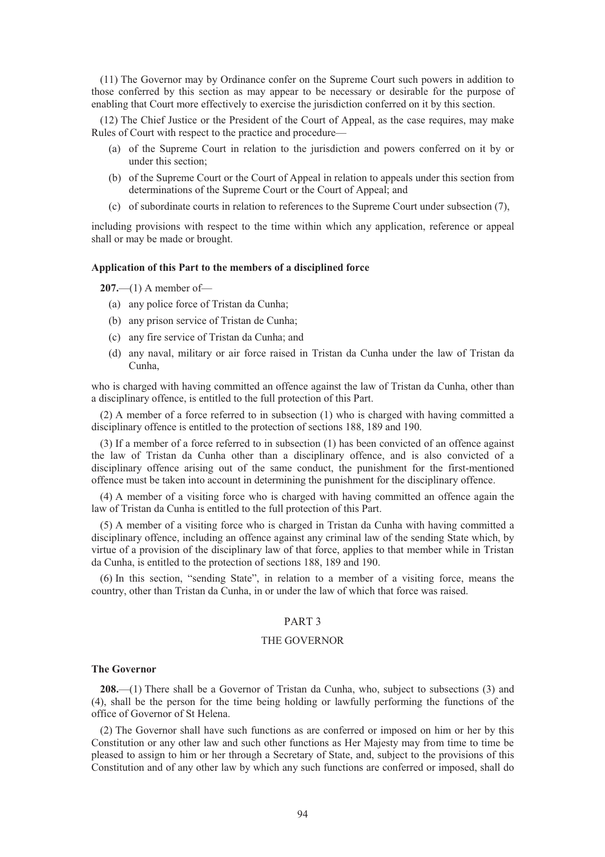(11) The Governor may by Ordinance confer on the Supreme Court such powers in addition to those conferred by this section as may appear to be necessary or desirable for the purpose of enabling that Court more effectively to exercise the jurisdiction conferred on it by this section.

(12) The Chief Justice or the President of the Court of Appeal, as the case requires, may make Rules of Court with respect to the practice and procedure—

- (a) of the Supreme Court in relation to the jurisdiction and powers conferred on it by or under this section;
- (b) of the Supreme Court or the Court of Appeal in relation to appeals under this section from determinations of the Supreme Court or the Court of Appeal; and
- (c) of subordinate courts in relation to references to the Supreme Court under subsection (7),

including provisions with respect to the time within which any application, reference or appeal shall or may be made or brought.

## **Application of this Part to the members of a disciplined force**

**207.**—(1) A member of—

- (a) any police force of Tristan da Cunha;
- (b) any prison service of Tristan de Cunha;
- (c) any fire service of Tristan da Cunha; and
- (d) any naval, military or air force raised in Tristan da Cunha under the law of Tristan da Cunha,

who is charged with having committed an offence against the law of Tristan da Cunha, other than a disciplinary offence, is entitled to the full protection of this Part.

(2) A member of a force referred to in subsection (1) who is charged with having committed a disciplinary offence is entitled to the protection of sections 188, 189 and 190.

(3) If a member of a force referred to in subsection (1) has been convicted of an offence against the law of Tristan da Cunha other than a disciplinary offence, and is also convicted of a disciplinary offence arising out of the same conduct, the punishment for the first-mentioned offence must be taken into account in determining the punishment for the disciplinary offence.

(4) A member of a visiting force who is charged with having committed an offence again the law of Tristan da Cunha is entitled to the full protection of this Part.

(5) A member of a visiting force who is charged in Tristan da Cunha with having committed a disciplinary offence, including an offence against any criminal law of the sending State which, by virtue of a provision of the disciplinary law of that force, applies to that member while in Tristan da Cunha, is entitled to the protection of sections 188, 189 and 190.

(6) In this section, "sending State", in relation to a member of a visiting force, means the country, other than Tristan da Cunha, in or under the law of which that force was raised.

## PART 3

## THE GOVERNOR

#### **The Governor**

**208.**—(1) There shall be a Governor of Tristan da Cunha, who, subject to subsections (3) and (4), shall be the person for the time being holding or lawfully performing the functions of the office of Governor of St Helena.

(2) The Governor shall have such functions as are conferred or imposed on him or her by this Constitution or any other law and such other functions as Her Majesty may from time to time be pleased to assign to him or her through a Secretary of State, and, subject to the provisions of this Constitution and of any other law by which any such functions are conferred or imposed, shall do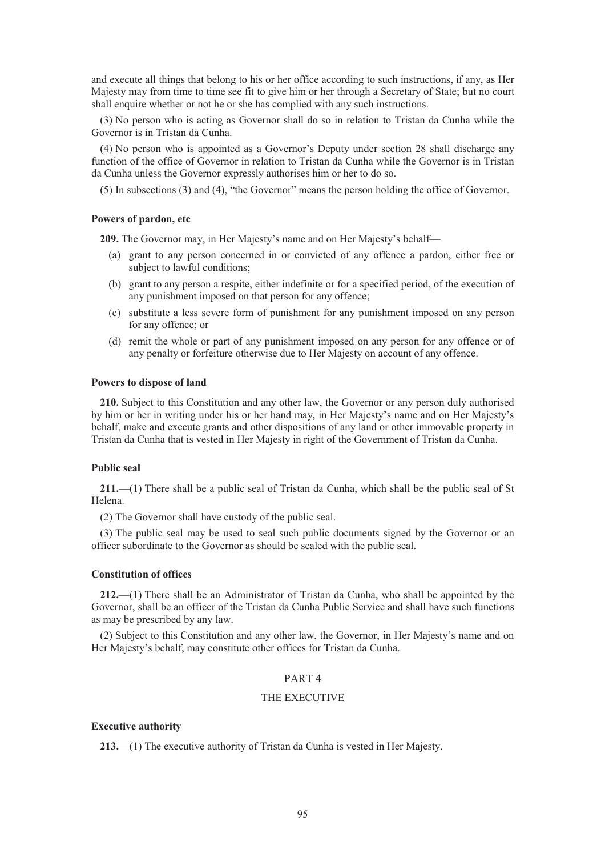and execute all things that belong to his or her office according to such instructions, if any, as Her Majesty may from time to time see fit to give him or her through a Secretary of State; but no court shall enquire whether or not he or she has complied with any such instructions.

(3) No person who is acting as Governor shall do so in relation to Tristan da Cunha while the Governor is in Tristan da Cunha.

(4) No person who is appointed as a Governor's Deputy under section 28 shall discharge any function of the office of Governor in relation to Tristan da Cunha while the Governor is in Tristan da Cunha unless the Governor expressly authorises him or her to do so.

(5) In subsections (3) and (4), "the Governor" means the person holding the office of Governor.

## **Powers of pardon, etc**

**209.** The Governor may, in Her Majesty's name and on Her Majesty's behalf—

- (a) grant to any person concerned in or convicted of any offence a pardon, either free or subject to lawful conditions;
- (b) grant to any person a respite, either indefinite or for a specified period, of the execution of any punishment imposed on that person for any offence;
- (c) substitute a less severe form of punishment for any punishment imposed on any person for any offence; or
- (d) remit the whole or part of any punishment imposed on any person for any offence or of any penalty or forfeiture otherwise due to Her Majesty on account of any offence.

#### **Powers to dispose of land**

**210.** Subject to this Constitution and any other law, the Governor or any person duly authorised by him or her in writing under his or her hand may, in Her Majesty's name and on Her Majesty's behalf, make and execute grants and other dispositions of any land or other immovable property in Tristan da Cunha that is vested in Her Majesty in right of the Government of Tristan da Cunha.

### **Public seal**

**211.**—(1) There shall be a public seal of Tristan da Cunha, which shall be the public seal of St Helena.

(2) The Governor shall have custody of the public seal.

(3) The public seal may be used to seal such public documents signed by the Governor or an officer subordinate to the Governor as should be sealed with the public seal.

#### **Constitution of offices**

**212.**—(1) There shall be an Administrator of Tristan da Cunha, who shall be appointed by the Governor, shall be an officer of the Tristan da Cunha Public Service and shall have such functions as may be prescribed by any law.

(2) Subject to this Constitution and any other law, the Governor, in Her Majesty's name and on Her Majesty's behalf, may constitute other offices for Tristan da Cunha.

## PART 4

## THE EXECUTIVE

#### **Executive authority**

**213.**—(1) The executive authority of Tristan da Cunha is vested in Her Majesty.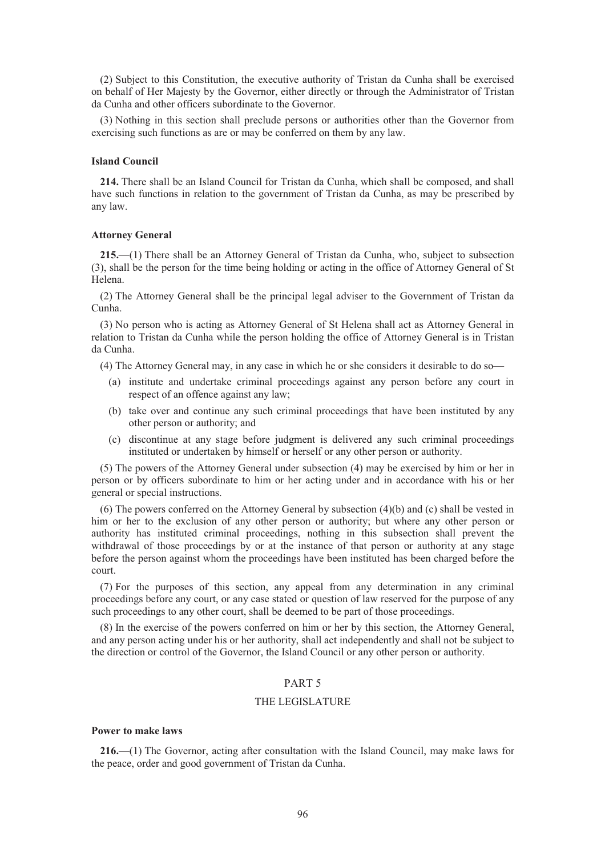(2) Subject to this Constitution, the executive authority of Tristan da Cunha shall be exercised on behalf of Her Majesty by the Governor, either directly or through the Administrator of Tristan da Cunha and other officers subordinate to the Governor.

(3) Nothing in this section shall preclude persons or authorities other than the Governor from exercising such functions as are or may be conferred on them by any law.

## **Island Council**

**214.** There shall be an Island Council for Tristan da Cunha, which shall be composed, and shall have such functions in relation to the government of Tristan da Cunha, as may be prescribed by any law.

## **Attorney General**

**215.**—(1) There shall be an Attorney General of Tristan da Cunha, who, subject to subsection (3), shall be the person for the time being holding or acting in the office of Attorney General of St Helena.

(2) The Attorney General shall be the principal legal adviser to the Government of Tristan da Cunha.

(3) No person who is acting as Attorney General of St Helena shall act as Attorney General in relation to Tristan da Cunha while the person holding the office of Attorney General is in Tristan da Cunha.

(4) The Attorney General may, in any case in which he or she considers it desirable to do so—

- (a) institute and undertake criminal proceedings against any person before any court in respect of an offence against any law;
- (b) take over and continue any such criminal proceedings that have been instituted by any other person or authority; and
- (c) discontinue at any stage before judgment is delivered any such criminal proceedings instituted or undertaken by himself or herself or any other person or authority.

(5) The powers of the Attorney General under subsection (4) may be exercised by him or her in person or by officers subordinate to him or her acting under and in accordance with his or her general or special instructions.

(6) The powers conferred on the Attorney General by subsection (4)(b) and (c) shall be vested in him or her to the exclusion of any other person or authority; but where any other person or authority has instituted criminal proceedings, nothing in this subsection shall prevent the withdrawal of those proceedings by or at the instance of that person or authority at any stage before the person against whom the proceedings have been instituted has been charged before the court.

(7) For the purposes of this section, any appeal from any determination in any criminal proceedings before any court, or any case stated or question of law reserved for the purpose of any such proceedings to any other court, shall be deemed to be part of those proceedings.

(8) In the exercise of the powers conferred on him or her by this section, the Attorney General, and any person acting under his or her authority, shall act independently and shall not be subject to the direction or control of the Governor, the Island Council or any other person or authority.

# PART 5

# THE LEGISLATURE

## **Power to make laws**

**216.**—(1) The Governor, acting after consultation with the Island Council, may make laws for the peace, order and good government of Tristan da Cunha.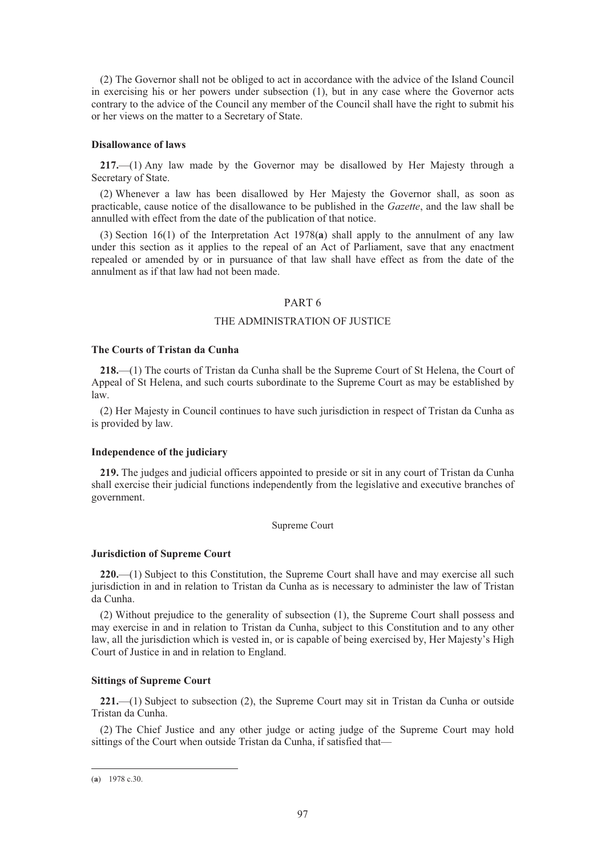(2) The Governor shall not be obliged to act in accordance with the advice of the Island Council in exercising his or her powers under subsection (1), but in any case where the Governor acts contrary to the advice of the Council any member of the Council shall have the right to submit his or her views on the matter to a Secretary of State.

#### **Disallowance of laws**

**217.**—(1) Any law made by the Governor may be disallowed by Her Majesty through a Secretary of State.

(2) Whenever a law has been disallowed by Her Majesty the Governor shall, as soon as practicable, cause notice of the disallowance to be published in the *Gazette*, and the law shall be annulled with effect from the date of the publication of that notice.

(3) Section 16(1) of the Interpretation Act 1978(**a**) shall apply to the annulment of any law under this section as it applies to the repeal of an Act of Parliament, save that any enactment repealed or amended by or in pursuance of that law shall have effect as from the date of the annulment as if that law had not been made.

#### PART 6

# THE ADMINISTRATION OF JUSTICE

## **The Courts of Tristan da Cunha**

**218.**—(1) The courts of Tristan da Cunha shall be the Supreme Court of St Helena, the Court of Appeal of St Helena, and such courts subordinate to the Supreme Court as may be established by law.

(2) Her Majesty in Council continues to have such jurisdiction in respect of Tristan da Cunha as is provided by law.

## **Independence of the judiciary**

**219.** The judges and judicial officers appointed to preside or sit in any court of Tristan da Cunha shall exercise their judicial functions independently from the legislative and executive branches of government.

#### Supreme Court

#### **Jurisdiction of Supreme Court**

**220.**—(1) Subject to this Constitution, the Supreme Court shall have and may exercise all such jurisdiction in and in relation to Tristan da Cunha as is necessary to administer the law of Tristan da Cunha.

(2) Without prejudice to the generality of subsection (1), the Supreme Court shall possess and may exercise in and in relation to Tristan da Cunha, subject to this Constitution and to any other law, all the jurisdiction which is vested in, or is capable of being exercised by, Her Majesty's High Court of Justice in and in relation to England.

# **Sittings of Supreme Court**

**221.**—(1) Subject to subsection (2), the Supreme Court may sit in Tristan da Cunha or outside Tristan da Cunha.

(2) The Chief Justice and any other judge or acting judge of the Supreme Court may hold sittings of the Court when outside Tristan da Cunha, if satisfied that—

 $\overline{a}$ 

<sup>(</sup>**a**) 1978 c.30.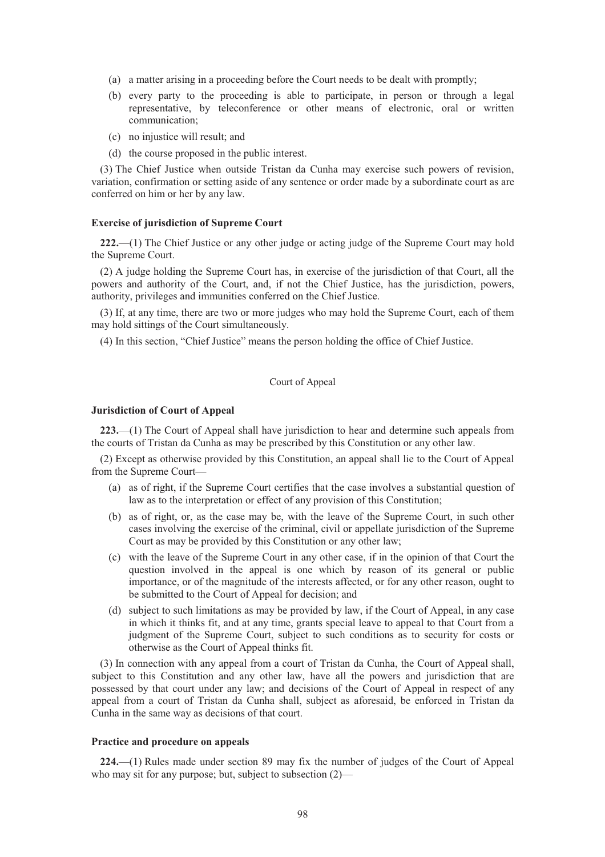- (a) a matter arising in a proceeding before the Court needs to be dealt with promptly;
- (b) every party to the proceeding is able to participate, in person or through a legal representative, by teleconference or other means of electronic, oral or written communication;
- (c) no injustice will result; and
- (d) the course proposed in the public interest.

(3) The Chief Justice when outside Tristan da Cunha may exercise such powers of revision, variation, confirmation or setting aside of any sentence or order made by a subordinate court as are conferred on him or her by any law.

#### **Exercise of jurisdiction of Supreme Court**

**222.**—(1) The Chief Justice or any other judge or acting judge of the Supreme Court may hold the Supreme Court.

(2) A judge holding the Supreme Court has, in exercise of the jurisdiction of that Court, all the powers and authority of the Court, and, if not the Chief Justice, has the jurisdiction, powers, authority, privileges and immunities conferred on the Chief Justice.

(3) If, at any time, there are two or more judges who may hold the Supreme Court, each of them may hold sittings of the Court simultaneously.

(4) In this section, "Chief Justice" means the person holding the office of Chief Justice.

#### Court of Appeal

## **Jurisdiction of Court of Appeal**

**223.**—(1) The Court of Appeal shall have jurisdiction to hear and determine such appeals from the courts of Tristan da Cunha as may be prescribed by this Constitution or any other law.

(2) Except as otherwise provided by this Constitution, an appeal shall lie to the Court of Appeal from the Supreme Court—

- (a) as of right, if the Supreme Court certifies that the case involves a substantial question of law as to the interpretation or effect of any provision of this Constitution;
- (b) as of right, or, as the case may be, with the leave of the Supreme Court, in such other cases involving the exercise of the criminal, civil or appellate jurisdiction of the Supreme Court as may be provided by this Constitution or any other law;
- (c) with the leave of the Supreme Court in any other case, if in the opinion of that Court the question involved in the appeal is one which by reason of its general or public importance, or of the magnitude of the interests affected, or for any other reason, ought to be submitted to the Court of Appeal for decision; and
- (d) subject to such limitations as may be provided by law, if the Court of Appeal, in any case in which it thinks fit, and at any time, grants special leave to appeal to that Court from a judgment of the Supreme Court, subject to such conditions as to security for costs or otherwise as the Court of Appeal thinks fit.

(3) In connection with any appeal from a court of Tristan da Cunha, the Court of Appeal shall, subject to this Constitution and any other law, have all the powers and jurisdiction that are possessed by that court under any law; and decisions of the Court of Appeal in respect of any appeal from a court of Tristan da Cunha shall, subject as aforesaid, be enforced in Tristan da Cunha in the same way as decisions of that court.

#### **Practice and procedure on appeals**

**224.**—(1) Rules made under section 89 may fix the number of judges of the Court of Appeal who may sit for any purpose; but, subject to subsection  $(2)$ —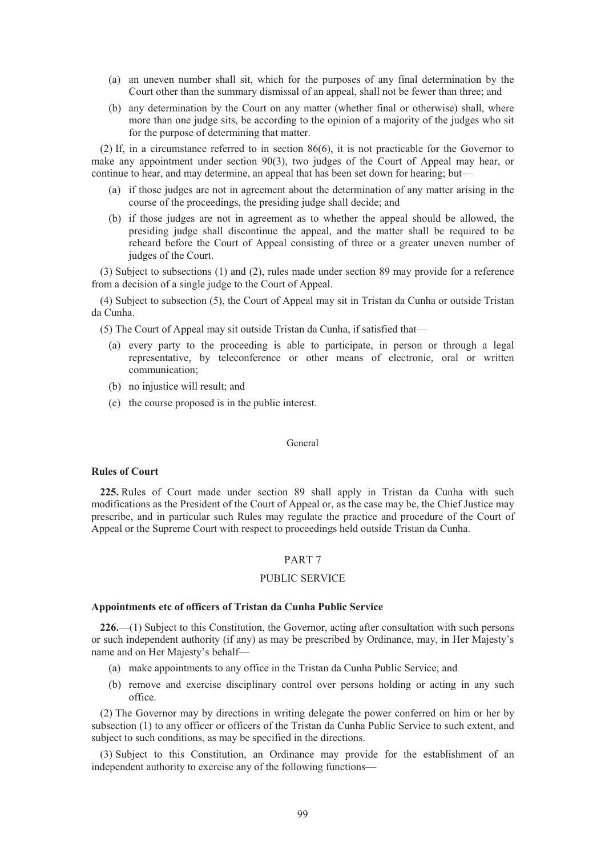- (a) an uneven number shall sit, which for the purposes of any final determination by the Court other than the summary dismissal of an appeal, shall not be fewer than three; and
- (b) any determination by the Court on any matter (whether final or otherwise) shall, where more than one judge sits, be according to the opinion of a majority of the judges who sit for the purpose of determining that matter.

(2) If, in a circumstance referred to in section 86(6), it is not practicable for the Governor to make any appointment under section 90(3), two judges of the Court of Appeal may hear, or continue to hear, and may determine, an appeal that has been set down for hearing; but—

- (a) if those judges are not in agreement about the determination of any matter arising in the course of the proceedings, the presiding judge shall decide; and
- (b) if those judges are not in agreement as to whether the appeal should be allowed, the presiding judge shall discontinue the appeal, and the matter shall be required to be reheard before the Court of Appeal consisting of three or a greater uneven number of judges of the Court.

(3) Subject to subsections (1) and (2), rules made under section 89 may provide for a reference from a decision of a single judge to the Court of Appeal.

(4) Subject to subsection (5), the Court of Appeal may sit in Tristan da Cunha or outside Tristan da Cunha.

(5) The Court of Appeal may sit outside Tristan da Cunha, if satisfied that—

- (a) every party to the proceeding is able to participate, in person or through a legal representative, by teleconference or other means of electronic, oral or written communication;
- (b) no injustice will result; and
- (c) the course proposed is in the public interest.

#### General

#### **Rules of Court**

**225.** Rules of Court made under section 89 shall apply in Tristan da Cunha with such modifications as the President of the Court of Appeal or, as the case may be, the Chief Justice may prescribe, and in particular such Rules may regulate the practice and procedure of the Court of Appeal or the Supreme Court with respect to proceedings held outside Tristan da Cunha.

## PART 7

# PUBLIC SERVICE

## **Appointments etc of officers of Tristan da Cunha Public Service**

**226.**—(1) Subject to this Constitution, the Governor, acting after consultation with such persons or such independent authority (if any) as may be prescribed by Ordinance, may, in Her Majesty's name and on Her Majesty's behalf—

- (a) make appointments to any office in the Tristan da Cunha Public Service; and
- (b) remove and exercise disciplinary control over persons holding or acting in any such office.

(2) The Governor may by directions in writing delegate the power conferred on him or her by subsection (1) to any officer or officers of the Tristan da Cunha Public Service to such extent, and subject to such conditions, as may be specified in the directions.

(3) Subject to this Constitution, an Ordinance may provide for the establishment of an independent authority to exercise any of the following functions—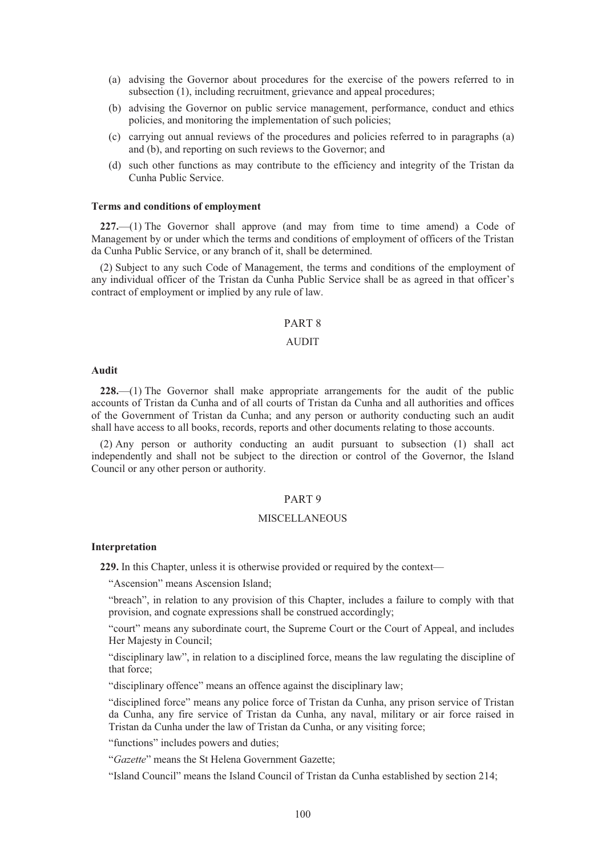- (a) advising the Governor about procedures for the exercise of the powers referred to in subsection (1), including recruitment, grievance and appeal procedures;
- (b) advising the Governor on public service management, performance, conduct and ethics policies, and monitoring the implementation of such policies;
- (c) carrying out annual reviews of the procedures and policies referred to in paragraphs (a) and (b), and reporting on such reviews to the Governor; and
- (d) such other functions as may contribute to the efficiency and integrity of the Tristan da Cunha Public Service.

## **Terms and conditions of employment**

**227.**—(1) The Governor shall approve (and may from time to time amend) a Code of Management by or under which the terms and conditions of employment of officers of the Tristan da Cunha Public Service, or any branch of it, shall be determined.

(2) Subject to any such Code of Management, the terms and conditions of the employment of any individual officer of the Tristan da Cunha Public Service shall be as agreed in that officer's contract of employment or implied by any rule of law.

#### PART 8

# **AUDIT**

#### **Audit**

**228.**—(1) The Governor shall make appropriate arrangements for the audit of the public accounts of Tristan da Cunha and of all courts of Tristan da Cunha and all authorities and offices of the Government of Tristan da Cunha; and any person or authority conducting such an audit shall have access to all books, records, reports and other documents relating to those accounts.

(2) Any person or authority conducting an audit pursuant to subsection (1) shall act independently and shall not be subject to the direction or control of the Governor, the Island Council or any other person or authority.

# PART 9

# **MISCELLANEOUS**

#### **Interpretation**

**229.** In this Chapter, unless it is otherwise provided or required by the context—

"Ascension" means Ascension Island;

"breach", in relation to any provision of this Chapter, includes a failure to comply with that provision, and cognate expressions shall be construed accordingly;

"court" means any subordinate court, the Supreme Court or the Court of Appeal, and includes Her Majesty in Council;

"disciplinary law", in relation to a disciplined force, means the law regulating the discipline of that force;

"disciplinary offence" means an offence against the disciplinary law;

"disciplined force" means any police force of Tristan da Cunha, any prison service of Tristan da Cunha, any fire service of Tristan da Cunha, any naval, military or air force raised in Tristan da Cunha under the law of Tristan da Cunha, or any visiting force;

"functions" includes powers and duties;

"*Gazette*" means the St Helena Government Gazette;

"Island Council" means the Island Council of Tristan da Cunha established by section 214;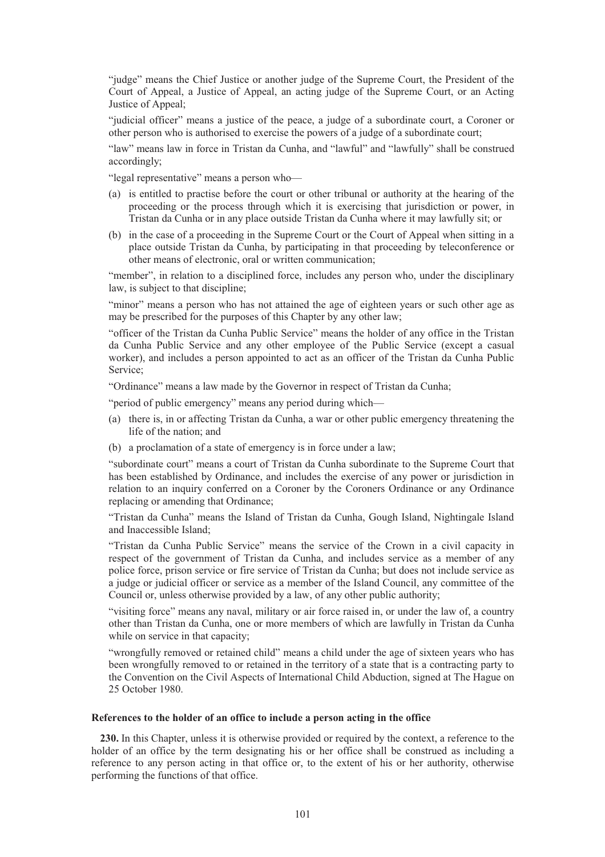"judge" means the Chief Justice or another judge of the Supreme Court, the President of the Court of Appeal, a Justice of Appeal, an acting judge of the Supreme Court, or an Acting Justice of Appeal;

"judicial officer" means a justice of the peace, a judge of a subordinate court, a Coroner or other person who is authorised to exercise the powers of a judge of a subordinate court;

"law" means law in force in Tristan da Cunha, and "lawful" and "lawfully" shall be construed accordingly;

"legal representative" means a person who—

- (a) is entitled to practise before the court or other tribunal or authority at the hearing of the proceeding or the process through which it is exercising that jurisdiction or power, in Tristan da Cunha or in any place outside Tristan da Cunha where it may lawfully sit; or
- (b) in the case of a proceeding in the Supreme Court or the Court of Appeal when sitting in a place outside Tristan da Cunha, by participating in that proceeding by teleconference or other means of electronic, oral or written communication;

"member", in relation to a disciplined force, includes any person who, under the disciplinary law, is subject to that discipline;

"minor" means a person who has not attained the age of eighteen years or such other age as may be prescribed for the purposes of this Chapter by any other law;

"officer of the Tristan da Cunha Public Service" means the holder of any office in the Tristan da Cunha Public Service and any other employee of the Public Service (except a casual worker), and includes a person appointed to act as an officer of the Tristan da Cunha Public Service;

"Ordinance" means a law made by the Governor in respect of Tristan da Cunha;

"period of public emergency" means any period during which—

- (a) there is, in or affecting Tristan da Cunha, a war or other public emergency threatening the life of the nation; and
- (b) a proclamation of a state of emergency is in force under a law;

"subordinate court" means a court of Tristan da Cunha subordinate to the Supreme Court that has been established by Ordinance, and includes the exercise of any power or jurisdiction in relation to an inquiry conferred on a Coroner by the Coroners Ordinance or any Ordinance replacing or amending that Ordinance;

"Tristan da Cunha" means the Island of Tristan da Cunha, Gough Island, Nightingale Island and Inaccessible Island;

"Tristan da Cunha Public Service" means the service of the Crown in a civil capacity in respect of the government of Tristan da Cunha, and includes service as a member of any police force, prison service or fire service of Tristan da Cunha; but does not include service as a judge or judicial officer or service as a member of the Island Council, any committee of the Council or, unless otherwise provided by a law, of any other public authority;

"visiting force" means any naval, military or air force raised in, or under the law of, a country other than Tristan da Cunha, one or more members of which are lawfully in Tristan da Cunha while on service in that capacity;

"wrongfully removed or retained child" means a child under the age of sixteen years who has been wrongfully removed to or retained in the territory of a state that is a contracting party to the Convention on the Civil Aspects of International Child Abduction, signed at The Hague on 25 October 1980.

## **References to the holder of an office to include a person acting in the office**

**230.** In this Chapter, unless it is otherwise provided or required by the context, a reference to the holder of an office by the term designating his or her office shall be construed as including a reference to any person acting in that office or, to the extent of his or her authority, otherwise performing the functions of that office.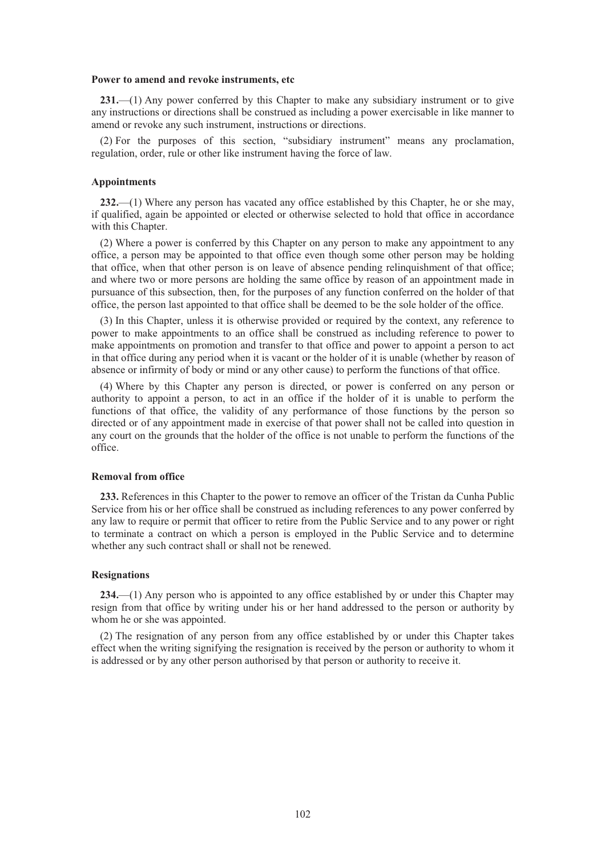#### **Power to amend and revoke instruments, etc**

**231.**—(1) Any power conferred by this Chapter to make any subsidiary instrument or to give any instructions or directions shall be construed as including a power exercisable in like manner to amend or revoke any such instrument, instructions or directions.

(2) For the purposes of this section, "subsidiary instrument" means any proclamation, regulation, order, rule or other like instrument having the force of law.

#### **Appointments**

**232.**—(1) Where any person has vacated any office established by this Chapter, he or she may, if qualified, again be appointed or elected or otherwise selected to hold that office in accordance with this Chapter.

(2) Where a power is conferred by this Chapter on any person to make any appointment to any office, a person may be appointed to that office even though some other person may be holding that office, when that other person is on leave of absence pending relinquishment of that office; and where two or more persons are holding the same office by reason of an appointment made in pursuance of this subsection, then, for the purposes of any function conferred on the holder of that office, the person last appointed to that office shall be deemed to be the sole holder of the office.

(3) In this Chapter, unless it is otherwise provided or required by the context, any reference to power to make appointments to an office shall be construed as including reference to power to make appointments on promotion and transfer to that office and power to appoint a person to act in that office during any period when it is vacant or the holder of it is unable (whether by reason of absence or infirmity of body or mind or any other cause) to perform the functions of that office.

(4) Where by this Chapter any person is directed, or power is conferred on any person or authority to appoint a person, to act in an office if the holder of it is unable to perform the functions of that office, the validity of any performance of those functions by the person so directed or of any appointment made in exercise of that power shall not be called into question in any court on the grounds that the holder of the office is not unable to perform the functions of the office.

#### **Removal from office**

**233.** References in this Chapter to the power to remove an officer of the Tristan da Cunha Public Service from his or her office shall be construed as including references to any power conferred by any law to require or permit that officer to retire from the Public Service and to any power or right to terminate a contract on which a person is employed in the Public Service and to determine whether any such contract shall or shall not be renewed.

#### **Resignations**

**234.**—(1) Any person who is appointed to any office established by or under this Chapter may resign from that office by writing under his or her hand addressed to the person or authority by whom he or she was appointed.

(2) The resignation of any person from any office established by or under this Chapter takes effect when the writing signifying the resignation is received by the person or authority to whom it is addressed or by any other person authorised by that person or authority to receive it.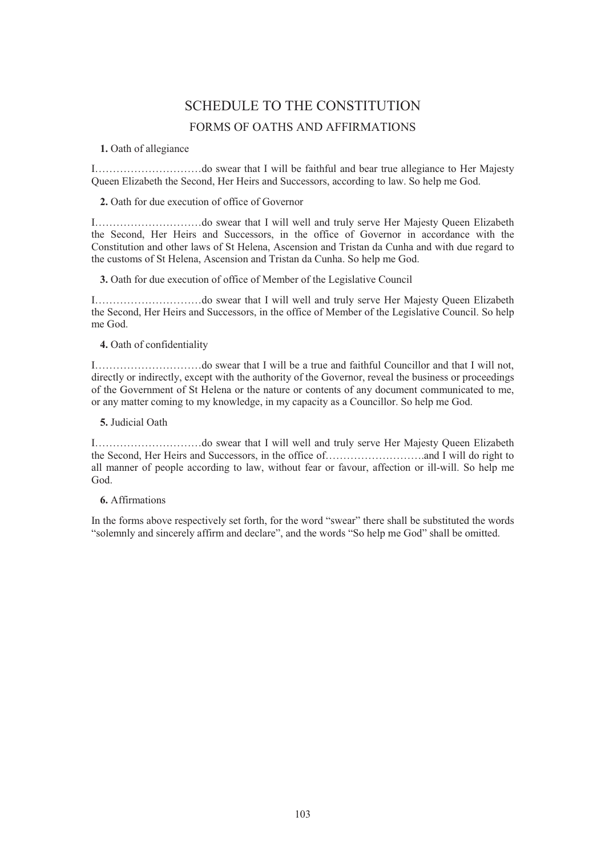# SCHEDULE TO THE CONSTITUTION FORMS OF OATHS AND AFFIRMATIONS

## **1.** Oath of allegiance

I…………………………do swear that I will be faithful and bear true allegiance to Her Majesty Queen Elizabeth the Second, Her Heirs and Successors, according to law. So help me God.

# **2.** Oath for due execution of office of Governor

I…………………………do swear that I will well and truly serve Her Majesty Queen Elizabeth the Second, Her Heirs and Successors, in the office of Governor in accordance with the Constitution and other laws of St Helena, Ascension and Tristan da Cunha and with due regard to the customs of St Helena, Ascension and Tristan da Cunha. So help me God.

**3.** Oath for due execution of office of Member of the Legislative Council

I…………………………do swear that I will well and truly serve Her Majesty Queen Elizabeth the Second, Her Heirs and Successors, in the office of Member of the Legislative Council. So help me God.

# **4.** Oath of confidentiality

I…………………………do swear that I will be a true and faithful Councillor and that I will not, directly or indirectly, except with the authority of the Governor, reveal the business or proceedings of the Government of St Helena or the nature or contents of any document communicated to me, or any matter coming to my knowledge, in my capacity as a Councillor. So help me God.

# **5.** Judicial Oath

I…………………………do swear that I will well and truly serve Her Majesty Queen Elizabeth the Second, Her Heirs and Successors, in the office of……………………….and I will do right to all manner of people according to law, without fear or favour, affection or ill-will. So help me God.

## **6.** Affirmations

In the forms above respectively set forth, for the word "swear" there shall be substituted the words "solemnly and sincerely affirm and declare", and the words "So help me God" shall be omitted.